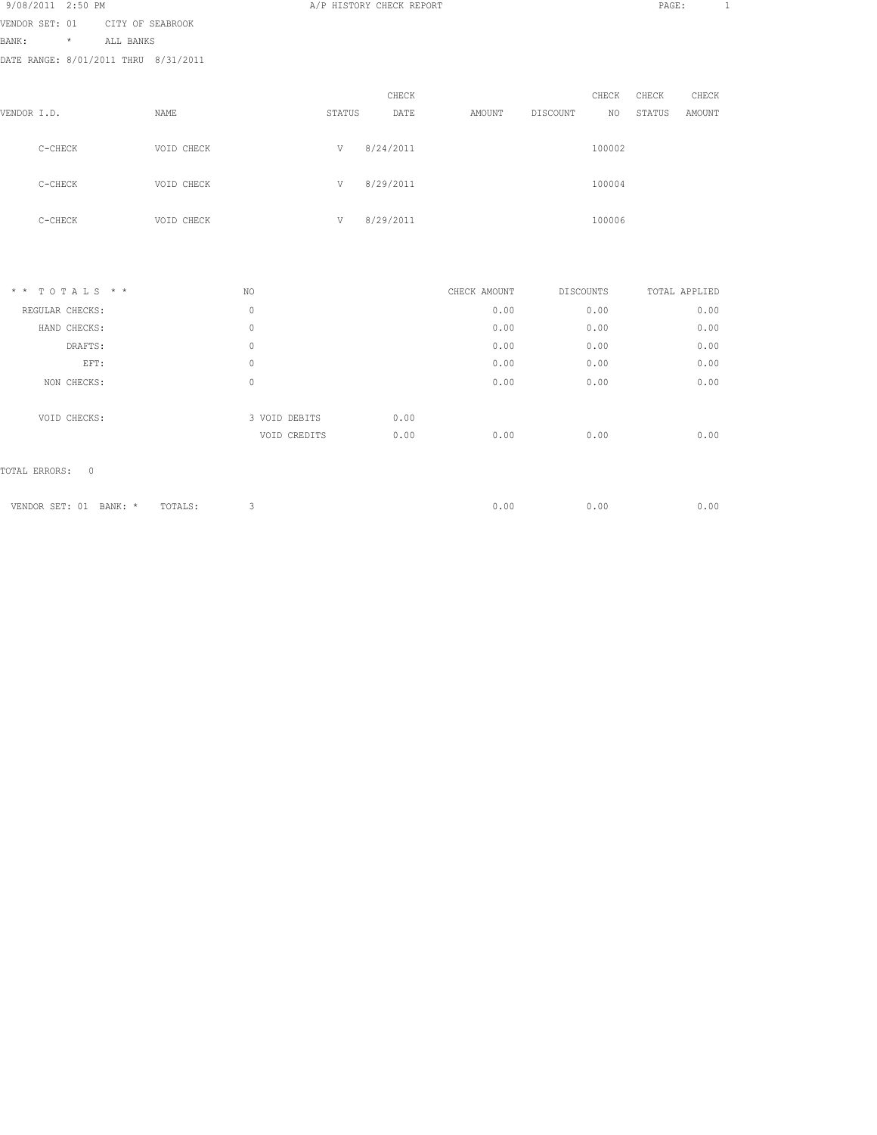| 9/08/2011 2:50 PM |                                      |               |        | A/P HISTORY CHECK REPORT |              |                | PAGE:         | $\mathbf{1}$ |  |
|-------------------|--------------------------------------|---------------|--------|--------------------------|--------------|----------------|---------------|--------------|--|
| VENDOR SET: 01    | CITY OF SEABROOK                     |               |        |                          |              |                |               |              |  |
| BANK:<br>$\star$  | ALL BANKS                            |               |        |                          |              |                |               |              |  |
|                   | DATE RANGE: 8/01/2011 THRU 8/31/2011 |               |        |                          |              |                |               |              |  |
|                   |                                      |               |        |                          |              |                |               |              |  |
|                   |                                      |               |        | CHECK                    |              | CHECK          | CHECK         | CHECK        |  |
| VENDOR I.D.       | NAME                                 |               | STATUS | DATE                     | AMOUNT       | DISCOUNT<br>NO | STATUS        | AMOUNT       |  |
| C-CHECK           | VOID CHECK                           |               | V      | 8/24/2011                |              | 100002         |               |              |  |
| C-CHECK           | VOID CHECK                           |               | V      | 8/29/2011                |              | 100004         |               |              |  |
| $C-CHECK$         | VOID CHECK                           |               | V      | 8/29/2011                |              | 100006         |               |              |  |
|                   |                                      |               |        |                          |              |                |               |              |  |
| $* * TOTALS **$   |                                      | NO            |        |                          | CHECK AMOUNT | DISCOUNTS      | TOTAL APPLIED |              |  |
| REGULAR CHECKS:   |                                      | $\mathbf{0}$  |        |                          | 0.00         | 0.00           |               | 0.00         |  |
| HAND CHECKS:      |                                      | $\circ$       |        |                          | 0.00         | 0.00           |               | 0.00         |  |
| DRAFTS:           |                                      | $\mathbf{0}$  |        |                          | 0.00         | 0.00           |               | 0.00         |  |
| EFT:              |                                      | $\circ$       |        |                          | 0.00         | 0.00           |               | 0.00         |  |
| NON CHECKS:       |                                      | $\mathbf{0}$  |        |                          | 0.00         | 0.00           |               | 0.00         |  |
| VOID CHECKS:      |                                      | 3 VOID DEBITS |        | 0.00                     |              |                |               |              |  |
|                   |                                      | VOID CREDITS  |        | 0.00                     | 0.00         | 0.00           |               | 0.00         |  |
|                   |                                      |               |        |                          |              |                |               |              |  |

| VENDOR SET: 01 | BANK: | TOTALS: | J.OC | $\sqrt{0.00}$ | .00 |
|----------------|-------|---------|------|---------------|-----|
|                |       |         |      |               |     |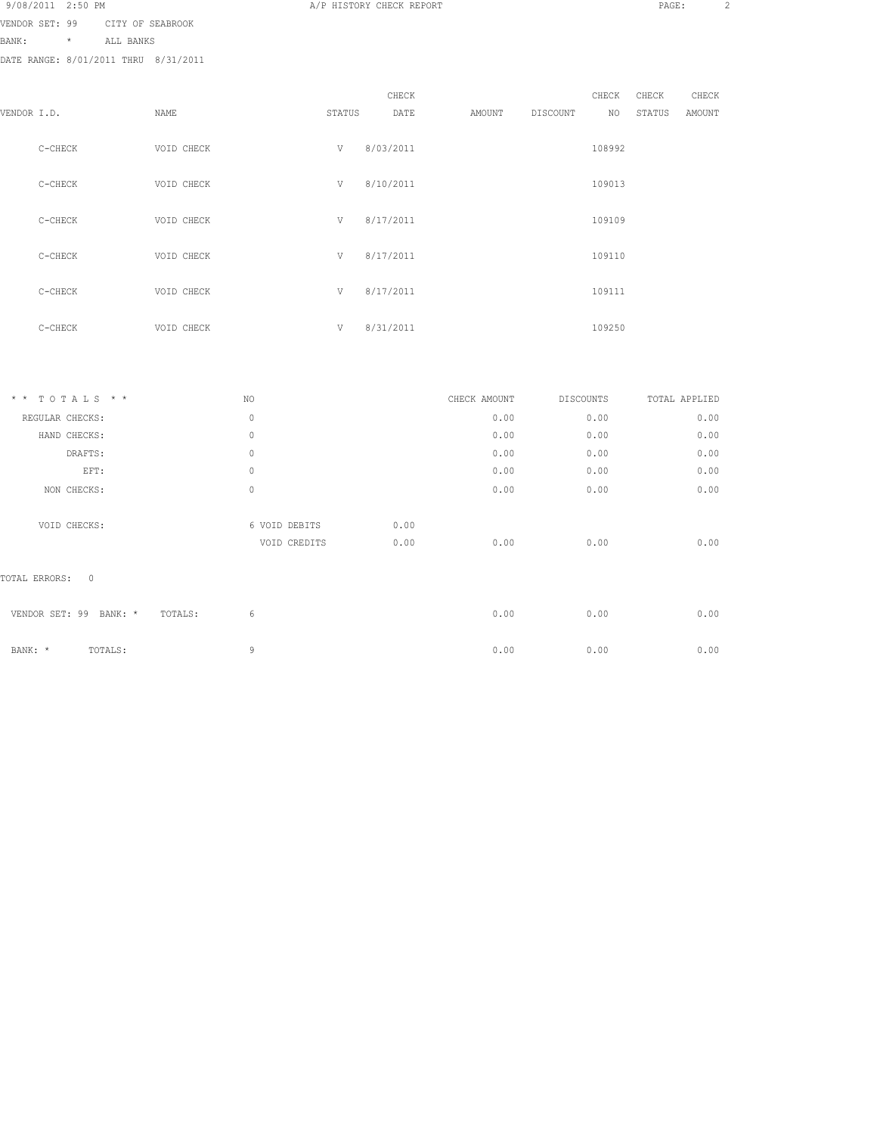| 9/08/2011 2:50 PM |  |  |                |
|-------------------|--|--|----------------|
| VENDOR SET: 99    |  |  | CITY OF SEABRO |

ABROOK

BANK: \* ALL BANKS

DATE RANGE: 8/01/2011 THRU 8/31/2011

|             |           |            |        | CHECK     |        |          | CHECK  | CHECK  | CHECK  |
|-------------|-----------|------------|--------|-----------|--------|----------|--------|--------|--------|
| VENDOR I.D. |           | NAME       | STATUS | DATE      | AMOUNT | DISCOUNT | NO     | STATUS | AMOUNT |
|             | C-CHECK   | VOID CHECK | V      | 8/03/2011 |        |          | 108992 |        |        |
|             | C-CHECK   | VOID CHECK | V      | 8/10/2011 |        |          | 109013 |        |        |
|             | C-CHECK   | VOID CHECK | V      | 8/17/2011 |        |          | 109109 |        |        |
|             | C-CHECK   | VOID CHECK | V      | 8/17/2011 |        |          | 109110 |        |        |
|             | $C-CHECK$ | VOID CHECK | V      | 8/17/2011 |        |          | 109111 |        |        |
|             |           |            |        |           |        |          |        |        |        |

A/P HISTORY CHECK REPORT PAGE: 2

| $C-CHECK$ | VOID CHECK | $\overline{U}$ | 8/31/2011 | 109250 |
|-----------|------------|----------------|-----------|--------|
|           |            |                |           |        |

| TOTALS * *<br>$\star$ $\star$        | NO            |      | CHECK AMOUNT | <b>DISCOUNTS</b> | TOTAL APPLIED |
|--------------------------------------|---------------|------|--------------|------------------|---------------|
| REGULAR CHECKS:                      | $\circ$       |      | 0.00         | 0.00             | 0.00          |
| HAND CHECKS:                         | $\circ$       |      | 0.00         | 0.00             | 0.00          |
| DRAFTS:                              | $\circ$       |      | 0.00         | 0.00             | 0.00          |
| EFT:                                 | $\mathbb O$   |      | 0.00         | 0.00             | 0.00          |
| NON CHECKS:                          | $\mathbb O$   |      | 0.00         | 0.00             | 0.00          |
| VOID CHECKS:                         | 6 VOID DEBITS | 0.00 |              |                  |               |
|                                      | VOID CREDITS  | 0.00 | 0.00         | 0.00             | 0.00          |
| $\mathbf{0}$<br>TOTAL ERRORS:        |               |      |              |                  |               |
| VENDOR SET: 99<br>BANK: *<br>TOTALS: | 6             |      | 0.00         | 0.00             | 0.00          |
| TOTALS:<br>BANK: *                   | 9             |      | 0.00         | 0.00             | 0.00          |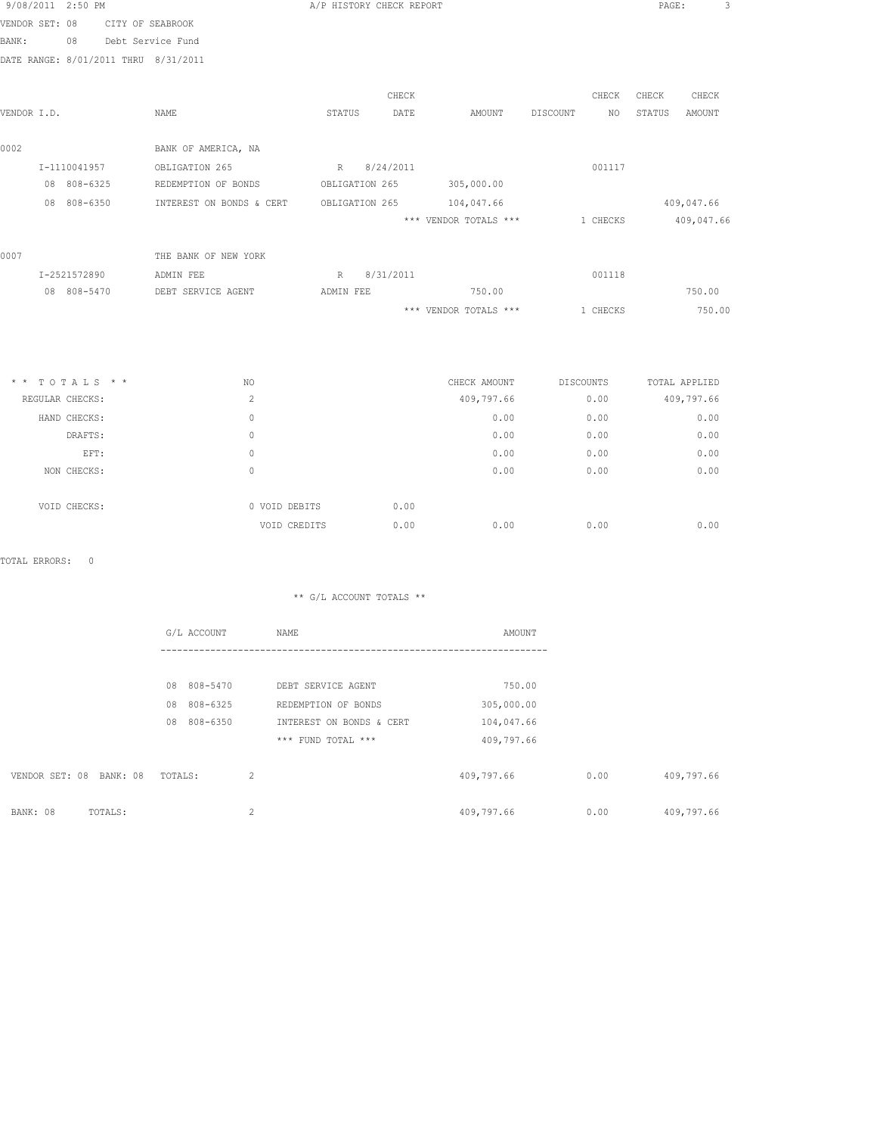| 9/08/2011 2:50 PM |                                      |                          | A/P HISTORY CHECK REPORT |           |                       |           | PAGE:         | 3             |
|-------------------|--------------------------------------|--------------------------|--------------------------|-----------|-----------------------|-----------|---------------|---------------|
| VENDOR SET: 08    | CITY OF SEABROOK                     |                          |                          |           |                       |           |               |               |
| BANK:             | 08<br>Debt Service Fund              |                          |                          |           |                       |           |               |               |
|                   | DATE RANGE: 8/01/2011 THRU 8/31/2011 |                          |                          |           |                       |           |               |               |
|                   |                                      |                          |                          |           |                       |           |               |               |
|                   |                                      |                          |                          | CHECK     |                       | CHECK     | CHECK         | CHECK         |
| VENDOR I.D.       |                                      | NAME                     | STATUS                   | DATE      | AMOUNT                | DISCOUNT  | NO.<br>STATUS | AMOUNT        |
| 0002              |                                      | BANK OF AMERICA, NA      |                          |           |                       |           |               |               |
|                   | I-1110041957                         | OBLIGATION 265           | R 8/24/2011              |           |                       | 001117    |               |               |
|                   | 08 808-6325                          | REDEMPTION OF BONDS      | OBLIGATION 265           |           | 305,000.00            |           |               |               |
|                   | 08 808-6350                          | INTEREST ON BONDS & CERT | OBLIGATION 265           |           | 104,047.66            |           |               | 409,047.66    |
|                   |                                      |                          |                          |           | *** VENDOR TOTALS *** | 1 CHECKS  |               | 409,047.66    |
| 0007              |                                      | THE BANK OF NEW YORK     |                          |           |                       |           |               |               |
|                   | I-2521572890                         | ADMIN FEE                | R                        | 8/31/2011 |                       | 001118    |               |               |
|                   | 08 808-5470                          | DEBT SERVICE AGENT       | ADMIN FEE                |           | 750.00                |           |               | 750.00        |
|                   |                                      |                          |                          |           | *** VENDOR TOTALS *** | 1 CHECKS  |               | 750.00        |
|                   |                                      |                          |                          |           |                       |           |               |               |
|                   |                                      |                          |                          |           |                       |           |               |               |
|                   | $*$ * TOTALS * *                     | NO.                      |                          |           | CHECK AMOUNT          | DISCOUNTS |               | TOTAL APPLIED |
| REGULAR CHECKS:   |                                      | $\overline{c}$           |                          |           | 409,797.66            | 0.00      |               | 409,797.66    |
|                   |                                      |                          |                          |           |                       |           |               |               |

| REGULAR CHECKS: | $\sim$        |      | 409,797.66 | 0.00 | 409,797.66 |
|-----------------|---------------|------|------------|------|------------|
| HAND CHECKS:    | 0             |      | 0.00       | 0.00 | 0.00       |
| DRAFTS:         | 0             |      | 0.00       | 0.00 | 0.00       |
| EFT:            | 0             |      | 0.00       | 0.00 | 0.00       |
| NON CHECKS:     | 0             |      | 0.00       | 0.00 | 0.00       |
|                 |               |      |            |      |            |
| VOID CHECKS:    | 0 VOID DEBITS | 0.00 |            |      |            |
|                 | VOID CREDITS  | 0.00 | 0.00       | 0.00 | 0.00       |

|                            | G/L ACCOUNT    | NAME                     | AMOUNT     |      |            |
|----------------------------|----------------|--------------------------|------------|------|------------|
|                            |                |                          |            |      |            |
|                            | 08 808-5470    | DEBT SERVICE AGENT       | 750.00     |      |            |
|                            | 808-6325<br>08 | REDEMPTION OF BONDS      | 305,000.00 |      |            |
|                            | 808-6350<br>08 | INTEREST ON BONDS & CERT | 104,047.66 |      |            |
|                            |                | *** FUND TOTAL ***       | 409,797.66 |      |            |
|                            |                |                          |            |      |            |
| VENDOR SET: 08<br>BANK: 08 | TOTALS:        | $\overline{c}$           | 409,797.66 | 0.00 | 409,797.66 |
|                            |                |                          |            |      |            |
| BANK: 08<br>TOTALS:        |                | $\overline{c}$           | 409,797.66 | 0.00 | 409,797.66 |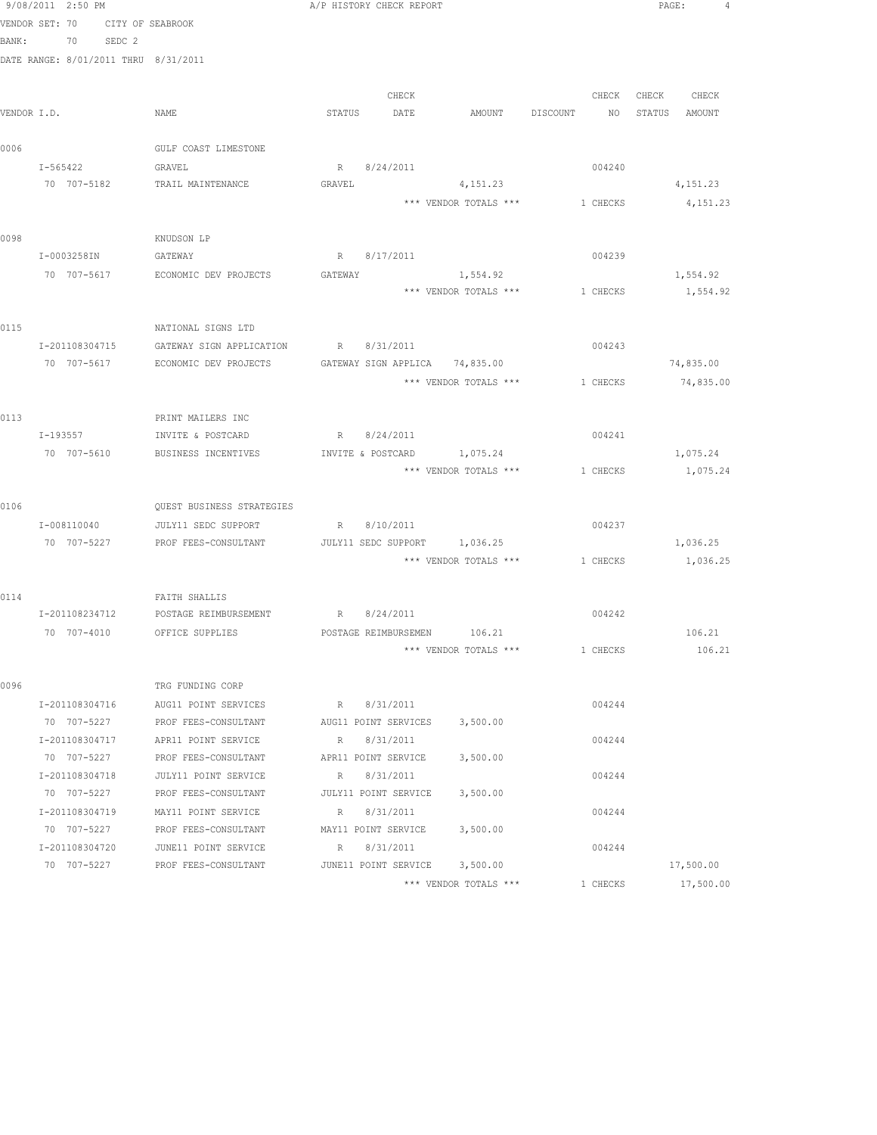|             | 9/08/2011 2:50 PM                    |                                                  |             | A/P HISTORY CHECK REPORT    |                                         |                 | PAGE:         | 4      |
|-------------|--------------------------------------|--------------------------------------------------|-------------|-----------------------------|-----------------------------------------|-----------------|---------------|--------|
|             | VENDOR SET: 70                       | CITY OF SEABROOK                                 |             |                             |                                         |                 |               |        |
| BANK:       | 70 SEDC 2                            |                                                  |             |                             |                                         |                 |               |        |
|             | DATE RANGE: 8/01/2011 THRU 8/31/2011 |                                                  |             |                             |                                         |                 |               |        |
|             |                                      |                                                  |             |                             |                                         |                 |               |        |
|             |                                      |                                                  |             | CHECK                       |                                         | CHECK           | CHECK CHECK   |        |
| VENDOR I.D. |                                      | NAME                                             |             | STATUS DATE                 | AMOUNT DISCOUNT                         | NO <sub>N</sub> | STATUS AMOUNT |        |
|             |                                      |                                                  |             |                             |                                         |                 |               |        |
| 0006        |                                      | GULF COAST LIMESTONE                             |             |                             |                                         |                 |               |        |
|             | I-565422 GRAVEL                      |                                                  |             | R 8/24/2011                 |                                         | 004240          |               |        |
|             |                                      | 70 707-5182 TRAIL MAINTENANCE                    | GRAVEL      |                             | 4, 151.23                               |                 | 4,151.23      |        |
|             |                                      |                                                  |             |                             | *** VENDOR TOTALS ***                   | 1 CHECKS        | 4,151.23      |        |
|             |                                      |                                                  |             |                             |                                         |                 |               |        |
| 0098        |                                      | KNUDSON LP                                       |             |                             |                                         |                 |               |        |
|             | I-0003258IN                          | GATEWAY                                          |             | R 8/17/2011                 |                                         | 004239          |               |        |
|             |                                      | 70 707-5617 ECONOMIC DEV PROJECTS                | GATEWAY     |                             | 1,554.92                                |                 | 1,554.92      |        |
|             |                                      |                                                  |             |                             | *** VENDOR TOTALS ***                   | 1 CHECKS        | 1,554.92      |        |
|             |                                      |                                                  |             |                             |                                         |                 |               |        |
| 0115        |                                      | NATIONAL SIGNS LTD                               |             |                             |                                         |                 |               |        |
|             | I-201108304715                       | GATEWAY SIGN APPLICATION R 8/31/2011             |             |                             |                                         | 004243          |               |        |
|             |                                      | 70 707-5617 ECONOMIC DEV PROJECTS                |             |                             | GATEWAY SIGN APPLICA 74,835.00          |                 | 74,835.00     |        |
|             |                                      |                                                  |             |                             | *** VENDOR TOTALS ***                   | 1 CHECKS        | 74,835.00     |        |
| 0113        |                                      | PRINT MAILERS INC                                |             |                             |                                         |                 |               |        |
|             | I-193557                             | INVITE & POSTCARD                                |             | R 8/24/2011                 |                                         | 004241          |               |        |
|             | 70 707-5610                          | BUSINESS INCENTIVES                              |             | INVITE & POSTCARD           | 1,075.24                                |                 | 1,075.24      |        |
|             |                                      |                                                  |             |                             | *** VENDOR TOTALS ***                   | 1 CHECKS        | 1,075.24      |        |
|             |                                      |                                                  |             |                             |                                         |                 |               |        |
| 0106        |                                      | QUEST BUSINESS STRATEGIES                        |             |                             |                                         |                 |               |        |
|             | I-008110040                          | JULY11 SEDC SUPPORT                              |             | R 8/10/2011                 |                                         | 004237          |               |        |
|             | 70 707-5227                          | PROF FEES-CONSULTANT                             |             |                             | JULY11 SEDC SUPPORT 1,036.25            |                 | 1,036.25      |        |
|             |                                      |                                                  |             |                             | *** VENDOR TOTALS *** 1 CHECKS 1,036.25 |                 |               |        |
|             |                                      |                                                  |             |                             |                                         |                 |               |        |
| 0114        |                                      | FAITH SHALLIS                                    |             |                             |                                         |                 |               |        |
|             |                                      | I-201108234712 POSTAGE REIMBURSEMENT R 8/24/2011 |             |                             |                                         | 004242          |               |        |
|             |                                      | 70 707-4010 OFFICE SUPPLIES                      |             | POSTAGE REIMBURSEMEN 106.21 |                                         |                 | 106.21        |        |
|             |                                      |                                                  |             |                             | *** VENDOR TOTALS ***                   | 1 CHECKS        |               | 106.21 |
|             |                                      |                                                  |             |                             |                                         |                 |               |        |
| 0096        |                                      | TRG FUNDING CORP                                 |             |                             |                                         |                 |               |        |
|             | I-201108304716                       | AUG11 POINT SERVICES                             |             | R 8/31/2011                 |                                         | 004244          |               |        |
|             | 70 707-5227                          | PROF FEES-CONSULTANT                             |             | AUG11 POINT SERVICES        | 3,500.00                                |                 |               |        |
|             | I-201108304717                       | APR11 POINT SERVICE                              | R           | 8/31/2011                   |                                         | 004244          |               |        |
|             | 70 707-5227                          | PROF FEES-CONSULTANT                             |             | APR11 POINT SERVICE         | 3,500.00                                |                 |               |        |
|             | I-201108304718                       | JULY11 POINT SERVICE                             | $\mathbb R$ | 8/31/2011                   |                                         | 004244          |               |        |
|             | 70 707-5227                          | PROF FEES-CONSULTANT                             |             | JULY11 POINT SERVICE        | 3,500.00                                |                 |               |        |
|             | I-201108304719                       | MAY11 POINT SERVICE                              | R           | 8/31/2011                   |                                         | 004244          |               |        |
|             | 70 707-5227                          | PROF FEES-CONSULTANT                             |             | MAY11 POINT SERVICE         | 3,500.00                                |                 |               |        |
|             | I-201108304720                       | JUNE11 POINT SERVICE                             | R           | 8/31/2011                   |                                         | 004244          |               |        |
|             | 70 707-5227                          | PROF FEES-CONSULTANT                             |             | JUNE11 POINT SERVICE        | 3,500.00                                |                 | 17,500.00     |        |
|             |                                      |                                                  |             |                             | *** VENDOR TOTALS ***                   | 1 CHECKS        | 17,500.00     |        |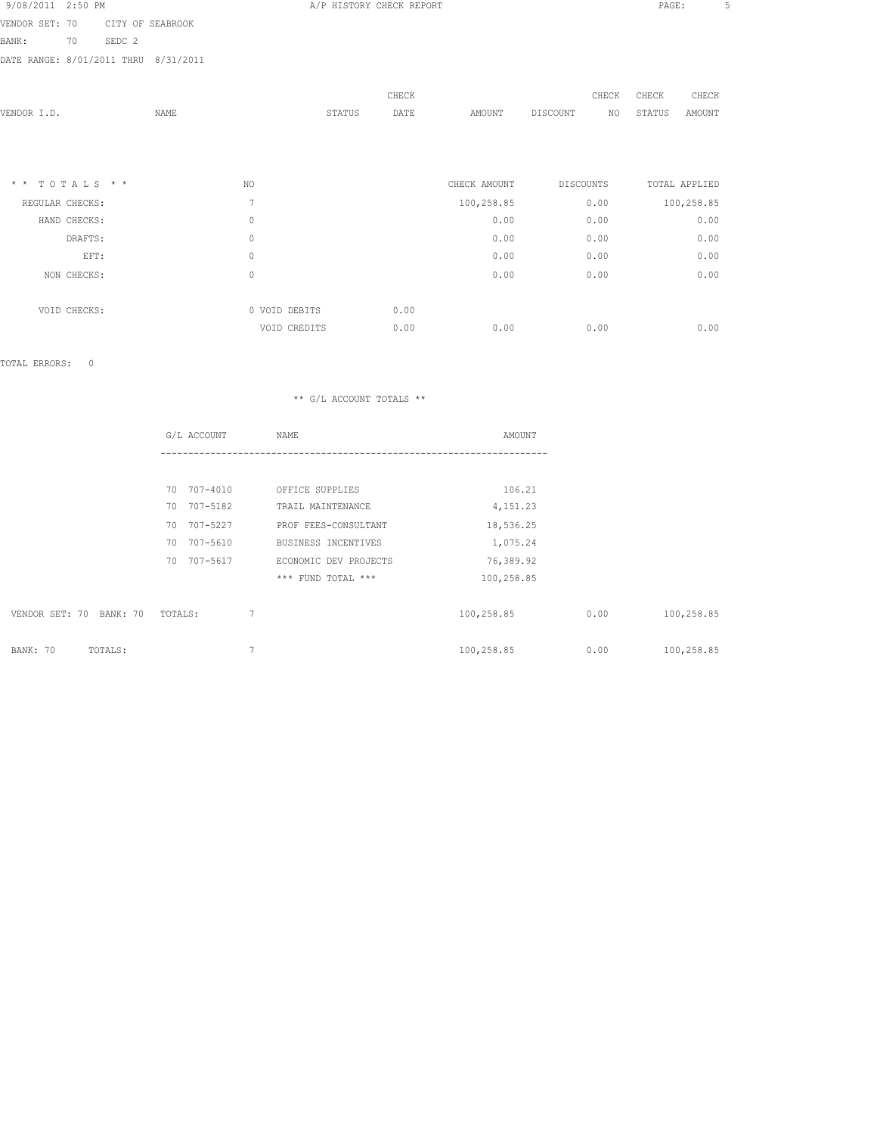| 9/08/2011 2:50 PM          |              |        |                  |                | A/P HISTORY CHECK REPORT |       |              |           |       | PAGE:  |               | 5 |
|----------------------------|--------------|--------|------------------|----------------|--------------------------|-------|--------------|-----------|-------|--------|---------------|---|
| VENDOR SET: 70             |              |        | CITY OF SEABROOK |                |                          |       |              |           |       |        |               |   |
| BANK:                      | 70           | SEDC 2 |                  |                |                          |       |              |           |       |        |               |   |
| DATE RANGE: 8/01/2011 THRU |              |        | 8/31/2011        |                |                          |       |              |           |       |        |               |   |
|                            |              |        |                  |                |                          |       |              |           |       |        |               |   |
|                            |              |        |                  |                |                          | CHECK |              |           | CHECK | CHECK  | CHECK         |   |
| VENDOR I.D.                |              |        | NAME             |                | STATUS                   | DATE  | AMOUNT       | DISCOUNT  | NO    | STATUS | AMOUNT        |   |
|                            |              |        |                  |                |                          |       |              |           |       |        |               |   |
|                            |              |        |                  |                |                          |       |              |           |       |        |               |   |
| $*$ * TOTALS * *           |              |        |                  | NO.            |                          |       | CHECK AMOUNT | DISCOUNTS |       |        | TOTAL APPLIED |   |
| REGULAR CHECKS:            |              |        |                  | $\overline{7}$ |                          |       | 100,258.85   |           | 0.00  |        | 100,258.85    |   |
|                            | HAND CHECKS: |        |                  | $\circ$        |                          |       | 0.00         |           | 0.00  |        | 0.00          |   |
|                            | DRAFTS:      |        |                  | $\mathbf{0}$   |                          |       | 0.00         |           | 0.00  |        | 0.00          |   |
|                            | EFT:         |        |                  | $\mathbf{0}$   |                          |       | 0.00         |           | 0.00  |        | 0.00          |   |
|                            | NON CHECKS:  |        |                  | $\circ$        |                          |       | 0.00         |           | 0.00  |        | 0.00          |   |
|                            |              |        |                  |                |                          |       |              |           |       |        |               |   |
|                            | VOID CHECKS: |        |                  | 0 VOID DEBITS  |                          | 0.00  |              |           |       |        |               |   |
|                            |              |        |                  | VOID CREDITS   |                          | 0.00  | 0.00         |           | 0.00  |        | 0.00          |   |

|                         | G/L ACCOUNT    | NAME                  | AMOUNT     |      |            |
|-------------------------|----------------|-----------------------|------------|------|------------|
|                         |                |                       |            |      |            |
|                         | 70 707-4010    | OFFICE SUPPLIES       | 106.21     |      |            |
|                         | 70 707-5182    | TRAIL MAINTENANCE     | 4,151.23   |      |            |
|                         | 707-5227<br>70 | PROF FEES-CONSULTANT  | 18,536.25  |      |            |
|                         | 707-5610<br>70 | BUSINESS INCENTIVES   | 1,075.24   |      |            |
|                         | 70<br>707-5617 | ECONOMIC DEV PROJECTS | 76,389.92  |      |            |
|                         |                | *** FUND TOTAL ***    | 100,258.85 |      |            |
|                         |                |                       |            |      |            |
| VENDOR SET: 70 BANK: 70 | TOTALS:        | $\overline{7}$        | 100,258.85 | 0.00 | 100,258.85 |
|                         |                |                       |            |      |            |
| BANK: 70<br>TOTALS:     |                | $\overline{7}$        | 100,258.85 | 0.00 | 100,258.85 |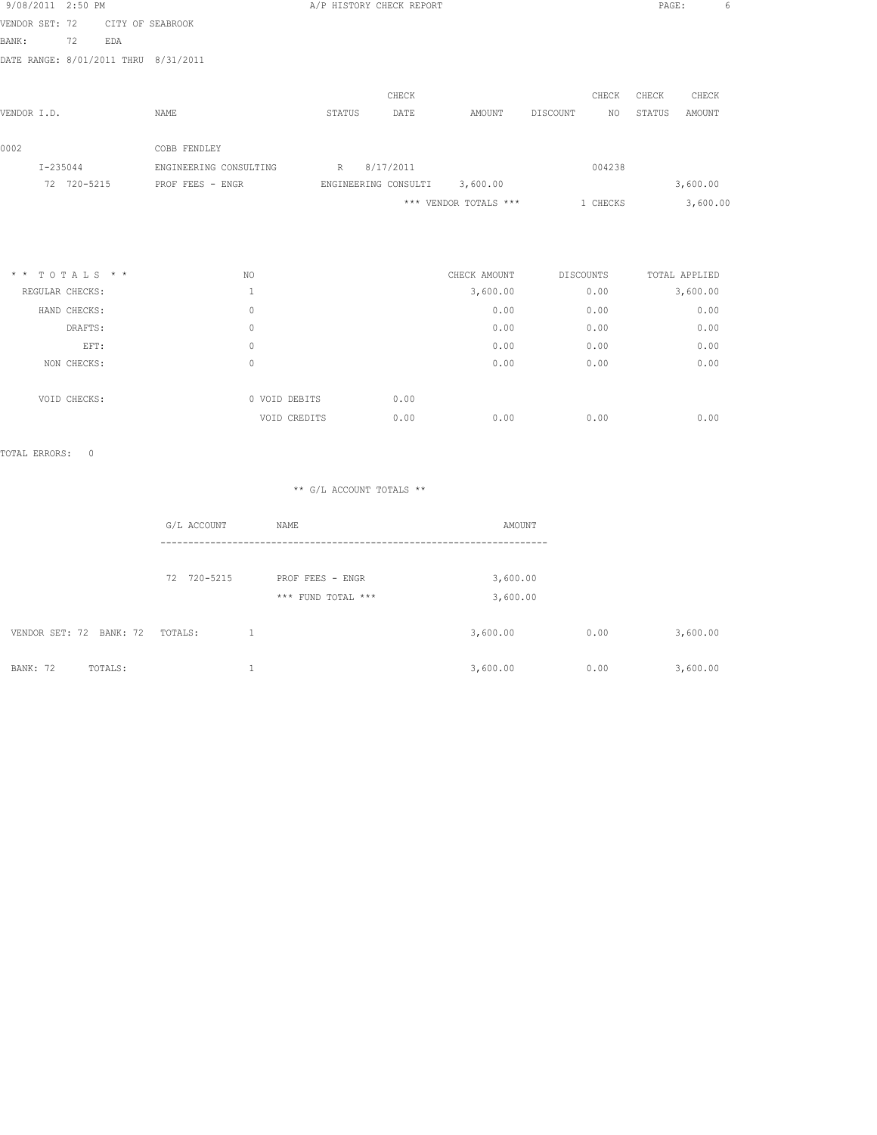| 9/08/2011 2:50 PM |                                      |                        |        | A/P HISTORY CHECK REPORT      |                       |                  |          | PAGE:  | 6             |
|-------------------|--------------------------------------|------------------------|--------|-------------------------------|-----------------------|------------------|----------|--------|---------------|
| VENDOR SET: 72    |                                      | CITY OF SEABROOK       |        |                               |                       |                  |          |        |               |
| BANK:             | 72<br>EDA                            |                        |        |                               |                       |                  |          |        |               |
|                   | DATE RANGE: 8/01/2011 THRU 8/31/2011 |                        |        |                               |                       |                  |          |        |               |
|                   |                                      |                        |        | CHECK                         |                       |                  | CHECK    | CHECK  | CHECK         |
| VENDOR I.D.       |                                      | NAME                   | STATUS | DATE                          | AMOUNT                | DISCOUNT         | NO.      | STATUS | AMOUNT        |
| 0002              |                                      | COBB FENDLEY           |        |                               |                       |                  |          |        |               |
| $I - 235044$      |                                      | ENGINEERING CONSULTING | R      | 8/17/2011                     |                       |                  | 004238   |        |               |
|                   | 72 720-5215                          | PROF FEES - ENGR       |        | ENGINEERING CONSULTI 3,600.00 |                       |                  |          |        | 3,600.00      |
|                   |                                      |                        |        |                               | *** VENDOR TOTALS *** |                  | 1 CHECKS |        | 3,600.00      |
|                   |                                      |                        |        |                               |                       |                  |          |        |               |
|                   | $* * TOTALS **$                      | NO.                    |        |                               | CHECK AMOUNT          | <b>DISCOUNTS</b> |          |        | TOTAL APPLIED |
| REGULAR CHECKS:   |                                      | 1                      |        |                               | 3,600.00              |                  | 0.00     |        | 3,600.00      |
|                   | HAND CHECKS:                         | $\Omega$               |        |                               | 0.00                  |                  | 0.00     |        | 0.00          |
|                   | DRAFTS:                              | $\mathbf{0}$           |        |                               | 0.00                  |                  | 0.00     |        | 0.00          |
|                   | EFT:                                 | $\mathbf{0}$           |        |                               | 0.00                  |                  | 0.00     |        | 0.00          |

| NON CHECKS:  |               |      | 0.00 | 0.00 | 0.00 |
|--------------|---------------|------|------|------|------|
| VOID CHECKS: | 0 VOID DEBITS | 0.00 |      |      |      |
|              | VOID CREDITS  | 0.00 | 0.00 | 0.00 | 0.00 |

|                         | G/L ACCOUNT | NAME               | AMOUNT   |      |          |
|-------------------------|-------------|--------------------|----------|------|----------|
|                         |             |                    |          |      |          |
|                         | 72 720-5215 | PROF FEES - ENGR   | 3,600.00 |      |          |
|                         |             | *** FUND TOTAL *** | 3,600.00 |      |          |
|                         |             |                    |          |      |          |
| VENDOR SET: 72 BANK: 72 | TOTALS:     |                    | 3,600.00 | 0.00 | 3,600.00 |
|                         |             |                    |          |      |          |
| BANK: 72<br>TOTALS:     |             |                    | 3,600.00 | 0.00 | 3,600.00 |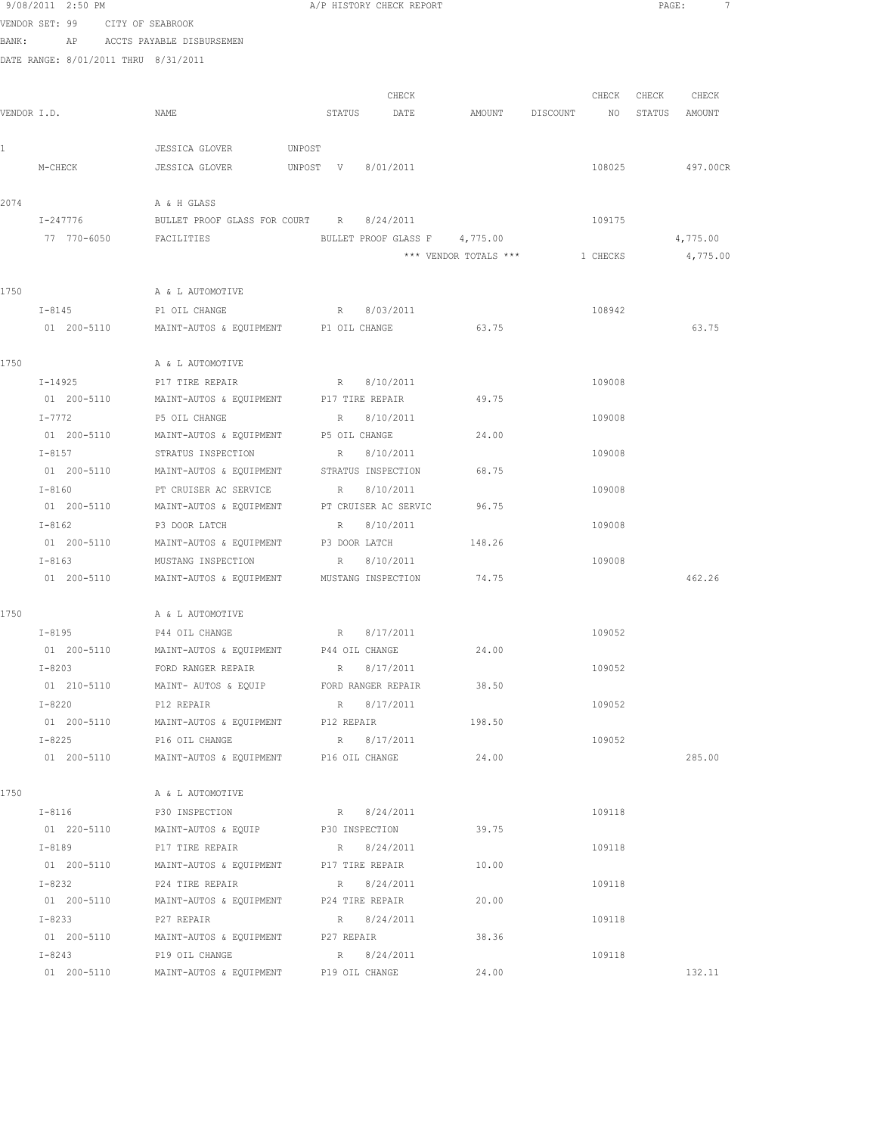|             | 9/08/2011 2:50 PM                    |                                                                             |                | A/P HISTORY CHECK REPORT |                               |                                  |          | $\texttt{PAGE}$ : | 7                 |
|-------------|--------------------------------------|-----------------------------------------------------------------------------|----------------|--------------------------|-------------------------------|----------------------------------|----------|-------------------|-------------------|
|             | VENDOR SET: 99 CITY OF SEABROOK      |                                                                             |                |                          |                               |                                  |          |                   |                   |
|             |                                      | BANK: AP ACCTS PAYABLE DISBURSEMEN                                          |                |                          |                               |                                  |          |                   |                   |
|             | DATE RANGE: 8/01/2011 THRU 8/31/2011 |                                                                             |                |                          |                               |                                  |          |                   |                   |
|             |                                      |                                                                             |                |                          |                               |                                  |          |                   |                   |
|             |                                      |                                                                             |                | CHECK                    |                               |                                  |          |                   | CHECK CHECK CHECK |
| VENDOR I.D. |                                      | NAME                                                                        |                | STATUS DATE              |                               | AMOUNT DISCOUNT NO STATUS AMOUNT |          |                   |                   |
|             |                                      |                                                                             |                |                          |                               |                                  |          |                   |                   |
| 1           |                                      | JESSICA GLOVER UNPOST                                                       |                |                          |                               |                                  |          |                   |                   |
|             | M-CHECK                              | JESSICA GLOVER UNPOST V 8/01/2011                                           |                |                          |                               |                                  | 108025   |                   | 497.00CR          |
|             |                                      |                                                                             |                |                          |                               |                                  |          |                   |                   |
| 2074        |                                      | A & H GLASS                                                                 |                |                          |                               |                                  |          |                   |                   |
|             | I-247776                             | BULLET PROOF GLASS FOR COURT R 8/24/2011                                    |                |                          |                               |                                  | 109175   |                   |                   |
|             | 77 770-6050                          | FACILITIES                                                                  |                |                          | BULLET PROOF GLASS F 4,775.00 |                                  |          |                   | 4,775.00          |
|             |                                      |                                                                             |                |                          | *** VENDOR TOTALS ***         |                                  | 1 CHECKS |                   | 4,775.00          |
| 1750        |                                      | A & L AUTOMOTIVE                                                            |                |                          |                               |                                  |          |                   |                   |
|             |                                      |                                                                             |                |                          |                               |                                  | 108942   |                   |                   |
|             | $I-8145$<br>01 200-5110              | P1 OIL CHANGE<br>MAINT-AUTOS & EQUIPMENT P1 OIL CHANGE                      |                | R 8/03/2011              | 63.75                         |                                  |          |                   | 63.75             |
|             |                                      |                                                                             |                |                          |                               |                                  |          |                   |                   |
| 1750        |                                      | A & L AUTOMOTIVE                                                            |                |                          |                               |                                  |          |                   |                   |
|             | $I - 14925$                          |                                                                             |                |                          |                               |                                  | 109008   |                   |                   |
|             |                                      | 01  200-5110  MAINT-AUTOS & EQUIPMENT  P17 TIRE REPAIR  49.75               |                |                          |                               |                                  |          |                   |                   |
|             | $I - 7772$                           | P5 OIL CHANGE                                                               |                | R 8/10/2011              |                               |                                  | 109008   |                   |                   |
|             |                                      | 01  200-5110   MAINT-AUTOS & EQUIPMENT   P5 OIL CHANGE                      |                |                          | 24.00                         |                                  |          |                   |                   |
|             | $I-8157$                             | STRATUS INSPECTION                                                          |                | R 8/10/2011              |                               |                                  | 109008   |                   |                   |
|             | 01 200-5110                          | MAINT-AUTOS & EQUIPMENT STRATUS INSPECTION                                  |                |                          | 68.75                         |                                  |          |                   |                   |
|             | $I-8160$                             | PT CRUISER AC SERVICE                                                       |                | R 8/10/2011              |                               |                                  | 109008   |                   |                   |
|             | 01 200-5110                          | MAINT-AUTOS & EQUIPMENT                                                     |                | PT CRUISER AC SERVIC     | 96.75                         |                                  |          |                   |                   |
|             | $I-8162$                             | P3 DOOR LATCH                                                               |                | R 8/10/2011              |                               |                                  | 109008   |                   |                   |
|             | 01 200-5110                          | MAINT-AUTOS & EQUIPMENT P3 DOOR LATCH                                       |                |                          | 148.26                        |                                  |          |                   |                   |
|             | $I-8163$                             | MUSTANG INSPECTION                                                          |                | R 8/10/2011              |                               |                                  | 109008   |                   |                   |
|             | 01 200-5110                          | MAINT-AUTOS & EQUIPMENT MUSTANG INSPECTION 74.75                            |                |                          |                               |                                  |          |                   | 462.26            |
|             |                                      |                                                                             |                |                          |                               |                                  |          |                   |                   |
| 1750        |                                      | A & L AUTOMOTIVE                                                            |                |                          |                               |                                  |          |                   |                   |
|             |                                      | I-8195 P44 OIL CHANGE                                                       |                | R 8/17/2011              |                               |                                  | 109052   |                   |                   |
|             | 01 200-5110                          | MAINT-AUTOS & EQUIPMENT                                                     | P44 OIL CHANGE |                          | 24.00                         |                                  |          |                   |                   |
|             | $I-8203$                             | FORD RANGER REPAIR                                                          |                | R 8/17/2011              |                               |                                  | 109052   |                   |                   |
|             | 01 210-5110                          | MAINT- AUTOS & EQUIP                                                        |                | FORD RANGER REPAIR       | 38.50                         |                                  |          |                   |                   |
|             | I-8220                               | P12 REPAIR                                                                  |                | R 8/17/2011              |                               |                                  | 109052   |                   |                   |
|             | 01 200-5110                          | MAINT-AUTOS & EQUIPMENT P12 REPAIR                                          |                |                          | 198.50                        |                                  |          |                   |                   |
|             | $I-8225$                             | P16 OIL CHANGE                                                              |                | R 8/17/2011              |                               |                                  | 109052   |                   |                   |
|             | 01 200-5110                          | MAINT-AUTOS & EQUIPMENT P16 OIL CHANGE                                      |                |                          | 24.00                         |                                  |          |                   | 285.00            |
|             |                                      |                                                                             |                |                          |                               |                                  |          |                   |                   |
| 1750        |                                      | A & L AUTOMOTIVE                                                            |                |                          |                               |                                  |          |                   |                   |
|             | $I-8116$                             | P30 INSPECTION                                                              |                | R 8/24/2011              | 39.75                         |                                  | 109118   |                   |                   |
|             | $I-8189$                             | 01 220-5110 MAINT-AUTOS & EQUIP P30 INSPECTION                              |                |                          |                               |                                  |          |                   |                   |
|             |                                      | P17 TIRE REPAIR<br>01  200-5110   MAINT-AUTOS & EQUIPMENT   P17 TIRE REPAIR |                | R 8/24/2011              | 10.00                         |                                  | 109118   |                   |                   |
|             | I-8232                               | P24 TIRE REPAIR                                                             |                | R 8/24/2011              |                               |                                  | 109118   |                   |                   |
|             | 01 200-5110                          | MAINT-AUTOS & EQUIPMENT P24 TIRE REPAIR                                     |                |                          | 20.00                         |                                  |          |                   |                   |
|             | I-8233                               | P27 REPAIR                                                                  |                | R 8/24/2011              |                               |                                  | 109118   |                   |                   |
|             | 01 200-5110                          | MAINT-AUTOS & EQUIPMENT P27 REPAIR                                          |                |                          | 38.36                         |                                  |          |                   |                   |
|             | $I-8243$                             | P19 OIL CHANGE                                                              |                | R 8/24/2011              |                               |                                  | 109118   |                   |                   |
|             | 01 200-5110                          | MAINT-AUTOS & EQUIPMENT P19 OIL CHANGE                                      |                |                          | 24.00                         |                                  |          |                   | 132.11            |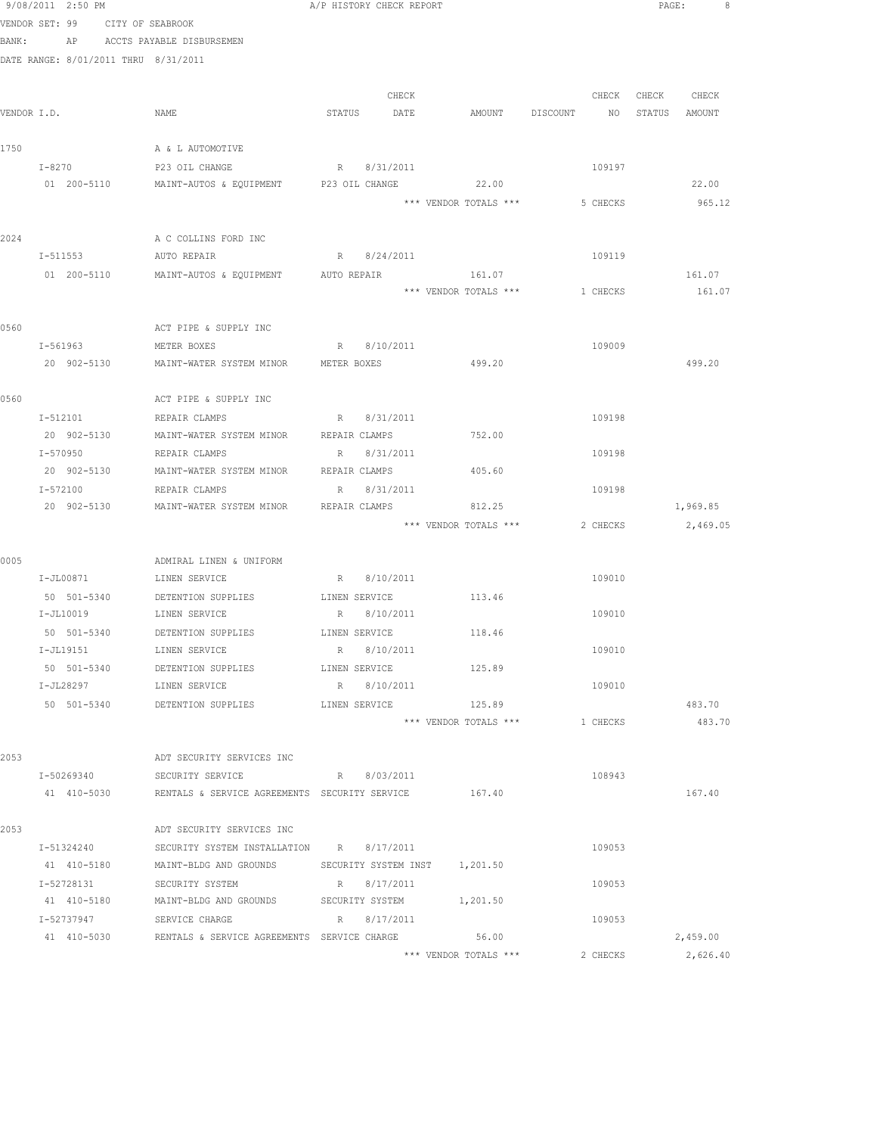|      | 9/08/2011 2:50 PM                    |                                                               | A/P HISTORY CHECK REPORT      |                       |                                | PAGE:<br>- 8     |
|------|--------------------------------------|---------------------------------------------------------------|-------------------------------|-----------------------|--------------------------------|------------------|
|      | VENDOR SET: 99 CITY OF SEABROOK      |                                                               |                               |                       |                                |                  |
|      | BANK: AP ACCTS PAYABLE DISBURSEMEN   |                                                               |                               |                       |                                |                  |
|      | DATE RANGE: 8/01/2011 THRU 8/31/2011 |                                                               |                               |                       |                                |                  |
|      |                                      |                                                               |                               |                       |                                |                  |
|      |                                      |                                                               | CHECK                         |                       | CHECK                          | CHECK CHECK      |
|      | VENDOR I.D.                          | NAME                                                          | STATUS DATE                   | AMOUNT DISCOUNT       |                                | NO STATUS AMOUNT |
| 1750 |                                      | A & L AUTOMOTIVE                                              |                               |                       |                                |                  |
|      | $I-8270$                             | P23 OIL CHANGE                                                | R 8/31/2011                   |                       | 109197                         |                  |
|      | 01 200-5110                          | MAINT-AUTOS & EQUIPMENT P23 OIL CHANGE                        |                               | 22.00                 |                                | 22.00            |
|      |                                      |                                                               |                               | *** VENDOR TOTALS *** | 5 CHECKS                       | 965.12           |
|      |                                      |                                                               |                               |                       |                                |                  |
| 2024 |                                      | A C COLLINS FORD INC                                          |                               |                       |                                |                  |
|      | I-511553                             | AUTO REPAIR                                                   | R 8/24/2011                   |                       | 109119                         |                  |
|      |                                      | 01  200-5110   MAINT-AUTOS & EQUIPMENT   AUTO REPAIR          |                               | 161.07                |                                | 161.07           |
|      |                                      |                                                               |                               |                       | *** VENDOR TOTALS *** 1 CHECKS | 161.07           |
| 0560 |                                      | ACT PIPE & SUPPLY INC                                         |                               |                       |                                |                  |
|      | I-561963 METER BOXES                 |                                                               | R 8/10/2011                   |                       | 109009                         |                  |
|      |                                      | 20 902-5130 MAINT-WATER SYSTEM MINOR METER BOXES              |                               | 499.20                |                                | 499.20           |
|      |                                      |                                                               |                               |                       |                                |                  |
| 0560 |                                      | ACT PIPE & SUPPLY INC                                         |                               |                       |                                |                  |
|      | I-512101                             | REPAIR CLAMPS                                                 | R 8/31/2011                   |                       | 109198                         |                  |
|      | 20 902-5130                          | MAINT-WATER SYSTEM MINOR                                      | REPAIR CLAMPS                 | 752.00                |                                |                  |
|      | I-570950                             | REPAIR CLAMPS                                                 | R 8/31/2011                   |                       | 109198                         |                  |
|      | 20 902-5130                          | MAINT-WATER SYSTEM MINOR REPAIR CLAMPS                        |                               | 405.60                |                                |                  |
|      | I-572100                             | REPAIR CLAMPS                                                 | R<br>8/31/2011                |                       | 109198                         |                  |
|      | 20 902-5130                          | MAINT-WATER SYSTEM MINOR                                      | REPAIR CLAMPS                 | 812.25                |                                | 1,969.85         |
|      |                                      |                                                               |                               | *** VENDOR TOTALS *** | 2 CHECKS                       | 2,469.05         |
| 0005 |                                      | ADMIRAL LINEN & UNIFORM                                       |                               |                       |                                |                  |
|      | I-JL00871 LINEN SERVICE              |                                                               | R 8/10/2011                   |                       | 109010                         |                  |
|      |                                      | 50 501-5340 DETENTION SUPPLIES                                | LINEN SERVICE                 | 113.46                |                                |                  |
|      | I-JL10019                            | LINEN SERVICE                                                 | R 8/10/2011                   |                       | 109010                         |                  |
|      |                                      | 50 501-5340 DETENTION SUPPLIES LINEN SERVICE                  |                               | 118.46                |                                |                  |
|      | I-JL19151                            | LINEN SERVICE                                                 | R 8/10/2011                   |                       | 109010                         |                  |
|      | 50 501-5340                          | DETENTION SUPPLIES                                            | LINEN SERVICE                 | 125.89                |                                |                  |
|      | I-JL28297                            | LINEN SERVICE                                                 | R 8/10/2011                   |                       | 109010                         |                  |
|      |                                      | 50 501-5340 DETENTION SUPPLIES                                | LINEN SERVICE                 | 125.89                |                                | 483.70           |
|      |                                      |                                                               |                               | *** VENDOR TOTALS *** | 1 CHECKS                       | 483.70           |
|      |                                      |                                                               |                               |                       |                                |                  |
| 2053 |                                      | ADT SECURITY SERVICES INC                                     |                               |                       |                                |                  |
|      | I-50269340                           | SECURITY SERVICE                                              | R 8/03/2011                   |                       | 108943                         |                  |
|      |                                      | 41 410-5030 RENTALS & SERVICE AGREEMENTS SECURITY SERVICE     |                               | 167.40                |                                | 167.40           |
| 2053 |                                      | ADT SECURITY SERVICES INC                                     |                               |                       |                                |                  |
|      | I-51324240                           | SECURITY SYSTEM INSTALLATION R 8/17/2011                      |                               |                       | 109053                         |                  |
|      | 41 410-5180                          | MAINT-BLDG AND GROUNDS                                        | SECURITY SYSTEM INST 1,201.50 |                       |                                |                  |
|      | I-52728131                           | SECURITY SYSTEM                                               | R 8/17/2011                   |                       | 109053                         |                  |
|      | 41 410-5180                          | MAINT-BLDG AND GROUNDS                                        | SECURITY SYSTEM               | 1,201.50              |                                |                  |
|      | I-52737947                           | SERVICE CHARGE                                                | R 8/17/2011                   |                       | 109053                         |                  |
|      |                                      | 41 410-5030 RENTALS & SERVICE AGREEMENTS SERVICE CHARGE 56.00 |                               |                       |                                | 2,459.00         |
|      |                                      |                                                               |                               | *** VENDOR TOTALS *** | 2 CHECKS                       | 2,626.40         |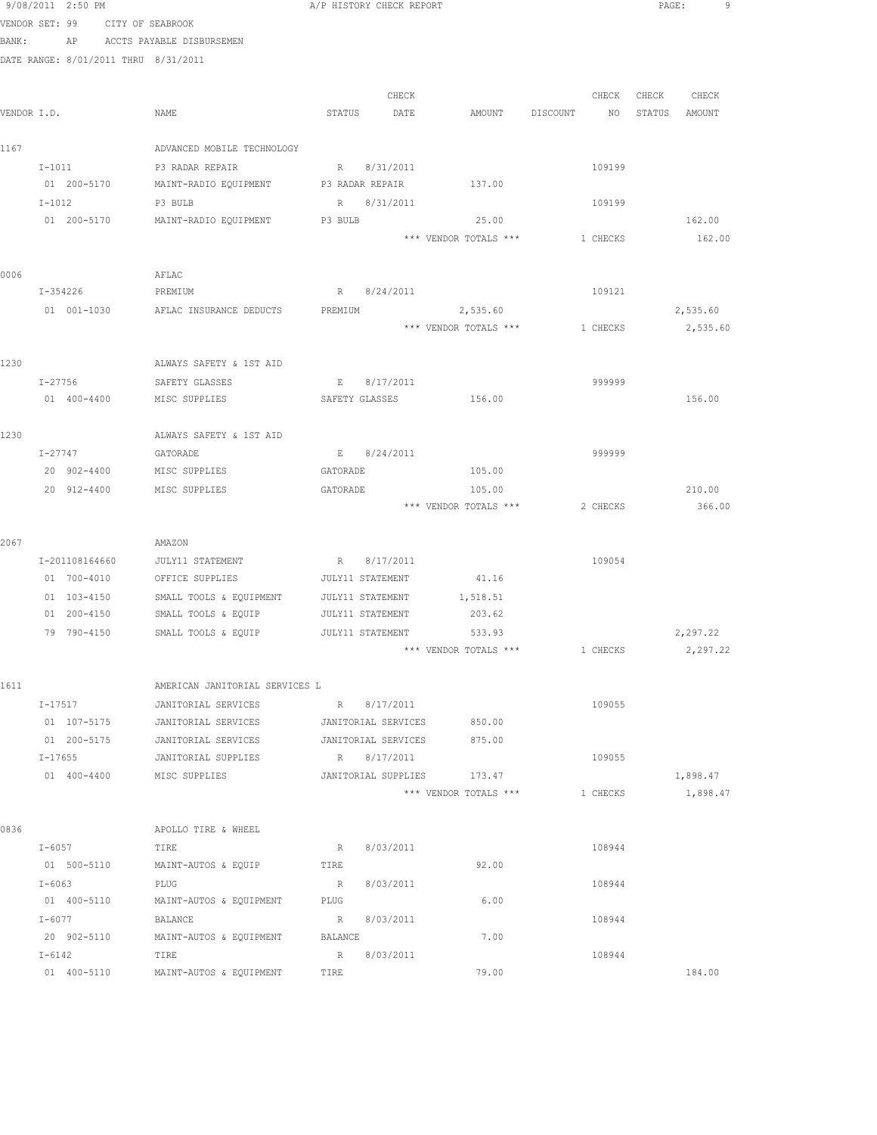|       | 9/08/2011 2:50 PM                    |                                | A/P HISTORY CHECK REPORT |                       |                | PAGE:<br>9       |
|-------|--------------------------------------|--------------------------------|--------------------------|-----------------------|----------------|------------------|
|       | VENDOR SET: 99                       | CITY OF SEABROOK               |                          |                       |                |                  |
| BANK: |                                      | AP ACCTS PAYABLE DISBURSEMEN   |                          |                       |                |                  |
|       | DATE RANGE: 8/01/2011 THRU 8/31/2011 |                                |                          |                       |                |                  |
|       |                                      |                                |                          |                       |                |                  |
|       |                                      |                                | CHECK                    |                       | CHECK          | CHECK<br>CHECK   |
|       | VENDOR I.D.                          | NAME                           | STATUS<br>DATE           | AMOUNT                | DISCOUNT<br>ΝO | STATUS<br>AMOUNT |
| 1167  |                                      | ADVANCED MOBILE TECHNOLOGY     |                          |                       |                |                  |
|       | $I-1011$                             | P3 RADAR REPAIR                | R 8/31/2011              |                       | 109199         |                  |
|       | 01 200-5170                          | MAINT-RADIO EQUIPMENT          | P3 RADAR REPAIR          | 137.00                |                |                  |
|       | $I-1012$                             | P3 BULB                        | 8/31/2011<br>R           |                       | 109199         |                  |
|       | 01 200-5170                          | MAINT-RADIO EQUIPMENT          | P3 BULB                  | 25.00                 |                | 162.00           |
|       |                                      |                                |                          | *** VENDOR TOTALS *** | 1 CHECKS       | 162.00           |
| 0006  |                                      | AFLAC                          |                          |                       |                |                  |
|       | I-354226                             | PREMIUM                        | R 8/24/2011              |                       | 109121         |                  |
|       | 01 001-1030                          | AFLAC INSURANCE DEDUCTS        | PREMIUM                  | 2,535.60              |                | 2,535.60         |
|       |                                      |                                |                          | *** VENDOR TOTALS *** | 1 CHECKS       | 2,535.60         |
|       |                                      |                                |                          |                       |                |                  |
| 1230  |                                      | ALWAYS SAFETY & 1ST AID        |                          |                       |                |                  |
|       | I-27756                              | SAFETY GLASSES                 | 8/17/2011<br>$E =$       |                       | 999999         |                  |
|       | 01 400-4400                          | MISC SUPPLIES                  | SAFETY GLASSES           | 156.00                |                | 156.00           |
| 1230  |                                      | ALWAYS SAFETY & 1ST AID        |                          |                       |                |                  |
|       | I-27747                              | GATORADE                       | 8/24/2011<br>$E = 1$     |                       | 999999         |                  |
|       | 20 902-4400                          | MISC SUPPLIES                  | GATORADE                 | 105.00                |                |                  |
|       | 20 912-4400                          | MISC SUPPLIES                  | GATORADE                 | 105.00                |                | 210.00           |
|       |                                      |                                |                          | *** VENDOR TOTALS *** | 2 CHECKS       | 366.00           |
| 2067  |                                      | AMAZON                         |                          |                       |                |                  |
|       | I-201108164660                       | JULY11 STATEMENT               | 8/17/2011<br>R           |                       | 109054         |                  |
|       | 01 700-4010                          | OFFICE SUPPLIES                | JULY11 STATEMENT         | 41.16                 |                |                  |
|       | 01 103-4150                          | SMALL TOOLS & EQUIPMENT        | JULY11 STATEMENT         | 1,518.51              |                |                  |
|       | 01 200-4150                          | SMALL TOOLS & EQUIP            | JULY11 STATEMENT         | 203.62                |                |                  |
|       | 79 790-4150                          | SMALL TOOLS & EQUIP            | JULY11 STATEMENT         | 533.93                |                | 2,297.22         |
|       |                                      |                                |                          | *** VENDOR TOTALS *** | 1 CHECKS       | 2,297.22         |
| 1611  |                                      | AMERICAN JANITORIAL SERVICES L |                          |                       |                |                  |
|       | I-17517                              | JANITORIAL SERVICES            | R 8/17/2011              |                       | 109055         |                  |
|       | 01 107-5175                          | JANITORIAL SERVICES            | JANITORIAL SERVICES      | 850.00                |                |                  |
|       | 01 200-5175                          | JANITORIAL SERVICES            | JANITORIAL SERVICES      | 875.00                |                |                  |
|       | $I - 17655$                          | JANITORIAL SUPPLIES            | R 8/17/2011              |                       | 109055         |                  |
|       | 01 400-4400                          | MISC SUPPLIES                  | JANITORIAL SUPPLIES      | 173.47                |                | 1,898.47         |
|       |                                      |                                |                          | *** VENDOR TOTALS *** | 1 CHECKS       | 1,898.47         |
| 0836  |                                      | APOLLO TIRE & WHEEL            |                          |                       |                |                  |
|       | $I-6057$                             |                                |                          |                       | 108944         |                  |
|       | 01 500-5110                          | TIRE<br>MAINT-AUTOS & EQUIP    | 8/03/2011<br>R<br>TIRE   | 92.00                 |                |                  |
|       | $I - 6063$                           | PLUG                           | R<br>8/03/2011           |                       | 108944         |                  |
|       | 01 400-5110                          | MAINT-AUTOS & EQUIPMENT        | PLUG                     | 6.00                  |                |                  |
|       | I-6077                               | BALANCE                        | R<br>8/03/2011           |                       | 108944         |                  |
|       | 20 902-5110                          | MAINT-AUTOS & EQUIPMENT        | BALANCE                  | 7.00                  |                |                  |
|       | I-6142                               | TIRE                           | 8/03/2011<br>R           |                       | 108944         |                  |
|       | 01 400-5110                          | MAINT-AUTOS & EQUIPMENT        | TIRE                     | 79.00                 |                | 184.00           |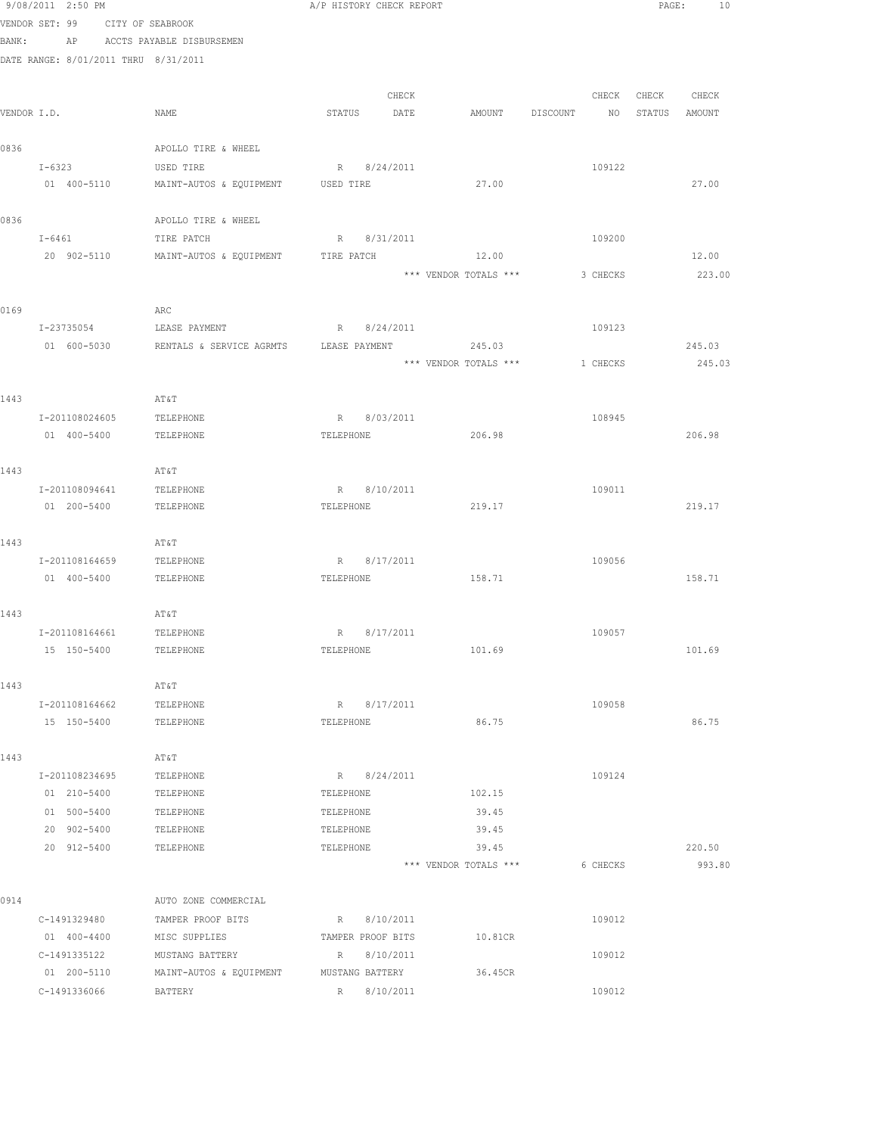|             | 9/08/2011 2:50 PM                    |                                    |                | A/P HISTORY CHECK REPORT         |                                |          |                  | PAGE:<br>10 |
|-------------|--------------------------------------|------------------------------------|----------------|----------------------------------|--------------------------------|----------|------------------|-------------|
|             | VENDOR SET: 99 CITY OF SEABROOK      |                                    |                |                                  |                                |          |                  |             |
| BANK:       |                                      | AP ACCTS PAYABLE DISBURSEMEN       |                |                                  |                                |          |                  |             |
|             | DATE RANGE: 8/01/2011 THRU 8/31/2011 |                                    |                |                                  |                                |          |                  |             |
|             |                                      |                                    |                |                                  |                                |          |                  |             |
|             |                                      |                                    |                | CHECK                            |                                | CHECK    | CHECK CHECK      |             |
| VENDOR I.D. |                                      | NAME                               | STATUS         | DATE                             | AMOUNT DISCOUNT                |          | NO STATUS AMOUNT |             |
| 0836        |                                      | APOLLO TIRE & WHEEL                |                |                                  |                                |          |                  |             |
|             | $I - 6323$                           | USED TIRE                          |                | R 8/24/2011                      |                                | 109122   |                  |             |
|             | 01 400-5110                          | MAINT-AUTOS & EQUIPMENT            | USED TIRE      |                                  | 27.00                          |          |                  | 27.00       |
|             |                                      |                                    |                |                                  |                                |          |                  |             |
| 0836        |                                      | APOLLO TIRE & WHEEL                |                |                                  |                                |          |                  |             |
|             | I-6461                               | TIRE PATCH                         |                | R 8/31/2011                      |                                | 109200   |                  |             |
|             | 20 902-5110                          | MAINT-AUTOS & EQUIPMENT            | TIRE PATCH     |                                  | 12.00                          |          |                  | 12.00       |
|             |                                      |                                    |                |                                  | *** VENDOR TOTALS ***          | 3 CHECKS |                  | 223.00      |
|             |                                      |                                    |                |                                  |                                |          |                  |             |
| 0169        |                                      | ARC                                |                |                                  |                                |          |                  |             |
|             | I-23735054                           | LEASE PAYMENT                      |                | R 8/24/2011                      |                                | 109123   |                  |             |
|             | 01 600-5030                          |                                    |                |                                  |                                |          |                  | 245.03      |
|             |                                      |                                    |                |                                  | *** VENDOR TOTALS *** 1 CHECKS |          |                  | 245.03      |
|             |                                      |                                    |                |                                  |                                |          |                  |             |
| 1443        |                                      | AT&T                               |                |                                  |                                |          |                  |             |
|             | I-201108024605<br>01 400-5400        | TELEPHONE<br>TELEPHONE             | R<br>TELEPHONE | 8/03/2011                        | 206.98                         | 108945   |                  | 206.98      |
|             |                                      |                                    |                |                                  |                                |          |                  |             |
| 1443        |                                      | AT&T                               |                |                                  |                                |          |                  |             |
|             | I-201108094641                       | TELEPHONE                          |                | R 8/10/2011                      |                                | 109011   |                  |             |
|             | 01 200-5400                          | TELEPHONE                          | TELEPHONE      |                                  | 219.17                         |          |                  | 219.17      |
|             |                                      |                                    |                |                                  |                                |          |                  |             |
| 1443        |                                      | AT&T                               |                |                                  |                                |          |                  |             |
|             | I-201108164659                       | TELEPHONE                          |                | R 8/17/2011                      |                                | 109056   |                  |             |
|             | 01 400-5400                          | TELEPHONE                          | TELEPHONE      |                                  | 158.71                         |          |                  | 158.71      |
|             |                                      |                                    |                |                                  |                                |          |                  |             |
| 1443        |                                      | AT&T                               |                |                                  |                                |          |                  |             |
|             | I-201108164661 TELEPHONE             |                                    | R 8/17/2011    |                                  |                                | 109057   |                  |             |
|             | 15 150-5400                          | TELEPHONE                          | TELEPHONE      |                                  | 101.69                         |          |                  | 101.69      |
| 1443        |                                      | AT&T                               |                |                                  |                                |          |                  |             |
|             | I-201108164662                       | TELEPHONE                          |                | R 8/17/2011                      |                                | 109058   |                  |             |
|             | 15 150-5400                          | TELEPHONE                          | TELEPHONE      |                                  | 86.75                          |          |                  | 86.75       |
|             |                                      |                                    |                |                                  |                                |          |                  |             |
| 1443        |                                      | AT&T                               |                |                                  |                                |          |                  |             |
|             | I-201108234695                       | TELEPHONE                          |                | R 8/24/2011                      |                                | 109124   |                  |             |
|             | 01 210-5400                          | TELEPHONE                          | TELEPHONE      |                                  | 102.15                         |          |                  |             |
|             | 01 500-5400                          | TELEPHONE                          | TELEPHONE      |                                  | 39.45                          |          |                  |             |
|             | 20 902-5400                          | TELEPHONE                          | TELEPHONE      |                                  | 39.45                          |          |                  |             |
|             | 20 912-5400                          | TELEPHONE                          | TELEPHONE      |                                  | 39.45                          |          |                  | 220.50      |
|             |                                      |                                    |                |                                  | *** VENDOR TOTALS ***          | 6 CHECKS |                  | 993.80      |
|             |                                      |                                    |                |                                  |                                |          |                  |             |
| 0914        |                                      | AUTO ZONE COMMERCIAL               |                |                                  |                                |          |                  |             |
|             | C-1491329480<br>01 400-4400          | TAMPER PROOF BITS<br>MISC SUPPLIES |                | R 8/10/2011<br>TAMPER PROOF BITS | 10.81CR                        | 109012   |                  |             |
|             | C-1491335122                         | MUSTANG BATTERY                    |                | R 8/10/2011                      |                                | 109012   |                  |             |
|             | 01 200-5110                          | MAINT-AUTOS & EQUIPMENT            |                | MUSTANG BATTERY                  | 36.45CR                        |          |                  |             |
|             | C-1491336066                         | BATTERY                            |                | R 8/10/2011                      |                                | 109012   |                  |             |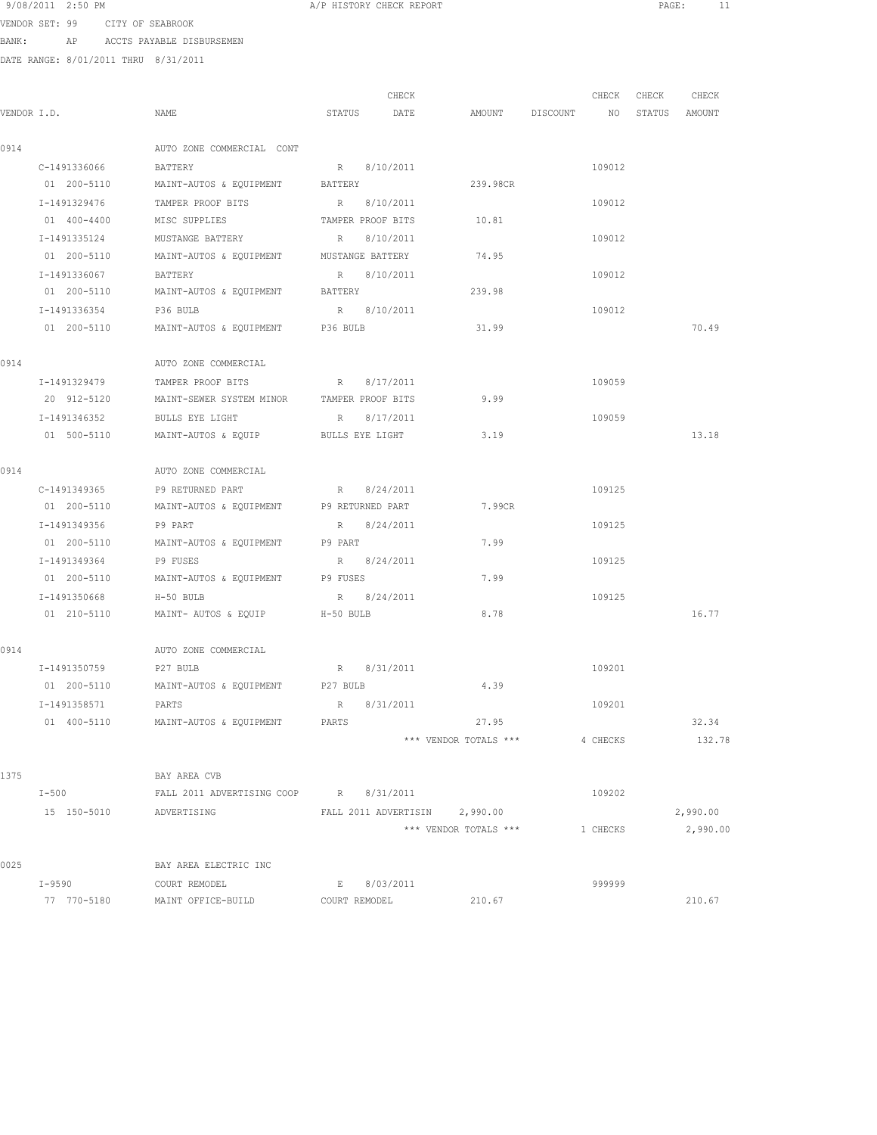| 9/08/2011 | 2:50 PM |  |  |
|-----------|---------|--|--|
|-----------|---------|--|--|

VENDOR SET: 99 CITY OF SEABROOK BANK: AP ACCTS PAYABLE DISBURSEMEN

DATE RANGE: 8/01/2011 THRU 8/31/2011

|             |                         |                                                     |               | CHECK |                               | CHECK    | CHECK | CHECK         |
|-------------|-------------------------|-----------------------------------------------------|---------------|-------|-------------------------------|----------|-------|---------------|
| VENDOR I.D. |                         | NAME                                                | STATUS        | DATE  | AMOUNT DISCOUNT NO            |          |       | STATUS AMOUNT |
| 0914        |                         | AUTO ZONE COMMERCIAL CONT                           |               |       |                               |          |       |               |
|             | C-1491336066            | BATTERY                                             | R 8/10/2011   |       |                               | 109012   |       |               |
|             | 01 200-5110             | MAINT-AUTOS & EQUIPMENT BATTERY                     |               |       | 239.98CR                      |          |       |               |
|             | I-1491329476            | TAMPER PROOF BITS R 8/10/2011                       |               |       |                               | 109012   |       |               |
|             | 01 400-4400             | MISC SUPPLIES TAMPER PROOF BITS                     |               |       | 10.81                         |          |       |               |
|             | I-1491335124            | MUSTANGE BATTERY R 8/10/2011                        |               |       |                               | 109012   |       |               |
|             | 01 200-5110             | MAINT-AUTOS & EQUIPMENT MUSTANGE BATTERY            |               |       | 74.95                         |          |       |               |
|             | I-1491336067            | BATTERY                                             | R 8/10/2011   |       |                               | 109012   |       |               |
|             | 01 200-5110             | MAINT-AUTOS & EQUIPMENT                             | BATTERY       |       | 239.98                        |          |       |               |
|             | I-1491336354            | P36 BULB                                            | R 8/10/2011   |       |                               | 109012   |       |               |
|             | 01 200-5110             | MAINT-AUTOS & EQUIPMENT P36 BULB                    |               |       | 31.99                         |          |       | 70.49         |
| 0914        |                         | AUTO ZONE COMMERCIAL                                |               |       |                               |          |       |               |
|             | I-1491329479            | TAMPER PROOF BITS                                   | R 8/17/2011   |       |                               | 109059   |       |               |
|             | 20 912-5120             | MAINT-SEWER SYSTEM MINOR TAMPER PROOF BITS          |               |       | 9.99                          |          |       |               |
|             |                         | I-1491346352 BULLS EYE LIGHT                        | R 8/17/2011   |       |                               | 109059   |       |               |
|             | 01 500-5110             | MAINT-AUTOS & EQUIP BULLS EYE LIGHT                 |               |       | 3.19                          |          |       | 13.18         |
| 0914        |                         | AUTO ZONE COMMERCIAL                                |               |       |                               |          |       |               |
|             | C-1491349365            | P9 RETURNED PART                                    | R 8/24/2011   |       |                               | 109125   |       |               |
|             | 01 200-5110             | MAINT-AUTOS & EQUIPMENT P9 RETURNED PART            |               |       | 7.99CR                        |          |       |               |
|             | I-1491349356            | P9 PART                                             | R 8/24/2011   |       |                               | 109125   |       |               |
|             | 01 200-5110             | MAINT-AUTOS & EQUIPMENT P9 PART                     |               |       | 7.99                          |          |       |               |
|             | I-1491349364            | P9 FUSES                                            | R 8/24/2011   |       |                               | 109125   |       |               |
|             | 01 200-5110             | MAINT-AUTOS & EQUIPMENT P9 FUSES                    |               |       | 7.99                          |          |       |               |
|             | I-1491350668            | H-50 BULB                                           | R 8/24/2011   |       |                               | 109125   |       |               |
|             | 01 210-5110             | MAINT- AUTOS & EQUIP H-50 BULB                      |               |       | 8.78                          |          |       | 16.77         |
| 0914        |                         | AUTO ZONE COMMERCIAL                                |               |       |                               |          |       |               |
|             | I-1491350759 P27 BULB   |                                                     | R 8/31/2011   |       |                               | 109201   |       |               |
|             |                         | 01  200-5110   MAINT-AUTOS & EQUIPMENT   P27   BULB |               |       | 4.39                          |          |       |               |
|             | I-1491358571            | PARTS                                               | R 8/31/2011   |       |                               | 109201   |       |               |
|             | 01 400-5110             | MAINT-AUTOS & EQUIPMENT                             | PARTS         |       | 27.95                         |          |       | 32.34         |
|             |                         |                                                     |               |       | *** VENDOR TOTALS ***         | 4 CHECKS |       | 132.78        |
| 1375        |                         | BAY AREA CVB                                        |               |       |                               |          |       |               |
|             | $I-500$                 | FALL 2011 ADVERTISING COOP R 8/31/2011              |               |       |                               | 109202   |       |               |
|             | 15 150-5010 ADVERTISING |                                                     |               |       | FALL 2011 ADVERTISIN 2,990.00 |          |       | 2,990.00      |
|             |                         |                                                     |               |       | *** VENDOR TOTALS ***         | 1 CHECKS |       | 2,990.00      |
| 0025        |                         | BAY AREA ELECTRIC INC                               |               |       |                               |          |       |               |
|             |                         | I-9590 COURT REMODEL                                | E 8/03/2011   |       |                               | 999999   |       |               |
|             |                         | 77 770-5180 MAINT OFFICE-BUILD                      | COURT REMODEL |       | 210.67                        |          |       | 210.67        |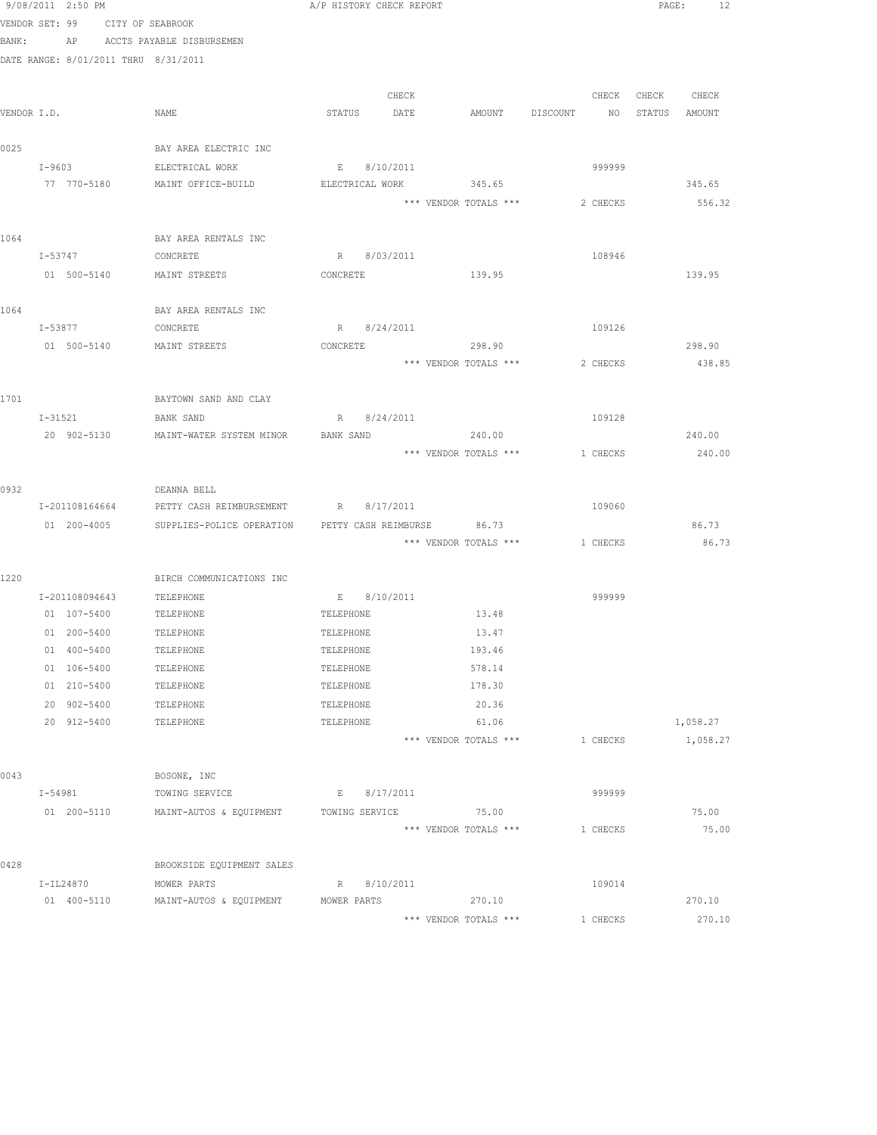| 9/08/2011 2:50 PM                    |                                                     | A/P HISTORY CHECK REPORT |                                |          | PAGE:<br>- 12    |
|--------------------------------------|-----------------------------------------------------|--------------------------|--------------------------------|----------|------------------|
| VENDOR SET: 99                       | CITY OF SEABROOK                                    |                          |                                |          |                  |
| BANK:                                | AP ACCTS PAYABLE DISBURSEMEN                        |                          |                                |          |                  |
| DATE RANGE: 8/01/2011 THRU 8/31/2011 |                                                     |                          |                                |          |                  |
|                                      |                                                     |                          |                                |          |                  |
|                                      |                                                     | CHECK                    |                                | CHECK    | CHECK CHECK      |
| VENDOR I.D.                          | NAME                                                | DATE<br>STATUS           | AMOUNT DISCOUNT                | NO       | STATUS<br>AMOUNT |
|                                      |                                                     |                          |                                |          |                  |
| 0025                                 | BAY AREA ELECTRIC INC                               |                          |                                |          |                  |
| $I - 9603$                           | ELECTRICAL WORK                                     | E 8/10/2011              |                                | 999999   |                  |
| 77 770-5180                          | MAINT OFFICE-BUILD                                  | ELECTRICAL WORK          | 345.65                         |          | 345.65           |
|                                      |                                                     |                          | *** VENDOR TOTALS ***          | 2 CHECKS | 556.32           |
| 1064                                 |                                                     |                          |                                |          |                  |
| I-53747                              | BAY AREA RENTALS INC<br>CONCRETE                    | R 8/03/2011              |                                | 108946   |                  |
| 01 500-5140                          | MAINT STREETS                                       | CONCRETE                 | 139.95                         |          | 139.95           |
|                                      |                                                     |                          |                                |          |                  |
| 1064                                 | BAY AREA RENTALS INC                                |                          |                                |          |                  |
| I-53877                              | CONCRETE                                            | R 8/24/2011              |                                | 109126   |                  |
| 01 500-5140                          | MAINT STREETS                                       | CONCRETE                 | 298.90                         |          | 298.90           |
|                                      |                                                     |                          | *** VENDOR TOTALS ***          | 2 CHECKS | 438.85           |
|                                      |                                                     |                          |                                |          |                  |
| 1701                                 | BAYTOWN SAND AND CLAY                               |                          |                                |          |                  |
| I-31521                              | BANK SAND                                           | R 8/24/2011              |                                | 109128   |                  |
| 20 902-5130                          | MAINT-WATER SYSTEM MINOR                            | BANK SAND                | 240.00                         |          | 240.00           |
|                                      |                                                     |                          | *** VENDOR TOTALS ***          | 1 CHECKS | 240.00           |
|                                      |                                                     |                          |                                |          |                  |
| 0932                                 | DEANNA BELL                                         |                          |                                |          |                  |
| I-201108164664                       | PETTY CASH REIMBURSEMENT                            | R 8/17/2011              |                                | 109060   |                  |
| 01 200-4005                          | SUPPLIES-POLICE OPERATION                           |                          | PETTY CASH REIMBURSE 86.73     |          | 86.73            |
|                                      |                                                     |                          | *** VENDOR TOTALS *** 1 CHECKS |          | 86.73            |
|                                      |                                                     |                          |                                |          |                  |
| 1220                                 | BIRCH COMMUNICATIONS INC                            |                          |                                |          |                  |
|                                      | I-201108094643 TELEPHONE<br>01  107-5400  TELEPHONE | E 8/10/2011<br>TELEPHONE | 13.48                          | 999999   |                  |
| 01 200-5400                          | TELEPHONE                                           | TELEPHONE                | 13.47                          |          |                  |
| 01 400-5400                          | TELEPHONE                                           | TELEPHONE                | 193.46                         |          |                  |
| 01 106-5400                          | TELEPHONE                                           | TELEPHONE                | 578.14                         |          |                  |
| 01 210-5400                          | TELEPHONE                                           | TELEPHONE                | 178.30                         |          |                  |
| 20 902-5400                          | TELEPHONE                                           | TELEPHONE                | 20.36                          |          |                  |
| 20 912-5400                          | TELEPHONE                                           | TELEPHONE                | 61.06                          |          | 1,058.27         |
|                                      |                                                     |                          | *** VENDOR TOTALS ***          | 1 CHECKS | 1,058.27         |
|                                      |                                                     |                          |                                |          |                  |
| 0043                                 | BOSONE, INC                                         |                          |                                |          |                  |
| I-54981                              | TOWING SERVICE                                      | E 8/17/2011              |                                | 999999   |                  |
| 01 200-5110                          | MAINT-AUTOS & EQUIPMENT                             | TOWING SERVICE           | 75.00                          |          | 75.00            |
|                                      |                                                     |                          | *** VENDOR TOTALS ***          | 1 CHECKS | 75.00            |
|                                      |                                                     |                          |                                |          |                  |
| 0428                                 | BROOKSIDE EQUIPMENT SALES                           |                          |                                |          |                  |
| I-IL24870                            | MOWER PARTS                                         | R 8/10/2011              |                                | 109014   |                  |
| 01 400-5110                          | MAINT-AUTOS & EQUIPMENT                             | MOWER PARTS              | 270.10                         |          | 270.10           |
|                                      |                                                     |                          | *** VENDOR TOTALS ***          | 1 CHECKS | 270.10           |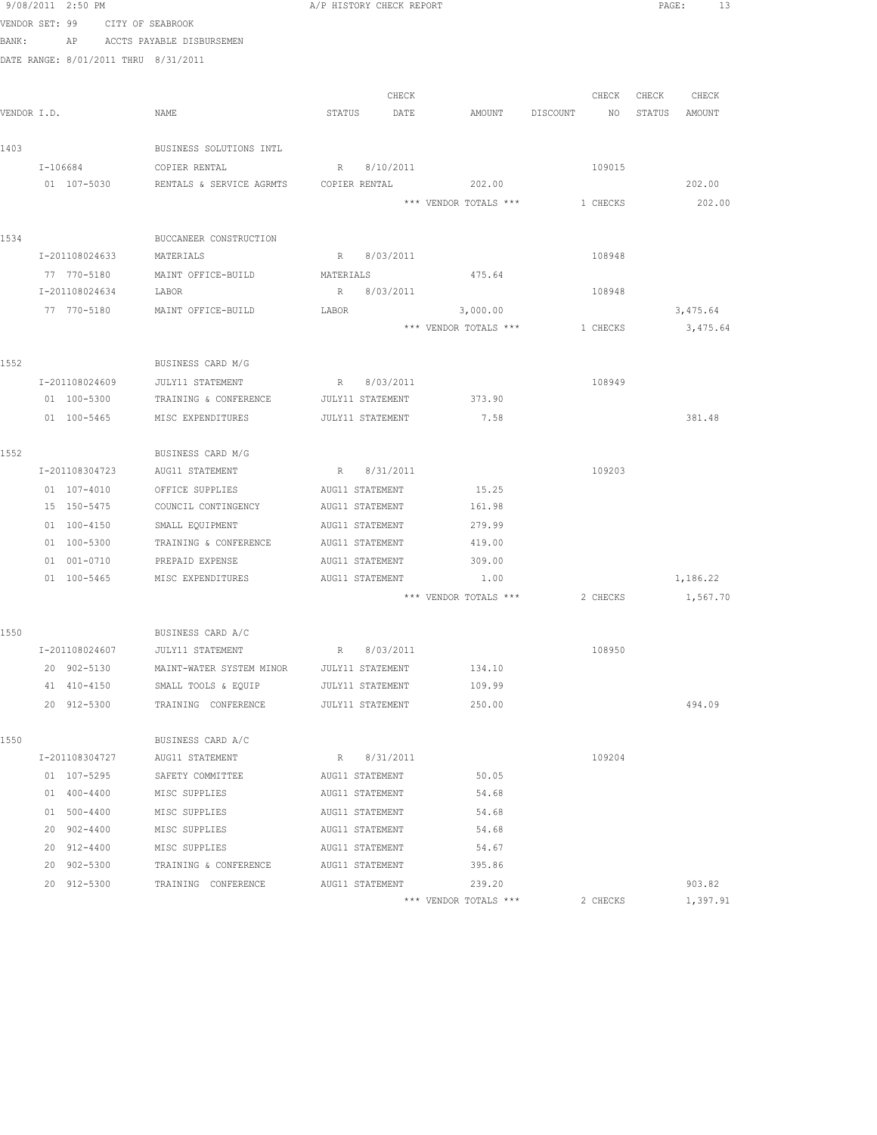|       | 9/08/2011 2:50 PM                    |                                           | A/P HISTORY CHECK REPORT |                       |                                  | 13<br>PAGE:       |
|-------|--------------------------------------|-------------------------------------------|--------------------------|-----------------------|----------------------------------|-------------------|
|       | VENDOR SET: 99 CITY OF SEABROOK      |                                           |                          |                       |                                  |                   |
| BANK: |                                      | AP ACCTS PAYABLE DISBURSEMEN              |                          |                       |                                  |                   |
|       | DATE RANGE: 8/01/2011 THRU 8/31/2011 |                                           |                          |                       |                                  |                   |
|       |                                      |                                           |                          |                       |                                  |                   |
|       |                                      |                                           | CHECK                    |                       |                                  | CHECK CHECK CHECK |
|       | VENDOR I.D.                          | NAME                                      | STATUS DATE              |                       | AMOUNT DISCOUNT NO STATUS AMOUNT |                   |
|       |                                      |                                           |                          |                       |                                  |                   |
| 1403  |                                      | BUSINESS SOLUTIONS INTL                   |                          |                       |                                  |                   |
|       | I-106684                             | COPIER RENTAL                             | R 8/10/2011              |                       | 109015                           |                   |
|       | 01 107-5030                          | RENTALS & SERVICE AGRMTS                  | COPIER RENTAL            | 202.00                |                                  | 202.00            |
|       |                                      |                                           |                          | *** VENDOR TOTALS *** | 1 CHECKS                         | 202.00            |
| 1534  |                                      | BUCCANEER CONSTRUCTION                    |                          |                       |                                  |                   |
|       | I-201108024633 MATERIALS             |                                           | R 8/03/2011              |                       | 108948                           |                   |
|       | 77 770-5180                          | MAINT OFFICE-BUILD                        | MATERIALS                | 475.64                |                                  |                   |
|       | I-201108024634                       | LABOR                                     | R 8/03/2011              |                       | 108948                           |                   |
|       | 77 770-5180                          | MAINT OFFICE-BUILD                        | LABOR                    | 3,000.00              |                                  | 3,475.64          |
|       |                                      |                                           |                          | *** VENDOR TOTALS *** | 1 CHECKS                         | 3,475.64          |
|       |                                      |                                           |                          |                       |                                  |                   |
| 1552  |                                      | BUSINESS CARD M/G                         |                          |                       |                                  |                   |
|       | I-201108024609                       | JULY11 STATEMENT                          | R 8/03/2011              |                       | 108949                           |                   |
|       | 01 100-5300                          | TRAINING & CONFERENCE                     | JULY11 STATEMENT         | 373.90                |                                  |                   |
|       |                                      | 01 100-5465 MISC EXPENDITURES             | JULY11 STATEMENT         | 7.58                  |                                  | 381.48            |
|       |                                      |                                           |                          |                       |                                  |                   |
| 1552  |                                      | BUSINESS CARD M/G                         |                          |                       |                                  |                   |
|       | I-201108304723                       | AUG11 STATEMENT                           | R 8/31/2011              |                       | 109203                           |                   |
|       | 01 107-4010                          | OFFICE SUPPLIES                           | AUG11 STATEMENT          | 15.25                 |                                  |                   |
|       | 15 150-5475                          | COUNCIL CONTINGENCY                       | AUG11 STATEMENT          | 161.98                |                                  |                   |
|       | 01 100-4150                          | SMALL EQUIPMENT                           | AUG11 STATEMENT          | 279.99                |                                  |                   |
|       | 01 100-5300                          | TRAINING & CONFERENCE                     | AUG11 STATEMENT          | 419.00                |                                  |                   |
|       | 01 001-0710                          | PREPAID EXPENSE                           | AUG11 STATEMENT          | 309.00                |                                  |                   |
|       | 01 100-5465                          | MISC EXPENDITURES                         | AUG11 STATEMENT          | 1.00                  |                                  | 1,186.22          |
|       |                                      |                                           |                          | *** VENDOR TOTALS *** | 2 CHECKS                         | 1,567.70          |
|       |                                      |                                           |                          |                       |                                  |                   |
| 1550  |                                      | BUSINESS CARD A/C                         |                          |                       |                                  |                   |
|       | I-201108024607                       | <b>JULY11 STATEMENT</b>                   | 8/03/2011<br>R           |                       | 108950                           |                   |
|       | 20 902-5130                          | MAINT-WATER SYSTEM MINOR JULY11 STATEMENT |                          | 134.10                |                                  |                   |
|       | 41 410-4150                          | SMALL TOOLS & EQUIP JULY11 STATEMENT      |                          | 109.99                |                                  |                   |
|       | 20 912-5300                          | TRAINING CONFERENCE                       | JULY11 STATEMENT         | 250.00                |                                  | 494.09            |
|       |                                      |                                           |                          |                       |                                  |                   |
| 1550  | I-201108304727                       | BUSINESS CARD A/C<br>AUG11 STATEMENT      | R 8/31/2011              |                       | 109204                           |                   |
|       | 01 107-5295                          | SAFETY COMMITTEE                          | AUG11 STATEMENT          | 50.05                 |                                  |                   |
|       | 01 400-4400                          | MISC SUPPLIES                             | AUG11 STATEMENT          | 54.68                 |                                  |                   |
|       | 01 500-4400                          | MISC SUPPLIES                             | AUG11 STATEMENT          | 54.68                 |                                  |                   |
|       | 20 902-4400                          | MISC SUPPLIES                             | AUG11 STATEMENT          | 54.68                 |                                  |                   |
|       | 20 912-4400                          | MISC SUPPLIES                             | AUG11 STATEMENT          | 54.67                 |                                  |                   |
|       | 20 902-5300                          | TRAINING & CONFERENCE AUG11 STATEMENT     |                          | 395.86                |                                  |                   |
|       | 20 912-5300                          | TRAINING CONFERENCE AUG11 STATEMENT       |                          | 239.20                |                                  | 903.82            |
|       |                                      |                                           |                          | *** VENDOR TOTALS *** | 2 CHECKS                         | 1,397.91          |
|       |                                      |                                           |                          |                       |                                  |                   |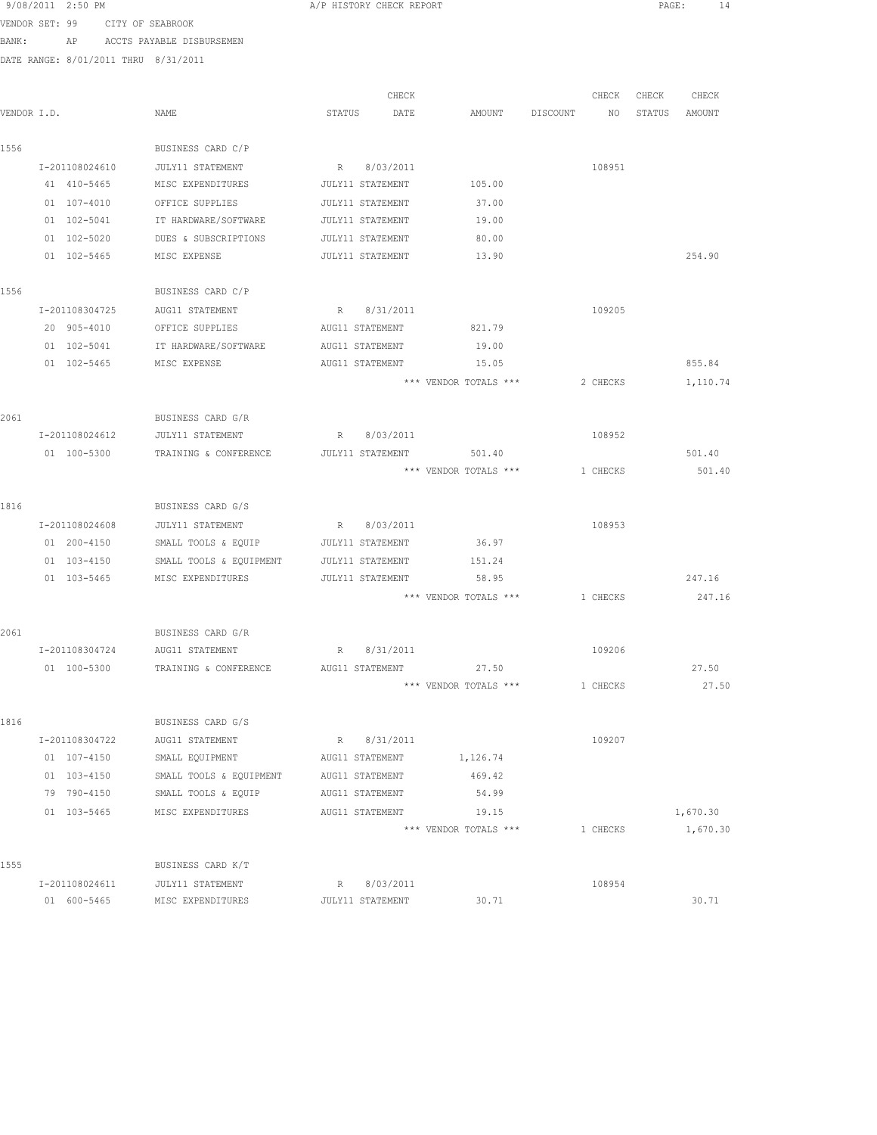| VENDOR SET: 99 | CITY OF SEABROOK                     |                                   |                  |                         |                           |          |       |          |
|----------------|--------------------------------------|-----------------------------------|------------------|-------------------------|---------------------------|----------|-------|----------|
| BANK:          |                                      | AP ACCTS PAYABLE DISBURSEMEN      |                  |                         |                           |          |       |          |
|                | DATE RANGE: 8/01/2011 THRU 8/31/2011 |                                   |                  |                         |                           |          |       |          |
|                |                                      |                                   |                  |                         |                           |          |       |          |
|                |                                      |                                   | CHECK            |                         |                           | CHECK    | CHECK | CHECK    |
| VENDOR I.D.    |                                      | NAME                              | STATUS DATE      | AMOUNT                  | DISCOUNT NO STATUS AMOUNT |          |       |          |
|                |                                      |                                   |                  |                         |                           |          |       |          |
| 1556           |                                      | BUSINESS CARD C/P                 |                  |                         |                           |          |       |          |
|                | I-201108024610                       | JULY11 STATEMENT                  | R 8/03/2011      |                         |                           | 108951   |       |          |
|                | 41 410-5465                          | MISC EXPENDITURES                 | JULY11 STATEMENT | 105.00                  |                           |          |       |          |
|                | 01 107-4010                          | OFFICE SUPPLIES                   | JULY11 STATEMENT | 37.00                   |                           |          |       |          |
|                | 01 102-5041                          | IT HARDWARE/SOFTWARE              | JULY11 STATEMENT | 19.00                   |                           |          |       |          |
|                | 01 102-5020                          | DUES & SUBSCRIPTIONS              | JULY11 STATEMENT | 80.00                   |                           |          |       |          |
|                | 01 102-5465                          | MISC EXPENSE                      | JULY11 STATEMENT | 13.90                   |                           |          |       | 254.90   |
| 1556           |                                      | BUSINESS CARD C/P                 |                  |                         |                           |          |       |          |
|                | I-201108304725                       | AUG11 STATEMENT                   | R 8/31/2011      |                         |                           | 109205   |       |          |
|                | 20 905-4010                          | OFFICE SUPPLIES                   | AUG11 STATEMENT  | 821.79                  |                           |          |       |          |
|                | 01 102-5041                          | IT HARDWARE/SOFTWARE              | AUG11 STATEMENT  | 19.00                   |                           |          |       |          |
|                | 01 102-5465                          | MISC EXPENSE                      | AUG11 STATEMENT  | 15.05                   |                           |          |       | 855.84   |
|                |                                      |                                   |                  | *** VENDOR TOTALS ***   |                           | 2 CHECKS |       | 1,110.74 |
|                |                                      |                                   |                  |                         |                           |          |       |          |
| 2061           |                                      | BUSINESS CARD G/R                 |                  |                         |                           |          |       |          |
|                |                                      | I-201108024612 JULY11 STATEMENT   | R 8/03/2011      |                         |                           | 108952   |       |          |
|                |                                      | 01 100-5300 TRAINING & CONFERENCE |                  | JULY11 STATEMENT 501.40 |                           |          |       | 501.40   |
|                |                                      |                                   |                  | *** VENDOR TOTALS ***   |                           | 1 CHECKS |       | 501.40   |
|                |                                      |                                   |                  |                         |                           |          |       |          |
| 1816           |                                      | BUSINESS CARD G/S                 |                  |                         |                           |          |       |          |
|                | I-201108024608                       | JULY11 STATEMENT                  | R 8/03/2011      |                         |                           | 108953   |       |          |
|                | 01 200-4150                          | SMALL TOOLS & EQUIP               | JULY11 STATEMENT | 36.97                   |                           |          |       |          |
|                | 01 103-4150                          | SMALL TOOLS & EQUIPMENT           | JULY11 STATEMENT | 151.24                  |                           |          |       |          |
|                | 01 103-5465                          | MISC EXPENDITURES                 | JULY11 STATEMENT | 58.95                   |                           |          |       | 247.16   |
|                |                                      |                                   |                  | *** VENDOR TOTALS ***   |                           | 1 CHECKS |       | 247.16   |
| 2061           |                                      | BUSINESS CARD G/R                 |                  |                         |                           |          |       |          |
|                |                                      | I-201108304724 AUG11 STATEMENT    | R 8/31/2011      |                         |                           | 109206   |       |          |
|                | 01 100-5300                          | TRAINING & CONFERENCE             | AUG11 STATEMENT  | 27.50                   |                           |          |       | 27.50    |
|                |                                      |                                   |                  | *** VENDOR TOTALS ***   |                           | 1 CHECKS |       | 27.50    |
|                |                                      |                                   |                  |                         |                           |          |       |          |
| 1816           |                                      | BUSINESS CARD G/S                 |                  |                         |                           |          |       |          |
|                | I-201108304722                       | AUG11 STATEMENT                   | R 8/31/2011      |                         |                           | 109207   |       |          |
|                | 01 107-4150                          | SMALL EQUIPMENT                   | AUG11 STATEMENT  | 1,126.74                |                           |          |       |          |
|                | 01 103-4150                          | SMALL TOOLS & EQUIPMENT           | AUG11 STATEMENT  | 469.42                  |                           |          |       |          |
|                | 79 790-4150                          | SMALL TOOLS & EQUIP               | AUG11 STATEMENT  | 54.99                   |                           |          |       |          |
|                | 01 103-5465                          | MISC EXPENDITURES                 | AUG11 STATEMENT  | 19.15                   |                           |          |       | 1,670.30 |
|                |                                      |                                   |                  | *** VENDOR TOTALS ***   |                           | 1 CHECKS |       | 1,670.30 |
| 1555           |                                      | BUSINESS CARD K/T                 |                  |                         |                           |          |       |          |
|                | I-201108024611                       | <b>JULY11 STATEMENT</b>           | R 8/03/2011      |                         |                           | 108954   |       |          |
|                | 01 600-5465                          | MISC EXPENDITURES                 | JULY11 STATEMENT | 30.71                   |                           |          |       | 30.71    |
|                |                                      |                                   |                  |                         |                           |          |       |          |

9/08/2011 2:50 PM A/P HISTORY CHECK REPORT PAGE: 14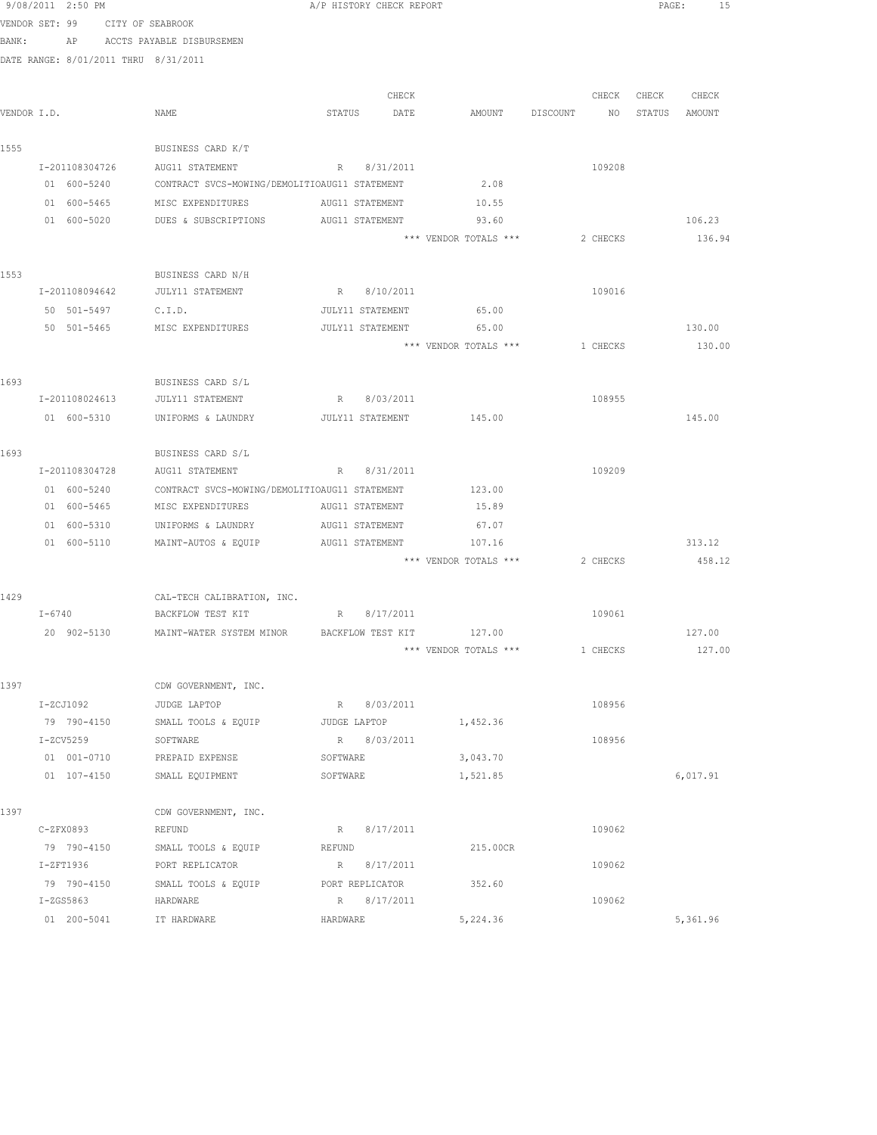|       | 9/08/2011 2:50 PM                    |                                                               |          | A/P HISTORY CHECK REPORT |                                |          |          | PAGE:  | 15       |
|-------|--------------------------------------|---------------------------------------------------------------|----------|--------------------------|--------------------------------|----------|----------|--------|----------|
|       | VENDOR SET: 99 CITY OF SEABROOK      |                                                               |          |                          |                                |          |          |        |          |
| BANK: |                                      | AP ACCTS PAYABLE DISBURSEMEN                                  |          |                          |                                |          |          |        |          |
|       | DATE RANGE: 8/01/2011 THRU 8/31/2011 |                                                               |          |                          |                                |          |          |        |          |
|       |                                      |                                                               |          |                          |                                |          |          |        |          |
|       |                                      |                                                               |          | CHECK                    |                                |          | CHECK    | CHECK  | CHECK    |
|       | VENDOR I.D.                          | NAME                                                          | STATUS   | DATE                     | AMOUNT                         | DISCOUNT | NO       | STATUS | AMOUNT   |
|       |                                      |                                                               |          |                          |                                |          |          |        |          |
| 1555  |                                      | BUSINESS CARD K/T                                             |          |                          |                                |          |          |        |          |
|       | I-201108304726                       | AUG11 STATEMENT                                               |          | R 8/31/2011              |                                |          | 109208   |        |          |
|       | 01 600-5240                          | CONTRACT SVCS-MOWING/DEMOLITIOAUG11 STATEMENT                 |          |                          | 2.08                           |          |          |        |          |
|       | 01 600-5465                          | MISC EXPENDITURES                                             |          | AUG11 STATEMENT          | 10.55                          |          |          |        |          |
|       | 01 600-5020                          | DUES & SUBSCRIPTIONS                                          |          | AUG11 STATEMENT          | 93.60                          |          |          |        | 106.23   |
|       |                                      |                                                               |          |                          | *** VENDOR TOTALS ***          |          | 2 CHECKS |        | 136.94   |
|       |                                      |                                                               |          |                          |                                |          |          |        |          |
| 1553  |                                      | BUSINESS CARD N/H                                             |          |                          |                                |          |          |        |          |
|       | I-201108094642                       | JULY11 STATEMENT                                              |          | R 8/10/2011              |                                |          | 109016   |        |          |
|       | 50 501-5497                          | C.I.D.                                                        |          | JULY11 STATEMENT         | 65.00                          |          |          |        |          |
|       | 50 501-5465                          | MISC EXPENDITURES                                             |          | JULY11 STATEMENT         | 65.00                          |          |          |        | 130.00   |
|       |                                      |                                                               |          |                          | *** VENDOR TOTALS *** 1 CHECKS |          |          |        | 130.00   |
|       |                                      |                                                               |          |                          |                                |          |          |        |          |
| 1693  |                                      | BUSINESS CARD S/L                                             |          |                          |                                |          |          |        |          |
|       | I-201108024613                       | JULY11 STATEMENT                                              | R        | 8/03/2011                |                                |          | 108955   |        |          |
|       | 01 600-5310                          | UNIFORMS & LAUNDRY                                            |          | JULY11 STATEMENT         | 145.00                         |          |          |        | 145.00   |
| 1693  |                                      | BUSINESS CARD S/L                                             |          |                          |                                |          |          |        |          |
|       | I-201108304728                       | AUG11 STATEMENT                                               |          | R 8/31/2011              |                                |          | 109209   |        |          |
|       | 01 600-5240                          | CONTRACT SVCS-MOWING/DEMOLITIOAUG11 STATEMENT                 |          |                          | 123.00                         |          |          |        |          |
|       | 01 600-5465                          | MISC EXPENDITURES                                             |          | AUG11 STATEMENT          | 15.89                          |          |          |        |          |
|       | 01 600-5310                          | UNIFORMS & LAUNDRY                                            |          | AUG11 STATEMENT          | 67.07                          |          |          |        |          |
|       | 01 600-5110                          | MAINT-AUTOS & EQUIP                                           |          | AUG11 STATEMENT          | 107.16                         |          |          |        | 313.12   |
|       |                                      |                                                               |          |                          | *** VENDOR TOTALS ***          |          | 2 CHECKS |        | 458.12   |
|       |                                      |                                                               |          |                          |                                |          |          |        |          |
| 1429  |                                      | CAL-TECH CALIBRATION, INC.                                    |          |                          |                                |          |          |        |          |
|       | $I - 6740$                           | BACKFLOW TEST KIT                                             |          | R 8/17/2011              |                                |          | 109061   |        |          |
|       |                                      | 20 902-5130 MAINT-WATER SYSTEM MINOR BACKFLOW TEST KIT 127.00 |          |                          |                                |          |          |        | 127.00   |
|       |                                      |                                                               |          |                          | *** VENDOR TOTALS ***          |          | 1 CHECKS |        | 127.00   |
|       |                                      |                                                               |          |                          |                                |          |          |        |          |
| 1397  |                                      | CDW GOVERNMENT, INC.                                          |          |                          |                                |          |          |        |          |
|       | I-ZCJ1092                            | JUDGE LAPTOP                                                  |          | R 8/03/2011              |                                |          | 108956   |        |          |
|       | 79 790-4150                          | SMALL TOOLS & EQUIP                                           |          | JUDGE LAPTOP             | 1,452.36                       |          |          |        |          |
|       | $I-ZCV5259$                          | SOFTWARE                                                      |          | R 8/03/2011              |                                |          | 108956   |        |          |
|       | 01 001-0710                          | PREPAID EXPENSE                                               | SOFTWARE |                          | 3,043.70                       |          |          |        |          |
|       | 01 107-4150                          | SMALL EQUIPMENT                                               | SOFTWARE |                          | 1,521.85                       |          |          |        | 6,017.91 |
|       |                                      |                                                               |          |                          |                                |          |          |        |          |
| 1397  |                                      | CDW GOVERNMENT, INC.                                          |          |                          |                                |          |          |        |          |
|       | $C-ZFX0893$                          | REFUND                                                        |          | R 8/17/2011              |                                |          | 109062   |        |          |
|       | 79 790-4150                          | SMALL TOOLS & EQUIP                                           | REFUND   |                          | 215.00CR                       |          |          |        |          |
|       | $I-ZFT1936$                          | PORT REPLICATOR                                               | R        | 8/17/2011                |                                |          | 109062   |        |          |
|       | 79 790-4150                          | SMALL TOOLS & EQUIP                                           |          | PORT REPLICATOR          | 352.60                         |          |          |        |          |
|       | $I-ZGS5863$                          | HARDWARE                                                      |          | R 8/17/2011              |                                |          | 109062   |        |          |
|       | 01 200-5041                          | IT HARDWARE                                                   | HARDWARE |                          | 5,224.36                       |          |          |        | 5,361.96 |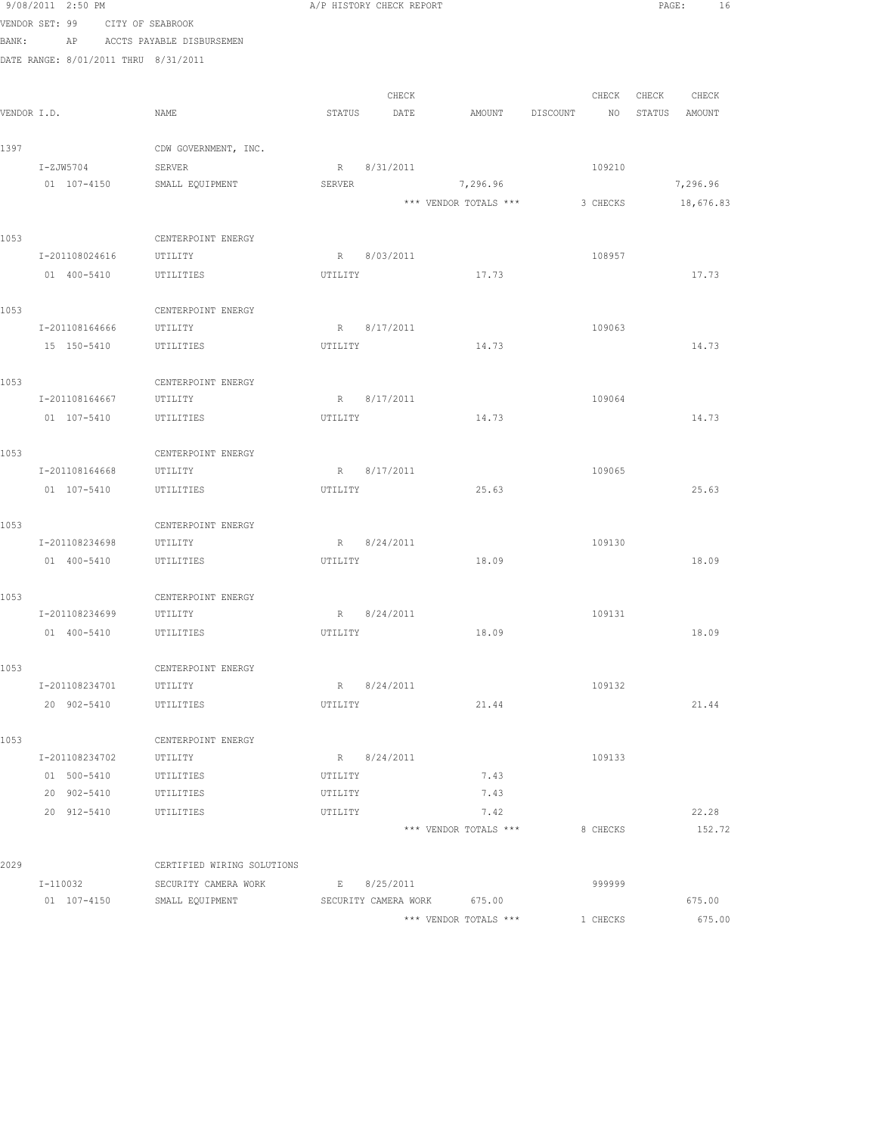|       | 9/08/2011 2:50 PM                    |                               |         | A/P HISTORY CHECK REPORT |                       |                | PAGE:<br>16   |
|-------|--------------------------------------|-------------------------------|---------|--------------------------|-----------------------|----------------|---------------|
|       | VENDOR SET: 99 CITY OF SEABROOK      |                               |         |                          |                       |                |               |
| BANK: |                                      | AP ACCTS PAYABLE DISBURSEMEN  |         |                          |                       |                |               |
|       | DATE RANGE: 8/01/2011 THRU 8/31/2011 |                               |         |                          |                       |                |               |
|       |                                      |                               |         |                          |                       |                |               |
|       |                                      |                               |         | CHECK                    |                       | CHECK          | CHECK CHECK   |
|       | VENDOR I.D.                          | NAME                          | STATUS  | DATE                     | AMOUNT                | DISCOUNT<br>NO | STATUS AMOUNT |
| 1397  |                                      | CDW GOVERNMENT, INC.          |         |                          |                       |                |               |
|       | I-ZJW5704                            | SERVER                        |         | R 8/31/2011              |                       | 109210         |               |
|       | 01 107-4150                          | SMALL EQUIPMENT               | SERVER  |                          | 7,296.96              |                | 7,296.96      |
|       |                                      |                               |         |                          | *** VENDOR TOTALS *** | 3 CHECKS       | 18,676.83     |
|       |                                      |                               |         |                          |                       |                |               |
| 1053  |                                      | CENTERPOINT ENERGY            |         |                          |                       |                |               |
|       | I-201108024616                       | UTILITY                       |         | R 8/03/2011              |                       | 108957         |               |
|       | 01 400-5410                          | UTILITIES                     | UTILITY |                          | 17.73                 |                | 17.73         |
|       |                                      |                               |         |                          |                       |                |               |
| 1053  |                                      | CENTERPOINT ENERGY            |         |                          |                       |                |               |
|       | I-201108164666                       | UTILITY                       |         | R 8/17/2011              |                       | 109063         |               |
|       | 15 150-5410                          | UTILITIES                     | UTILITY |                          | 14.73                 |                | 14.73         |
|       |                                      |                               |         |                          |                       |                |               |
| 1053  | I-201108164667                       | CENTERPOINT ENERGY<br>UTILITY | R       | 8/17/2011                |                       | 109064         |               |
|       | 01 107-5410                          | UTILITIES                     | UTILITY |                          | 14.73                 |                | 14.73         |
|       |                                      |                               |         |                          |                       |                |               |
| 1053  |                                      | CENTERPOINT ENERGY            |         |                          |                       |                |               |
|       | I-201108164668                       | UTILITY                       |         | R 8/17/2011              |                       | 109065         |               |
|       | 01 107-5410                          | UTILITIES                     | UTILITY |                          | 25.63                 |                | 25.63         |
|       |                                      |                               |         |                          |                       |                |               |
| 1053  |                                      | CENTERPOINT ENERGY            |         |                          |                       |                |               |
|       | I-201108234698                       | UTILITY                       |         | R 8/24/2011              |                       | 109130         |               |
|       | 01 400-5410                          | UTILITIES                     | UTILITY |                          | 18.09                 |                | 18.09         |
|       |                                      |                               |         |                          |                       |                |               |
| 1053  | I-201108234699 UTILITY               | CENTERPOINT ENERGY            |         | R 8/24/2011              |                       | 109131         |               |
|       | 01  400-5410   UTILITIES             |                               |         |                          | UTILITY 18.09         |                | 18.09         |
|       |                                      |                               |         |                          |                       |                |               |
| 1053  |                                      | CENTERPOINT ENERGY            |         |                          |                       |                |               |
|       | I-201108234701                       | UTILITY                       |         | R 8/24/2011              |                       | 109132         |               |
|       | 20 902-5410                          | UTILITIES                     | UTILITY |                          | 21.44                 |                | 21.44         |
|       |                                      |                               |         |                          |                       |                |               |
| 1053  |                                      | CENTERPOINT ENERGY            |         |                          |                       |                |               |
|       | I-201108234702                       | UTILITY                       |         | R 8/24/2011              |                       | 109133         |               |
|       | 01 500-5410                          | UTILITIES                     | UTILITY |                          | 7.43                  |                |               |
|       | 20 902-5410                          | UTILITIES                     | UTILITY |                          | 7.43                  |                |               |
|       | 20 912-5410 UTILITIES                |                               | UTILITY |                          | 7.42                  |                | 22.28         |
|       |                                      |                               |         |                          | *** VENDOR TOTALS *** | 8 CHECKS       | 152.72        |
| 2029  |                                      | CERTIFIED WIRING SOLUTIONS    |         |                          |                       |                |               |
|       | I-110032                             | SECURITY CAMERA WORK          |         | E 8/25/2011              |                       | 999999         |               |
|       | 01 107-4150                          | SMALL EQUIPMENT               |         | SECURITY CAMERA WORK     | 675.00                |                | 675.00        |
|       |                                      |                               |         |                          | *** VENDOR TOTALS *** | 1 CHECKS       | 675.00        |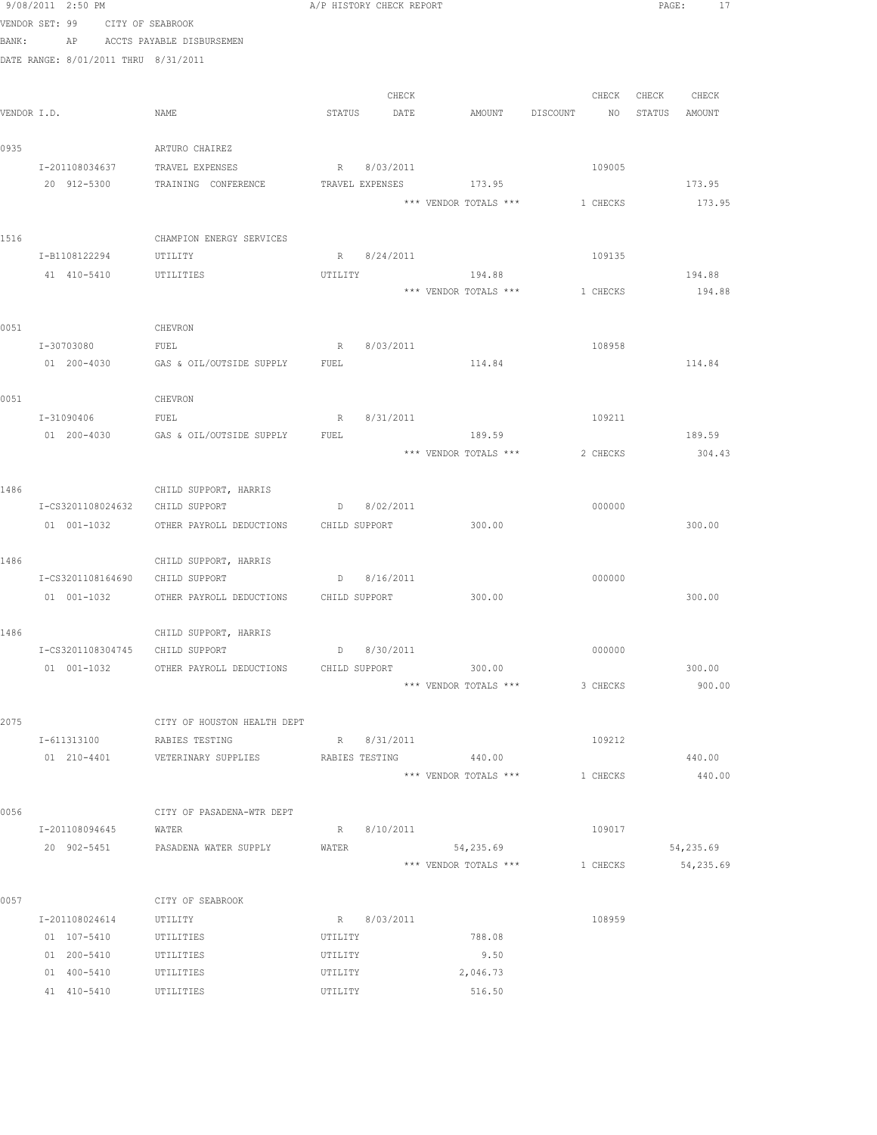|             | 9/08/2011 2:50 PM |                                      |                                                    |         | A/P HISTORY CHECK REPORT |                                  |          |                   | PAGE: 17  |
|-------------|-------------------|--------------------------------------|----------------------------------------------------|---------|--------------------------|----------------------------------|----------|-------------------|-----------|
|             |                   | VENDOR SET: 99 CITY OF SEABROOK      |                                                    |         |                          |                                  |          |                   |           |
| BANK:       |                   |                                      | AP ACCTS PAYABLE DISBURSEMEN                       |         |                          |                                  |          |                   |           |
|             |                   | DATE RANGE: 8/01/2011 THRU 8/31/2011 |                                                    |         |                          |                                  |          |                   |           |
|             |                   |                                      |                                                    |         |                          |                                  |          |                   |           |
|             |                   |                                      |                                                    |         | CHECK                    |                                  |          | CHECK CHECK CHECK |           |
| VENDOR I.D. |                   |                                      | NAME                                               |         | STATUS DATE              | AMOUNT DISCOUNT NO STATUS AMOUNT |          |                   |           |
| 0935        |                   |                                      | ARTURO CHAIREZ                                     |         |                          |                                  |          |                   |           |
|             |                   | I-201108034637                       | TRAVEL EXPENSES                                    |         | R 8/03/2011              |                                  | 109005   |                   |           |
|             | 20 912-5300       |                                      | TRAINING CONFERENCE                                |         |                          | TRAVEL EXPENSES 173.95           |          |                   | 173.95    |
|             |                   |                                      |                                                    |         |                          | *** VENDOR TOTALS *** 1 CHECKS   |          |                   | 173.95    |
| 1516        |                   |                                      | CHAMPION ENERGY SERVICES                           |         |                          |                                  |          |                   |           |
|             |                   | I-B1108122294 UTILITY                |                                                    |         | R 8/24/2011              |                                  | 109135   |                   |           |
|             |                   | 41 410-5410                          | UTILITIES                                          | UTILITY |                          | 194.88                           |          |                   | 194.88    |
|             |                   |                                      |                                                    |         |                          | *** VENDOR TOTALS ***            | 1 CHECKS |                   | 194.88    |
| 0051        |                   |                                      | CHEVRON                                            |         |                          |                                  |          |                   |           |
|             |                   | I-30703080                           | FUEL                                               |         | R 8/03/2011              |                                  | 108958   |                   |           |
|             |                   |                                      | 01 200-4030 GAS & OIL/OUTSIDE SUPPLY FUEL          |         |                          | 114.84                           |          |                   | 114.84    |
|             |                   |                                      |                                                    |         |                          |                                  |          |                   |           |
| 0051        |                   |                                      | CHEVRON                                            |         |                          |                                  |          |                   |           |
|             |                   | I-31090406 FUEL                      |                                                    | R       | 8/31/2011                |                                  | 109211   |                   |           |
|             |                   |                                      | 01 200-4030 GAS & OIL/OUTSIDE SUPPLY               | FUEL    |                          | 189.59                           |          |                   | 189.59    |
|             |                   |                                      |                                                    |         |                          | *** VENDOR TOTALS ***            | 2 CHECKS |                   | 304.43    |
| 1486        |                   |                                      | CHILD SUPPORT, HARRIS                              |         |                          |                                  |          |                   |           |
|             |                   |                                      | I-CS3201108024632 CHILD SUPPORT                    |         | D 8/02/2011              |                                  | 000000   |                   |           |
|             |                   | 01 001-1032                          | OTHER PAYROLL DEDUCTIONS                           |         | CHILD SUPPORT            | 300.00                           |          |                   | 300.00    |
|             |                   |                                      |                                                    |         |                          |                                  |          |                   |           |
| 1486        |                   |                                      | CHILD SUPPORT, HARRIS                              |         |                          |                                  |          |                   |           |
|             |                   |                                      | I-CS3201108164690 CHILD SUPPORT                    |         | D 8/16/2011              |                                  | 000000   |                   |           |
|             |                   |                                      | 01 001-1032 OTHER PAYROLL DEDUCTIONS CHILD SUPPORT |         |                          | 300.00                           |          |                   | 300.00    |
| 1486        |                   |                                      | CHILD SUPPORT, HARRIS                              |         |                          |                                  |          |                   |           |
|             |                   | I-CS3201108304745                    | CHILD SUPPORT                                      |         | $D$ 8/30/2011            |                                  | 000000   |                   |           |
|             |                   |                                      | 01 001-1032 OTHER PAYROLL DEDUCTIONS               |         | CHILD SUPPORT            | 300.00                           |          |                   | 300.00    |
|             |                   |                                      |                                                    |         |                          | *** VENDOR TOTALS ***            | 3 CHECKS |                   | 900.00    |
|             |                   |                                      |                                                    |         |                          |                                  |          |                   |           |
| 2075        |                   |                                      | CITY OF HOUSTON HEALTH DEPT                        |         |                          |                                  |          |                   |           |
|             | I-611313100       |                                      | RABIES TESTING                                     |         | R 8/31/2011              |                                  | 109212   |                   |           |
|             |                   | 01 210-4401                          | VETERINARY SUPPLIES                                |         | RABIES TESTING           | 440.00                           |          |                   | 440.00    |
|             |                   |                                      |                                                    |         |                          | *** VENDOR TOTALS ***            | 1 CHECKS |                   | 440.00    |
| 0056        |                   |                                      | CITY OF PASADENA-WTR DEPT                          |         |                          |                                  |          |                   |           |
|             |                   | I-201108094645                       | WATER                                              |         | R 8/10/2011              |                                  | 109017   |                   |           |
|             |                   |                                      | 20 902-5451 PASADENA WATER SUPPLY                  | WATER   |                          | 54,235.69                        |          |                   | 54,235.69 |
|             |                   |                                      |                                                    |         |                          | *** VENDOR TOTALS ***            | 1 CHECKS |                   | 54,235.69 |
| 0057        |                   |                                      | CITY OF SEABROOK                                   |         |                          |                                  |          |                   |           |
|             |                   | I-201108024614                       | UTILITY                                            |         | R 8/03/2011              |                                  | 108959   |                   |           |
|             | 01 107-5410       |                                      | UTILITIES                                          | UTILITY |                          | 788.08                           |          |                   |           |
|             | 01 200-5410       |                                      | UTILITIES                                          | UTILITY |                          | 9.50                             |          |                   |           |
|             |                   | 01 400-5410                          | UTILITIES                                          | UTILITY |                          | 2,046.73                         |          |                   |           |
|             |                   | 41 410-5410                          | UTILITIES                                          | UTILITY |                          | 516.50                           |          |                   |           |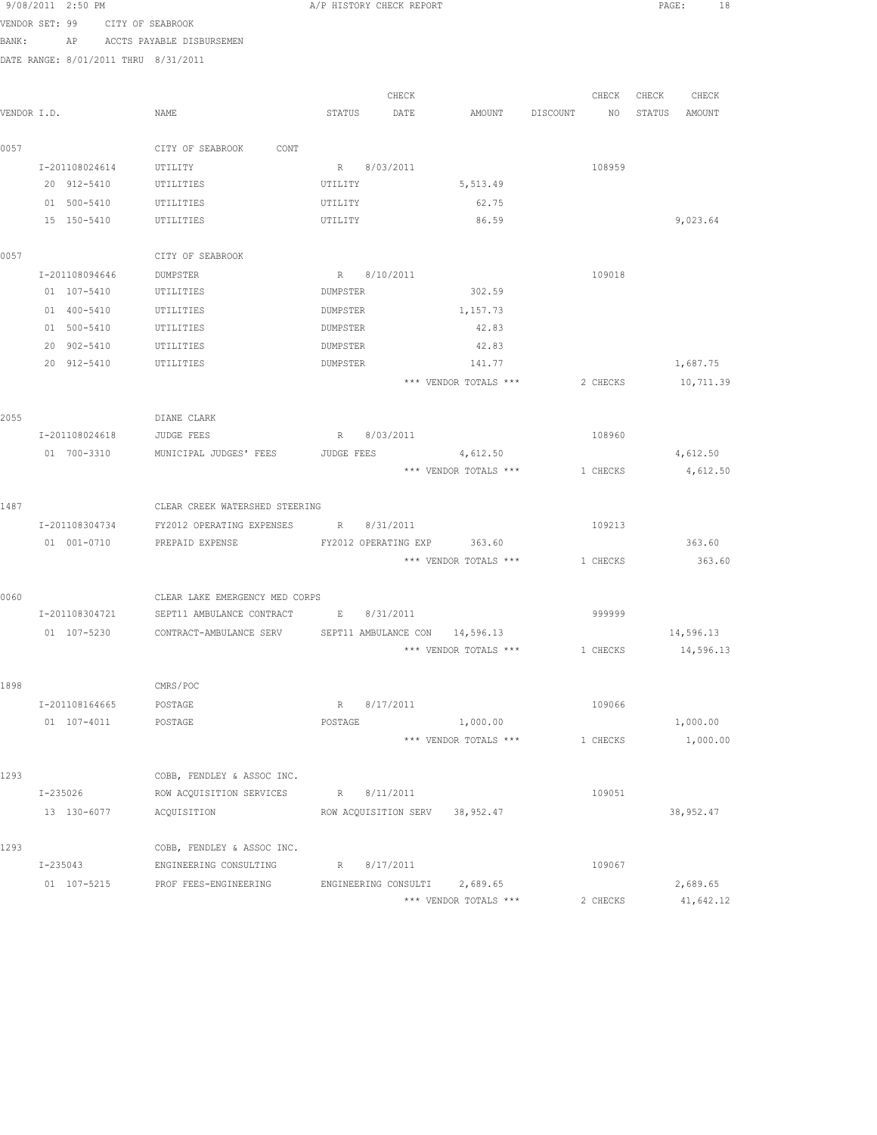|             | 9/08/2011 2:50 PM |                |                                                                    |             | A/P HISTORY CHECK REPORT |                             |          |          | PAGE:  | 18         |
|-------------|-------------------|----------------|--------------------------------------------------------------------|-------------|--------------------------|-----------------------------|----------|----------|--------|------------|
|             |                   |                | VENDOR SET: 99 CITY OF SEABROOK                                    |             |                          |                             |          |          |        |            |
| BANK:       |                   |                | AP ACCTS PAYABLE DISBURSEMEN                                       |             |                          |                             |          |          |        |            |
|             |                   |                | DATE RANGE: 8/01/2011 THRU 8/31/2011                               |             |                          |                             |          |          |        |            |
|             |                   |                |                                                                    |             |                          |                             |          |          |        |            |
|             |                   |                |                                                                    |             | CHECK                    |                             |          | CHECK    | CHECK  | CHECK      |
| VENDOR I.D. |                   |                | NAME                                                               | STATUS      | DATE                     | AMOUNT                      | DISCOUNT | NO       | STATUS | AMOUNT     |
|             |                   |                |                                                                    |             |                          |                             |          |          |        |            |
| 0057        |                   |                | CITY OF SEABROOK<br>CONT                                           |             |                          |                             |          |          |        |            |
|             | I-201108024614    |                | UTILITY                                                            |             | R 8/03/2011              |                             |          | 108959   |        |            |
|             | 20 912-5410       |                | UTILITIES                                                          | UTILITY     |                          | 5,513.49                    |          |          |        |            |
|             | 01 500-5410       |                | UTILITIES                                                          | UTILITY     |                          | 62.75                       |          |          |        |            |
|             | 15 150-5410       |                | UTILITIES                                                          | UTILITY     |                          | 86.59                       |          |          |        | 9,023.64   |
|             |                   |                |                                                                    |             |                          |                             |          |          |        |            |
| 0057        |                   |                | CITY OF SEABROOK                                                   |             |                          |                             |          |          |        |            |
|             | I-201108094646    |                | DUMPSTER                                                           |             | R 8/10/2011              |                             |          | 109018   |        |            |
|             | 01 107-5410       |                | UTILITIES                                                          | DUMPSTER    |                          | 302.59                      |          |          |        |            |
|             | 01 400-5410       |                | UTILITIES                                                          | DUMPSTER    |                          | 1,157.73                    |          |          |        |            |
|             | 01 500-5410       |                | UTILITIES                                                          | DUMPSTER    |                          | 42.83                       |          |          |        |            |
|             | 20 902-5410       |                | UTILITIES                                                          | DUMPSTER    |                          | 42.83                       |          |          |        |            |
|             | 20 912-5410       |                | UTILITIES                                                          | DUMPSTER    |                          | 141.77                      |          |          |        | 1,687.75   |
|             |                   |                |                                                                    |             |                          | *** VENDOR TOTALS ***       |          | 2 CHECKS |        | 10,711.39  |
|             |                   |                |                                                                    |             |                          |                             |          |          |        |            |
| 2055        |                   | I-201108024618 | DIANE CLARK<br>JUDGE FEES                                          |             | R 8/03/2011              |                             |          | 108960   |        |            |
|             | 01 700-3310       |                | MUNICIPAL JUDGES' FEES                                             | JUDGE FEES  |                          | 4,612.50                    |          |          |        | 4,612.50   |
|             |                   |                |                                                                    |             |                          | *** VENDOR TOTALS ***       |          | 1 CHECKS |        | 4,612.50   |
|             |                   |                |                                                                    |             |                          |                             |          |          |        |            |
| 1487        |                   |                | CLEAR CREEK WATERSHED STEERING                                     |             |                          |                             |          |          |        |            |
|             | I-201108304734    |                | FY2012 OPERATING EXPENSES                                          | R 8/31/2011 |                          |                             |          | 109213   |        |            |
|             | 01 001-0710       |                | PREPAID EXPENSE                                                    |             |                          | FY2012 OPERATING EXP 363.60 |          |          |        | 363.60     |
|             |                   |                |                                                                    |             |                          | *** VENDOR TOTALS ***       | 1 CHECKS |          |        | 363.60     |
|             |                   |                |                                                                    |             |                          |                             |          |          |        |            |
| 0060        |                   |                | CLEAR LAKE EMERGENCY MED CORPS                                     |             |                          |                             |          |          |        |            |
|             |                   |                | I-201108304721 SEPT11 AMBULANCE CONTRACT E 8/31/2011               |             |                          |                             |          | 999999   |        |            |
|             |                   |                | 01 107-5230 CONTRACT-AMBULANCE SERV SEPT11 AMBULANCE CON 14,596.13 |             |                          |                             |          |          |        | 14,596.13  |
|             |                   |                |                                                                    |             |                          | *** VENDOR TOTALS ***       |          | 1 CHECKS |        | 14,596.13  |
|             |                   |                |                                                                    |             |                          |                             |          |          |        |            |
| 1898        |                   |                | CMRS/POC                                                           |             |                          |                             |          |          |        |            |
|             | I-201108164665    |                | POSTAGE                                                            |             | R 8/17/2011              |                             |          | 109066   |        |            |
|             | 01 107-4011       |                | POSTAGE                                                            | POSTAGE     |                          | 1,000.00                    |          |          |        | 1,000.00   |
|             |                   |                |                                                                    |             |                          | *** VENDOR TOTALS ***       |          | 1 CHECKS |        | 1,000.00   |
|             |                   |                |                                                                    |             |                          |                             |          |          |        |            |
| 1293        |                   |                | COBB, FENDLEY & ASSOC INC.                                         |             |                          |                             |          |          |        |            |
|             | I-235026          |                | ROW ACQUISITION SERVICES                                           |             | R 8/11/2011              |                             |          | 109051   |        |            |
|             | 13 130-6077       |                | ACQUISITION                                                        |             | ROW ACOUISITION SERV     | 38,952.47                   |          |          |        | 38, 952.47 |
|             |                   |                |                                                                    |             |                          |                             |          |          |        |            |
| 1293        |                   |                | COBB, FENDLEY & ASSOC INC.                                         |             |                          |                             |          |          |        |            |
|             | $I - 235043$      |                | ENGINEERING CONSULTING                                             |             | R 8/17/2011              |                             |          | 109067   |        |            |

 01 107-5215 PROF FEES-ENGINEERING ENGINEERING CONSULTI 2,689.65 2,689.65 \*\*\* VENDOR TOTALS \*\*\* 2 CHECKS 41,642.12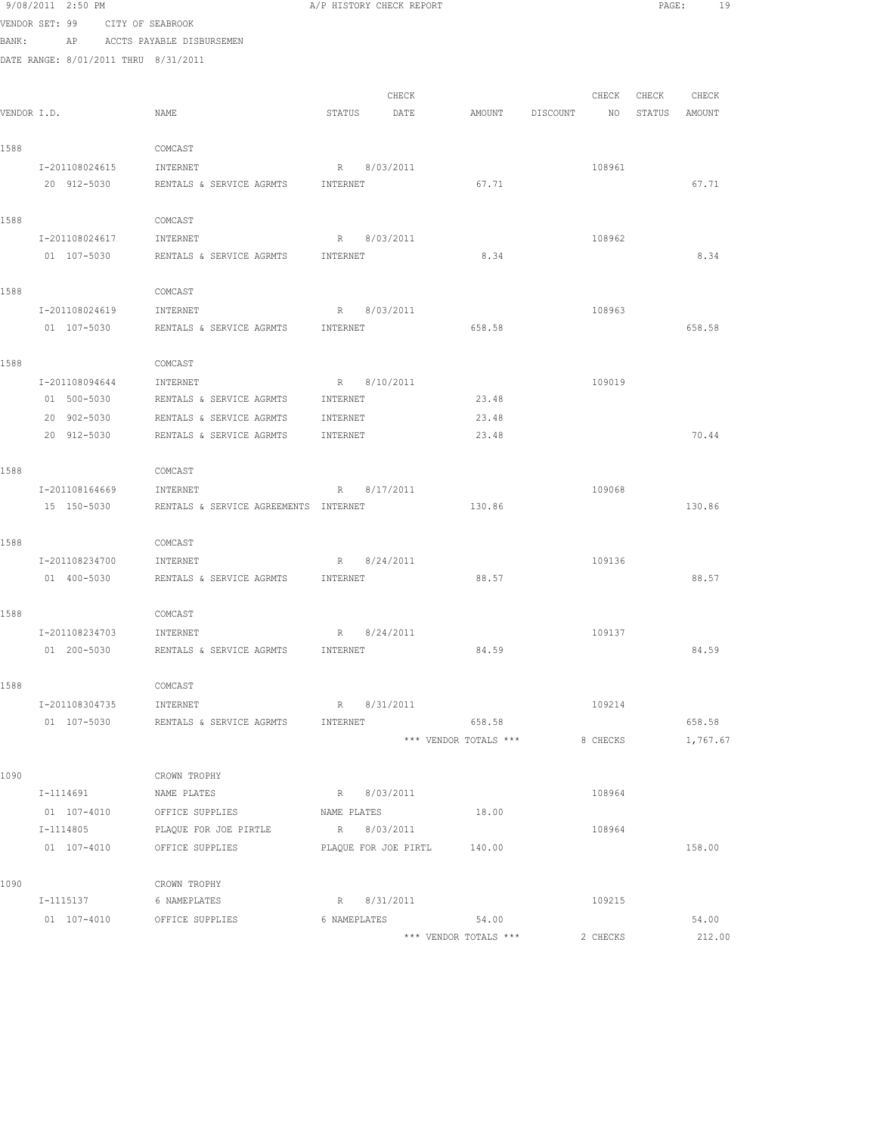|             | 9/08/2011 2:50 PM                    |                                       | A/P HISTORY CHECK REPORT    |                                |          |          | PAGE:  | 19              |  |
|-------------|--------------------------------------|---------------------------------------|-----------------------------|--------------------------------|----------|----------|--------|-----------------|--|
|             | VENDOR SET: 99                       | CITY OF SEABROOK                      |                             |                                |          |          |        |                 |  |
| BANK:       | AP                                   | ACCTS PAYABLE DISBURSEMEN             |                             |                                |          |          |        |                 |  |
|             | DATE RANGE: 8/01/2011 THRU 8/31/2011 |                                       |                             |                                |          |          |        |                 |  |
|             |                                      |                                       |                             |                                |          |          |        |                 |  |
|             |                                      |                                       | CHECK                       |                                |          | CHECK    | CHECK  | CHECK           |  |
| VENDOR I.D. |                                      | NAME                                  | STATUS<br>DATE              | AMOUNT                         | DISCOUNT | ΝO       | STATUS | AMOUNT          |  |
|             |                                      |                                       |                             |                                |          |          |        |                 |  |
| 1588        | I-201108024615                       | COMCAST                               |                             |                                |          | 108961   |        |                 |  |
|             | 20 912-5030                          | INTERNET<br>RENTALS & SERVICE AGRMTS  | 8/03/2011<br>R<br>INTERNET  | 67.71                          |          |          |        | 67.71           |  |
|             |                                      |                                       |                             |                                |          |          |        |                 |  |
| 1588        |                                      | COMCAST                               |                             |                                |          |          |        |                 |  |
|             | I-201108024617                       | INTERNET                              | R<br>8/03/2011              |                                |          | 108962   |        |                 |  |
|             | 01 107-5030                          | RENTALS & SERVICE AGRMTS              | INTERNET                    | 8.34                           |          |          |        | 8.34            |  |
|             |                                      |                                       |                             |                                |          |          |        |                 |  |
| 1588        |                                      | COMCAST                               |                             |                                |          |          |        |                 |  |
|             | I-201108024619                       | INTERNET                              | 8/03/2011<br>R              |                                |          | 108963   |        |                 |  |
|             | 01 107-5030                          | RENTALS & SERVICE AGRMTS              | INTERNET                    | 658.58                         |          |          |        | 658.58          |  |
|             |                                      |                                       |                             |                                |          |          |        |                 |  |
| 1588        |                                      | COMCAST                               |                             |                                |          |          |        |                 |  |
|             | I-201108094644                       | INTERNET                              | 8/10/2011<br>R              |                                |          | 109019   |        |                 |  |
|             | 01 500-5030                          | RENTALS & SERVICE AGRMTS              | INTERNET                    | 23.48                          |          |          |        |                 |  |
|             | 20 902-5030                          | RENTALS & SERVICE AGRMTS              | INTERNET                    | 23.48                          |          |          |        |                 |  |
|             | 20 912-5030                          | RENTALS & SERVICE AGRMTS              | INTERNET                    | 23.48                          |          |          |        | 70.44           |  |
| 1588        |                                      | COMCAST                               |                             |                                |          |          |        |                 |  |
|             | I-201108164669                       | INTERNET                              | 8/17/2011<br>R              |                                |          | 109068   |        |                 |  |
|             | 15 150-5030                          | RENTALS & SERVICE AGREEMENTS INTERNET |                             | 130.86                         |          |          |        | 130.86          |  |
|             |                                      |                                       |                             |                                |          |          |        |                 |  |
| 1588        |                                      | COMCAST                               |                             |                                |          |          |        |                 |  |
|             | I-201108234700                       | INTERNET                              | R<br>8/24/2011              |                                |          | 109136   |        |                 |  |
|             | 01 400-5030                          | RENTALS & SERVICE AGRMTS              | INTERNET                    | 88.57                          |          |          |        | 88.57           |  |
|             |                                      |                                       |                             |                                |          |          |        |                 |  |
| 1588        |                                      | COMCAST                               |                             |                                |          |          |        |                 |  |
|             | I-201108234703                       | INTERNET                              | 8/24/2011<br>R              |                                |          | 109137   |        |                 |  |
|             | 01 200-5030                          | RENTALS & SERVICE AGRMTS              | INTERNET                    | 84.59                          |          |          |        | 84.59           |  |
| 1588        |                                      | COMCAST                               |                             |                                |          |          |        |                 |  |
|             | I-201108304735                       | INTERNET                              | R 8/31/2011                 |                                |          | 109214   |        |                 |  |
|             | 01 107-5030                          | RENTALS & SERVICE AGRMTS              | INTERNET                    | 658.58                         |          |          |        | 658.58          |  |
|             |                                      |                                       |                             | *** VENDOR TOTALS ***          |          | 8 CHECKS |        | 1,767.67        |  |
|             |                                      |                                       |                             |                                |          |          |        |                 |  |
| 1090        |                                      | CROWN TROPHY                          |                             |                                |          |          |        |                 |  |
|             | I-1114691                            | NAME PLATES                           | R 8/03/2011                 |                                |          | 108964   |        |                 |  |
|             |                                      | 01 107-4010 OFFICE SUPPLIES           | NAME PLATES                 | 18.00                          |          |          |        |                 |  |
|             | I-1114805                            | PLAQUE FOR JOE PIRTLE                 | R 8/03/2011                 |                                |          | 108964   |        |                 |  |
|             |                                      | 01 107-4010 OFFICE SUPPLIES           | PLAQUE FOR JOE PIRTL 140.00 |                                |          |          |        | 158.00          |  |
|             |                                      |                                       |                             |                                |          |          |        |                 |  |
| 1090        |                                      | CROWN TROPHY                          |                             |                                |          |          |        |                 |  |
|             | I-1115137                            | 6 NAMEPLATES                          | R 8/31/2011                 |                                |          | 109215   |        |                 |  |
|             | 01 107-4010                          | OFFICE SUPPLIES                       | 6 NAMEPLATES                | 54.00<br>*** VENDOR TOTALS *** |          | 2 CHECKS |        | 54.00<br>212.00 |  |
|             |                                      |                                       |                             |                                |          |          |        |                 |  |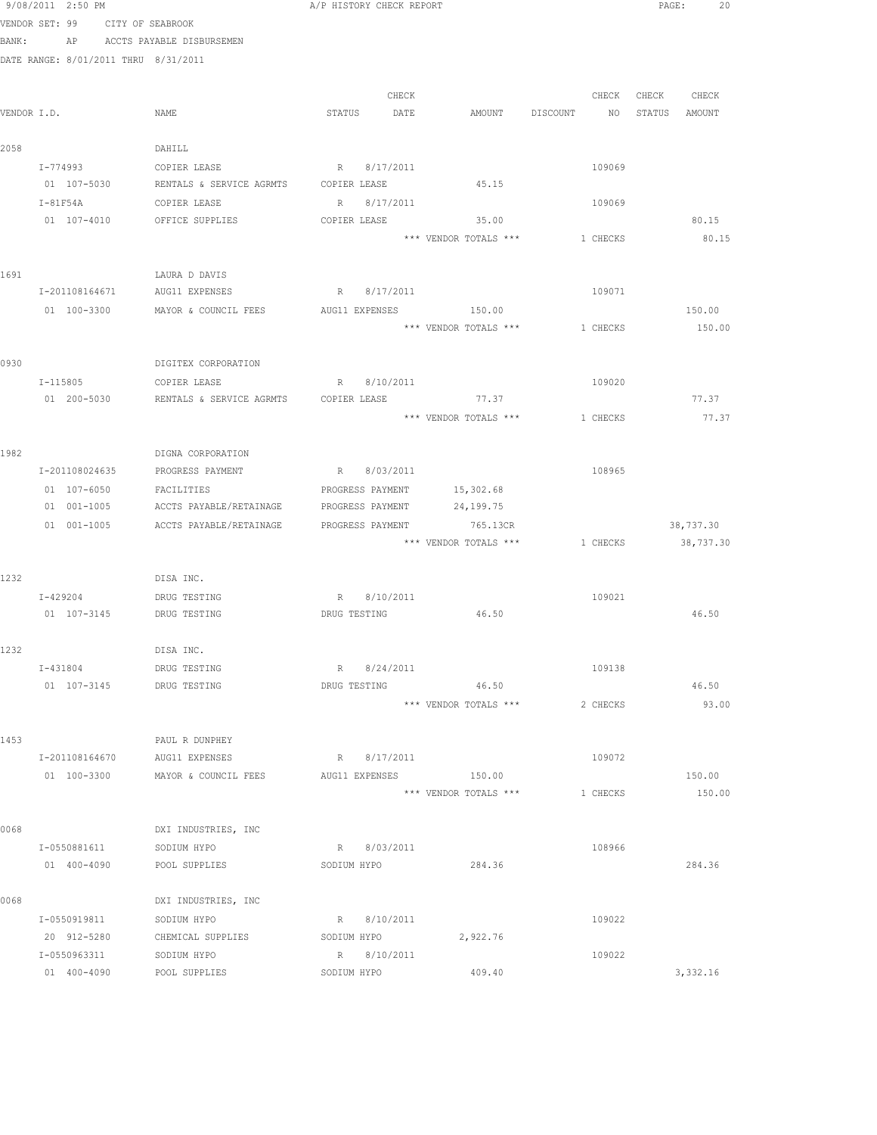|       | 9/08/2011 2:50 PM                    |                                                   | A/P HISTORY CHECK REPORT   |                       |                                | PAGE:             | 20    |
|-------|--------------------------------------|---------------------------------------------------|----------------------------|-----------------------|--------------------------------|-------------------|-------|
|       | VENDOR SET: 99 CITY OF SEABROOK      |                                                   |                            |                       |                                |                   |       |
| BANK: |                                      | AP ACCTS PAYABLE DISBURSEMEN                      |                            |                       |                                |                   |       |
|       | DATE RANGE: 8/01/2011 THRU 8/31/2011 |                                                   |                            |                       |                                |                   |       |
|       |                                      |                                                   |                            |                       |                                |                   |       |
|       |                                      |                                                   | CHECK                      |                       |                                | CHECK CHECK CHECK |       |
|       | VENDOR I.D.                          | NAME                                              | STATUS DATE                | AMOUNT                | DISCOUNT NO STATUS AMOUNT      |                   |       |
|       |                                      |                                                   |                            |                       |                                |                   |       |
| 2058  |                                      | DAHILL                                            |                            |                       |                                |                   |       |
|       |                                      | I-774993 COPIER LEASE                             | R 8/17/2011                |                       | 109069                         |                   |       |
|       |                                      | 01 107-5030 RENTALS & SERVICE AGRMTS COPIER LEASE |                            | 45.15                 |                                |                   |       |
|       | $I-81F54A$                           | COPIER LEASE                                      | R 8/17/2011                |                       | 109069                         |                   |       |
|       |                                      | 01 107-4010 OFFICE SUPPLIES                       | COPIER LEASE               | 35.00                 |                                | 80.15             |       |
|       |                                      |                                                   |                            | *** VENDOR TOTALS *** | 1 CHECKS                       | 80.15             |       |
|       |                                      |                                                   |                            |                       |                                |                   |       |
| 1691  |                                      | LAURA D DAVIS                                     |                            |                       |                                |                   |       |
|       | I-201108164671                       | AUG11 EXPENSES                                    | R 8/17/2011                |                       | 109071                         |                   |       |
|       | 01 100-3300                          | MAYOR & COUNCIL FEES                              | AUG11 EXPENSES             | 150.00                |                                | 150.00            |       |
|       |                                      |                                                   |                            | *** VENDOR TOTALS *** | 1 CHECKS                       | 150.00            |       |
|       |                                      |                                                   |                            |                       |                                |                   |       |
| 0930  |                                      | DIGITEX CORPORATION                               |                            |                       |                                |                   |       |
|       |                                      | I-115805 COPIER LEASE                             | R<br>8/10/2011             |                       | 109020                         | 77.37             |       |
|       | 01 200-5030                          | RENTALS & SERVICE AGRMTS COPIER LEASE 677.37      |                            |                       |                                |                   |       |
|       |                                      |                                                   |                            | *** VENDOR TOTALS *** | 1 CHECKS                       |                   | 77.37 |
| 1982  |                                      | DIGNA CORPORATION                                 |                            |                       |                                |                   |       |
|       | I-201108024635                       | PROGRESS PAYMENT                                  | R 8/03/2011                |                       | 108965                         |                   |       |
|       | 01 107-6050                          | FACILITIES                                        | PROGRESS PAYMENT           | 15,302.68             |                                |                   |       |
|       | 01 001-1005                          | ACCTS PAYABLE/RETAINAGE                           | PROGRESS PAYMENT           | 24,199.75             |                                |                   |       |
|       | 01 001-1005                          | ACCTS PAYABLE/RETAINAGE                           | PROGRESS PAYMENT           | 765.13CR              |                                | 38,737.30         |       |
|       |                                      |                                                   |                            |                       | *** VENDOR TOTALS *** 1 CHECKS | 38,737.30         |       |
|       |                                      |                                                   |                            |                       |                                |                   |       |
| 1232  |                                      | DISA INC.                                         |                            |                       |                                |                   |       |
|       |                                      | I-429204 DRUG TESTING                             | R 8/10/2011                |                       | 109021                         |                   |       |
|       |                                      | 01 107-3145 DRUG TESTING                          | DRUG TESTING 46.50         |                       |                                | 46.50             |       |
|       |                                      |                                                   |                            |                       |                                |                   |       |
| 1232  |                                      | DISA INC.                                         |                            |                       |                                |                   |       |
|       | I-431804                             | DRUG TESTING                                      | 8/24/2011<br>R             |                       | 109138                         |                   |       |
|       | 01 107-3145                          | DRUG TESTING                                      | DRUG TESTING               | 46.50                 |                                | 46.50             |       |
|       |                                      |                                                   |                            | *** VENDOR TOTALS *** | 2 CHECKS                       |                   | 93.00 |
|       |                                      |                                                   |                            |                       |                                |                   |       |
| 1453  |                                      | PAUL R DUNPHEY                                    |                            |                       |                                |                   |       |
|       | I-201108164670                       | AUG11 EXPENSES                                    | R 8/17/2011                |                       | 109072                         |                   |       |
|       | 01 100-3300                          | MAYOR & COUNCIL FEES                              | AUG11 EXPENSES             | 150.00                |                                | 150.00            |       |
|       |                                      |                                                   |                            | *** VENDOR TOTALS *** | 1 CHECKS                       | 150.00            |       |
|       |                                      |                                                   |                            |                       |                                |                   |       |
| 0068  |                                      | DXI INDUSTRIES, INC                               |                            |                       |                                |                   |       |
|       | I-0550881611                         | SODIUM HYPO                                       | R 8/03/2011                |                       | 108966                         |                   |       |
|       | 01 400-4090                          | POOL SUPPLIES                                     | SODIUM HYPO                | 284.36                |                                | 284.36            |       |
|       |                                      |                                                   |                            |                       |                                |                   |       |
| 0068  |                                      | DXI INDUSTRIES, INC                               |                            |                       |                                |                   |       |
|       | I-0550919811                         | SODIUM HYPO                                       | R 8/10/2011                |                       | 109022                         |                   |       |
|       | 20 912-5280                          | CHEMICAL SUPPLIES                                 | SODIUM HYPO                | 2,922.76              |                                |                   |       |
|       | I-0550963311<br>01 400-4090          | SODIUM HYPO<br>POOL SUPPLIES                      | R 8/10/2011<br>SODIUM HYPO | 409.40                | 109022                         | 3,332.16          |       |
|       |                                      |                                                   |                            |                       |                                |                   |       |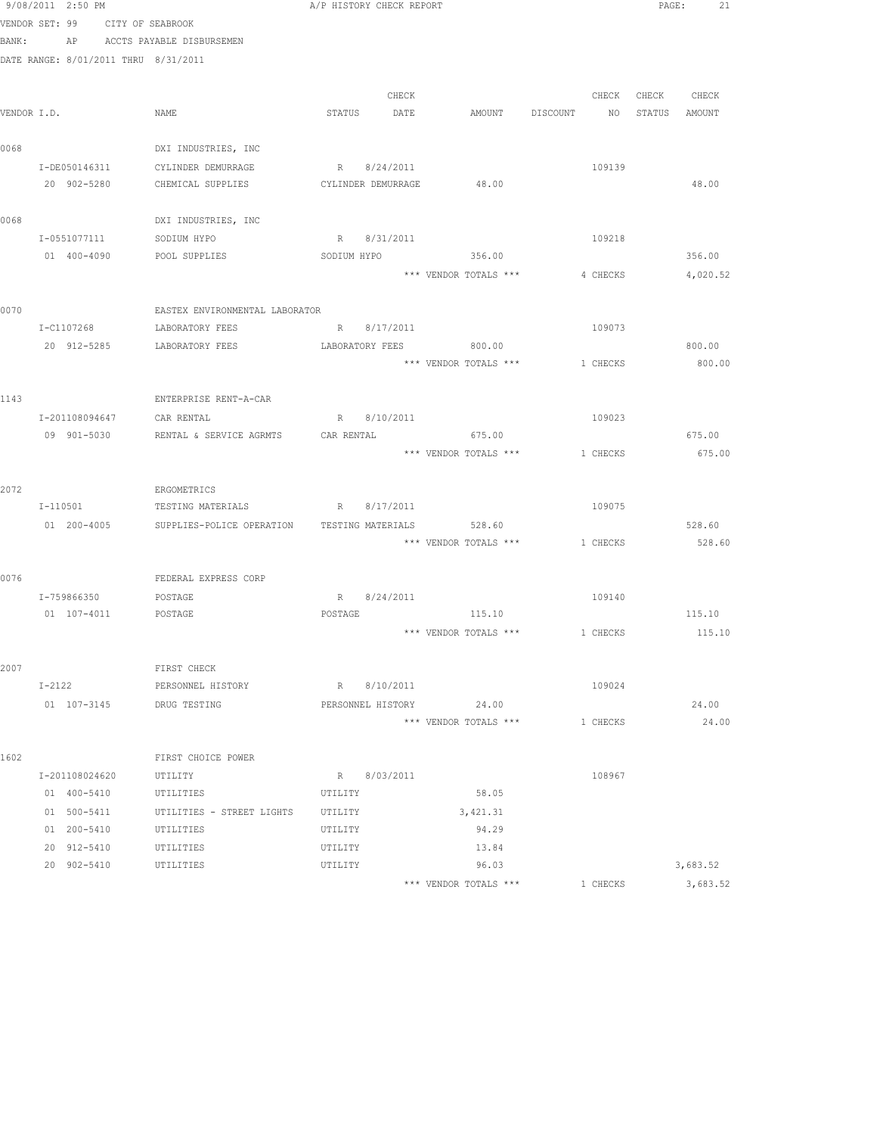|       | 9/08/2011 2:50 PM                    |                                                       |             | A/P HISTORY CHECK REPORT |                                         |          | PAGE:             | 21               |
|-------|--------------------------------------|-------------------------------------------------------|-------------|--------------------------|-----------------------------------------|----------|-------------------|------------------|
|       | VENDOR SET: 99 CITY OF SEABROOK      |                                                       |             |                          |                                         |          |                   |                  |
| BANK: |                                      | AP ACCTS PAYABLE DISBURSEMEN                          |             |                          |                                         |          |                   |                  |
|       | DATE RANGE: 8/01/2011 THRU 8/31/2011 |                                                       |             |                          |                                         |          |                   |                  |
|       |                                      |                                                       |             |                          |                                         |          |                   |                  |
|       |                                      |                                                       |             | CHECK                    |                                         |          | CHECK CHECK CHECK |                  |
|       | VENDOR I.D.                          | NAME                                                  |             | STATUS DATE              | AMOUNT DISCOUNT NO STATUS AMOUNT        |          |                   |                  |
|       |                                      |                                                       |             |                          |                                         |          |                   |                  |
| 0068  |                                      | DXI INDUSTRIES, INC                                   |             |                          |                                         |          |                   |                  |
|       | I-DE050146311                        | CYLINDER DEMURRAGE                                    |             | R 8/24/2011              |                                         | 109139   |                   |                  |
|       | 20 902-5280                          | CHEMICAL SUPPLIES                                     |             | CYLINDER DEMURRAGE       | 48.00                                   |          |                   | 48.00            |
|       |                                      |                                                       |             |                          |                                         |          |                   |                  |
| 0068  |                                      | DXI INDUSTRIES, INC                                   |             |                          |                                         |          |                   |                  |
|       | I-0551077111                         | SODIUM HYPO                                           |             | R 8/31/2011              |                                         | 109218   |                   |                  |
|       |                                      | 01 400-4090 POOL SUPPLIES                             | SODIUM HYPO |                          | 356.00                                  |          |                   | 356.00           |
|       |                                      |                                                       |             |                          | *** VENDOR TOTALS ***                   | 4 CHECKS |                   | 4,020.52         |
|       |                                      |                                                       |             |                          |                                         |          |                   |                  |
| 0070  |                                      | EASTEX ENVIRONMENTAL LABORATOR<br>LABORATORY FEES     |             |                          |                                         | 109073   |                   |                  |
|       | I-C1107268                           | 20 912-5285 LABORATORY FEES                           |             | R 8/17/2011              | 800.00                                  |          |                   |                  |
|       |                                      |                                                       |             | LABORATORY FEES          | *** VENDOR TOTALS *** 1 CHECKS          |          |                   | 800.00<br>800.00 |
|       |                                      |                                                       |             |                          |                                         |          |                   |                  |
| 1143  |                                      | ENTERPRISE RENT-A-CAR                                 |             |                          |                                         |          |                   |                  |
|       | I-201108094647 CAR RENTAL            |                                                       |             | R 8/10/2011              |                                         | 109023   |                   |                  |
|       |                                      | 09 901-5030 RENTAL & SERVICE AGRMTS CAR RENTAL 675.00 |             |                          |                                         |          |                   | 675.00           |
|       |                                      |                                                       |             |                          | *** VENDOR TOTALS *** 1 CHECKS          |          |                   | 675.00           |
|       |                                      |                                                       |             |                          |                                         |          |                   |                  |
| 2072  |                                      | ERGOMETRICS                                           |             |                          |                                         |          |                   |                  |
|       | I-110501                             | TESTING MATERIALS                                     |             | R 8/17/2011              |                                         | 109075   |                   |                  |
|       |                                      | 01 200-4005 SUPPLIES-POLICE OPERATION                 |             | TESTING MATERIALS        | 528.60                                  |          |                   | 528.60           |
|       |                                      |                                                       |             |                          | *** VENDOR TOTALS ***                   | 1 CHECKS |                   | 528.60           |
|       |                                      |                                                       |             |                          |                                         |          |                   |                  |
| 0076  |                                      | FEDERAL EXPRESS CORP                                  |             |                          |                                         |          |                   |                  |
|       | I-759866350 POSTAGE                  |                                                       |             | R 8/24/2011              |                                         | 109140   |                   |                  |
|       | 01  107-4011  POSTAGE                |                                                       | POSTAGE     |                          | 115.10                                  |          |                   | 115.10           |
|       |                                      |                                                       |             |                          | *** VENDOR TOTALS *** $1$ CHECKS 115.10 |          |                   |                  |
|       |                                      |                                                       |             |                          |                                         |          |                   |                  |
| 2007  |                                      | FIRST CHECK                                           |             |                          |                                         |          |                   |                  |
|       | $I-2122$                             | PERSONNEL HISTORY                                     |             | R 8/10/2011              |                                         | 109024   |                   |                  |
|       | 01 107-3145                          | DRUG TESTING                                          |             | PERSONNEL HISTORY        | 24.00                                   |          |                   | 24.00            |
|       |                                      |                                                       |             |                          | *** VENDOR TOTALS ***                   | 1 CHECKS |                   | 24.00            |
|       |                                      |                                                       |             |                          |                                         |          |                   |                  |
| 1602  |                                      | FIRST CHOICE POWER                                    |             |                          |                                         |          |                   |                  |
|       | I-201108024620                       | UTILITY                                               |             | R 8/03/2011              |                                         | 108967   |                   |                  |
|       | 01 400-5410                          | UTILITIES                                             | UTILITY     |                          | 58.05                                   |          |                   |                  |
|       |                                      | 01 500-5411 UTILITIES - STREET LIGHTS                 | UTILITY     |                          | 3,421.31                                |          |                   |                  |
|       | 01 200-5410                          | UTILITIES                                             | UTILITY     |                          | 94.29                                   |          |                   |                  |
|       | 20 912-5410 UTILITIES                |                                                       | UTILITY     |                          | 13.84                                   |          |                   |                  |
|       | 20 902-5410 UTILITIES                |                                                       | UTILITY     |                          | 96.03                                   |          |                   | 3,683.52         |
|       |                                      |                                                       |             |                          | *** VENDOR TOTALS ***                   | 1 CHECKS |                   | 3,683.52         |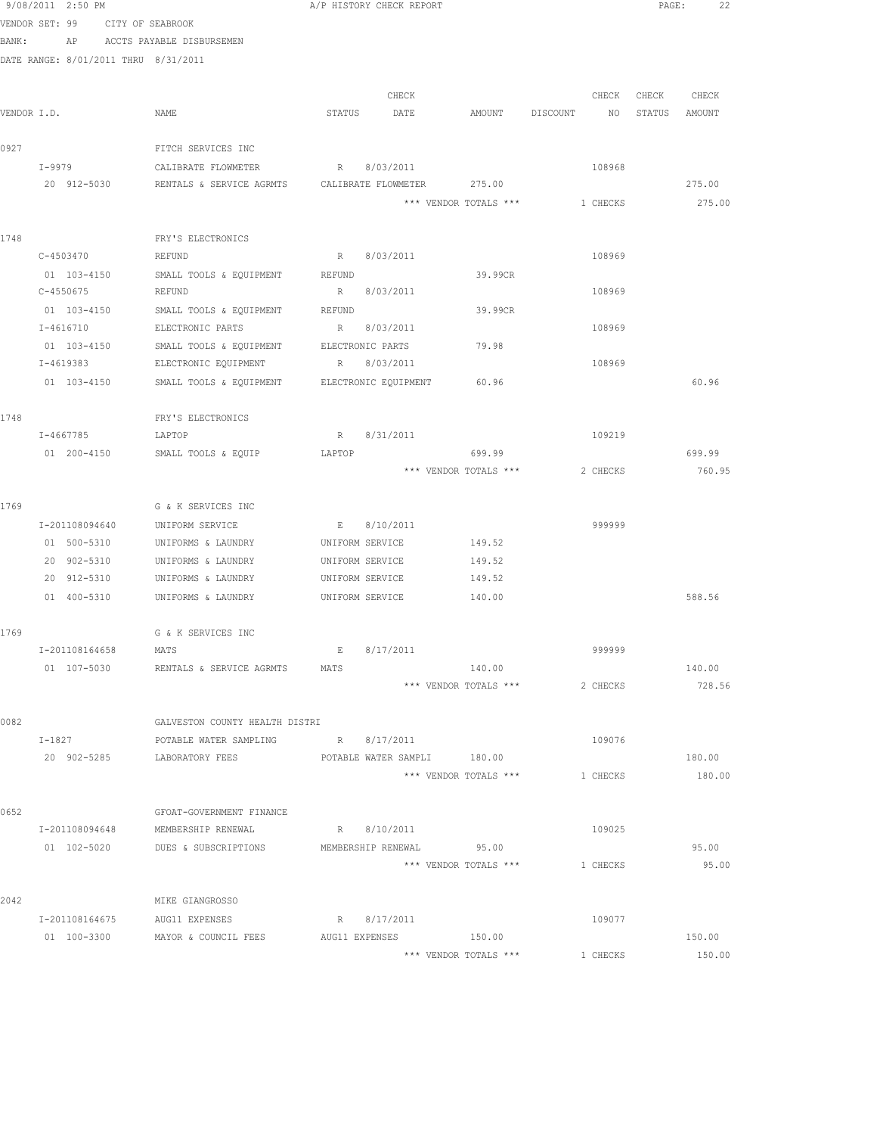|             | 9/08/2011 2:50 PM                    |                                                    | A/P HISTORY CHECK REPORT |                          |                       |                                  |          |                   | 22<br>PAGE: |
|-------------|--------------------------------------|----------------------------------------------------|--------------------------|--------------------------|-----------------------|----------------------------------|----------|-------------------|-------------|
|             | VENDOR SET: 99 CITY OF SEABROOK      |                                                    |                          |                          |                       |                                  |          |                   |             |
| BANK:       |                                      | AP ACCTS PAYABLE DISBURSEMEN                       |                          |                          |                       |                                  |          |                   |             |
|             | DATE RANGE: 8/01/2011 THRU 8/31/2011 |                                                    |                          |                          |                       |                                  |          |                   |             |
|             |                                      |                                                    |                          |                          |                       |                                  |          |                   |             |
|             |                                      |                                                    |                          | CHECK                    |                       |                                  |          | CHECK CHECK CHECK |             |
| VENDOR I.D. |                                      | NAME                                               | STATUS DATE              |                          |                       | AMOUNT DISCOUNT NO STATUS AMOUNT |          |                   |             |
|             |                                      |                                                    |                          |                          |                       |                                  |          |                   |             |
| 0927        |                                      | FITCH SERVICES INC                                 |                          |                          |                       |                                  |          |                   |             |
|             | I-9979                               | CALIBRATE FLOWMETER                                | R 8/03/2011              |                          |                       |                                  | 108968   |                   |             |
|             | 20 912-5030                          | RENTALS & SERVICE AGRMTS  CALIBRATE FLOWMETER      |                          |                          | 275.00                |                                  |          |                   | 275.00      |
|             |                                      |                                                    |                          |                          | *** VENDOR TOTALS *** |                                  | 1 CHECKS |                   | 275.00      |
| 1748        |                                      | FRY'S ELECTRONICS                                  |                          |                          |                       |                                  |          |                   |             |
|             | C-4503470                            | REFUND                                             | R 8/03/2011              |                          |                       |                                  | 108969   |                   |             |
|             | 01 103-4150                          | SMALL TOOLS & EQUIPMENT                            | REFUND                   |                          | 39.99CR               |                                  |          |                   |             |
|             | C-4550675                            | REFUND                                             | R 8/03/2011              |                          |                       |                                  | 108969   |                   |             |
|             | 01 103-4150                          | SMALL TOOLS & EQUIPMENT                            | REFUND                   |                          | 39.99CR               |                                  |          |                   |             |
|             | I-4616710                            | ELECTRONIC PARTS                                   | R 8/03/2011              |                          |                       |                                  | 108969   |                   |             |
|             | 01 103-4150                          | SMALL TOOLS & EQUIPMENT                            | ELECTRONIC PARTS         |                          | 79.98                 |                                  |          |                   |             |
|             | I-4619383                            | ELECTRONIC EQUIPMENT                               | R 8/03/2011              |                          |                       |                                  | 108969   |                   |             |
|             | 01 103-4150                          | SMALL TOOLS & EQUIPMENT ELECTRONIC EQUIPMENT 60.96 |                          |                          |                       |                                  |          |                   | 60.96       |
|             |                                      |                                                    |                          |                          |                       |                                  |          |                   |             |
| 1748        |                                      | FRY'S ELECTRONICS                                  |                          |                          |                       |                                  |          |                   |             |
|             | I-4667785                            | LAPTOP                                             | R                        | 8/31/2011                |                       |                                  | 109219   |                   |             |
|             | 01 200-4150                          | SMALL TOOLS & EQUIP                                | LAPTOP                   |                          | 699.99                |                                  |          |                   | 699.99      |
|             |                                      |                                                    |                          |                          | *** VENDOR TOTALS *** |                                  | 2 CHECKS |                   | 760.95      |
|             |                                      |                                                    |                          |                          |                       |                                  |          |                   |             |
| 1769        |                                      | G & K SERVICES INC                                 |                          |                          |                       |                                  |          |                   |             |
|             | I-201108094640                       | UNIFORM SERVICE                                    | E 8/10/2011              |                          |                       |                                  | 999999   |                   |             |
|             | 01 500-5310                          | UNIFORMS & LAUNDRY                                 | UNIFORM SERVICE          |                          | 149.52                |                                  |          |                   |             |
|             | 20 902-5310                          | UNIFORMS & LAUNDRY                                 | UNIFORM SERVICE          |                          | 149.52                |                                  |          |                   |             |
|             | 20 912-5310                          | UNIFORMS & LAUNDRY                                 | UNIFORM SERVICE          |                          | 149.52                |                                  |          |                   |             |
|             | 01 400-5310                          | UNIFORMS & LAUNDRY                                 | UNIFORM SERVICE          |                          | 140.00                |                                  |          |                   | 588.56      |
|             |                                      |                                                    |                          |                          |                       |                                  |          |                   |             |
| 1769        |                                      | G & K SERVICES INC                                 |                          |                          |                       |                                  |          |                   |             |
|             | I-201108164658                       | MATS                                               | Е                        | 8/17/2011                | 140.00                |                                  | 999999   |                   | 140.00      |
|             | 01 107-5030                          | RENTALS & SERVICE AGRMTS                           | MATS                     |                          | *** VENDOR TOTALS *** |                                  | 2 CHECKS |                   | 728.56      |
|             |                                      |                                                    |                          |                          |                       |                                  |          |                   |             |
| 0082        |                                      | GALVESTON COUNTY HEALTH DISTRI                     |                          |                          |                       |                                  |          |                   |             |
|             | I-1827                               | POTABLE WATER SAMPLING                             | R 8/17/2011              |                          |                       |                                  | 109076   |                   |             |
|             | 20 902-5285                          | LABORATORY FEES                                    |                          | POTABLE WATER SAMPLI     | 180.00                |                                  |          |                   | 180.00      |
|             |                                      |                                                    |                          |                          | *** VENDOR TOTALS *** |                                  | 1 CHECKS |                   | 180.00      |
|             |                                      |                                                    |                          |                          |                       |                                  |          |                   |             |
| 0652        |                                      | GFOAT-GOVERNMENT FINANCE                           |                          |                          |                       |                                  |          |                   |             |
|             | I-201108094648                       | MEMBERSHIP RENEWAL                                 | R 8/10/2011              |                          |                       |                                  | 109025   |                   |             |
|             | 01 102-5020                          | DUES & SUBSCRIPTIONS                               |                          | MEMBERSHIP RENEWAL 95.00 |                       |                                  |          |                   | 95.00       |
|             |                                      |                                                    |                          |                          | *** VENDOR TOTALS *** |                                  | 1 CHECKS |                   | 95.00       |
|             |                                      |                                                    |                          |                          |                       |                                  |          |                   |             |
| 2042        |                                      | MIKE GIANGROSSO                                    |                          |                          |                       |                                  |          |                   |             |
|             | I-201108164675                       | AUG11 EXPENSES                                     | R 8/17/2011              |                          |                       |                                  | 109077   |                   |             |
|             | 01 100-3300                          | MAYOR & COUNCIL FEES                               | AUG11 EXPENSES           |                          | 150.00                |                                  |          |                   | 150.00      |
|             |                                      |                                                    |                          |                          | *** VENDOR TOTALS *** |                                  | 1 CHECKS |                   | 150.00      |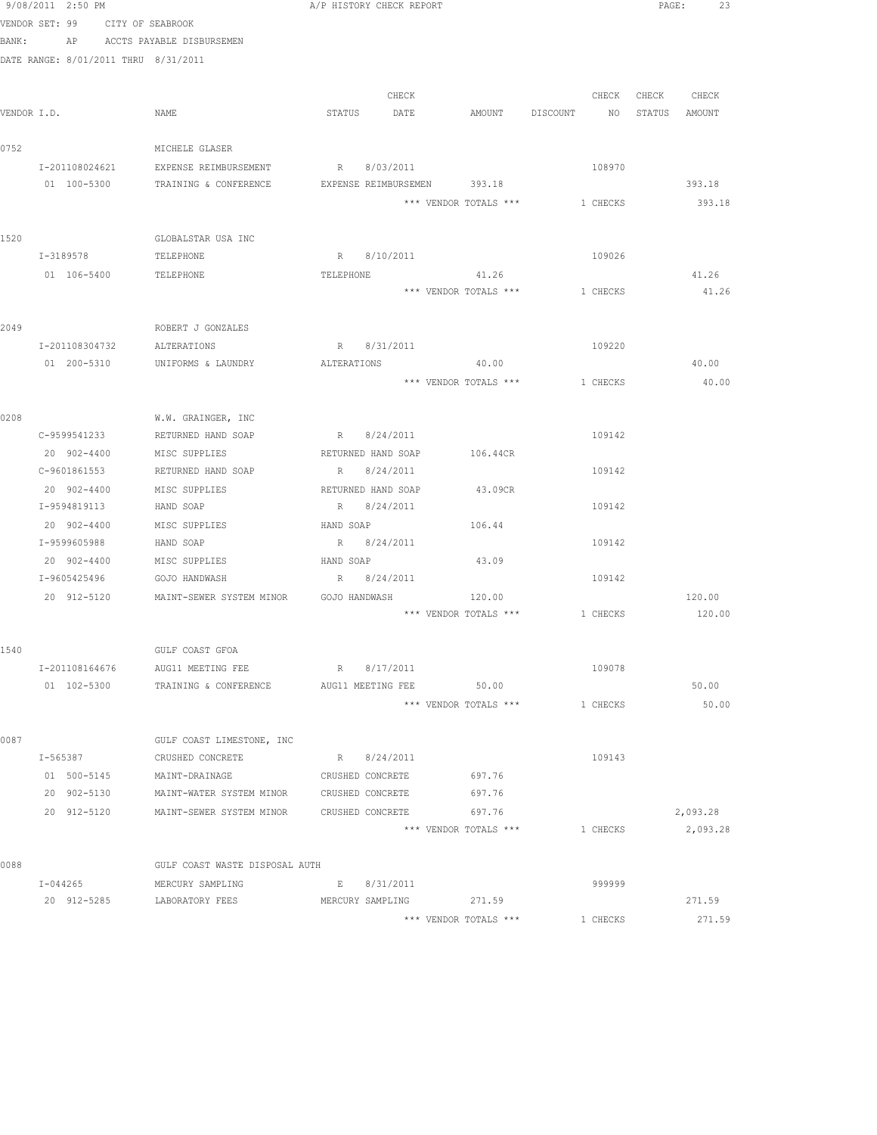|       | 9/08/2011 2:50 PM                    |                                           | A/P HISTORY CHECK REPORT    |                       |                                  | 23<br>PAGE:       |
|-------|--------------------------------------|-------------------------------------------|-----------------------------|-----------------------|----------------------------------|-------------------|
|       | VENDOR SET: 99 CITY OF SEABROOK      |                                           |                             |                       |                                  |                   |
| BANK: |                                      | AP ACCTS PAYABLE DISBURSEMEN              |                             |                       |                                  |                   |
|       | DATE RANGE: 8/01/2011 THRU 8/31/2011 |                                           |                             |                       |                                  |                   |
|       |                                      |                                           |                             |                       |                                  |                   |
|       |                                      |                                           | CHECK                       |                       |                                  | CHECK CHECK CHECK |
|       | VENDOR I.D.                          | NAME                                      | STATUS DATE                 |                       | AMOUNT DISCOUNT NO STATUS AMOUNT |                   |
|       |                                      |                                           |                             |                       |                                  |                   |
| 0752  |                                      | MICHELE GLASER                            |                             |                       |                                  |                   |
|       | I-201108024621                       | EXPENSE REIMBURSEMENT                     | R 8/03/2011                 |                       | 108970                           |                   |
|       | 01 100-5300                          | TRAINING & CONFERENCE                     | EXPENSE REIMBURSEMEN 393.18 |                       |                                  | 393.18            |
|       |                                      |                                           |                             |                       | *** VENDOR TOTALS *** 1 CHECKS   | 393.18            |
|       |                                      |                                           |                             |                       |                                  |                   |
| 1520  |                                      | GLOBALSTAR USA INC                        |                             |                       |                                  |                   |
|       | I-3189578                            | TELEPHONE                                 | R 8/10/2011                 |                       | 109026                           |                   |
|       | 01 106-5400                          | TELEPHONE                                 | TELEPHONE                   | 41.26                 |                                  | 41.26             |
|       |                                      |                                           |                             | *** VENDOR TOTALS *** | 1 CHECKS                         | 41.26             |
|       |                                      |                                           |                             |                       |                                  |                   |
| 2049  |                                      | ROBERT J GONZALES                         |                             |                       |                                  |                   |
|       | I-201108304732                       | ALTERATIONS                               | R 8/31/2011                 |                       | 109220                           |                   |
|       | 01 200-5310                          | UNIFORMS & LAUNDRY                        | ALTERATIONS                 | 40.00                 |                                  | 40.00             |
|       |                                      |                                           |                             |                       | *** VENDOR TOTALS *** 1 CHECKS   | 40.00             |
|       |                                      |                                           |                             |                       |                                  |                   |
| 0208  |                                      | W.W. GRAINGER, INC                        |                             |                       |                                  |                   |
|       |                                      | C-9599541233 RETURNED HAND SOAP           | R 8/24/2011                 |                       | 109142                           |                   |
|       | 20 902-4400 MISC SUPPLIES            |                                           | RETURNED HAND SOAP 106.44CR |                       |                                  |                   |
|       | C-9601861553                         | RETURNED HAND SOAP                        | R 8/24/2011                 |                       | 109142                           |                   |
|       | 20 902-4400                          | MISC SUPPLIES                             | RETURNED HAND SOAP          | 43.09CR               |                                  |                   |
|       | I-9594819113                         | HAND SOAP                                 | R 8/24/2011                 |                       | 109142                           |                   |
|       | 20 902-4400                          | MISC SUPPLIES                             | HAND SOAP                   | 106.44                |                                  |                   |
|       | I-9599605988                         | HAND SOAP                                 | R 8/24/2011                 |                       | 109142                           |                   |
|       | 20 902-4400                          | MISC SUPPLIES                             | HAND SOAP                   | 43.09                 |                                  |                   |
|       | I-9605425496                         | GOJO HANDWASH                             | R 8/24/2011                 |                       | 109142                           |                   |
|       |                                      | 20 912-5120 MAINT-SEWER SYSTEM MINOR      | GOJO HANDWASH               | 120.00                |                                  | 120.00            |
|       |                                      |                                           |                             |                       | *** VENDOR TOTALS *** 1 CHECKS   | 120.00            |
|       |                                      |                                           |                             |                       |                                  |                   |
| 1540  |                                      | GULF COAST GFOA                           |                             |                       |                                  |                   |
|       | I-201108164676                       | AUG11 MEETING FEE                         | R<br>8/17/2011              |                       | 109078                           |                   |
|       | 01 102-5300                          | TRAINING & CONFERENCE                     | AUG11 MEETING FEE 50.00     |                       |                                  | 50.00             |
|       |                                      |                                           |                             | *** VENDOR TOTALS *** | 1 CHECKS                         | 50.00             |
|       |                                      |                                           |                             |                       |                                  |                   |
| 0087  |                                      | GULF COAST LIMESTONE, INC                 |                             |                       |                                  |                   |
|       | I-565387                             | CRUSHED CONCRETE                          | R 8/24/2011                 |                       | 109143                           |                   |
|       | 01 500-5145                          | MAINT-DRAINAGE                            | CRUSHED CONCRETE            | 697.76                |                                  |                   |
|       | 20 902-5130                          | MAINT-WATER SYSTEM MINOR                  | CRUSHED CONCRETE            | 697.76                |                                  |                   |
|       | 20 912-5120                          | MAINT-SEWER SYSTEM MINOR CRUSHED CONCRETE |                             | 697.76                |                                  | 2,093.28          |
|       |                                      |                                           |                             | *** VENDOR TOTALS *** | 1 CHECKS                         | 2,093.28          |
|       |                                      |                                           |                             |                       |                                  |                   |
| 0088  |                                      | GULF COAST WASTE DISPOSAL AUTH            |                             |                       |                                  |                   |
|       |                                      | I-044265 MERCURY SAMPLING                 | E 8/31/2011                 |                       | 999999                           |                   |
|       |                                      | 20 912-5285 LABORATORY FEES               | MERCURY SAMPLING            | 271.59                |                                  | 271.59            |
|       |                                      |                                           |                             | *** VENDOR TOTALS *** | 1 CHECKS                         | 271.59            |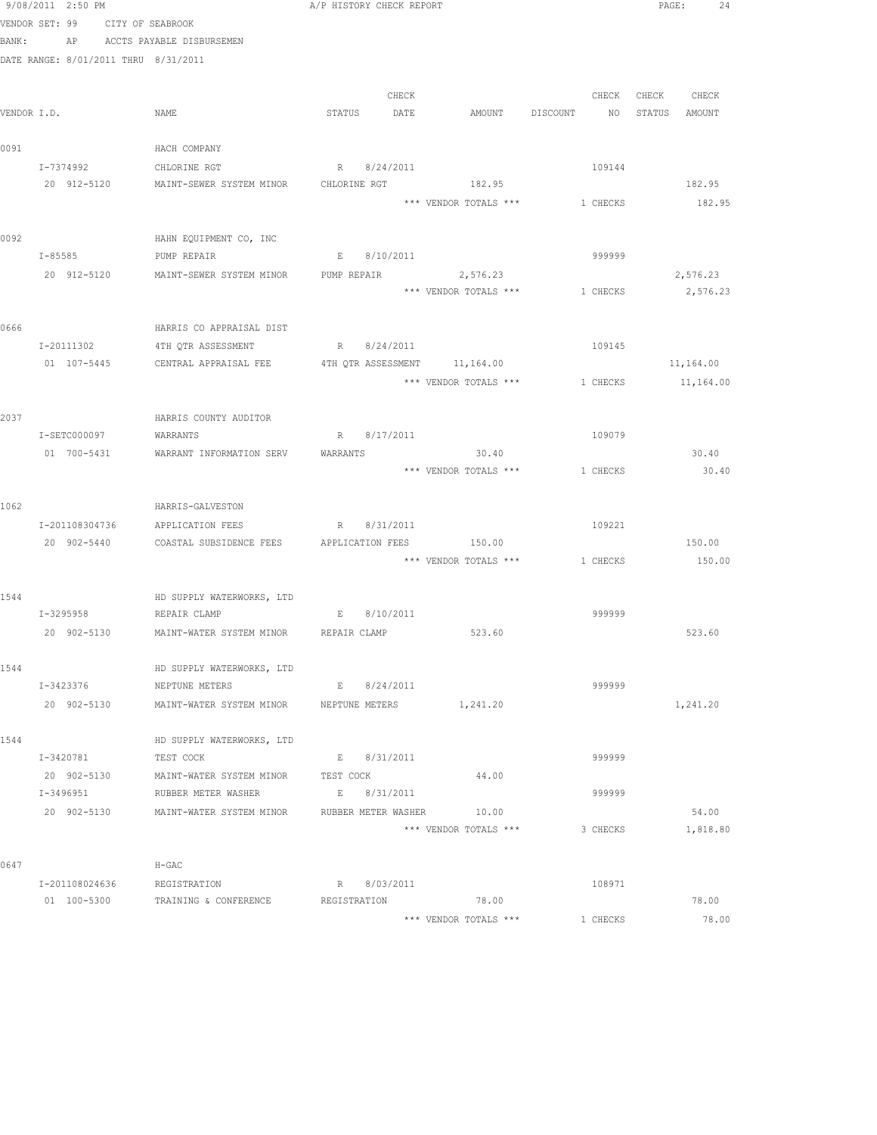|       | 9/08/2011 2:50 PM                    |                                                          | A/P HISTORY CHECK REPORT |                       |                                | PAGE:<br>24   |
|-------|--------------------------------------|----------------------------------------------------------|--------------------------|-----------------------|--------------------------------|---------------|
|       | VENDOR SET: 99                       | CITY OF SEABROOK                                         |                          |                       |                                |               |
| BANK: |                                      | AP ACCTS PAYABLE DISBURSEMEN                             |                          |                       |                                |               |
|       | DATE RANGE: 8/01/2011 THRU 8/31/2011 |                                                          |                          |                       |                                |               |
|       |                                      |                                                          |                          |                       |                                |               |
|       |                                      |                                                          | CHECK                    |                       | CHECK                          | CHECK CHECK   |
|       | VENDOR I.D.                          | NAME                                                     | STATUS DATE              | AMOUNT DISCOUNT       | NQ                             | STATUS AMOUNT |
|       |                                      |                                                          |                          |                       |                                |               |
| 0091  |                                      | HACH COMPANY                                             |                          |                       |                                |               |
|       | I-7374992 CHLORINE RGT               |                                                          | R 8/24/2011              |                       | 109144                         |               |
|       |                                      | 20 912-5120 MAINT-SEWER SYSTEM MINOR CHLORINE RGT 182.95 |                          |                       |                                | 182.95        |
|       |                                      |                                                          |                          | *** VENDOR TOTALS *** | 1 CHECKS                       | 182.95        |
|       |                                      |                                                          |                          |                       |                                |               |
| 0092  |                                      | HAHN EQUIPMENT CO, INC                                   |                          |                       |                                |               |
|       | $I - 85585$                          | PUMP REPAIR                                              | E 8/10/2011              |                       | 999999                         |               |
|       | 20 912-5120                          | MAINT-SEWER SYSTEM MINOR                                 | PUMP REPAIR 2,576.23     |                       |                                | 2,576.23      |
|       |                                      |                                                          |                          | *** VENDOR TOTALS *** | 1 CHECKS                       | 2,576.23      |
|       |                                      |                                                          |                          |                       |                                |               |
| 0666  |                                      | HARRIS CO APPRAISAL DIST                                 |                          |                       |                                |               |
|       | I-20111302                           | 4TH QTR ASSESSMENT                                       | R 8/24/2011              |                       | 109145                         |               |
|       | 01 107-5445                          | CENTRAL APPRAISAL FEE 4TH QTR ASSESSMENT 11,164.00       |                          |                       |                                | 11,164.00     |
|       |                                      |                                                          |                          | *** VENDOR TOTALS *** | 1 CHECKS                       | 11,164.00     |
| 2037  |                                      |                                                          |                          |                       |                                |               |
|       | I-SETC000097                         | HARRIS COUNTY AUDITOR<br>WARRANTS                        | R 8/17/2011              |                       | 109079                         |               |
|       | 01 700-5431                          | WARRANT INFORMATION SERV                                 | WARRANTS                 | 30.40                 |                                | 30.40         |
|       |                                      |                                                          |                          | *** VENDOR TOTALS *** | 1 CHECKS                       | 30.40         |
|       |                                      |                                                          |                          |                       |                                |               |
| 1062  |                                      | HARRIS-GALVESTON                                         |                          |                       |                                |               |
|       |                                      | I-201108304736 APPLICATION FEES                          | R 8/31/2011              |                       | 109221                         |               |
|       | 20 902-5440                          | COASTAL SUBSIDENCE FEES                                  | APPLICATION FEES 150.00  |                       |                                | 150.00        |
|       |                                      |                                                          |                          |                       | *** VENDOR TOTALS *** 1 CHECKS | 150.00        |
|       |                                      |                                                          |                          |                       |                                |               |
| 1544  |                                      | HD SUPPLY WATERWORKS, LTD                                |                          |                       |                                |               |
|       | I-3295958 REPAIR CLAMP               |                                                          | E 8/10/2011              |                       | 999999                         |               |
|       |                                      | 20 902-5130 MAINT-WATER SYSTEM MINOR REPAIR CLAMP 523.60 |                          |                       |                                | 523.60        |
|       |                                      |                                                          |                          |                       |                                |               |
| 1544  |                                      | HD SUPPLY WATERWORKS, LTD                                |                          |                       |                                |               |
|       | I-3423376                            | NEPTUNE METERS                                           | E 8/24/2011              |                       | 999999                         |               |
|       | 20 902-5130                          | MAINT-WATER SYSTEM MINOR WEPTUNE METERS                  |                          | 1,241.20              |                                | 1,241.20      |
|       |                                      |                                                          |                          |                       |                                |               |
| 1544  |                                      | HD SUPPLY WATERWORKS, LTD                                |                          |                       |                                |               |
|       | I-3420781                            | TEST COCK                                                | E 8/31/2011              |                       | 999999                         |               |
|       | 20 902-5130                          | MAINT-WATER SYSTEM MINOR TEST COCK                       |                          | 44.00                 |                                |               |
|       | I-3496951                            | RUBBER METER WASHER                                      | E 8/31/2011              |                       | 999999                         |               |
|       |                                      | 20 902-5130 MAINT-WATER SYSTEM MINOR RUBBER METER WASHER |                          | 10.00                 |                                | 54.00         |
|       |                                      |                                                          |                          | *** VENDOR TOTALS *** | 3 CHECKS                       | 1,818.80      |
|       |                                      |                                                          |                          |                       |                                |               |
| 0647  |                                      | $H-GAC$                                                  |                          |                       |                                |               |
|       | I-201108024636                       | REGISTRATION                                             | R 8/03/2011              |                       | 108971                         |               |
|       | 01 100-5300                          | TRAINING & CONFERENCE                                    | REGISTRATION             | 78.00                 |                                | 78.00         |
|       |                                      |                                                          |                          | *** VENDOR TOTALS *** | 1 CHECKS                       | 78.00         |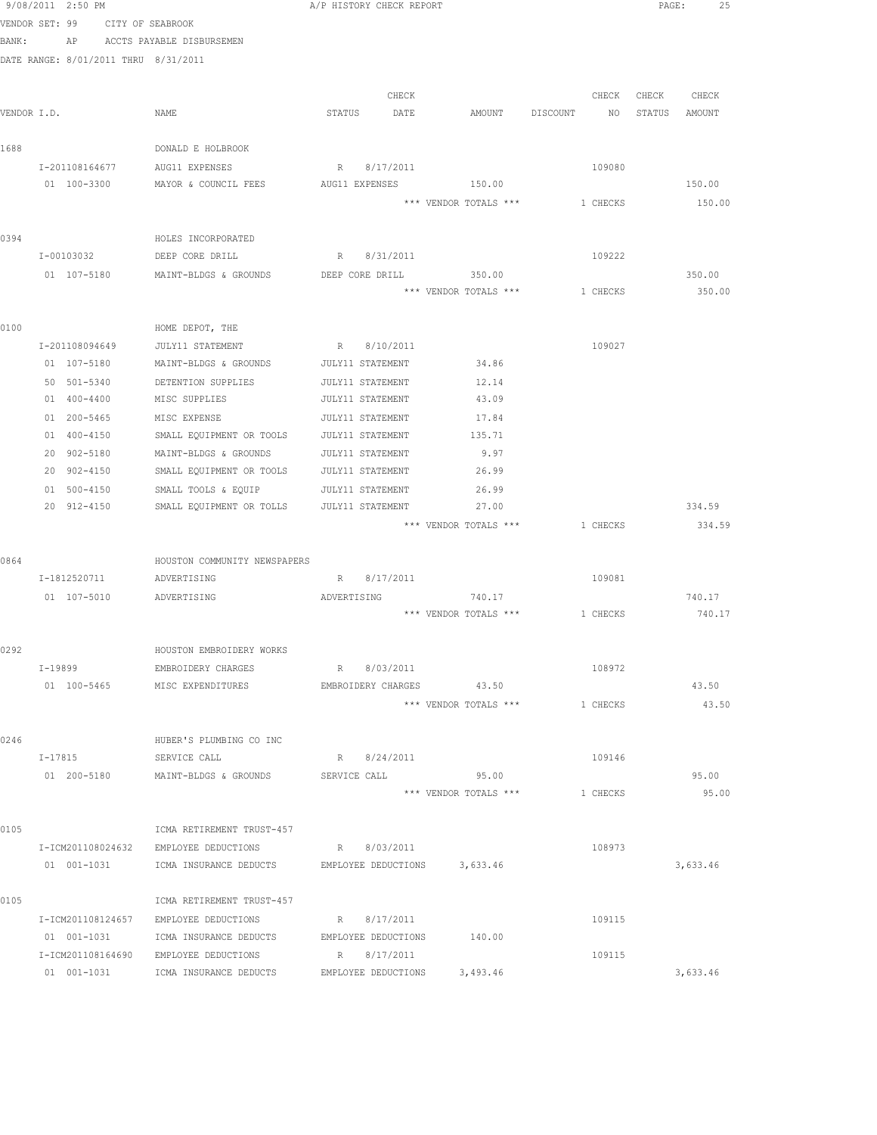|             | 9/08/2011 2:50 PM |                                      | A/P HISTORY CHECK REPORT                            |                | PAGE:<br>25      |
|-------------|-------------------|--------------------------------------|-----------------------------------------------------|----------------|------------------|
|             |                   | VENDOR SET: 99 CITY OF SEABROOK      |                                                     |                |                  |
| BANK:       |                   | AP ACCTS PAYABLE DISBURSEMEN         |                                                     |                |                  |
|             |                   | DATE RANGE: 8/01/2011 THRU 8/31/2011 |                                                     |                |                  |
|             |                   |                                      |                                                     |                |                  |
|             |                   |                                      | CHECK                                               | CHECK<br>CHECK | CHECK            |
| VENDOR I.D. |                   | NAME                                 | STATUS<br>DATE<br>AMOUNT                            | DISCOUNT<br>NO | STATUS AMOUNT    |
|             |                   |                                      |                                                     |                |                  |
| 1688        |                   | DONALD E HOLBROOK                    |                                                     |                |                  |
|             | I-201108164677    | AUG11 EXPENSES                       | 8/17/2011<br>R                                      | 109080         |                  |
|             | 01 100-3300       | MAYOR & COUNCIL FEES                 | 150.00<br>AUG11 EXPENSES                            |                | 150.00           |
|             |                   |                                      | *** VENDOR TOTALS ***                               | 1 CHECKS       | 150.00           |
|             |                   |                                      |                                                     |                |                  |
| 0394        |                   | HOLES INCORPORATED                   |                                                     |                |                  |
|             | I-00103032        | DEEP CORE DRILL                      | R 8/31/2011                                         | 109222         |                  |
|             | 01 107-5180       | MAINT-BLDGS & GROUNDS                | 350.00<br>DEEP CORE DRILL                           |                | 350.00           |
|             |                   |                                      | *** VENDOR TOTALS ***                               | 1 CHECKS       | 350.00           |
|             |                   |                                      |                                                     |                |                  |
| 0100        |                   | HOME DEPOT, THE                      |                                                     |                |                  |
|             | I-201108094649    | JULY11 STATEMENT                     | 8/10/2011<br>R                                      | 109027         |                  |
|             | 01 107-5180       | MAINT-BLDGS & GROUNDS                | 34.86<br>JULY11 STATEMENT                           |                |                  |
|             | 50 501-5340       | DETENTION SUPPLIES                   | 12.14<br>JULY11 STATEMENT                           |                |                  |
|             | 01 400-4400       | MISC SUPPLIES                        | JULY11 STATEMENT<br>43.09                           |                |                  |
|             | 01 200-5465       | MISC EXPENSE                         | JULY11 STATEMENT<br>17.84                           |                |                  |
|             | 01 400-4150       | SMALL EQUIPMENT OR TOOLS             | 135.71<br>JULY11 STATEMENT                          |                |                  |
|             | 20 902-5180       | MAINT-BLDGS & GROUNDS                | JULY11 STATEMENT<br>9.97                            |                |                  |
|             | 20 902-4150       | SMALL EQUIPMENT OR TOOLS             | 26.99<br>JULY11 STATEMENT                           |                |                  |
|             | 01 500-4150       | SMALL TOOLS & EQUIP                  | JULY11 STATEMENT<br>26.99                           |                |                  |
|             | 20 912-4150       | SMALL EQUIPMENT OR TOLLS             | JULY11 STATEMENT<br>27.00                           |                | 334.59           |
|             |                   |                                      | *** VENDOR TOTALS ***                               | 1 CHECKS       | 334.59           |
|             |                   |                                      |                                                     |                |                  |
| 0864        |                   | HOUSTON COMMUNITY NEWSPAPERS         |                                                     | 109081         |                  |
|             | I-1812520711      | ADVERTISING                          | 8/17/2011<br>R                                      |                |                  |
|             | 01 107-5010       | ADVERTISING                          | 740.17<br>ADVERTISING<br>*** VENDOR TOTALS ***      | 1 CHECKS       | 740.17<br>740.17 |
|             |                   |                                      |                                                     |                |                  |
| 0292        |                   | HOUSTON EMBROIDERY WORKS             |                                                     |                |                  |
|             | $I-19899$         | EMBROIDERY CHARGES                   | 8/03/2011<br>R                                      | 108972         |                  |
|             |                   | 01 100-5465 MISC EXPENDITURES        | EMBROIDERY CHARGES 43.50                            |                | 43.50            |
|             |                   |                                      | *** VENDOR TOTALS ***                               | 1 CHECKS       | 43.50            |
|             |                   |                                      |                                                     |                |                  |
| 0246        |                   | HUBER'S PLUMBING CO INC              |                                                     |                |                  |
|             | I-17815           | SERVICE CALL                         | R 8/24/2011                                         | 109146         |                  |
|             | 01 200-5180       | MAINT-BLDGS & GROUNDS                | 95.00<br>SERVICE CALL                               |                | 95.00            |
|             |                   |                                      | *** VENDOR TOTALS ***                               | 1 CHECKS       | 95.00            |
|             |                   |                                      |                                                     |                |                  |
| 0105        |                   | ICMA RETIREMENT TRUST-457            |                                                     |                |                  |
|             | I-ICM201108024632 | EMPLOYEE DEDUCTIONS                  | R 8/03/2011                                         | 108973         |                  |
|             | 01 001-1031       |                                      | ICMA INSURANCE DEDUCTS EMPLOYEE DEDUCTIONS 3,633.46 |                | 3,633.46         |
|             |                   |                                      |                                                     |                |                  |
| 0105        |                   | ICMA RETIREMENT TRUST-457            |                                                     |                |                  |
|             | I-ICM201108124657 | EMPLOYEE DEDUCTIONS                  | R 8/17/2011                                         | 109115         |                  |
|             | 01 001-1031       | ICMA INSURANCE DEDUCTS               | 140.00<br>EMPLOYEE DEDUCTIONS                       |                |                  |
|             | I-ICM201108164690 | EMPLOYEE DEDUCTIONS                  | R 8/17/2011                                         | 109115         |                  |
|             | 01 001-1031       | ICMA INSURANCE DEDUCTS               | EMPLOYEE DEDUCTIONS 3,493.46                        |                | 3,633.46         |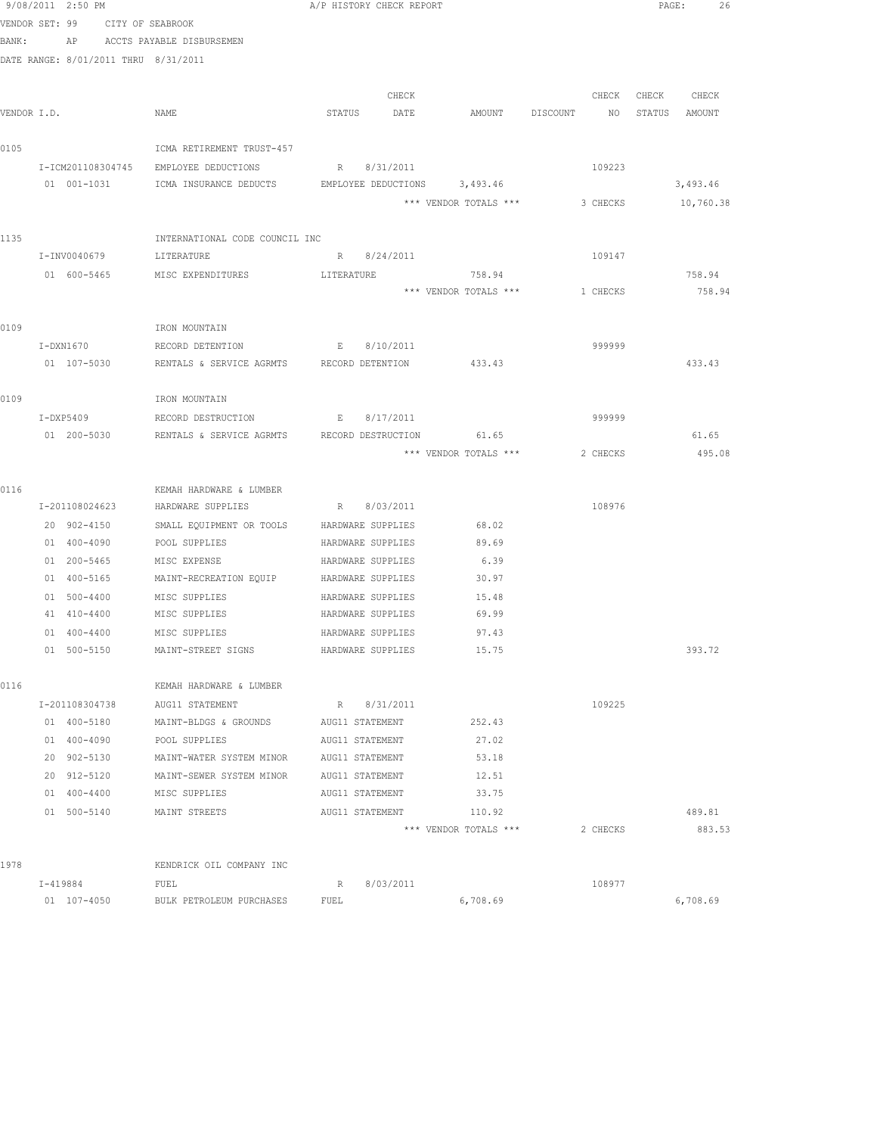|             | 9/08/2011 2:50 PM                    |                                        |                 | A/P HISTORY CHECK REPORT               |                              |          |        | PAGE: 26    |
|-------------|--------------------------------------|----------------------------------------|-----------------|----------------------------------------|------------------------------|----------|--------|-------------|
|             | VENDOR SET: 99                       | CITY OF SEABROOK                       |                 |                                        |                              |          |        |             |
| BANK:       |                                      | AP ACCTS PAYABLE DISBURSEMEN           |                 |                                        |                              |          |        |             |
|             | DATE RANGE: 8/01/2011 THRU 8/31/2011 |                                        |                 |                                        |                              |          |        |             |
|             |                                      |                                        |                 |                                        |                              |          |        |             |
|             |                                      |                                        |                 | CHECK                                  |                              | CHECK    |        | CHECK CHECK |
| VENDOR I.D. |                                      | NAME                                   |                 | STATUS DATE                            | AMOUNT DISCOUNT              | NQ       | STATUS | AMOUNT      |
| 0105        |                                      | ICMA RETIREMENT TRUST-457              |                 |                                        |                              |          |        |             |
|             | I-ICM201108304745                    | EMPLOYEE DEDUCTIONS                    |                 | R 8/31/2011                            |                              | 109223   |        |             |
|             | 01 001-1031                          | ICMA INSURANCE DEDUCTS                 |                 |                                        | EMPLOYEE DEDUCTIONS 3,493.46 |          |        | 3,493.46    |
|             |                                      |                                        |                 |                                        | *** VENDOR TOTALS ***        | 3 CHECKS |        | 10,760.38   |
|             |                                      |                                        |                 |                                        |                              |          |        |             |
| 1135        |                                      | INTERNATIONAL CODE COUNCIL INC         |                 |                                        |                              |          |        |             |
|             | I-INV0040679                         | LITERATURE                             |                 | R 8/24/2011                            |                              | 109147   |        |             |
|             | 01 600-5465                          | MISC EXPENDITURES                      | LITERATURE      |                                        | 758.94                       |          |        | 758.94      |
|             |                                      |                                        |                 |                                        | *** VENDOR TOTALS ***        | 1 CHECKS |        | 758.94      |
|             |                                      |                                        |                 |                                        |                              |          |        |             |
| 0109        |                                      | IRON MOUNTAIN                          |                 |                                        |                              |          |        |             |
|             | I-DXN1670                            | RECORD DETENTION                       |                 | E 8/10/2011                            |                              | 999999   |        |             |
|             | 01 107-5030                          | RENTALS & SERVICE AGRMTS               |                 | RECORD DETENTION                       | 433.43                       |          |        | 433.43      |
|             |                                      |                                        |                 |                                        |                              |          |        |             |
| 0109        |                                      | IRON MOUNTAIN                          |                 |                                        |                              |          |        |             |
|             | $I-DXP5409$                          | RECORD DESTRUCTION                     |                 | E 8/17/2011                            |                              | 999999   |        |             |
|             | 01 200-5030                          | RENTALS & SERVICE AGRMTS               |                 | RECORD DESTRUCTION                     | 61.65                        |          |        | 61.65       |
|             |                                      |                                        |                 |                                        | *** VENDOR TOTALS ***        | 2 CHECKS |        | 495.08      |
|             |                                      |                                        |                 |                                        |                              |          |        |             |
| 0116        |                                      | KEMAH HARDWARE & LUMBER                |                 |                                        |                              |          |        |             |
|             | I-201108024623                       | HARDWARE SUPPLIES                      |                 | R 8/03/2011                            |                              | 108976   |        |             |
|             | 20 902-4150                          | SMALL EQUIPMENT OR TOOLS               |                 | HARDWARE SUPPLIES                      | 68.02                        |          |        |             |
|             | 01 400-4090                          | POOL SUPPLIES                          |                 | HARDWARE SUPPLIES                      | 89.69                        |          |        |             |
|             | 01 200-5465<br>01 400-5165           | MISC EXPENSE<br>MAINT-RECREATION EQUIP |                 | HARDWARE SUPPLIES<br>HARDWARE SUPPLIES | 6.39<br>30.97                |          |        |             |
|             | 01 500-4400                          | MISC SUPPLIES                          |                 | HARDWARE SUPPLIES                      | 15.48                        |          |        |             |
|             | 41 410-4400                          | MISC SUPPLIES                          |                 | HARDWARE SUPPLIES                      | 69.99                        |          |        |             |
|             | 01 400-4400                          | MISC SUPPLIES                          |                 | HARDWARE SUPPLIES                      | 97.43                        |          |        |             |
|             | 01 500-5150                          | MAINT-STREET SIGNS                     |                 | HARDWARE SUPPLIES                      | 15.75                        |          |        | 393.72      |
|             |                                      |                                        |                 |                                        |                              |          |        |             |
| 0116        |                                      | KEMAH HARDWARE & LUMBER                |                 |                                        |                              |          |        |             |
|             | I-201108304738                       | AUG11 STATEMENT                        |                 | R 8/31/2011                            |                              | 109225   |        |             |
|             | 01 400-5180                          | MAINT-BLDGS & GROUNDS AUG11 STATEMENT  |                 |                                        | 252.43                       |          |        |             |
|             | 01 400-4090                          | POOL SUPPLIES                          |                 | AUG11 STATEMENT                        | 27.02                        |          |        |             |
|             | 20 902-5130                          | MAINT-WATER SYSTEM MINOR               | AUG11 STATEMENT |                                        | 53.18                        |          |        |             |
|             | 20 912-5120                          | MAINT-SEWER SYSTEM MINOR               | AUG11 STATEMENT |                                        | 12.51                        |          |        |             |
|             | 01 400-4400                          | MISC SUPPLIES                          |                 | AUG11 STATEMENT                        | 33.75                        |          |        |             |
|             | 01 500-5140                          | MAINT STREETS                          |                 | AUG11 STATEMENT                        | 110.92                       |          |        | 489.81      |
|             |                                      |                                        |                 |                                        | *** VENDOR TOTALS ***        | 2 CHECKS |        | 883.53      |
|             |                                      |                                        |                 |                                        |                              |          |        |             |
| 1978        |                                      | KENDRICK OIL COMPANY INC               |                 |                                        |                              |          |        |             |
|             | I-419884                             | FUEL                                   | R               | 8/03/2011                              |                              | 108977   |        |             |
|             | 01 107-4050                          | BULK PETROLEUM PURCHASES               | FUEL            |                                        | 6,708.69                     |          |        | 6,708.69    |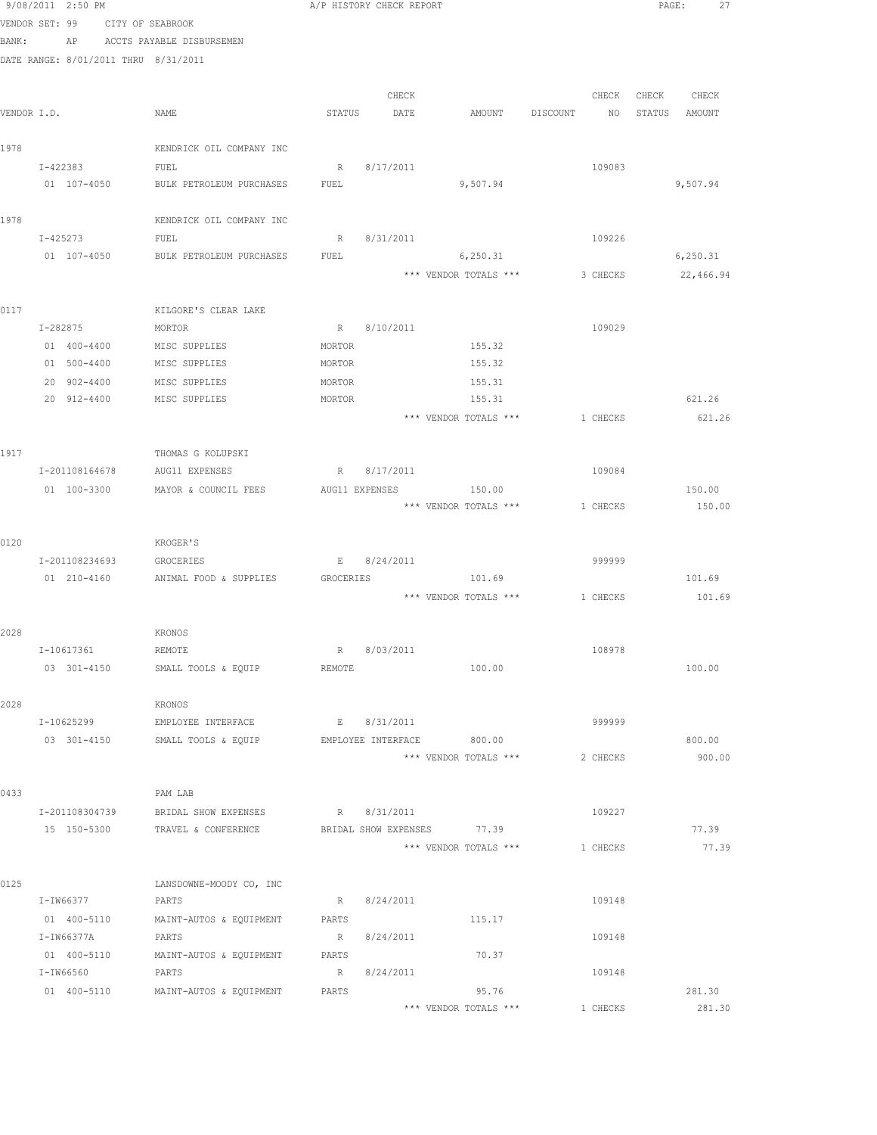|                | 9/08/2011 2:50 PM          |                                      |                  | A/P HISTORY CHECK REPORT   |                       |          |          | PAGE: |               | 27 |
|----------------|----------------------------|--------------------------------------|------------------|----------------------------|-----------------------|----------|----------|-------|---------------|----|
| VENDOR SET: 99 |                            | CITY OF SEABROOK                     |                  |                            |                       |          |          |       |               |    |
| BANK:          | ΑP                         | ACCTS PAYABLE DISBURSEMEN            |                  |                            |                       |          |          |       |               |    |
|                |                            | DATE RANGE: 8/01/2011 THRU 8/31/2011 |                  |                            |                       |          |          |       |               |    |
|                |                            |                                      |                  |                            |                       |          |          |       |               |    |
|                |                            |                                      |                  | CHECK                      |                       |          | CHECK    | CHECK | CHECK         |    |
| VENDOR I.D.    |                            | NAME                                 | STATUS           | DATE                       | AMOUNT                | DISCOUNT | NO       |       | STATUS AMOUNT |    |
|                |                            |                                      |                  |                            |                       |          |          |       |               |    |
| 1978           |                            | KENDRICK OIL COMPANY INC             |                  |                            |                       |          |          |       |               |    |
|                | I-422383                   | FUEL                                 | R                | 8/17/2011                  |                       |          | 109083   |       |               |    |
|                | 01 107-4050                | BULK PETROLEUM PURCHASES             | FUEL             |                            | 9,507.94              |          |          |       | 9,507.94      |    |
|                |                            |                                      |                  |                            |                       |          |          |       |               |    |
| 1978           |                            | KENDRICK OIL COMPANY INC             |                  |                            |                       |          |          |       |               |    |
|                | I-425273                   | FUEL                                 | R                | 8/31/2011                  |                       |          | 109226   |       |               |    |
|                | 01 107-4050                | BULK PETROLEUM PURCHASES             | FUEL             |                            | 6,250.31              |          |          |       | 6, 250.31     |    |
|                |                            |                                      |                  |                            | *** VENDOR TOTALS *** |          | 3 CHECKS |       | 22,466.94     |    |
|                |                            |                                      |                  |                            |                       |          |          |       |               |    |
| 0117           |                            | KILGORE'S CLEAR LAKE                 |                  |                            |                       |          |          |       |               |    |
|                | I-282875                   | MORTOR                               | R                | 8/10/2011                  |                       |          | 109029   |       |               |    |
|                | 01 400-4400                | MISC SUPPLIES                        | MORTOR           |                            | 155.32<br>155.32      |          |          |       |               |    |
|                | 01 500-4400                | MISC SUPPLIES                        | MORTOR           |                            |                       |          |          |       |               |    |
|                | 20 902-4400<br>20 912-4400 | MISC SUPPLIES<br>MISC SUPPLIES       | MORTOR<br>MORTOR |                            | 155.31<br>155.31      |          |          |       | 621.26        |    |
|                |                            |                                      |                  |                            | *** VENDOR TOTALS *** |          | 1 CHECKS |       | 621.26        |    |
|                |                            |                                      |                  |                            |                       |          |          |       |               |    |
| 1917           |                            | THOMAS G KOLUPSKI                    |                  |                            |                       |          |          |       |               |    |
|                | I-201108164678             | AUG11 EXPENSES                       |                  | R 8/17/2011                |                       |          | 109084   |       |               |    |
|                | 01 100-3300                | MAYOR & COUNCIL FEES                 |                  | AUG11 EXPENSES             | 150.00                |          |          |       | 150.00        |    |
|                |                            |                                      |                  |                            | *** VENDOR TOTALS *** |          | 1 CHECKS |       | 150.00        |    |
|                |                            |                                      |                  |                            |                       |          |          |       |               |    |
| 0120           |                            | KROGER'S                             |                  |                            |                       |          |          |       |               |    |
|                | I-201108234693             | GROCERIES                            |                  | E 8/24/2011                |                       |          | 999999   |       |               |    |
|                | 01 210-4160                | ANIMAL FOOD & SUPPLIES               | GROCERIES        |                            | 101.69                |          |          |       | 101.69        |    |
|                |                            |                                      |                  |                            | *** VENDOR TOTALS *** | 1 CHECKS |          |       | 101.69        |    |
|                |                            |                                      |                  |                            |                       |          |          |       |               |    |
| 2028           |                            | KRONOS                               |                  |                            |                       |          |          |       |               |    |
|                | I-10617361                 | REMOTE                               | R                | 8/03/2011                  |                       |          | 108978   |       |               |    |
|                | 03 301-4150                | SMALL TOOLS & EQUIP                  | REMOTE           |                            | 100.00                |          |          |       | 100.00        |    |
|                |                            |                                      |                  |                            |                       |          |          |       |               |    |
| 2028           |                            | <b>KRONOS</b>                        |                  |                            |                       |          |          |       |               |    |
|                | I-10625299                 | EMPLOYEE INTERFACE                   | E                | 8/31/2011                  |                       |          | 999999   |       |               |    |
|                | 03 301-4150                | SMALL TOOLS & EQUIP                  |                  | EMPLOYEE INTERFACE         | 800.00                |          |          |       | 800.00        |    |
|                |                            |                                      |                  |                            | *** VENDOR TOTALS *** |          | 2 CHECKS |       | 900.00        |    |
|                |                            |                                      |                  |                            |                       |          |          |       |               |    |
| 0433           |                            | PAM LAB                              |                  |                            |                       |          |          |       |               |    |
|                | I-201108304739             | BRIDAL SHOW EXPENSES                 | R                | 8/31/2011                  |                       |          | 109227   |       |               |    |
|                | 15 150-5300                | TRAVEL & CONFERENCE                  |                  | BRIDAL SHOW EXPENSES 77.39 |                       |          |          |       | 77.39         |    |
|                |                            |                                      |                  |                            | *** VENDOR TOTALS *** |          | 1 CHECKS |       | 77.39         |    |
| 0125           |                            | LANSDOWNE-MOODY CO, INC              |                  |                            |                       |          |          |       |               |    |
|                | I-IW66377                  | PARTS                                | R                | 8/24/2011                  |                       |          | 109148   |       |               |    |
|                | 01 400-5110                | MAINT-AUTOS & EQUIPMENT              | PARTS            |                            | 115.17                |          |          |       |               |    |
|                | I-IW66377A                 | PARTS                                | R                | 8/24/2011                  |                       |          | 109148   |       |               |    |
|                | 01 400-5110                | MAINT-AUTOS & EQUIPMENT              | PARTS            |                            | 70.37                 |          |          |       |               |    |
|                | I-IW66560                  | PARTS                                | R                | 8/24/2011                  |                       |          | 109148   |       |               |    |
|                | 01 400-5110                | MAINT-AUTOS & EQUIPMENT              | PARTS            |                            | 95.76                 |          |          |       | 281.30        |    |
|                |                            |                                      |                  |                            | *** VENDOR TOTALS *** |          | 1 CHECKS |       | 281.30        |    |
|                |                            |                                      |                  |                            |                       |          |          |       |               |    |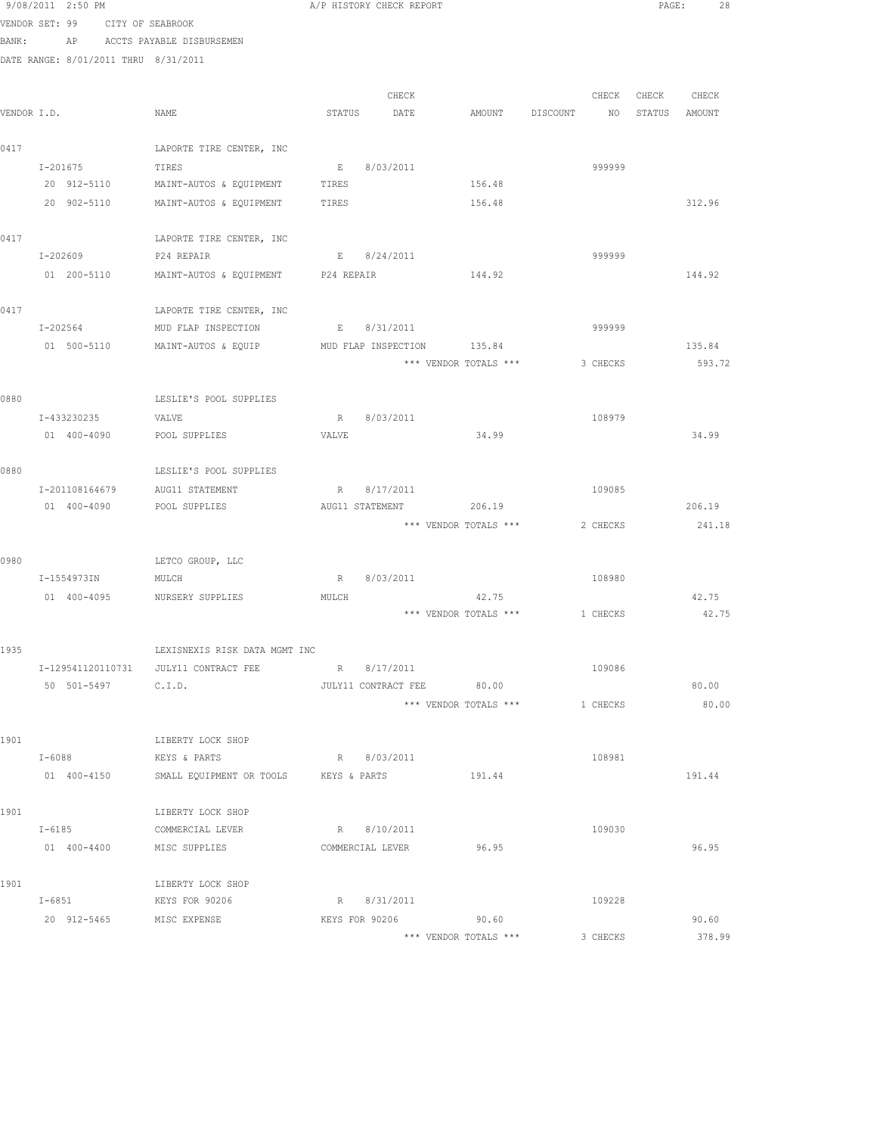|             | 9/08/2011 2:50 PM                    |                                       |            | A/P HISTORY CHECK REPORT  |                                |          |          | PAGE:         | 28     |  |
|-------------|--------------------------------------|---------------------------------------|------------|---------------------------|--------------------------------|----------|----------|---------------|--------|--|
|             | VENDOR SET: 99 CITY OF SEABROOK      |                                       |            |                           |                                |          |          |               |        |  |
| BANK:       |                                      | AP ACCTS PAYABLE DISBURSEMEN          |            |                           |                                |          |          |               |        |  |
|             | DATE RANGE: 8/01/2011 THRU 8/31/2011 |                                       |            |                           |                                |          |          |               |        |  |
|             |                                      |                                       |            |                           |                                |          |          |               |        |  |
|             |                                      |                                       |            | CHECK                     |                                |          | CHECK    | CHECK         | CHECK  |  |
| VENDOR I.D. |                                      | NAME                                  | STATUS     | DATE                      | AMOUNT                         | DISCOUNT | NO       | STATUS AMOUNT |        |  |
| 0417        |                                      | LAPORTE TIRE CENTER, INC              |            |                           |                                |          |          |               |        |  |
|             | I-201675                             | TIRES                                 | $E = 1$    | 8/03/2011                 |                                |          | 999999   |               |        |  |
|             |                                      | 20 912-5110 MAINT-AUTOS & EQUIPMENT   | TIRES      |                           | 156.48                         |          |          |               |        |  |
|             |                                      | 20 902-5110 MAINT-AUTOS & EQUIPMENT   | TIRES      |                           | 156.48                         |          |          |               | 312.96 |  |
|             |                                      |                                       |            |                           |                                |          |          |               |        |  |
| 0417        |                                      | LAPORTE TIRE CENTER, INC              |            |                           |                                |          |          |               |        |  |
|             | I-202609                             | P24 REPAIR                            |            | E 8/24/2011               |                                |          | 999999   |               |        |  |
|             | 01 200-5110                          | MAINT-AUTOS & EQUIPMENT               | P24 REPAIR |                           | 144.92                         |          |          |               | 144.92 |  |
| 0417        |                                      | LAPORTE TIRE CENTER, INC              |            |                           |                                |          |          |               |        |  |
|             | I-202564                             | MUD FLAP INSPECTION                   |            | E 8/31/2011               |                                |          | 999999   |               |        |  |
|             | 01 500-5110                          | MAINT-AUTOS & EQUIP                   |            | MUD FLAP INSPECTION       | 135.84                         |          |          |               | 135.84 |  |
|             |                                      |                                       |            |                           | *** VENDOR TOTALS ***          |          | 3 CHECKS |               | 593.72 |  |
|             |                                      |                                       |            |                           |                                |          |          |               |        |  |
| 0880        |                                      | LESLIE'S POOL SUPPLIES                |            |                           |                                |          |          |               |        |  |
|             | I-433230235                          | VALVE                                 | R          | 8/03/2011                 |                                |          | 108979   |               |        |  |
|             | 01 400-4090                          | POOL SUPPLIES                         | VALVE      |                           | 34.99                          |          |          |               | 34.99  |  |
| 0880        |                                      | LESLIE'S POOL SUPPLIES                |            |                           |                                |          |          |               |        |  |
|             | I-201108164679                       | AUG11 STATEMENT                       |            | R 8/17/2011               |                                |          | 109085   |               |        |  |
|             | 01 400-4090                          | POOL SUPPLIES                         |            | AUG11 STATEMENT           | 206.19                         |          |          |               | 206.19 |  |
|             |                                      |                                       |            |                           | *** VENDOR TOTALS ***          |          | 2 CHECKS |               | 241.18 |  |
|             |                                      |                                       |            |                           |                                |          |          |               |        |  |
| 0980        |                                      | LETCO GROUP, LLC                      |            |                           |                                |          |          |               |        |  |
|             | I-1554973IN                          | MULCH                                 | R          | 8/03/2011                 |                                |          | 108980   |               |        |  |
|             |                                      | 01 400-4095 NURSERY SUPPLIES          | MULCH      |                           | 42.75                          |          |          |               | 42.75  |  |
|             |                                      |                                       |            |                           | *** VENDOR TOTALS *** 1 CHECKS |          |          |               | 42.75  |  |
| 1935        |                                      | LEXISNEXIS RISK DATA MGMT INC         |            |                           |                                |          |          |               |        |  |
|             |                                      | I-129541120110731 JULY11 CONTRACT FEE |            | R 8/17/2011               |                                |          | 109086   |               |        |  |
|             | 50 501-5497 C.I.D.                   |                                       |            | JULY11 CONTRACT FEE 80.00 |                                |          |          |               | 80.00  |  |
|             |                                      |                                       |            |                           | *** VENDOR TOTALS ***          |          | 1 CHECKS |               | 80.00  |  |
|             |                                      |                                       |            |                           |                                |          |          |               |        |  |
| 1901        |                                      | LIBERTY LOCK SHOP                     |            |                           |                                |          |          |               |        |  |
|             | $I - 6088$                           | KEYS & PARTS                          |            | R 8/03/2011               |                                |          | 108981   |               |        |  |
|             | 01 400-4150                          | SMALL EQUIPMENT OR TOOLS KEYS & PARTS |            |                           | 191.44                         |          |          |               | 191.44 |  |
| 1901        |                                      | LIBERTY LOCK SHOP                     |            |                           |                                |          |          |               |        |  |
|             | $I - 6185$                           | COMMERCIAL LEVER                      |            | R 8/10/2011               |                                |          | 109030   |               |        |  |
|             | 01 400-4400 MISC SUPPLIES            |                                       |            | COMMERCIAL LEVER          | 96.95                          |          |          |               | 96.95  |  |
|             |                                      |                                       |            |                           |                                |          |          |               |        |  |
| 1901        | I-6851                               | LIBERTY LOCK SHOP<br>KEYS FOR 90206   |            | R 8/31/2011               |                                |          | 109228   |               |        |  |
|             | 20 912-5465                          | MISC EXPENSE                          |            | KEYS FOR 90206            | 90.60                          |          |          |               | 90.60  |  |
|             |                                      |                                       |            |                           |                                |          |          |               |        |  |

\*\*\* VENDOR TOTALS \*\*\* 3 CHECKS 378.99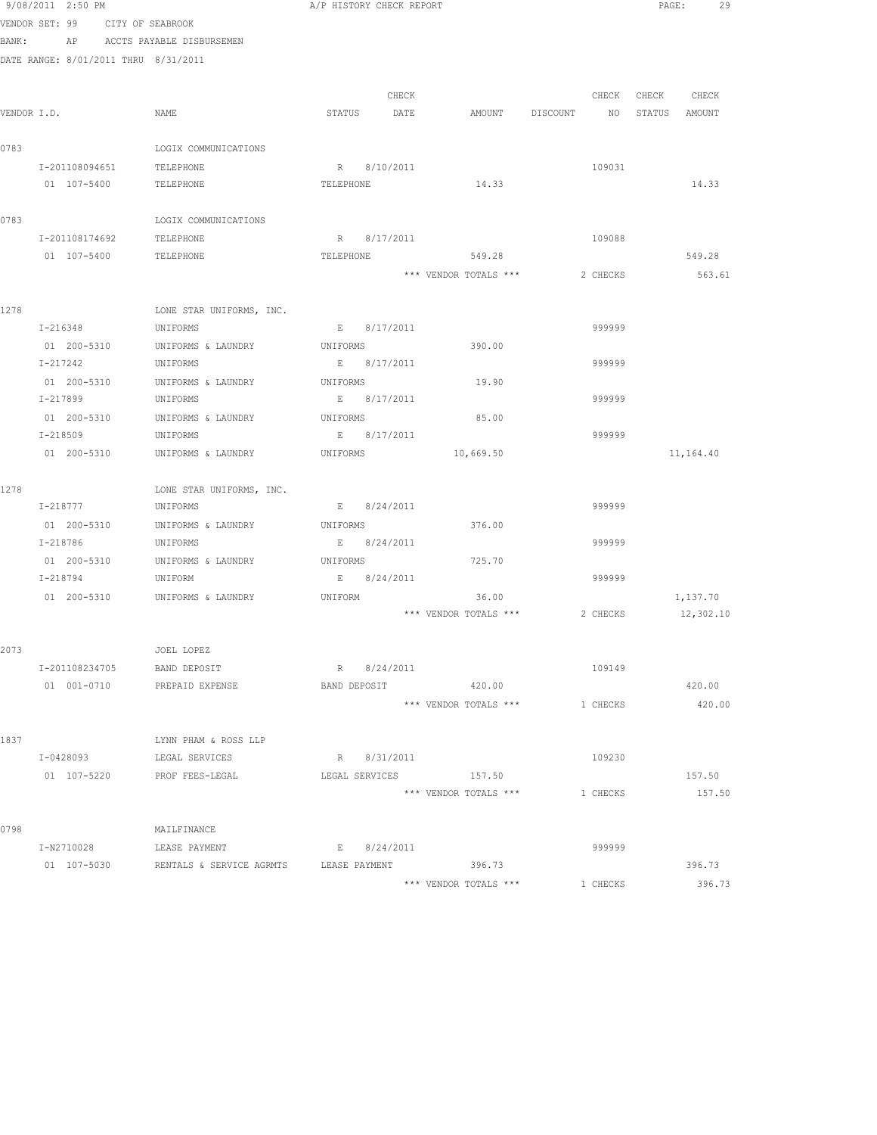|       | 9/08/2011 2:50 PM                    |                                        | A/P HISTORY CHECK REPORT |       |                       |                                  | PAGE:<br>29       |
|-------|--------------------------------------|----------------------------------------|--------------------------|-------|-----------------------|----------------------------------|-------------------|
|       | VENDOR SET: 99 CITY OF SEABROOK      |                                        |                          |       |                       |                                  |                   |
| BANK: |                                      | AP ACCTS PAYABLE DISBURSEMEN           |                          |       |                       |                                  |                   |
|       | DATE RANGE: 8/01/2011 THRU 8/31/2011 |                                        |                          |       |                       |                                  |                   |
|       |                                      |                                        |                          |       |                       |                                  |                   |
|       |                                      |                                        |                          | CHECK |                       |                                  | CHECK CHECK CHECK |
|       | VENDOR I.D.                          | NAME                                   | STATUS DATE              |       |                       | AMOUNT DISCOUNT NO STATUS AMOUNT |                   |
|       |                                      |                                        |                          |       |                       |                                  |                   |
| 0783  |                                      | LOGIX COMMUNICATIONS                   |                          |       |                       |                                  |                   |
|       | I-201108094651                       | TELEPHONE                              | R 8/10/2011              |       |                       | 109031                           |                   |
|       | 01 107-5400                          | TELEPHONE                              | TELEPHONE                |       | 14.33                 |                                  | 14.33             |
|       |                                      |                                        |                          |       |                       |                                  |                   |
| 0783  |                                      | LOGIX COMMUNICATIONS                   |                          |       |                       |                                  |                   |
|       | I-201108174692                       | TELEPHONE                              | R 8/17/2011              |       |                       | 109088                           |                   |
|       | 01 107-5400                          | TELEPHONE                              | TELEPHONE                |       | 549.28                |                                  | 549.28            |
|       |                                      |                                        |                          |       | *** VENDOR TOTALS *** | 2 CHECKS                         | 563.61            |
|       |                                      |                                        |                          |       |                       |                                  |                   |
| 1278  |                                      | LONE STAR UNIFORMS, INC.               |                          |       |                       |                                  |                   |
|       | I-216348                             | UNIFORMS                               | E 8/17/2011              |       |                       | 999999                           |                   |
|       | 01 200-5310                          | UNIFORMS & LAUNDRY                     | UNIFORMS                 |       | 390.00                |                                  |                   |
|       | I-217242                             | UNIFORMS                               | E 8/17/2011              |       |                       | 999999                           |                   |
|       |                                      | 01 200-5310 UNIFORMS & LAUNDRY         | UNIFORMS                 |       | 19.90                 |                                  |                   |
|       | I-217899 UNIFORMS                    |                                        | E 8/17/2011              |       |                       | 999999                           |                   |
|       |                                      | 01 200-5310 UNIFORMS & LAUNDRY         | UNIFORMS                 |       | 85.00                 |                                  |                   |
|       | I-218509                             | UNIFORMS                               | E 8/17/2011              |       |                       | 999999                           |                   |
|       | 01 200-5310                          | UNIFORMS & LAUNDRY                     | UNIFORMS                 |       | 10,669.50             |                                  | 11,164.40         |
|       |                                      |                                        |                          |       |                       |                                  |                   |
| 1278  |                                      | LONE STAR UNIFORMS, INC.               |                          |       |                       |                                  |                   |
|       | I-218777                             | UNIFORMS                               | E 8/24/2011              |       |                       | 999999                           |                   |
|       | 01 200-5310                          | UNIFORMS & LAUNDRY                     | UNIFORMS                 |       | 376.00                |                                  |                   |
|       | I-218786                             | UNIFORMS                               | E 8/24/2011              |       |                       | 999999                           |                   |
|       |                                      | 01 200-5310 UNIFORMS & LAUNDRY         | UNIFORMS                 |       | 725.70                |                                  |                   |
|       | I-218794                             | UNIFORM                                | E 8/24/2011              |       |                       | 999999                           |                   |
|       |                                      | 01 200-5310 UNIFORMS & LAUNDRY         | UNIFORM                  |       | 36.00                 |                                  | 1,137.70          |
|       |                                      |                                        |                          |       | *** VENDOR TOTALS *** | 2 CHECKS                         | 12,302.10         |
|       |                                      |                                        |                          |       |                       |                                  |                   |
| 2073  |                                      | JOEL LOPEZ                             |                          |       |                       |                                  |                   |
|       | I-201108234705                       | BAND DEPOSIT                           | R 8/24/2011              |       |                       | 109149                           |                   |
|       | 01 001-0710                          | PREPAID EXPENSE                        | BAND DEPOSIT             |       | 420.00                |                                  | 420.00            |
|       |                                      |                                        |                          |       | *** VENDOR TOTALS *** | 1 CHECKS                         | 420.00            |
|       |                                      |                                        |                          |       |                       |                                  |                   |
| 1837  |                                      | LYNN PHAM & ROSS LLP                   |                          |       |                       |                                  |                   |
|       | I-0428093                            | LEGAL SERVICES                         | R 8/31/2011              |       |                       | 109230                           |                   |
|       | 01 107-5220 PROF FEES-LEGAL          |                                        | LEGAL SERVICES           |       | 157.50                |                                  | 157.50            |
|       |                                      |                                        |                          |       | *** VENDOR TOTALS *** | 1 CHECKS                         | 157.50            |
|       |                                      |                                        |                          |       |                       |                                  |                   |
| 0798  |                                      | MAILFINANCE                            |                          |       |                       |                                  |                   |
|       | I-N2710028                           | LEASE PAYMENT                          | E 8/24/2011              |       |                       | 999999                           |                   |
|       | 01 107-5030                          | RENTALS & SERVICE AGRMTS LEASE PAYMENT |                          |       | 396.73                |                                  | 396.73            |
|       |                                      |                                        |                          |       | *** VENDOR TOTALS *** | 1 CHECKS                         | 396.73            |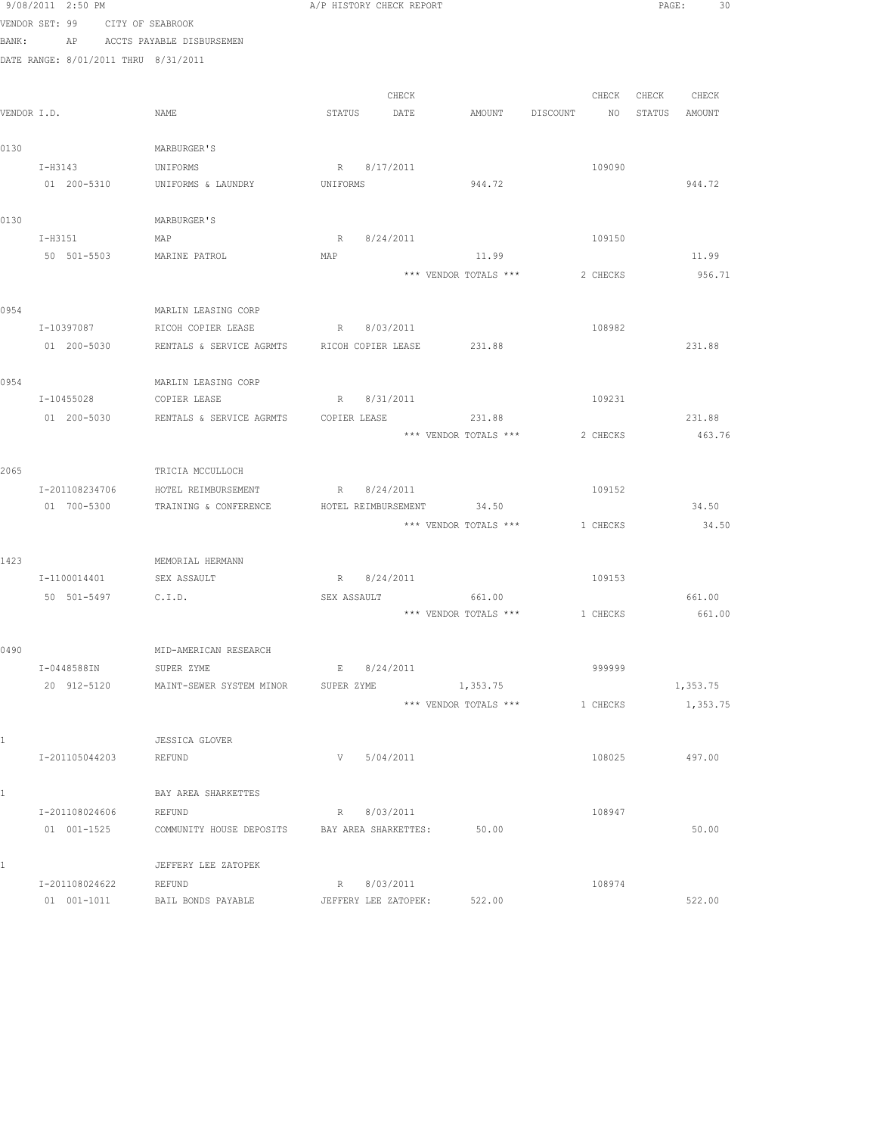|             | 9/08/2011 2:50 PM                    |                                                    | A/P HISTORY CHECK REPORT |                             |                                |          |                   | PAGE:<br>30 |
|-------------|--------------------------------------|----------------------------------------------------|--------------------------|-----------------------------|--------------------------------|----------|-------------------|-------------|
|             | VENDOR SET: 99 CITY OF SEABROOK      |                                                    |                          |                             |                                |          |                   |             |
| BANK:       |                                      | AP ACCTS PAYABLE DISBURSEMEN                       |                          |                             |                                |          |                   |             |
|             | DATE RANGE: 8/01/2011 THRU 8/31/2011 |                                                    |                          |                             |                                |          |                   |             |
|             |                                      |                                                    |                          |                             |                                |          |                   |             |
|             |                                      |                                                    |                          | CHECK                       |                                |          | CHECK CHECK CHECK |             |
| VENDOR I.D. |                                      | NAME                                               | STATUS DATE              |                             | AMOUNT DISCOUNT                |          | NO STATUS AMOUNT  |             |
|             |                                      |                                                    |                          |                             |                                |          |                   |             |
| 0130        |                                      | MARBURGER'S                                        |                          |                             |                                |          |                   |             |
|             | I-H3143                              | UNIFORMS                                           | R 8/17/2011              |                             |                                | 109090   |                   |             |
|             | 01 200-5310                          | UNIFORMS & LAUNDRY                                 | UNIFORMS                 |                             | 944.72                         |          |                   | 944.72      |
|             |                                      |                                                    |                          |                             |                                |          |                   |             |
| 0130        |                                      | MARBURGER'S                                        |                          |                             |                                |          |                   |             |
|             | I-H3151<br>50 501-5503               | MAP                                                | R 8/24/2011<br>MAP       |                             | 11.99                          | 109150   |                   | 11.99       |
|             |                                      | MARINE PATROL                                      |                          |                             |                                |          |                   |             |
|             |                                      |                                                    |                          |                             | *** VENDOR TOTALS ***          | 2 CHECKS |                   | 956.71      |
| 0954        |                                      | MARLIN LEASING CORP                                |                          |                             |                                |          |                   |             |
|             | I-10397087                           | RICOH COPIER LEASE                                 | R 8/03/2011              |                             |                                | 108982   |                   |             |
|             | 01 200-5030                          | RENTALS & SERVICE AGRMTS RICOH COPIER LEASE 231.88 |                          |                             |                                |          |                   | 231.88      |
|             |                                      |                                                    |                          |                             |                                |          |                   |             |
| 0954        |                                      | MARLIN LEASING CORP                                |                          |                             |                                |          |                   |             |
|             | I-10455028                           | COPIER LEASE                                       |                          | R 8/31/2011                 |                                | 109231   |                   |             |
|             | 01 200-5030                          |                                                    |                          |                             |                                |          |                   | 231.88      |
|             |                                      |                                                    |                          |                             | *** VENDOR TOTALS ***          | 2 CHECKS |                   | 463.76      |
|             |                                      |                                                    |                          |                             |                                |          |                   |             |
| 2065        |                                      | TRICIA MCCULLOCH                                   |                          |                             |                                |          |                   |             |
|             | I-201108234706                       | HOTEL REIMBURSEMENT                                |                          | R 8/24/2011                 |                                | 109152   |                   |             |
|             | 01 700-5300                          | TRAINING & CONFERENCE                              |                          | HOTEL REIMBURSEMENT         | 34.50                          |          |                   | 34.50       |
|             |                                      |                                                    |                          |                             | *** VENDOR TOTALS ***          | 1 CHECKS |                   | 34.50       |
|             |                                      |                                                    |                          |                             |                                |          |                   |             |
| 1423        |                                      | MEMORIAL HERMANN                                   |                          |                             |                                |          |                   |             |
|             | I-1100014401                         | SEX ASSAULT                                        | R 8/24/2011              |                             |                                | 109153   |                   |             |
|             | 50 501-5497 C.I.D.                   |                                                    | SEX ASSAULT              |                             | 661.00                         |          |                   | 661.00      |
|             |                                      |                                                    |                          |                             | *** VENDOR TOTALS *** 1 CHECKS |          |                   | 661.00      |
|             |                                      |                                                    |                          |                             |                                |          |                   |             |
| 0490        |                                      | MID-AMERICAN RESEARCH                              |                          |                             |                                |          |                   |             |
|             | I-0448588IN                          | SUPER ZYME                                         | E                        | 8/24/2011                   |                                | 999999   |                   |             |
|             | 20 912-5120                          | MAINT-SEWER SYSTEM MINOR                           | SUPER ZYME               |                             | 1,353.75                       |          |                   | 1,353.75    |
|             |                                      |                                                    |                          |                             | *** VENDOR TOTALS ***          | 1 CHECKS |                   | 1,353.75    |
|             |                                      |                                                    |                          |                             |                                |          |                   |             |
| 1           |                                      | <b>JESSICA GLOVER</b>                              |                          |                             |                                |          |                   |             |
|             | I-201105044203                       | REFUND                                             | V                        | 5/04/2011                   |                                | 108025   |                   | 497.00      |
| 1           |                                      | BAY AREA SHARKETTES                                |                          |                             |                                |          |                   |             |
|             | I-201108024606                       |                                                    | R                        | 8/03/2011                   |                                | 108947   |                   |             |
|             | 01 001-1525                          | REFUND<br>COMMUNITY HOUSE DEPOSITS                 | BAY AREA SHARKETTES:     |                             | 50.00                          |          |                   | 50.00       |
|             |                                      |                                                    |                          |                             |                                |          |                   |             |
| 1           |                                      | JEFFERY LEE ZATOPEK                                |                          |                             |                                |          |                   |             |
|             | I-201108024622                       | REFUND                                             | R 8/03/2011              |                             |                                | 108974   |                   |             |
|             | 01 001-1011                          | BAIL BONDS PAYABLE                                 |                          | JEFFERY LEE ZATOPEK: 522.00 |                                |          |                   | 522.00      |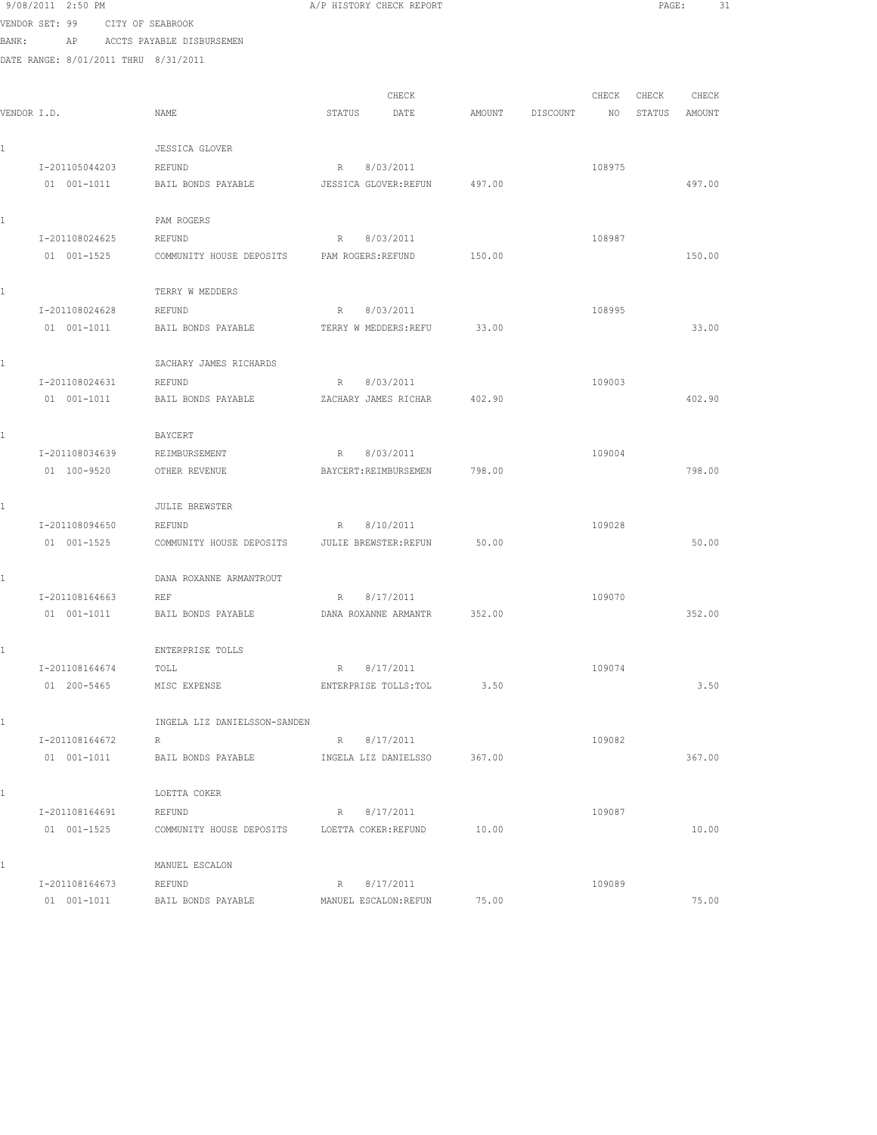|       | 9/08/2011 2:50 PM                    |                                     | A/P HISTORY CHECK REPORT                    |        |          |        | PAGE:  | 31     |  |
|-------|--------------------------------------|-------------------------------------|---------------------------------------------|--------|----------|--------|--------|--------|--|
|       | VENDOR SET: 99                       | CITY OF SEABROOK                    |                                             |        |          |        |        |        |  |
| BANK: | AP                                   | ACCTS PAYABLE DISBURSEMEN           |                                             |        |          |        |        |        |  |
|       | DATE RANGE: 8/01/2011 THRU 8/31/2011 |                                     |                                             |        |          |        |        |        |  |
|       |                                      |                                     |                                             |        |          |        |        |        |  |
|       |                                      |                                     | CHECK                                       |        |          | CHECK  | CHECK  | CHECK  |  |
|       | VENDOR I.D.                          | NAME                                | STATUS<br>DATE                              | AMOUNT | DISCOUNT | NO     | STATUS | AMOUNT |  |
|       |                                      |                                     |                                             |        |          |        |        |        |  |
| 1     |                                      | <b>JESSICA GLOVER</b>               |                                             |        |          |        |        |        |  |
|       | I-201105044203<br>01 001-1011        | <b>REFUND</b><br>BAIL BONDS PAYABLE | 8/03/2011<br>$R =$<br>JESSICA GLOVER: REFUN | 497.00 |          | 108975 |        | 497.00 |  |
|       |                                      |                                     |                                             |        |          |        |        |        |  |
| 1     |                                      | PAM ROGERS                          |                                             |        |          |        |        |        |  |
|       | I-201108024625                       | REFUND                              | R<br>8/03/2011                              |        |          | 108987 |        |        |  |
|       | 01 001-1525                          | COMMUNITY HOUSE DEPOSITS            | PAM ROGERS: REFUND                          | 150.00 |          |        |        | 150.00 |  |
|       |                                      |                                     |                                             |        |          |        |        |        |  |
| 1     |                                      | TERRY W MEDDERS                     |                                             |        |          |        |        |        |  |
|       | I-201108024628                       | REFUND                              | 8/03/2011<br>R                              |        |          | 108995 |        |        |  |
|       | $01 001 - 1011$                      | BAIL BONDS PAYABLE                  | TERRY W MEDDERS: REFU                       | 33.00  |          |        |        | 33.00  |  |
|       |                                      |                                     |                                             |        |          |        |        |        |  |
| 1     |                                      | ZACHARY JAMES RICHARDS              |                                             |        |          |        |        |        |  |
|       | I-201108024631                       | <b>REFUND</b>                       | 8/03/2011<br>$R_{\perp}$                    |        |          | 109003 |        |        |  |
|       | 01 001-1011                          | BAIL BONDS PAYABLE                  | ZACHARY JAMES RICHAR                        | 402.90 |          |        |        | 402.90 |  |
| 1     |                                      | BAYCERT                             |                                             |        |          |        |        |        |  |
|       | I-201108034639                       | REIMBURSEMENT                       | 8/03/2011<br>R                              |        |          | 109004 |        |        |  |
|       | 01 100-9520                          | OTHER REVENUE                       | BAYCERT: REIMBURSEMEN                       | 798.00 |          |        |        | 798.00 |  |
|       |                                      |                                     |                                             |        |          |        |        |        |  |
| 1     |                                      | <b>JULIE BREWSTER</b>               |                                             |        |          |        |        |        |  |
|       | I-201108094650                       | REFUND                              | 8/10/2011<br>R                              |        |          | 109028 |        |        |  |
|       | 01 001-1525                          | COMMUNITY HOUSE DEPOSITS            | JULIE BREWSTER: REFUN                       | 50.00  |          |        |        | 50.00  |  |
|       |                                      |                                     |                                             |        |          |        |        |        |  |
| 1     |                                      | DANA ROXANNE ARMANTROUT             |                                             |        |          |        |        |        |  |
|       | I-201108164663                       | REF                                 | 8/17/2011<br>R.                             |        |          | 109070 |        |        |  |
|       | 01 001-1011                          | BAIL BONDS PAYABLE                  | DANA ROXANNE ARMANTR                        | 352.00 |          |        |        | 352.00 |  |
| 1     |                                      | ENTERPRISE TOLLS                    |                                             |        |          |        |        |        |  |
|       | I-201108164674                       | TOLL                                | R<br>8/17/2011                              |        |          | 109074 |        |        |  |
|       | 01 200-5465                          | MISC EXPENSE                        | ENTERPRISE TOLLS: TOL                       | 3.50   |          |        |        | 3.50   |  |
|       |                                      |                                     |                                             |        |          |        |        |        |  |
| 1     |                                      | INGELA LIZ DANIELSSON-SANDEN        |                                             |        |          |        |        |        |  |
|       | I-201108164672                       | R                                   | R 8/17/2011                                 |        |          | 109082 |        |        |  |
|       | 01 001-1011                          | BAIL BONDS PAYABLE                  | INGELA LIZ DANIELSSO                        | 367.00 |          |        |        | 367.00 |  |
|       |                                      |                                     |                                             |        |          |        |        |        |  |
| 1     |                                      | LOETTA COKER                        |                                             |        |          |        |        |        |  |
|       | I-201108164691                       | REFUND                              | R<br>8/17/2011                              |        |          | 109087 |        |        |  |
|       | 01 001-1525                          | COMMUNITY HOUSE DEPOSITS            | LOETTA COKER: REFUND                        | 10.00  |          |        |        | 10.00  |  |
| 1     |                                      | MANUEL ESCALON                      |                                             |        |          |        |        |        |  |
|       | I-201108164673                       | REFUND                              | R<br>8/17/2011                              |        |          | 109089 |        |        |  |
|       | 01 001-1011                          | BAIL BONDS PAYABLE                  | MANUEL ESCALON: REFUN                       | 75.00  |          |        |        | 75.00  |  |
|       |                                      |                                     |                                             |        |          |        |        |        |  |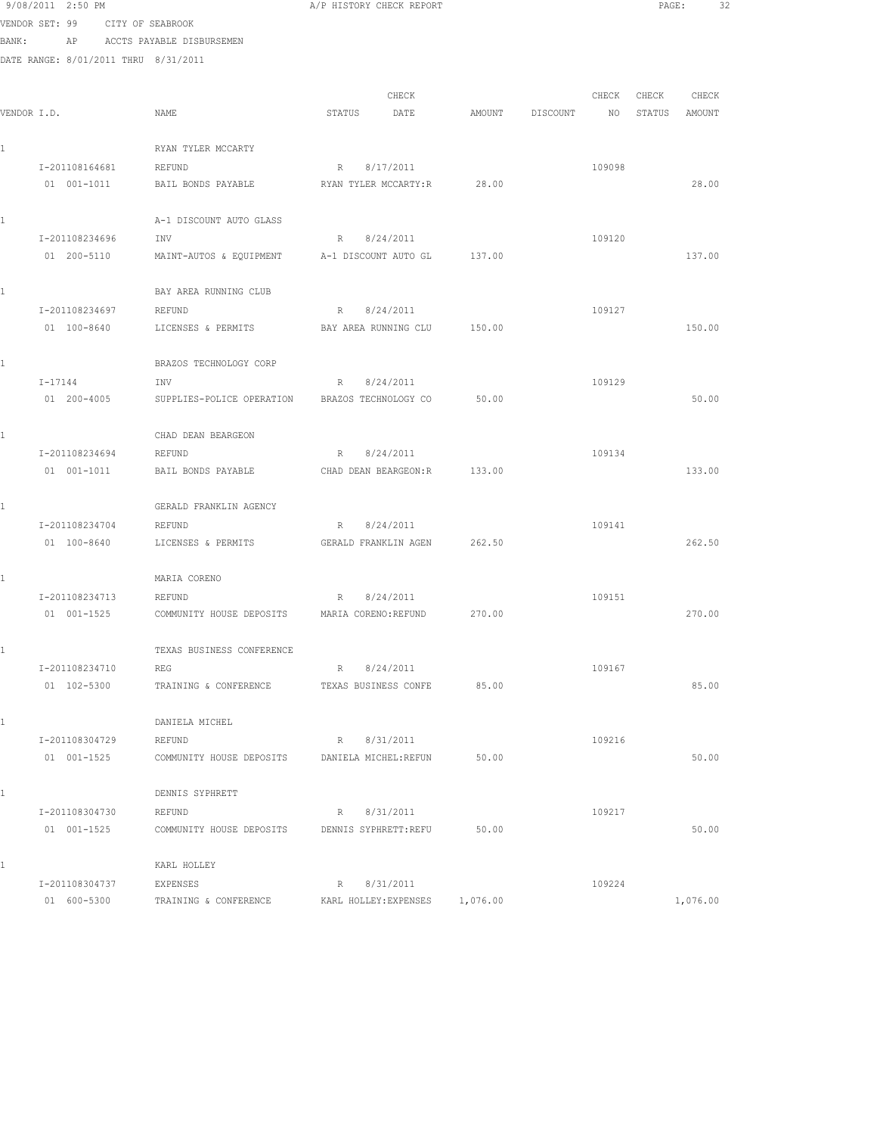9/08/2011 2:50 PM A/P HISTORY CHECK REPORT PAGE: 32 VENDOR SET: 99 CITY OF SEABROOK BANK: AP ACCTS PAYABLE DISBURSEMEN DATE RANGE: 8/01/2011 THRU 8/31/2011 CHECK CHECK CHECK CHECK VENDOR I.D. NAME STATUS DATE AMOUNT DISCOUNT NO STATUS AMOUNT 1 RYAN TYLER MCCARTY I-201108164681 REFUND R 8/17/2011 109098 01 001-1011 BAIL BONDS PAYABLE RYAN TYLER MCCARTY:R 28.00 28.00 1 A-1 DISCOUNT AUTO GLASS I-201108234696 INV R 8/24/2011 109120 01 200-5110 MAINT-AUTOS & EQUIPMENT A-1 DISCOUNT AUTO GL 137.00 137.00 1 BAY AREA RUNNING CLUB I-201108234697 REFUND R 8/24/2011 109127 01 100-8640 LICENSES & PERMITS BAY AREA RUNNING CLU 150.00 150.00 1 BRAZOS TECHNOLOGY CORP I-17144 INV R 8/24/2011 109129 01 200-4005 SUPPLIES-POLICE OPERATION BRAZOS TECHNOLOGY CO 50.00 50.00 1 CHAD DEAN BEARGEON I-201108234694 REFUND R 8/24/2011 109134 01 001-1011 BAIL BONDS PAYABLE CHAD DEAN BEARGEON:R 133.00 133.00 1 GERALD FRANKLIN AGENCY I-201108234704 REFUND R 8/24/2011 109141 01 100-8640 LICENSES & PERMITS GERALD FRANKLIN AGEN 262.50 262.50 1 MARIA CORENO I-201108234713 REFUND R 8/24/2011 109151 01 001-1525 COMMUNITY HOUSE DEPOSITS MARIA CORENO:REFUND 270.00 270.00 1 TEXAS BUSINESS CONFERENCE I-201108234710 REG R 8/24/2011 109167 01 102-5300 TRAINING & CONFERENCE TEXAS BUSINESS CONFE 85.00 85.00 85.00 1 DANIELA MICHEL I-201108304729 REFUND R 8/31/2011 109216 01 001-1525 COMMUNITY HOUSE DEPOSITS DANIELA MICHEL:REFUN 50.00 50.00 50.00 1 DENNIS SYPHRETT I-201108304730 REFUND R 8/31/2011 109217 01 001-1525 COMMUNITY HOUSE DEPOSITS DENNIS SYPHRETT:REFU 50.00 50.00 1 KARL HOLLEY I-201108304737 EXPENSES R 8/31/2011 109224

01 600-5300 TRAINING & CONFERENCE KARL HOLLEY: EXPENSES 1,076.00 1,076.00 1,076.00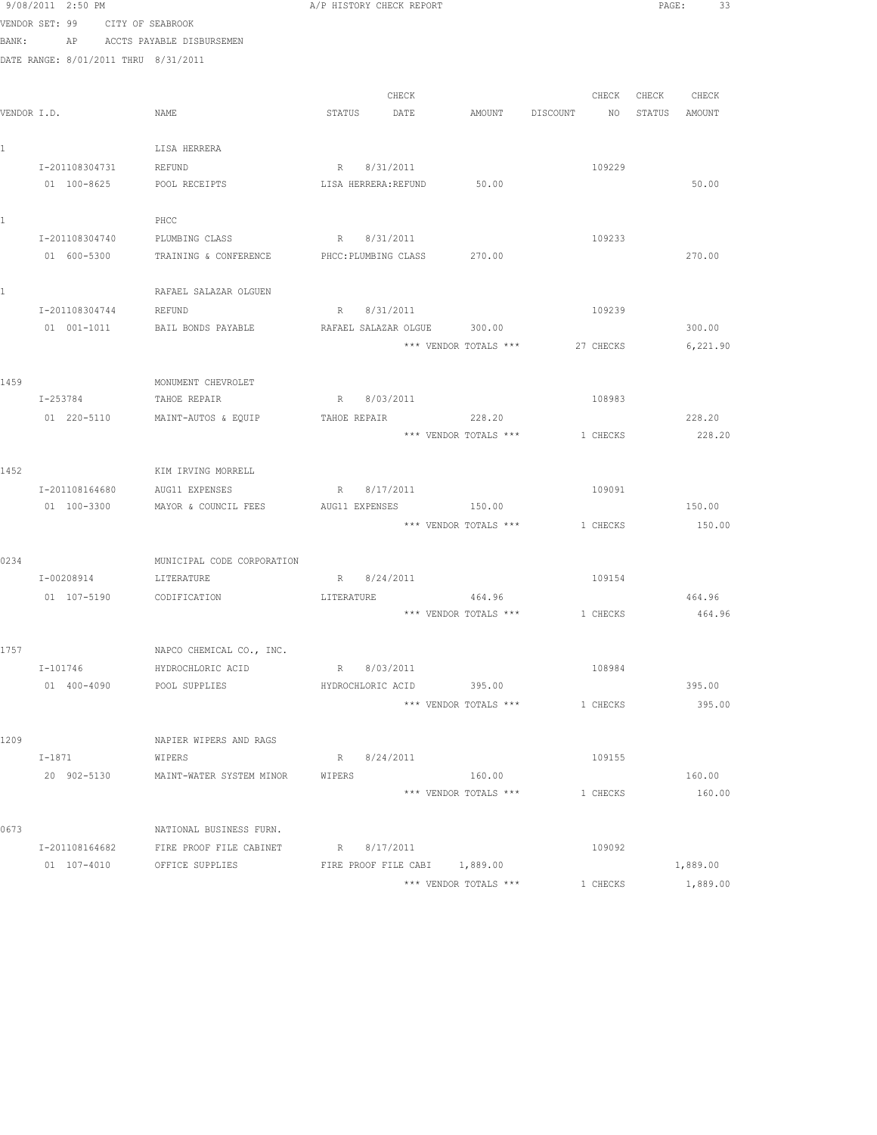|       | 9/08/2011 2:50 PM                    |                                        | A/P HISTORY CHECK REPORT                               |                                  | PAGE:<br>33       |
|-------|--------------------------------------|----------------------------------------|--------------------------------------------------------|----------------------------------|-------------------|
|       | VENDOR SET: 99 CITY OF SEABROOK      |                                        |                                                        |                                  |                   |
| BANK: |                                      | AP ACCTS PAYABLE DISBURSEMEN           |                                                        |                                  |                   |
|       | DATE RANGE: 8/01/2011 THRU 8/31/2011 |                                        |                                                        |                                  |                   |
|       |                                      |                                        |                                                        |                                  |                   |
|       |                                      |                                        | CHECK                                                  |                                  | CHECK CHECK CHECK |
|       | VENDOR I.D.                          | NAME                                   | STATUS DATE                                            | AMOUNT DISCOUNT NO STATUS AMOUNT |                   |
|       |                                      |                                        |                                                        |                                  |                   |
| 1     |                                      | LISA HERRERA                           |                                                        |                                  |                   |
|       | I-201108304731                       | REFUND                                 | R 8/31/2011                                            | 109229                           |                   |
|       | 01 100-8625                          | POOL RECEIPTS                          | LISA HERRERA: REFUND 50.00                             |                                  | 50.00             |
|       |                                      |                                        |                                                        |                                  |                   |
| 1     |                                      | PHCC                                   |                                                        |                                  |                   |
|       |                                      | I-201108304740 PLUMBING CLASS          | R 8/31/2011                                            | 109233                           |                   |
|       | 01 600-5300                          | TRAINING & CONFERENCE                  | PHCC: PLUMBING CLASS 270.00                            |                                  | 270.00            |
| 1     |                                      | RAFAEL SALAZAR OLGUEN                  |                                                        |                                  |                   |
|       | I-201108304744                       | REFUND                                 | R 8/31/2011                                            | 109239                           |                   |
|       | 01 001-1011                          | BAIL BONDS PAYABLE                     | RAFAEL SALAZAR OLGUE 300.00                            |                                  | 300.00            |
|       |                                      |                                        | *** VENDOR TOTALS ***                                  | 27 CHECKS                        | 6,221.90          |
|       |                                      |                                        |                                                        |                                  |                   |
| 1459  |                                      | MONUMENT CHEVROLET                     |                                                        |                                  |                   |
|       | I-253784                             | TAHOE REPAIR                           | R 8/03/2011                                            | 108983                           |                   |
|       |                                      | 01 220-5110 MAINT-AUTOS & EQUIP        | TAHOE REPAIR 228.20                                    |                                  | 228.20            |
|       |                                      |                                        | *** VENDOR TOTALS ***                                  | 1 CHECKS                         | 228.20            |
|       |                                      |                                        |                                                        |                                  |                   |
| 1452  |                                      | KIM IRVING MORRELL                     |                                                        |                                  |                   |
|       | I-201108164680                       | AUG11 EXPENSES                         | R 8/17/2011                                            | 109091                           |                   |
|       | 01 100-3300                          | MAYOR & COUNCIL FEES                   | AUG11 EXPENSES<br>150.00                               |                                  | 150.00            |
|       |                                      |                                        | *** VENDOR TOTALS ***                                  | 1 CHECKS                         | 150.00            |
|       |                                      |                                        |                                                        |                                  |                   |
| 0234  |                                      | MUNICIPAL CODE CORPORATION             |                                                        |                                  |                   |
|       | I-00208914                           | LITERATURE                             | R 8/24/2011                                            | 109154                           |                   |
|       | 01 107-5190 CODIFICATION             |                                        | 464.96<br>LITERATURE<br>*** VENDOR TOTALS *** 1 CHECKS |                                  | 464.96<br>464.96  |
|       |                                      |                                        |                                                        |                                  |                   |
| 1757  |                                      | NAPCO CHEMICAL CO., INC.               |                                                        |                                  |                   |
|       | I-101746                             | HYDROCHLORIC ACID                      | R 8/03/2011                                            | 108984                           |                   |
|       | 01 400-4090                          | POOL SUPPLIES                          | HYDROCHLORIC ACID 395.00                               |                                  | 395.00            |
|       |                                      |                                        | *** VENDOR TOTALS ***                                  | 1 CHECKS                         | 395.00            |
|       |                                      |                                        |                                                        |                                  |                   |
| 1209  |                                      | NAPIER WIPERS AND RAGS                 |                                                        |                                  |                   |
|       | I-1871                               | WIPERS                                 | R 8/24/2011                                            | 109155                           |                   |
|       | 20 902-5130                          | MAINT-WATER SYSTEM MINOR               | 160.00<br>WIPERS                                       |                                  | 160.00            |
|       |                                      |                                        | *** VENDOR TOTALS ***                                  | 1 CHECKS                         | 160.00            |
|       |                                      |                                        |                                                        |                                  |                   |
| 0673  |                                      | NATIONAL BUSINESS FURN.                |                                                        |                                  |                   |
|       |                                      | I-201108164682 FIRE PROOF FILE CABINET | R 8/17/2011                                            | 109092                           |                   |
|       |                                      | 01 107-4010 OFFICE SUPPLIES            | FIRE PROOF FILE CABI 1,889.00                          |                                  | 1,889.00          |
|       |                                      |                                        | *** VENDOR TOTALS ***                                  | 1 CHECKS                         | 1,889.00          |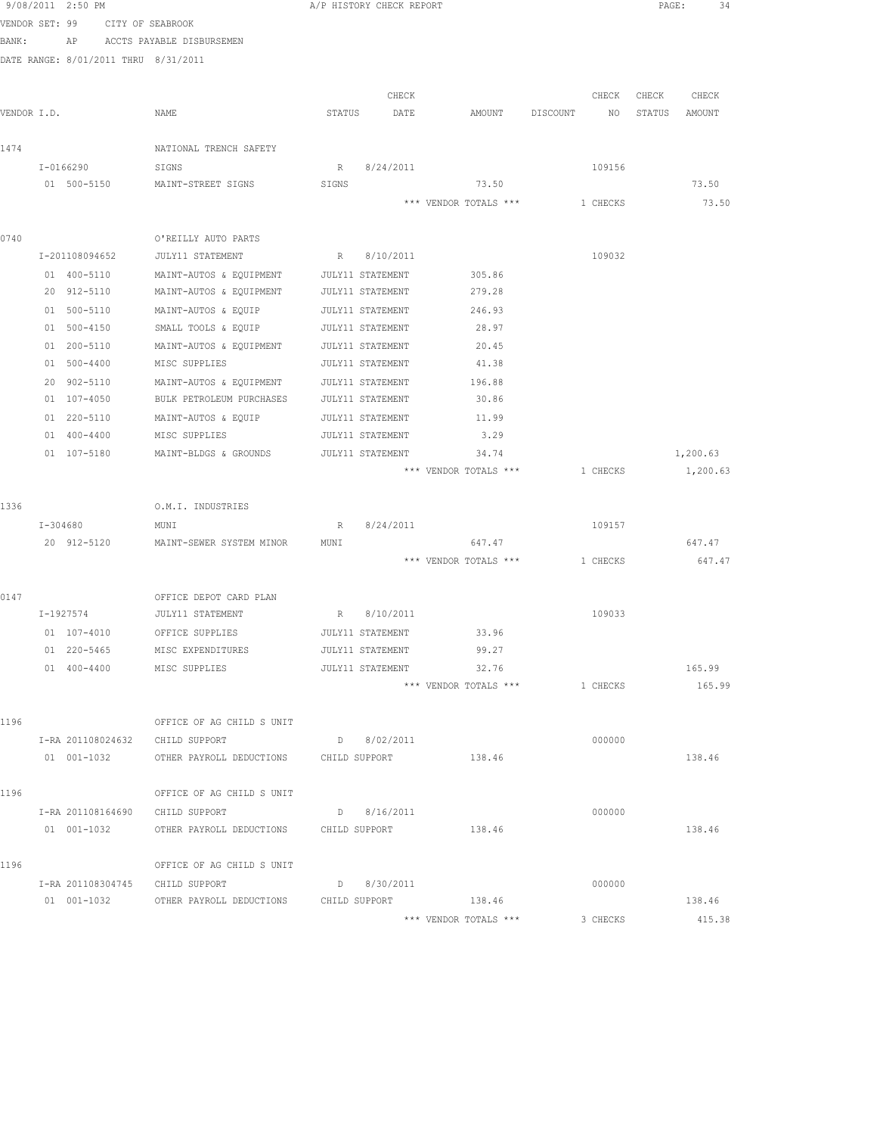|                | 9/08/2011 2:50 PM |                                                                                              |                  | A/P HISTORY CHECK REPORT |                                |             |          |       | PAGE:<br>34   |  |
|----------------|-------------------|----------------------------------------------------------------------------------------------|------------------|--------------------------|--------------------------------|-------------|----------|-------|---------------|--|
| VENDOR SET: 99 |                   | CITY OF SEABROOK                                                                             |                  |                          |                                |             |          |       |               |  |
| BANK:          |                   | AP ACCTS PAYABLE DISBURSEMEN                                                                 |                  |                          |                                |             |          |       |               |  |
|                |                   | DATE RANGE: 8/01/2011 THRU 8/31/2011                                                         |                  |                          |                                |             |          |       |               |  |
|                |                   |                                                                                              |                  |                          |                                |             |          |       |               |  |
|                |                   |                                                                                              |                  | CHECK                    |                                |             | CHECK    | CHECK | CHECK         |  |
| VENDOR I.D.    |                   | NAME                                                                                         | STATUS           | DATE                     | AMOUNT                         | DISCOUNT NO |          |       | STATUS AMOUNT |  |
| 1474           |                   | NATIONAL TRENCH SAFETY                                                                       |                  |                          |                                |             |          |       |               |  |
|                | I-0166290         | SIGNS                                                                                        |                  | R 8/24/2011              |                                |             | 109156   |       |               |  |
|                | 01 500-5150       | MAINT-STREET SIGNS                                                                           | SIGNS            |                          | 73.50                          |             |          |       | 73.50         |  |
|                |                   |                                                                                              |                  |                          | *** VENDOR TOTALS *** 1 CHECKS |             |          |       | 73.50         |  |
|                |                   |                                                                                              |                  |                          |                                |             |          |       |               |  |
| 0740           |                   | O'REILLY AUTO PARTS                                                                          |                  |                          |                                |             |          |       |               |  |
|                |                   | I-201108094652 JULY11 STATEMENT                                                              |                  | R 8/10/2011              |                                |             | 109032   |       |               |  |
|                |                   | 01  400-5110  MAINT-AUTOS & EQUIPMENT  JULY11 STATEMENT                                      |                  |                          | 305.86                         |             |          |       |               |  |
|                |                   | 20 912-5110 MAINT-AUTOS & EQUIPMENT JULY11 STATEMENT                                         |                  |                          | 279.28                         |             |          |       |               |  |
|                | 01 500-5110       | MAINT-AUTOS & EQUIP                                                                          | JULY11 STATEMENT |                          | 246.93                         |             |          |       |               |  |
|                | 01 500-4150       | SMALL TOOLS & EQUIP                                                                          |                  | JULY11 STATEMENT         | 28.97                          |             |          |       |               |  |
|                | 01 200-5110       | MAINT-AUTOS & EQUIPMENT                                                                      |                  | JULY11 STATEMENT         | 20.45                          |             |          |       |               |  |
|                | 01 500-4400       | MISC SUPPLIES                                                                                |                  | JULY11 STATEMENT         | 41.38                          |             |          |       |               |  |
|                | 20 902-5110       | MAINT-AUTOS & EQUIPMENT                                                                      |                  | JULY11 STATEMENT         | 196.88                         |             |          |       |               |  |
|                | 01 107-4050       | BULK PETROLEUM PURCHASES                                                                     |                  | JULY11 STATEMENT         | 30.86                          |             |          |       |               |  |
|                | 01 220-5110       | MAINT-AUTOS & EQUIP                                                                          |                  | JULY11 STATEMENT         | 11.99                          |             |          |       |               |  |
|                | 01 400-4400       | MISC SUPPLIES                                                                                |                  | JULY11 STATEMENT         | 3.29                           |             |          |       |               |  |
|                | 01 107-5180       | MAINT-BLDGS & GROUNDS                                                                        |                  | JULY11 STATEMENT         | 34.74                          |             |          |       | 1,200.63      |  |
|                |                   |                                                                                              |                  |                          | *** VENDOR TOTALS *** 1 CHECKS |             |          |       | 1,200.63      |  |
| 1336           |                   | O.M.I. INDUSTRIES                                                                            |                  |                          |                                |             |          |       |               |  |
|                | I-304680          | MUNI                                                                                         |                  | R 8/24/2011              |                                |             | 109157   |       |               |  |
|                | 20 912-5120       | MAINT-SEWER SYSTEM MINOR                                                                     | MUNI             |                          | 647.47                         |             |          |       | 647.47        |  |
|                |                   |                                                                                              |                  |                          | *** VENDOR TOTALS ***          |             | 1 CHECKS |       | 647.47        |  |
|                |                   |                                                                                              |                  |                          |                                |             |          |       |               |  |
| 0147           |                   | OFFICE DEPOT CARD PLAN                                                                       |                  |                          |                                |             |          |       |               |  |
|                | I-1927574         | JULY11 STATEMENT                                                                             |                  | R 8/10/2011              |                                |             | 109033   |       |               |  |
|                | 01 107-4010       | OFFICE SUPPLIES                                                                              |                  |                          | JULY11 STATEMENT 33.96         |             |          |       |               |  |
|                | 01 220-5465       | MISC EXPENDITURES                                                                            |                  | JULY11 STATEMENT         | 99.27                          |             |          |       |               |  |
|                |                   | 01 400-4400 MISC SUPPLIES                                                                    |                  | JULY11 STATEMENT         | 32.76                          |             |          |       | 165.99        |  |
|                |                   |                                                                                              |                  |                          | *** VENDOR TOTALS *** 1 CHECKS |             |          |       | 165.99        |  |
|                |                   |                                                                                              |                  |                          |                                |             |          |       |               |  |
| 1196           |                   | OFFICE OF AG CHILD S UNIT                                                                    |                  |                          |                                |             |          |       |               |  |
|                |                   | I-RA 201108024632 CHILD SUPPORT<br>01  001-1032    QTHER PAYROLL DEDUCTIONS    CHILD SUPPORT |                  | D 8/02/2011              | 138.46                         |             | 000000   |       | 138.46        |  |
|                |                   |                                                                                              |                  |                          |                                |             |          |       |               |  |
| 1196           |                   | OFFICE OF AG CHILD S UNIT                                                                    |                  |                          |                                |             |          |       |               |  |
|                |                   | I-RA 201108164690 CHILD SUPPORT                                                              |                  | D 8/16/2011              |                                |             | 000000   |       |               |  |
|                | 01 001-1032       | OTHER PAYROLL DEDUCTIONS CHILD SUPPORT                                                       |                  |                          | 138.46                         |             |          |       | 138.46        |  |
|                |                   |                                                                                              |                  |                          |                                |             |          |       |               |  |
| 1196           |                   | OFFICE OF AG CHILD S UNIT                                                                    |                  |                          |                                |             |          |       |               |  |
|                |                   | I-RA 201108304745 CHILD SUPPORT                                                              |                  | D 8/30/2011              |                                |             | 000000   |       |               |  |
|                |                   | 01 001-1032 OTHER PAYROLL DEDUCTIONS CHILD SUPPORT 138.46                                    |                  |                          |                                |             |          |       | 138.46        |  |
|                |                   |                                                                                              |                  |                          | *** VENDOR TOTALS ***          |             | 3 CHECKS |       | 415.38        |  |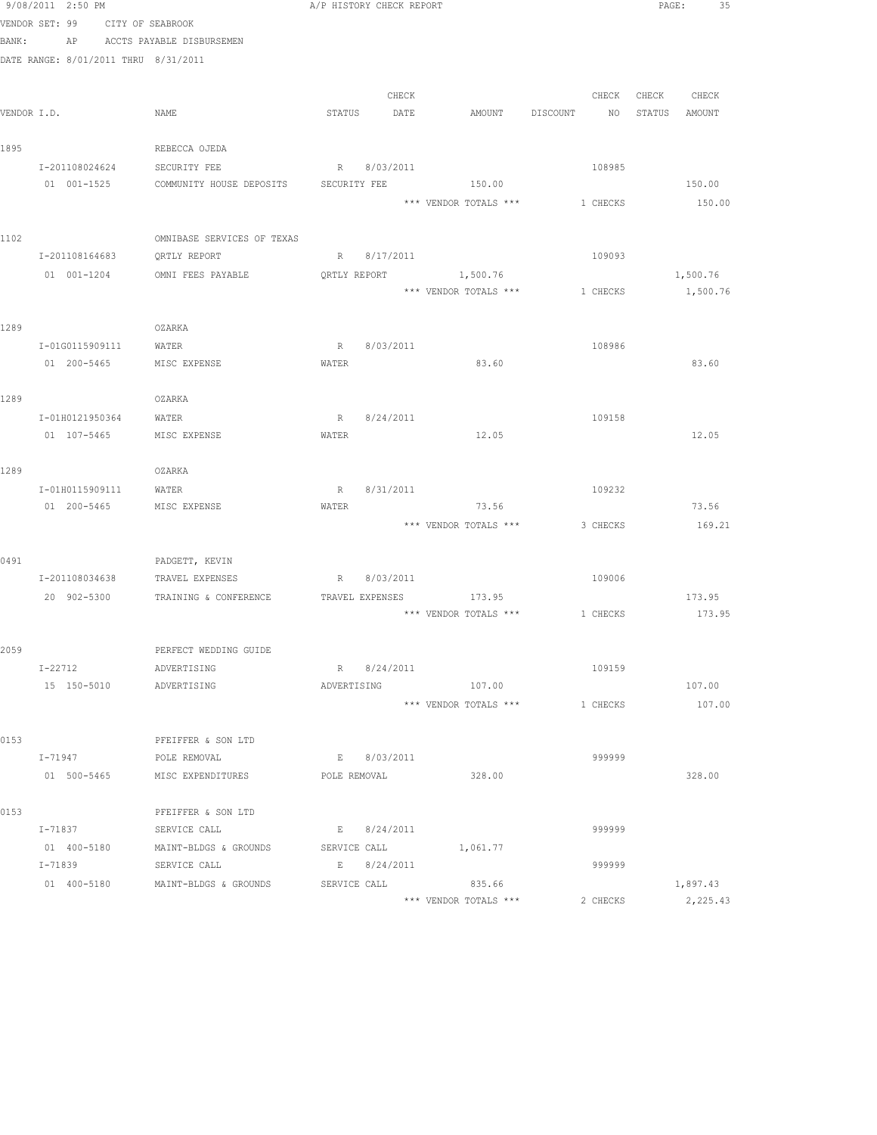|             | 9/08/2011 2:50 PM                    |                                                          | A/P HISTORY CHECK REPORT    |       |                       |                | PAGE:            | 35 |
|-------------|--------------------------------------|----------------------------------------------------------|-----------------------------|-------|-----------------------|----------------|------------------|----|
|             | VENDOR SET: 99                       | CITY OF SEABROOK                                         |                             |       |                       |                |                  |    |
|             | BANK: AP                             | ACCTS PAYABLE DISBURSEMEN                                |                             |       |                       |                |                  |    |
|             | DATE RANGE: 8/01/2011 THRU 8/31/2011 |                                                          |                             |       |                       |                |                  |    |
|             |                                      |                                                          |                             | CHECK |                       | CHECK          | CHECK<br>CHECK   |    |
| VENDOR I.D. |                                      | NAME                                                     | STATUS DATE                 |       | AMOUNT                | DISCOUNT<br>NO | STATUS<br>AMOUNT |    |
|             |                                      |                                                          |                             |       |                       |                |                  |    |
| 1895        |                                      | REBECCA OJEDA                                            |                             |       |                       |                |                  |    |
|             | I-201108024624                       | SECURITY FEE                                             | R 8/03/2011                 |       |                       | 108985         |                  |    |
|             | 01 001-1525                          | COMMUNITY HOUSE DEPOSITS SECURITY FEE                    |                             |       | 150.00                |                | 150.00           |    |
|             |                                      |                                                          |                             |       | *** VENDOR TOTALS *** | 1 CHECKS       | 150.00           |    |
| 1102        |                                      | OMNIBASE SERVICES OF TEXAS                               |                             |       |                       |                |                  |    |
|             | I-201108164683                       | QRTLY REPORT                                             | R 8/17/2011                 |       |                       | 109093         |                  |    |
|             | 01 001-1204                          | OMNI FEES PAYABLE                                        |                             |       | QRTLY REPORT 1,500.76 |                | 1,500.76         |    |
|             |                                      |                                                          |                             |       | *** VENDOR TOTALS *** | 1 CHECKS       | 1,500.76         |    |
|             |                                      |                                                          |                             |       |                       |                |                  |    |
| 1289        |                                      | OZARKA                                                   |                             |       |                       |                |                  |    |
|             | I-01G0115909111 WATER                |                                                          | R 8/03/2011                 |       |                       | 108986         |                  |    |
|             |                                      |                                                          | WATER                       |       | 83.60                 |                | 83.60            |    |
|             |                                      |                                                          |                             |       |                       |                |                  |    |
| 1289        |                                      | OZARKA                                                   |                             |       |                       |                |                  |    |
|             | I-01H0121950364<br>01 107-5465       | WATER<br>MISC EXPENSE                                    | R 8/24/2011<br>WATER        |       | 12.05                 | 109158         | 12.05            |    |
|             |                                      |                                                          |                             |       |                       |                |                  |    |
| 1289        |                                      | OZARKA                                                   |                             |       |                       |                |                  |    |
|             | I-01H0115909111                      | WATER                                                    | R 8/31/2011                 |       |                       | 109232         |                  |    |
|             | 01 200-5465                          | MISC EXPENSE                                             | WATER                       |       | 73.56                 |                | 73.56            |    |
|             |                                      |                                                          |                             |       | *** VENDOR TOTALS *** | 3 CHECKS       | 169.21           |    |
|             |                                      |                                                          |                             |       |                       |                |                  |    |
| 0491        |                                      | PADGETT, KEVIN<br>I-201108034638 TRAVEL EXPENSES         | R 8/03/2011                 |       |                       | 109006         |                  |    |
|             |                                      | 20 902-5300 TRAINING & CONFERENCE TRAVEL EXPENSES 173.95 |                             |       |                       |                | 173.95           |    |
|             |                                      |                                                          |                             |       | *** VENDOR TOTALS *** | 1 CHECKS       | 173.95           |    |
|             |                                      |                                                          |                             |       |                       |                |                  |    |
| 2059        |                                      | PERFECT WEDDING GUIDE                                    |                             |       |                       |                |                  |    |
|             | I-22712                              | ADVERTISING                                              | R 8/24/2011                 |       |                       | 109159         |                  |    |
|             | 15 150-5010                          | ADVERTISING                                              | ADVERTISING                 |       | 107.00                |                | 107.00           |    |
|             |                                      |                                                          |                             |       | *** VENDOR TOTALS *** | 1 CHECKS       | 107.00           |    |
|             |                                      |                                                          |                             |       |                       |                |                  |    |
| 0153        |                                      | PFEIFFER & SON LTD                                       |                             |       |                       |                |                  |    |
|             | $I - 71947$                          | POLE REMOVAL<br>01 500-5465 MISC EXPENDITURES            | E 8/03/2011<br>POLE REMOVAL |       | 328.00                | 999999         | 328.00           |    |
|             |                                      |                                                          |                             |       |                       |                |                  |    |
| 0153        |                                      | PFEIFFER & SON LTD                                       |                             |       |                       |                |                  |    |
|             | I-71837                              | SERVICE CALL                                             | E 8/24/2011                 |       |                       | 999999         |                  |    |
|             | 01 400-5180                          | MAINT-BLDGS & GROUNDS                                    | SERVICE CALL                |       | 1,061.77              |                |                  |    |
|             | I-71839                              | SERVICE CALL                                             | E 8/24/2011                 |       |                       | 999999         |                  |    |
|             | 01 400-5180                          | MAINT-BLDGS & GROUNDS                                    | SERVICE CALL                |       | 835.66                |                | 1,897.43         |    |
|             |                                      |                                                          |                             |       | *** VENDOR TOTALS *** | 2 CHECKS       | 2,225.43         |    |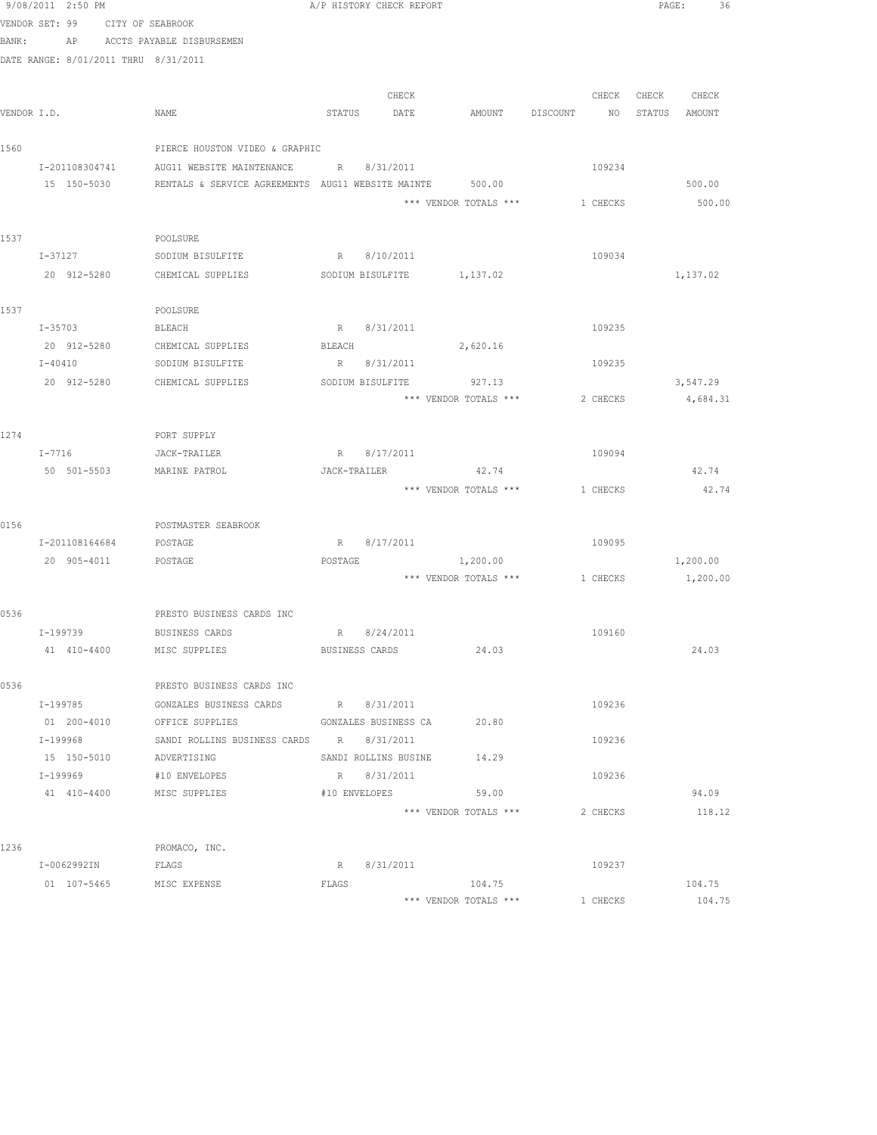|       | 9/08/2011 2:50 PM                    |                                                          |         | A/P HISTORY CHECK REPORT |                                |             |        | PAGE:<br>36 |  |
|-------|--------------------------------------|----------------------------------------------------------|---------|--------------------------|--------------------------------|-------------|--------|-------------|--|
|       | VENDOR SET: 99 CITY OF SEABROOK      |                                                          |         |                          |                                |             |        |             |  |
| BANK: |                                      | AP ACCTS PAYABLE DISBURSEMEN                             |         |                          |                                |             |        |             |  |
|       | DATE RANGE: 8/01/2011 THRU 8/31/2011 |                                                          |         |                          |                                |             |        |             |  |
|       |                                      |                                                          |         |                          |                                |             |        |             |  |
|       |                                      |                                                          |         | CHECK                    |                                | CHECK       | CHECK  | CHECK       |  |
|       | VENDOR I.D.                          | NAME                                                     |         | STATUS DATE              | AMOUNT                         | DISCOUNT NO | STATUS | AMOUNT      |  |
|       |                                      |                                                          |         |                          |                                |             |        |             |  |
| 1560  |                                      | PIERCE HOUSTON VIDEO & GRAPHIC                           |         |                          |                                |             |        |             |  |
|       | I-201108304741                       | AUG11 WEBSITE MAINTENANCE                                |         | R 8/31/2011              |                                | 109234      |        |             |  |
|       | 15 150-5030                          | RENTALS & SERVICE AGREEMENTS AUG11 WEBSITE MAINTE 500.00 |         |                          |                                |             |        | 500.00      |  |
|       |                                      |                                                          |         |                          | *** VENDOR TOTALS ***          | 1 CHECKS    |        | 500.00      |  |
|       |                                      |                                                          |         |                          |                                |             |        |             |  |
| 1537  |                                      | POOLSURE                                                 |         |                          |                                |             |        |             |  |
|       | I-37127                              | SODIUM BISULFITE                                         |         | R 8/10/2011              |                                | 109034      |        |             |  |
|       | 20 912-5280                          | CHEMICAL SUPPLIES                                        |         |                          | SODIUM BISULFITE 1,137.02      |             |        | 1,137.02    |  |
|       |                                      |                                                          |         |                          |                                |             |        |             |  |
| 1537  |                                      | POOLSURE                                                 |         |                          |                                |             |        |             |  |
|       | $I - 35703$                          | BLEACH                                                   |         | R 8/31/2011              |                                | 109235      |        |             |  |
|       |                                      | 20 912-5280 CHEMICAL SUPPLIES                            | BLEACH  |                          | 2,620.16                       |             |        |             |  |
|       | $I - 40410$                          | SODIUM BISULFITE                                         |         | R 8/31/2011              |                                | 109235      |        |             |  |
|       | 20 912-5280                          | CHEMICAL SUPPLIES                                        |         |                          | SODIUM BISULFITE 927.13        |             |        | 3,547.29    |  |
|       |                                      |                                                          |         |                          | *** VENDOR TOTALS ***          | 2 CHECKS    |        | 4,684.31    |  |
|       |                                      |                                                          |         |                          |                                |             |        |             |  |
| 1274  |                                      | PORT SUPPLY                                              |         |                          |                                |             |        |             |  |
|       | $I-7716$                             | JACK-TRAILER                                             |         | R 8/17/2011              |                                | 109094      |        |             |  |
|       | 50 501-5503                          | MARINE PATROL                                            |         | JACK-TRAILER             | 42.74                          |             |        | 42.74       |  |
|       |                                      |                                                          |         |                          | *** VENDOR TOTALS ***          | 1 CHECKS    |        | 42.74       |  |
|       |                                      |                                                          |         |                          |                                |             |        |             |  |
| 0156  | I-201108164684                       | POSTMASTER SEABROOK<br>POSTAGE                           |         | R 8/17/2011              |                                | 109095      |        |             |  |
|       | 20 905-4011 POSTAGE                  |                                                          | POSTAGE |                          | 1,200.00                       |             |        | 1,200.00    |  |
|       |                                      |                                                          |         |                          | *** VENDOR TOTALS *** 1 CHECKS |             |        | 1,200.00    |  |
|       |                                      |                                                          |         |                          |                                |             |        |             |  |
| 0536  |                                      | PRESTO BUSINESS CARDS INC                                |         |                          |                                |             |        |             |  |
|       | I-199739 BUSINESS CARDS              |                                                          |         | R 8/24/2011              |                                | 109160      |        |             |  |
|       | 41 410-4400                          | MISC SUPPLIES                                            |         | BUSINESS CARDS           | 24.03                          |             |        | 24.03       |  |
|       |                                      |                                                          |         |                          |                                |             |        |             |  |
| 0536  |                                      | PRESTO BUSINESS CARDS INC                                |         |                          |                                |             |        |             |  |
|       | I-199785                             | GONZALES BUSINESS CARDS                                  |         | R 8/31/2011              |                                | 109236      |        |             |  |
|       | 01 200-4010                          | OFFICE SUPPLIES                                          |         | GONZALES BUSINESS CA     | 20.80                          |             |        |             |  |
|       | I-199968                             | SANDI ROLLINS BUSINESS CARDS R 8/31/2011                 |         |                          |                                | 109236      |        |             |  |
|       | 15 150-5010                          | ADVERTISING                                              |         | SANDI ROLLINS BUSINE     | 14.29                          |             |        |             |  |
|       | I-199969                             | #10 ENVELOPES                                            |         | R 8/31/2011              |                                | 109236      |        |             |  |
|       | 41 410-4400 MISC SUPPLIES            |                                                          |         | #10 ENVELOPES            | 59.00                          |             |        | 94.09       |  |
|       |                                      |                                                          |         |                          | *** VENDOR TOTALS ***          | 2 CHECKS    |        | 118.12      |  |
|       |                                      |                                                          |         |                          |                                |             |        |             |  |
| 1236  |                                      | PROMACO, INC.                                            |         |                          |                                |             |        |             |  |
|       | I-0062992IN                          | FLAGS                                                    |         | R 8/31/2011              |                                | 109237      |        |             |  |
|       | 01 107-5465                          | MISC EXPENSE                                             | FLAGS   |                          | 104.75                         |             |        | 104.75      |  |
|       |                                      |                                                          |         |                          | *** VENDOR TOTALS ***          | 1 CHECKS    |        | 104.75      |  |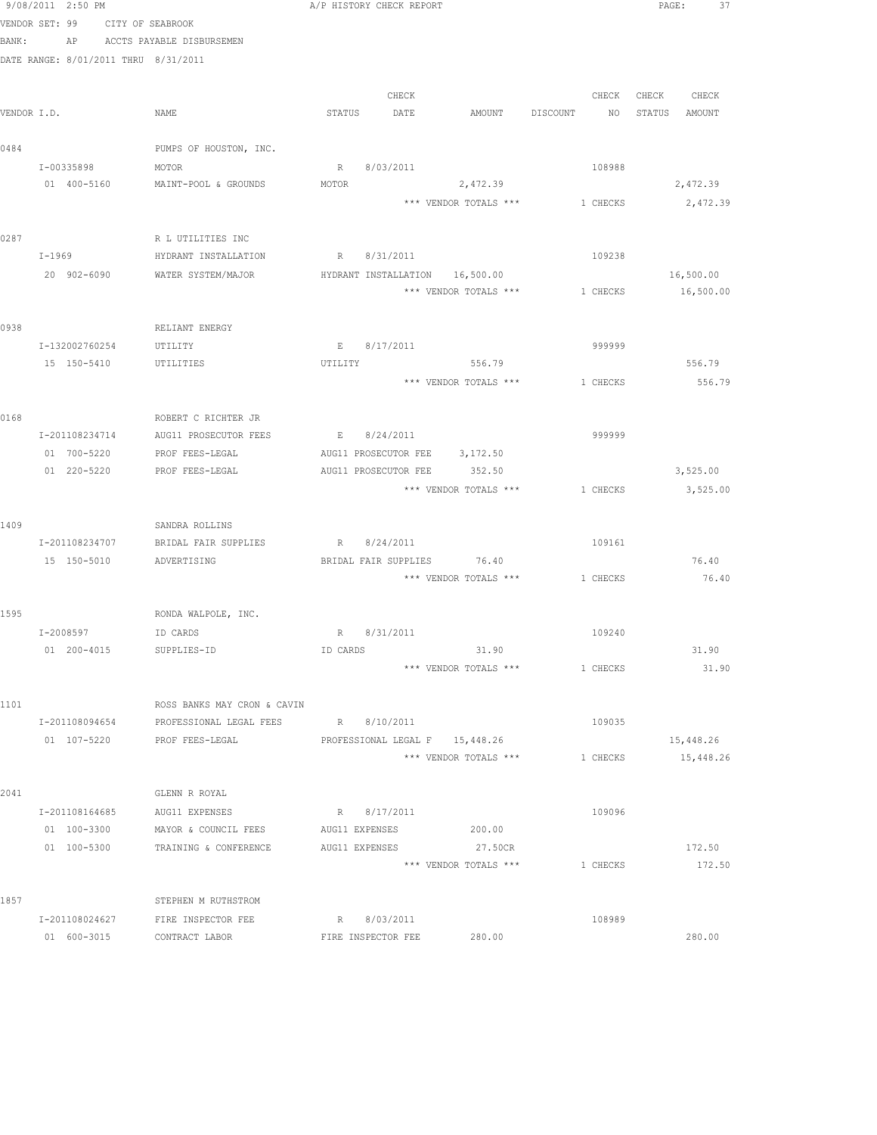|       | 9/08/2011 2:50 PM                    |                                                                     | A/P HISTORY CHECK REPORT                     |       |                                         |             |          |                   | PAGE:<br>37 |  |
|-------|--------------------------------------|---------------------------------------------------------------------|----------------------------------------------|-------|-----------------------------------------|-------------|----------|-------------------|-------------|--|
|       | VENDOR SET: 99 CITY OF SEABROOK      |                                                                     |                                              |       |                                         |             |          |                   |             |  |
| BANK: |                                      | AP ACCTS PAYABLE DISBURSEMEN                                        |                                              |       |                                         |             |          |                   |             |  |
|       | DATE RANGE: 8/01/2011 THRU 8/31/2011 |                                                                     |                                              |       |                                         |             |          |                   |             |  |
|       |                                      |                                                                     |                                              |       |                                         |             |          |                   |             |  |
|       |                                      |                                                                     |                                              | CHECK |                                         |             |          | CHECK CHECK CHECK |             |  |
|       | VENDOR I.D.                          | NAME                                                                | STATUS DATE                                  |       | AMOUNT                                  | DISCOUNT NO |          | STATUS AMOUNT     |             |  |
|       |                                      |                                                                     |                                              |       |                                         |             |          |                   |             |  |
| 0484  |                                      | PUMPS OF HOUSTON, INC.                                              |                                              |       |                                         |             |          |                   |             |  |
|       | I-00335898                           | MOTOR<br>01 400-5160 MAINT-POOL & GROUNDS                           | R 8/03/2011<br>MOTOR                         |       | 2,472.39                                |             | 108988   |                   |             |  |
|       |                                      |                                                                     |                                              |       | *** VENDOR TOTALS *** 1 CHECKS 2,472.39 |             |          |                   | 2,472.39    |  |
|       |                                      |                                                                     |                                              |       |                                         |             |          |                   |             |  |
| 0287  |                                      | R L UTILITIES INC                                                   |                                              |       |                                         |             |          |                   |             |  |
|       | I-1969                               | HYDRANT INSTALLATION                                                | R 8/31/2011                                  |       |                                         |             | 109238   |                   |             |  |
|       | 20 902-6090                          | WATER SYSTEM/MAJOR                                                  | HYDRANT INSTALLATION 16,500.00               |       |                                         |             |          |                   | 16,500.00   |  |
|       |                                      |                                                                     |                                              |       | *** VENDOR TOTALS ***                   | 1 CHECKS    |          |                   | 16,500.00   |  |
|       |                                      |                                                                     |                                              |       |                                         |             |          |                   |             |  |
| 0938  |                                      | RELIANT ENERGY                                                      |                                              |       |                                         |             |          |                   |             |  |
|       | I-132002760254                       | UTILITY                                                             | E 8/17/2011                                  |       |                                         |             | 999999   |                   |             |  |
|       | 15 150-5410 UTILITIES                |                                                                     | UTILITY                                      |       | 556.79                                  |             |          |                   | 556.79      |  |
|       |                                      |                                                                     |                                              |       | *** VENDOR TOTALS *** 1 CHECKS          |             |          |                   | 556.79      |  |
|       |                                      |                                                                     |                                              |       |                                         |             |          |                   |             |  |
| 0168  |                                      | ROBERT C RICHTER JR                                                 |                                              |       |                                         |             |          |                   |             |  |
|       |                                      | I-201108234714 AUG11 PROSECUTOR FEES<br>01 700-5220 PROF FEES-LEGAL | E 8/24/2011<br>AUG11 PROSECUTOR FEE 3,172.50 |       |                                         |             | 999999   |                   |             |  |
|       | 01 220-5220                          | PROF FEES-LEGAL                                                     | AUG11 PROSECUTOR FEE 352.50                  |       |                                         |             |          |                   | 3,525.00    |  |
|       |                                      |                                                                     |                                              |       | *** VENDOR TOTALS ***                   |             | 1 CHECKS |                   | 3,525.00    |  |
|       |                                      |                                                                     |                                              |       |                                         |             |          |                   |             |  |
| 1409  |                                      | SANDRA ROLLINS                                                      |                                              |       |                                         |             |          |                   |             |  |
|       | I-201108234707                       | BRIDAL FAIR SUPPLIES                                                | R 8/24/2011                                  |       |                                         |             | 109161   |                   |             |  |
|       | 15 150-5010 ADVERTISING              |                                                                     |                                              |       | BRIDAL FAIR SUPPLIES 76.40              |             |          |                   | 76.40       |  |
|       |                                      |                                                                     |                                              |       | *** VENDOR TOTALS *** 1 CHECKS          |             |          |                   | 76.40       |  |
|       |                                      |                                                                     |                                              |       |                                         |             |          |                   |             |  |
| 1595  |                                      | RONDA WALPOLE, INC.                                                 |                                              |       |                                         |             |          |                   |             |  |
|       | I-2008597                            | ID CARDS                                                            | R 8/31/2011                                  |       |                                         |             | 109240   |                   |             |  |
|       | 01 200-4015                          | SUPPLIES-ID                                                         | ID CARDS                                     |       | 31.90                                   |             |          |                   | 31.90       |  |
|       |                                      |                                                                     |                                              |       | *** VENDOR TOTALS ***                   |             | 1 CHECKS |                   | 31.90       |  |
| 1101  |                                      | ROSS BANKS MAY CRON & CAVIN                                         |                                              |       |                                         |             |          |                   |             |  |
|       | I-201108094654                       | PROFESSIONAL LEGAL FEES                                             | R 8/10/2011                                  |       |                                         |             | 109035   |                   |             |  |
|       | 01 107-5220                          | PROF FEES-LEGAL                                                     |                                              |       | PROFESSIONAL LEGAL F 15,448.26          |             |          |                   | 15,448.26   |  |
|       |                                      |                                                                     |                                              |       | *** VENDOR TOTALS ***                   |             | 1 CHECKS |                   | 15,448.26   |  |
|       |                                      |                                                                     |                                              |       |                                         |             |          |                   |             |  |
| 2041  |                                      | GLENN R ROYAL                                                       |                                              |       |                                         |             |          |                   |             |  |
|       | I-201108164685                       | AUG11 EXPENSES                                                      | R 8/17/2011                                  |       |                                         |             | 109096   |                   |             |  |
|       | 01 100-3300                          | MAYOR & COUNCIL FEES                                                | AUG11 EXPENSES                               |       | 200.00                                  |             |          |                   |             |  |
|       | 01 100-5300                          | TRAINING & CONFERENCE                                               | AUG11 EXPENSES                               |       | 27.50CR                                 |             |          |                   | 172.50      |  |
|       |                                      |                                                                     |                                              |       | *** VENDOR TOTALS ***                   |             | 1 CHECKS |                   | 172.50      |  |
|       |                                      |                                                                     |                                              |       |                                         |             |          |                   |             |  |
| 1857  |                                      | STEPHEN M RUTHSTROM                                                 | R 8/03/2011                                  |       |                                         |             | 108989   |                   |             |  |
|       | I-201108024627<br>01 600-3015        | FIRE INSPECTOR FEE<br>CONTRACT LABOR                                | FIRE INSPECTOR FEE                           |       | 280.00                                  |             |          |                   | 280.00      |  |
|       |                                      |                                                                     |                                              |       |                                         |             |          |                   |             |  |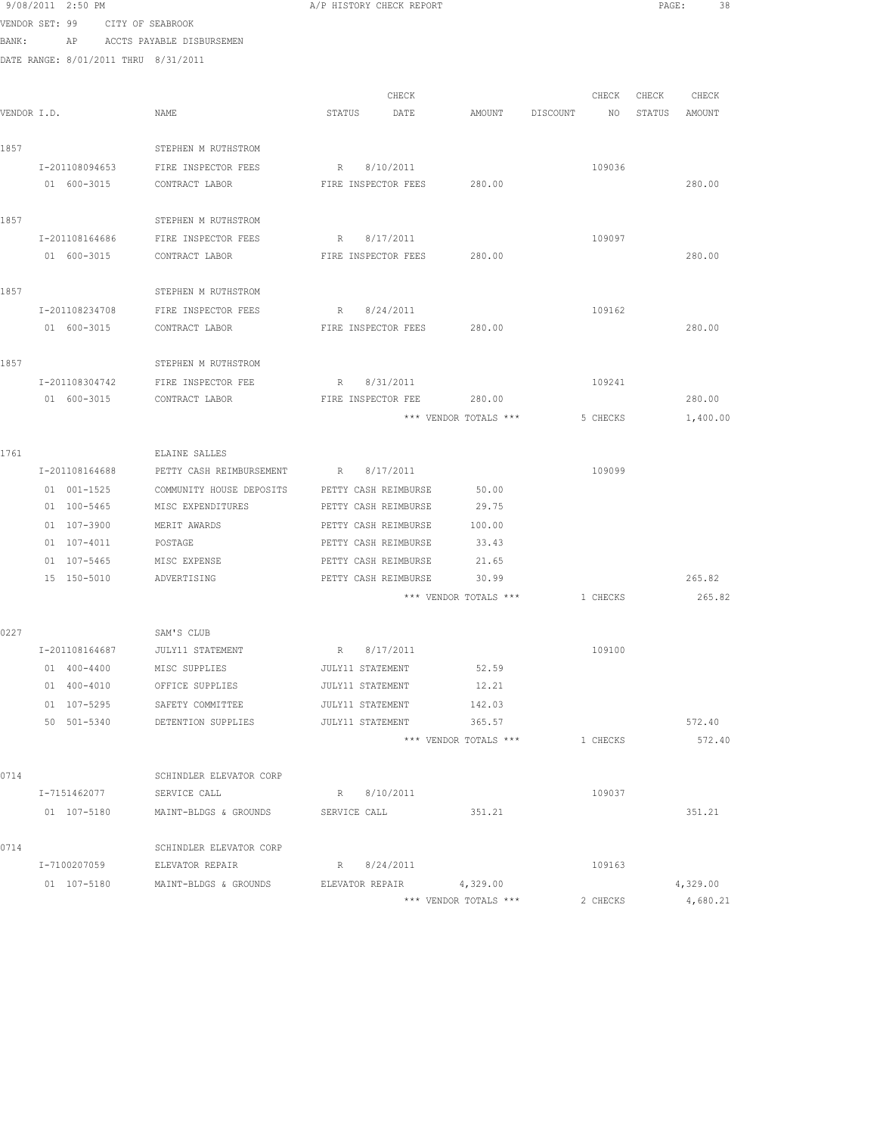|      | 9/08/2011 2:50 PM                    |                                      | A/P HISTORY CHECK REPORT   |                       |                                  |          |                   | PAGE: 38 |
|------|--------------------------------------|--------------------------------------|----------------------------|-----------------------|----------------------------------|----------|-------------------|----------|
|      | VENDOR SET: 99 CITY OF SEABROOK      |                                      |                            |                       |                                  |          |                   |          |
|      | BANK: AP ACCTS PAYABLE DISBURSEMEN   |                                      |                            |                       |                                  |          |                   |          |
|      | DATE RANGE: 8/01/2011 THRU 8/31/2011 |                                      |                            |                       |                                  |          |                   |          |
|      |                                      |                                      |                            |                       |                                  |          |                   |          |
|      |                                      |                                      | CHECK                      |                       |                                  |          | CHECK CHECK CHECK |          |
|      | VENDOR I.D.                          | NAME                                 | STATUS DATE                |                       | AMOUNT DISCOUNT NO STATUS AMOUNT |          |                   |          |
| 1857 |                                      | STEPHEN M RUTHSTROM                  |                            |                       |                                  |          |                   |          |
|      | I-201108094653                       | FIRE INSPECTOR FEES                  | R 8/10/2011                |                       |                                  | 109036   |                   |          |
|      | 01 600-3015                          | CONTRACT LABOR                       | FIRE INSPECTOR FEES        | 280.00                |                                  |          |                   | 280.00   |
|      |                                      |                                      |                            |                       |                                  |          |                   |          |
| 1857 |                                      | STEPHEN M RUTHSTROM                  |                            |                       |                                  |          |                   |          |
|      | I-201108164686                       | FIRE INSPECTOR FEES                  | R 8/17/2011                |                       |                                  | 109097   |                   |          |
|      | 01 600-3015                          | CONTRACT LABOR                       | FIRE INSPECTOR FEES 280.00 |                       |                                  |          |                   | 280.00   |
| 1857 |                                      | STEPHEN M RUTHSTROM                  |                            |                       |                                  |          |                   |          |
|      |                                      | I-201108234708 FIRE INSPECTOR FEES   | R 8/24/2011                |                       |                                  | 109162   |                   |          |
|      |                                      | 01 600-3015 CONTRACT LABOR           | FIRE INSPECTOR FEES 280.00 |                       |                                  |          |                   | 280.00   |
|      |                                      |                                      |                            |                       |                                  |          |                   |          |
| 1857 |                                      | STEPHEN M RUTHSTROM                  |                            |                       |                                  |          |                   |          |
|      | I-201108304742                       | FIRE INSPECTOR FEE                   | R 8/31/2011                |                       |                                  | 109241   |                   |          |
|      | 01 600-3015                          | CONTRACT LABOR                       | FIRE INSPECTOR FEE         | 280.00                |                                  |          |                   | 280.00   |
|      |                                      |                                      |                            | *** VENDOR TOTALS *** |                                  | 5 CHECKS |                   | 1,400.00 |
| 1761 |                                      | ELAINE SALLES                        |                            |                       |                                  |          |                   |          |
|      | I-201108164688                       | PETTY CASH REIMBURSEMENT R 8/17/2011 |                            |                       |                                  | 109099   |                   |          |
|      | 01 001-1525                          | COMMUNITY HOUSE DEPOSITS             | PETTY CASH REIMBURSE       | 50.00                 |                                  |          |                   |          |
|      | 01 100-5465                          | MISC EXPENDITURES                    | PETTY CASH REIMBURSE       | 29.75                 |                                  |          |                   |          |
|      | 01 107-3900                          | MERIT AWARDS                         | PETTY CASH REIMBURSE       | 100.00                |                                  |          |                   |          |
|      | 01 107-4011                          | POSTAGE                              | PETTY CASH REIMBURSE       | 33.43                 |                                  |          |                   |          |
|      | 01 107-5465 MISC EXPENSE             |                                      | PETTY CASH REIMBURSE       | 21.65                 |                                  |          |                   |          |
|      | 15 150-5010 ADVERTISING              |                                      | PETTY CASH REIMBURSE 30.99 |                       |                                  |          |                   | 265.82   |
|      |                                      |                                      |                            | *** VENDOR TOTALS *** |                                  | 1 CHECKS |                   | 265.82   |
| 0227 |                                      | SAM'S CLUB                           |                            |                       |                                  |          |                   |          |
|      | I-201108164687                       | JULY11 STATEMENT                     | R 8/17/2011                |                       |                                  | 109100   |                   |          |
|      | 01 400-4400                          | MISC SUPPLIES                        | JULY11 STATEMENT           | 52.59                 |                                  |          |                   |          |
|      | 01 400-4010                          | OFFICE SUPPLIES                      | JULY11 STATEMENT           | 12.21                 |                                  |          |                   |          |
|      | 01 107-5295                          | SAFETY COMMITTEE                     | JULY11 STATEMENT           | 142.03                |                                  |          |                   |          |
|      |                                      | 50 501-5340 DETENTION SUPPLIES       | JULY11 STATEMENT           | 365.57                |                                  |          |                   | 572.40   |
|      |                                      |                                      |                            | *** VENDOR TOTALS *** |                                  | 1 CHECKS |                   | 572.40   |
|      |                                      |                                      |                            |                       |                                  |          |                   |          |
| 0714 |                                      | SCHINDLER ELEVATOR CORP              |                            |                       |                                  |          |                   |          |
|      | I-7151462077                         | SERVICE CALL                         | R 8/10/2011                |                       |                                  | 109037   |                   |          |
|      | 01 107-5180                          | MAINT-BLDGS & GROUNDS                | SERVICE CALL               | 351.21                |                                  |          |                   | 351.21   |
| 0714 |                                      | SCHINDLER ELEVATOR CORP              |                            |                       |                                  |          |                   |          |
|      | I-7100207059                         | ELEVATOR REPAIR                      | R 8/24/2011                |                       |                                  | 109163   |                   |          |
|      | 01 107-5180                          | MAINT-BLDGS & GROUNDS                | ELEVATOR REPAIR            | 4,329.00              |                                  |          |                   | 4,329.00 |
|      |                                      |                                      |                            | *** VENDOR TOTALS *** |                                  | 2 CHECKS |                   | 4,680.21 |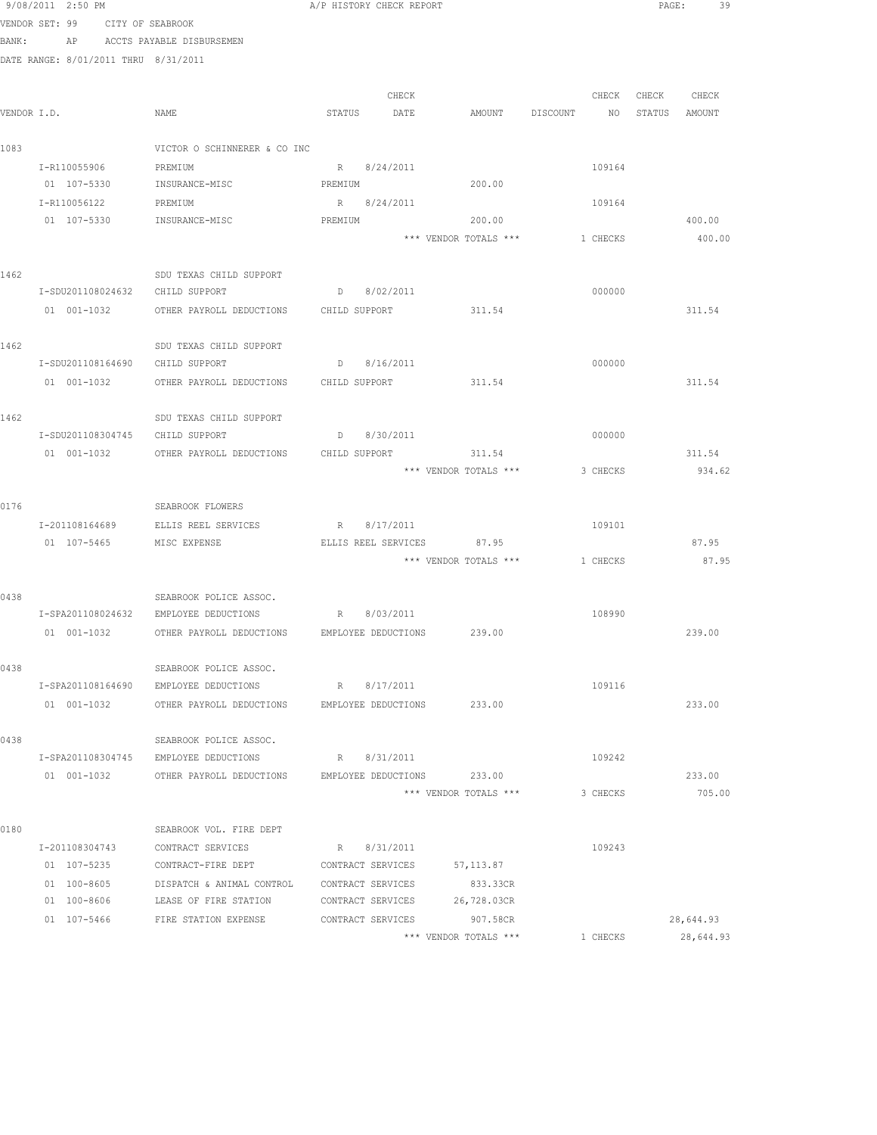|             | VENDOR SET: 99                       | CITY OF SEABROOK                                                |         |                     |                       |          |          |                   |               |
|-------------|--------------------------------------|-----------------------------------------------------------------|---------|---------------------|-----------------------|----------|----------|-------------------|---------------|
| BANK:       | AP                                   | ACCTS PAYABLE DISBURSEMEN                                       |         |                     |                       |          |          |                   |               |
|             | DATE RANGE: 8/01/2011 THRU 8/31/2011 |                                                                 |         |                     |                       |          |          |                   |               |
|             |                                      |                                                                 |         |                     |                       |          |          | CHECK CHECK CHECK |               |
| VENDOR I.D. |                                      | NAME                                                            | STATUS  | CHECK<br>DATE       | AMOUNT                | DISCOUNT | NO       |                   | STATUS AMOUNT |
|             |                                      |                                                                 |         |                     |                       |          |          |                   |               |
| 1083        |                                      | VICTOR O SCHINNERER & CO INC                                    |         |                     |                       |          |          |                   |               |
|             | I-R110055906                         | PREMIUM                                                         |         | R 8/24/2011         |                       |          | 109164   |                   |               |
|             | 01 107-5330                          | INSURANCE-MISC                                                  | PREMIUM |                     | 200.00                |          |          |                   |               |
|             | I-R110056122                         | PREMIUM                                                         |         | R 8/24/2011         |                       |          | 109164   |                   |               |
|             | 01 107-5330                          | INSURANCE-MISC                                                  | PREMIUM |                     | 200.00                |          |          |                   | 400.00        |
|             |                                      |                                                                 |         |                     | *** VENDOR TOTALS *** |          | 1 CHECKS |                   | 400.00        |
| 1462        |                                      | SDU TEXAS CHILD SUPPORT                                         |         |                     |                       |          |          |                   |               |
|             | I-SDU201108024632                    | CHILD SUPPORT                                                   |         | D 8/02/2011         |                       |          | 000000   |                   |               |
|             | 01 001-1032                          | OTHER PAYROLL DEDUCTIONS CHILD SUPPORT                          |         |                     | 311.54                |          |          |                   | 311.54        |
|             |                                      |                                                                 |         |                     |                       |          |          |                   |               |
| 1462        |                                      | SDU TEXAS CHILD SUPPORT                                         |         |                     |                       |          |          |                   |               |
|             |                                      | I-SDU201108164690 CHILD SUPPORT                                 |         | D 8/16/2011         |                       |          | 000000   |                   |               |
|             | 01 001-1032                          | OTHER PAYROLL DEDUCTIONS CHILD SUPPORT                          |         |                     | 311.54                |          |          |                   | 311.54        |
|             |                                      |                                                                 |         |                     |                       |          |          |                   |               |
| 1462        |                                      | SDU TEXAS CHILD SUPPORT                                         |         |                     |                       |          |          |                   |               |
|             |                                      | I-SDU201108304745 CHILD SUPPORT                                 |         | D 8/30/2011         |                       |          | 000000   |                   |               |
|             | 01 001-1032                          | OTHER PAYROLL DEDUCTIONS                                        |         | CHILD SUPPORT       | 311.54                |          |          |                   | 311.54        |
|             |                                      |                                                                 |         |                     | *** VENDOR TOTALS *** |          | 3 CHECKS |                   | 934.62        |
| 0176        |                                      | SEABROOK FLOWERS                                                |         |                     |                       |          |          |                   |               |
|             | I-201108164689                       | ELLIS REEL SERVICES                                             |         | R 8/17/2011         |                       |          | 109101   |                   |               |
|             | 01 107-5465                          | MISC EXPENSE                                                    |         | ELLIS REEL SERVICES | 87.95                 |          |          |                   | 87.95         |
|             |                                      |                                                                 |         |                     | *** VENDOR TOTALS *** | 1 CHECKS |          |                   | 87.95         |
| 0438        |                                      | SEABROOK POLICE ASSOC.                                          |         |                     |                       |          |          |                   |               |
|             |                                      | I-SPA201108024632 EMPLOYEE DEDUCTIONS R 8/03/2011               |         |                     |                       |          | 108990   |                   |               |
|             |                                      | 01 001-1032 OTHER PAYROLL DEDUCTIONS EMPLOYEE DEDUCTIONS 239.00 |         |                     |                       |          |          |                   | 239.00        |
|             |                                      |                                                                 |         |                     |                       |          |          |                   |               |
| 0438        |                                      | SEABROOK POLICE ASSOC.                                          |         |                     |                       |          |          |                   |               |
|             | I-SPA201108164690                    | EMPLOYEE DEDUCTIONS                                             | R       | 8/17/2011           |                       |          | 109116   |                   |               |
|             | 01 001-1032                          | OTHER PAYROLL DEDUCTIONS                                        |         | EMPLOYEE DEDUCTIONS | 233.00                |          |          |                   | 233.00        |
| 0438        |                                      | SEABROOK POLICE ASSOC.                                          |         |                     |                       |          |          |                   |               |
|             | I-SPA201108304745                    | EMPLOYEE DEDUCTIONS                                             |         | R 8/31/2011         |                       |          | 109242   |                   |               |
|             | 01 001-1032                          | OTHER PAYROLL DEDUCTIONS                                        |         | EMPLOYEE DEDUCTIONS | 233.00                |          |          |                   | 233.00        |
|             |                                      |                                                                 |         |                     | *** VENDOR TOTALS *** |          | 3 CHECKS |                   | 705.00        |
|             |                                      |                                                                 |         |                     |                       |          |          |                   |               |
| 0180        |                                      | SEABROOK VOL. FIRE DEPT                                         |         |                     |                       |          |          |                   |               |
|             | I-201108304743                       | CONTRACT SERVICES                                               |         | R 8/31/2011         |                       |          | 109243   |                   |               |
|             | 01 107-5235                          | CONTRACT-FIRE DEPT                                              |         | CONTRACT SERVICES   | 57, 113.87            |          |          |                   |               |
|             | 01 100-8605                          | DISPATCH & ANIMAL CONTROL                                       |         | CONTRACT SERVICES   | 833.33CR              |          |          |                   |               |
|             | 01 100-8606                          | LEASE OF FIRE STATION                                           |         | CONTRACT SERVICES   | 26,728.03CR           |          |          |                   |               |
|             | 01 107-5466                          | FIRE STATION EXPENSE                                            |         | CONTRACT SERVICES   | 907.58CR              |          |          |                   | 28,644.93     |

\*\*\* VENDOR TOTALS \*\*\* 1 CHECKS 28,644.93

9/08/2011 2:50 PM **A/P HISTORY CHECK REPORT CHECK PAGE:** 39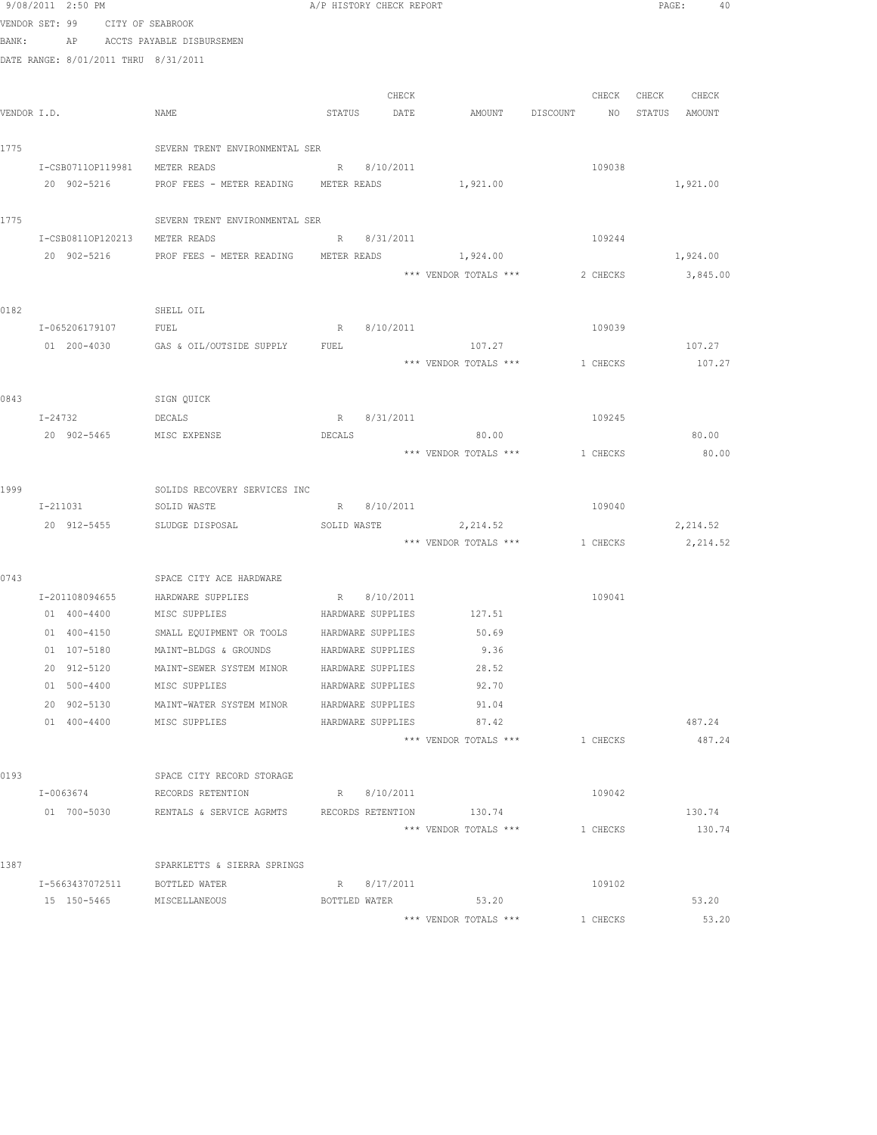|             | 9/08/2011 2:50 PM                    |                                                               | A/P HISTORY CHECK REPORT |                                |          | PAGE:<br>40   |  |
|-------------|--------------------------------------|---------------------------------------------------------------|--------------------------|--------------------------------|----------|---------------|--|
|             | VENDOR SET: 99 CITY OF SEABROOK      |                                                               |                          |                                |          |               |  |
| BANK:       |                                      | AP ACCTS PAYABLE DISBURSEMEN                                  |                          |                                |          |               |  |
|             | DATE RANGE: 8/01/2011 THRU 8/31/2011 |                                                               |                          |                                |          |               |  |
|             |                                      |                                                               |                          |                                |          |               |  |
|             |                                      |                                                               | CHECK                    |                                | CHECK    | CHECK CHECK   |  |
| VENDOR I.D. |                                      | NAME                                                          | STATUS DATE              | AMOUNT DISCOUNT                | NO       | STATUS AMOUNT |  |
|             |                                      |                                                               |                          |                                |          |               |  |
| 1775        |                                      | SEVERN TRENT ENVIRONMENTAL SER                                |                          |                                |          |               |  |
|             | I-CSB07110P119981 METER READS        |                                                               | R 8/10/2011              |                                | 109038   |               |  |
|             | 20 902-5216                          | PROF FEES - METER READING METER READS                         |                          | 1,921.00                       |          | 1,921.00      |  |
| 1775        |                                      | SEVERN TRENT ENVIRONMENTAL SER                                |                          |                                |          |               |  |
|             | I-CSB0811OP120213                    | METER READS                                                   | R 8/31/2011              |                                | 109244   |               |  |
|             | 20 902-5216                          | PROF FEES - METER READING METER READS                         |                          | 1,924.00                       |          | 1,924.00      |  |
|             |                                      |                                                               |                          | *** VENDOR TOTALS ***          | 2 CHECKS | 3,845.00      |  |
| 0182        |                                      | SHELL OIL                                                     |                          |                                |          |               |  |
|             | I-065206179107                       | FUEL                                                          | 8/10/2011<br>R           |                                | 109039   |               |  |
|             | 01 200-4030                          | GAS & OIL/OUTSIDE SUPPLY                                      | FUEL                     | 107.27                         |          | 107.27        |  |
|             |                                      |                                                               |                          | *** VENDOR TOTALS *** 1 CHECKS |          | 107.27        |  |
|             |                                      |                                                               |                          |                                |          |               |  |
| 0843        |                                      | SIGN QUICK                                                    |                          |                                |          |               |  |
|             | I-24732                              | DECALS                                                        | R 8/31/2011              |                                | 109245   |               |  |
|             | 20 902-5465                          | MISC EXPENSE                                                  | DECALS                   | 80.00                          |          | 80.00         |  |
|             |                                      |                                                               |                          | *** VENDOR TOTALS ***          | 1 CHECKS | 80.00         |  |
| 1999        |                                      | SOLIDS RECOVERY SERVICES INC                                  |                          |                                |          |               |  |
|             | I-211031                             | SOLID WASTE                                                   | R 8/10/2011              |                                | 109040   |               |  |
|             | 20 912-5455                          | SLUDGE DISPOSAL                                               | SOLID WASTE              | 2, 214.52                      |          | 2,214.52      |  |
|             |                                      |                                                               |                          | *** VENDOR TOTALS *** 1 CHECKS |          | 2,214.52      |  |
| 0743        |                                      | SPACE CITY ACE HARDWARE                                       |                          |                                |          |               |  |
|             |                                      | I-201108094655 HARDWARE SUPPLIES                              | R 8/10/2011              |                                | 109041   |               |  |
|             | 01 400-4400 MISC SUPPLIES            |                                                               | HARDWARE SUPPLIES        | 127.51                         |          |               |  |
|             | 01 400-4150                          | SMALL EQUIPMENT OR TOOLS HARDWARE SUPPLIES                    |                          | 50.69                          |          |               |  |
|             | 01 107-5180                          | MAINT-BLDGS & GROUNDS                                         | HARDWARE SUPPLIES        | 9.36                           |          |               |  |
|             | 20 912-5120                          | MAINT-SEWER SYSTEM MINOR                                      | HARDWARE SUPPLIES        | 28.52                          |          |               |  |
|             | 01 500-4400                          | MISC SUPPLIES                                                 | HARDWARE SUPPLIES        | 92.70                          |          |               |  |
|             | 20 902-5130                          | MAINT-WATER SYSTEM MINOR                                      | HARDWARE SUPPLIES        | 91.04                          |          |               |  |
|             | 01 400-4400                          | MISC SUPPLIES                                                 | HARDWARE SUPPLIES        | 87.42                          |          | 487.24        |  |
|             |                                      |                                                               |                          | *** VENDOR TOTALS ***          | 1 CHECKS | 487.24        |  |
| 0193        |                                      | SPACE CITY RECORD STORAGE                                     |                          |                                |          |               |  |
|             | I-0063674                            | RECORDS RETENTION                                             | R 8/10/2011              |                                | 109042   |               |  |
|             |                                      | 01 700-5030 RENTALS & SERVICE AGRMTS RECORDS RETENTION 130.74 |                          |                                |          | 130.74        |  |
|             |                                      |                                                               |                          | *** VENDOR TOTALS ***          | 1 CHECKS | 130.74        |  |
| 1387        |                                      | SPARKLETTS & SIERRA SPRINGS                                   |                          |                                |          |               |  |
|             | I-5663437072511                      | BOTTLED WATER                                                 | R 8/17/2011              |                                | 109102   |               |  |
|             | 15 150-5465                          | MISCELLANEOUS                                                 | BOTTLED WATER            | 53.20                          |          | 53.20         |  |
|             |                                      |                                                               |                          | *** VENDOR TOTALS ***          | 1 CHECKS | 53.20         |  |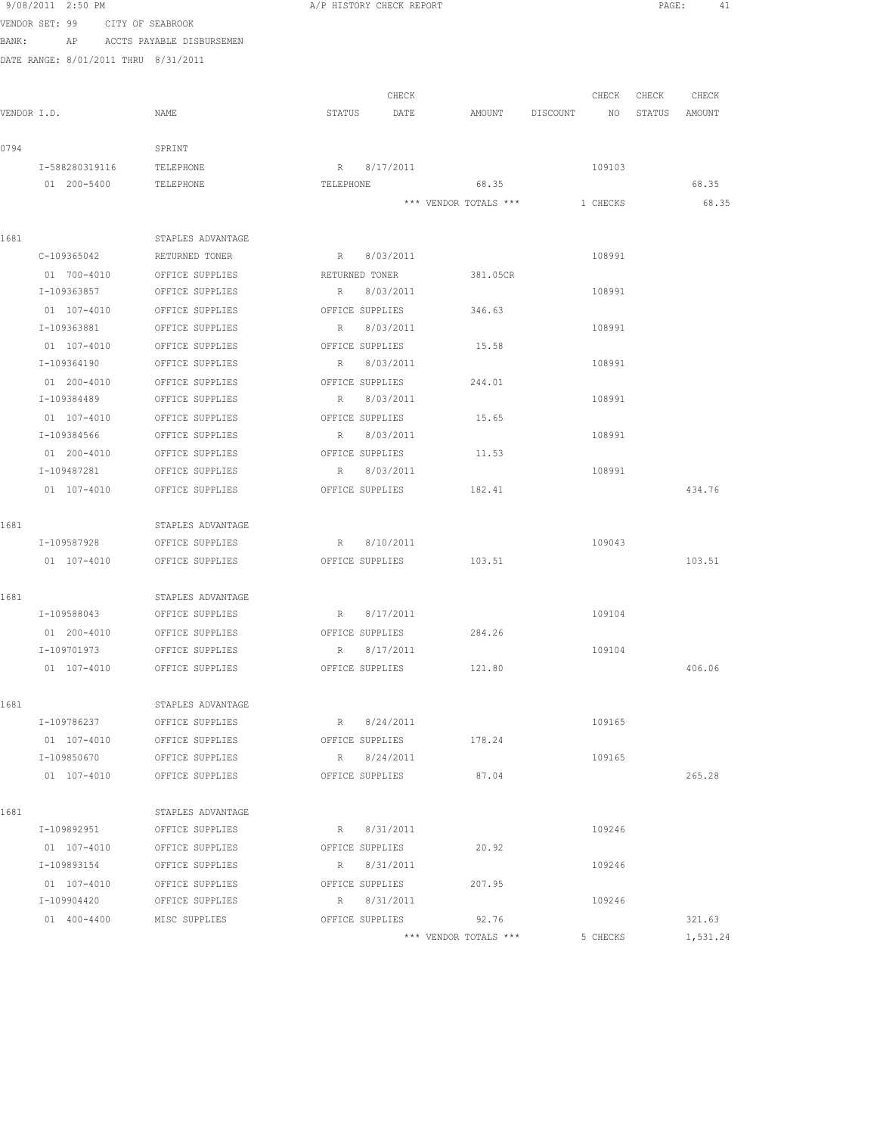|       | 9/08/2011 2:50 PM                    |                                                | A/P HISTORY CHECK REPORT       |                                |                                  | PAGE:<br>41 |
|-------|--------------------------------------|------------------------------------------------|--------------------------------|--------------------------------|----------------------------------|-------------|
|       | VENDOR SET: 99 CITY OF SEABROOK      |                                                |                                |                                |                                  |             |
| BANK: |                                      | AP ACCTS PAYABLE DISBURSEMEN                   |                                |                                |                                  |             |
|       | DATE RANGE: 8/01/2011 THRU 8/31/2011 |                                                |                                |                                |                                  |             |
|       |                                      |                                                |                                |                                |                                  |             |
|       |                                      |                                                | CHECK                          |                                | CHECK CHECK                      | CHECK       |
|       | VENDOR I.D.                          | NAME                                           | STATUS DATE                    |                                | AMOUNT DISCOUNT NO STATUS AMOUNT |             |
|       |                                      |                                                |                                |                                |                                  |             |
| 0794  |                                      | SPRINT                                         |                                |                                |                                  |             |
|       | I-588280319116 TELEPHONE             |                                                | R 8/17/2011<br>TELEPHONE       | 68.35                          | 109103                           | 68.35       |
|       | 01  200-5400  TELEPHONE              |                                                |                                | *** VENDOR TOTALS *** 1 CHECKS |                                  | 68.35       |
|       |                                      |                                                |                                |                                |                                  |             |
| 1681  |                                      | STAPLES ADVANTAGE                              |                                |                                |                                  |             |
|       |                                      | C-109365042 RETURNED TONER                     | R 8/03/2011                    |                                | 108991                           |             |
|       |                                      | 01 700-4010 OFFICE SUPPLIES                    | RETURNED TONER                 | 381.05CR                       |                                  |             |
|       | I-109363857                          | OFFICE SUPPLIES                                | R 8/03/2011                    |                                | 108991                           |             |
|       | 01 107-4010                          | OFFICE SUPPLIES                                | OFFICE SUPPLIES                | 346.63                         |                                  |             |
|       | I-109363881                          | OFFICE SUPPLIES                                | R 8/03/2011                    |                                | 108991                           |             |
|       | 01 107-4010                          | OFFICE SUPPLIES                                | OFFICE SUPPLIES                | 15.58                          |                                  |             |
|       | I-109364190                          | OFFICE SUPPLIES                                | R 8/03/2011                    |                                | 108991                           |             |
|       | 01 200-4010                          | OFFICE SUPPLIES                                | OFFICE SUPPLIES                | 244.01                         |                                  |             |
|       | I-109384489                          | OFFICE SUPPLIES                                | R 8/03/2011                    |                                | 108991                           |             |
|       |                                      | 01 107-4010 OFFICE SUPPLIES                    | OFFICE SUPPLIES                | 15.65                          |                                  |             |
|       | I-109384566                          | OFFICE SUPPLIES                                | R 8/03/2011                    |                                | 108991                           |             |
|       |                                      | 01 200-4010 OFFICE SUPPLIES                    | OFFICE SUPPLIES                | 11.53                          |                                  |             |
|       |                                      | I-109487281 OFFICE SUPPLIES                    | R 8/03/2011                    |                                | 108991                           |             |
|       |                                      | 01 107-4010 OFFICE SUPPLIES                    | OFFICE SUPPLIES                | 182.41                         |                                  | 434.76      |
|       |                                      |                                                |                                |                                |                                  |             |
| 1681  |                                      | STAPLES ADVANTAGE                              |                                |                                |                                  |             |
|       | I-109587928<br>01 107-4010           | OFFICE SUPPLIES<br>OFFICE SUPPLIES             | R 8/10/2011<br>OFFICE SUPPLIES | 103.51                         | 109043                           | 103.51      |
|       |                                      |                                                |                                |                                |                                  |             |
| 1681  |                                      | STAPLES ADVANTAGE                              |                                |                                |                                  |             |
|       |                                      | I-109588043 OFFICE SUPPLIES                    | R 8/17/2011                    |                                | 109104                           |             |
|       | 01 200-4010                          | OFFICE SUPPLIES                                | OFFICE SUPPLIES                | 284.26                         |                                  |             |
|       | I-109701973                          | OFFICE SUPPLIES                                | R 8/17/2011                    |                                | 109104                           |             |
|       |                                      | 01 107-4010 OFFICE SUPPLIES                    | OFFICE SUPPLIES                | 121.80                         |                                  | 406.06      |
|       |                                      |                                                |                                |                                |                                  |             |
| 1681  |                                      | STAPLES ADVANTAGE                              |                                |                                |                                  |             |
|       | I-109786237                          | OFFICE SUPPLIES                                | R 8/24/2011                    |                                | 109165                           |             |
|       | 01 107-4010                          | OFFICE SUPPLIES                                | OFFICE SUPPLIES                | 178.24                         |                                  |             |
|       | I-109850670                          | OFFICE SUPPLIES                                | R 8/24/2011                    |                                | 109165                           |             |
|       | 01 107-4010                          | OFFICE SUPPLIES                                | OFFICE SUPPLIES                | 87.04                          |                                  | 265.28      |
|       |                                      |                                                |                                |                                |                                  |             |
| 1681  |                                      | STAPLES ADVANTAGE                              |                                |                                |                                  |             |
|       | I-109892951                          | OFFICE SUPPLIES                                | R 8/31/2011                    |                                | 109246                           |             |
|       |                                      | 01 107-4010 OFFICE SUPPLIES                    | OFFICE SUPPLIES                | 20.92                          |                                  |             |
|       | I-109893154                          | OFFICE SUPPLIES                                | R 8/31/2011                    |                                | 109246                           |             |
|       | I-109904420                          | 01 107-4010 OFFICE SUPPLIES<br>OFFICE SUPPLIES | OFFICE SUPPLIES<br>R 8/31/2011 | 207.95                         | 109246                           |             |
|       |                                      | 01 400-4400 MISC SUPPLIES                      | OFFICE SUPPLIES                | 92.76                          |                                  | 321.63      |
|       |                                      |                                                |                                | *** VENDOR TOTALS ***          | 5 CHECKS                         | 1,531.24    |
|       |                                      |                                                |                                |                                |                                  |             |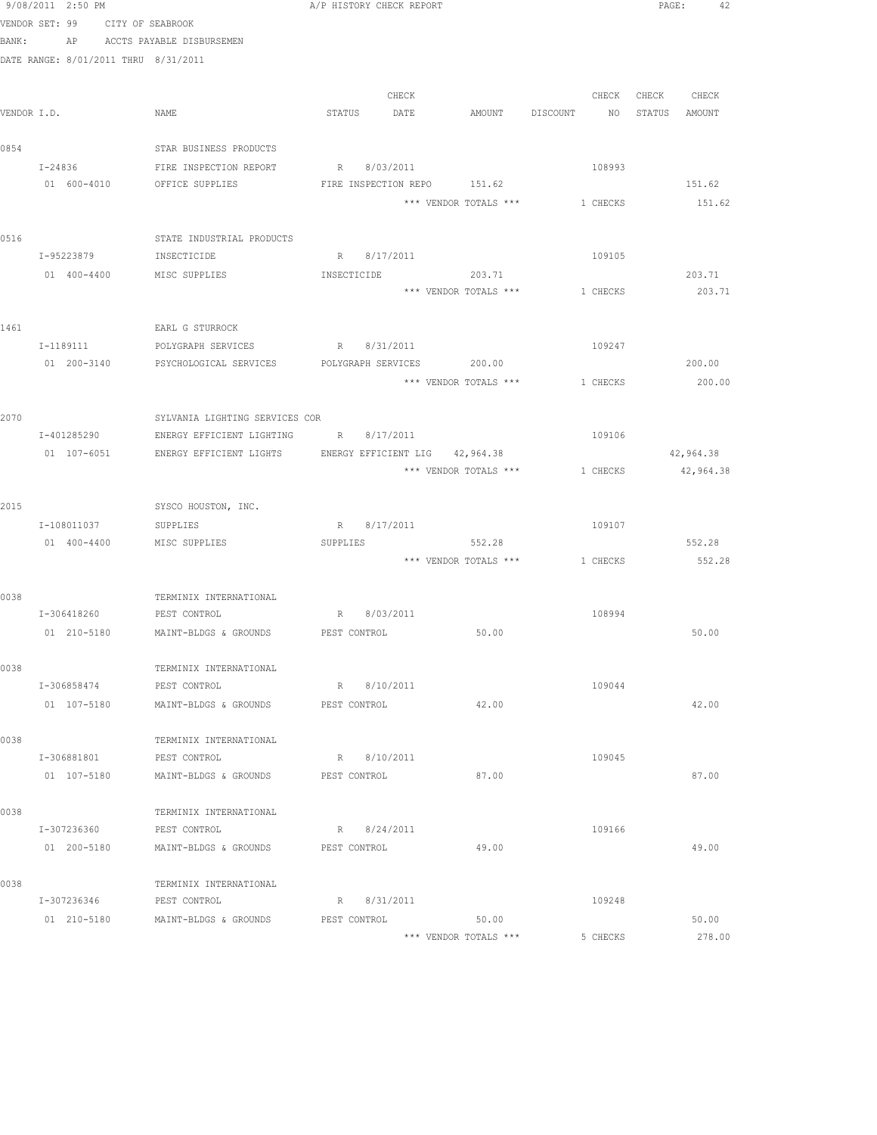|             | 9/08/2011 2:50 PM                    |                                                   | A/P HISTORY CHECK REPORT                                            | PAGE: 42               |
|-------------|--------------------------------------|---------------------------------------------------|---------------------------------------------------------------------|------------------------|
|             | VENDOR SET: 99                       | CITY OF SEABROOK                                  |                                                                     |                        |
| BANK:       |                                      | AP ACCTS PAYABLE DISBURSEMEN                      |                                                                     |                        |
|             | DATE RANGE: 8/01/2011 THRU 8/31/2011 |                                                   |                                                                     |                        |
|             |                                      |                                                   |                                                                     |                        |
|             |                                      |                                                   | CHECK<br>CHECK                                                      | CHECK CHECK            |
| VENDOR I.D. |                                      | NAME                                              | STATUS DATE<br>AMOUNT DISCOUNT<br>NO                                | STATUS AMOUNT          |
|             |                                      |                                                   |                                                                     |                        |
| 0854        |                                      | STAR BUSINESS PRODUCTS                            |                                                                     |                        |
|             | I-24836                              | FIRE INSPECTION REPORT                            | R 8/03/2011<br>108993                                               |                        |
|             |                                      | 01 600-4010 OFFICE SUPPLIES                       | FIRE INSPECTION REPO 151.62                                         | 151.62                 |
|             |                                      |                                                   | *** VENDOR TOTALS ***<br>1 CHECKS                                   | 151.62                 |
|             |                                      |                                                   |                                                                     |                        |
| 0516        |                                      | STATE INDUSTRIAL PRODUCTS                         |                                                                     |                        |
|             | I-95223879                           | INSECTICIDE                                       | R 8/17/2011<br>109105                                               |                        |
|             | 01 400-4400                          | MISC SUPPLIES                                     | INSECTICIDE<br>203.71                                               | 203.71                 |
|             |                                      |                                                   | *** VENDOR TOTALS *** 1 CHECKS                                      | 203.71                 |
|             |                                      |                                                   |                                                                     |                        |
| 1461        |                                      | EARL G STURROCK                                   |                                                                     |                        |
|             |                                      | I-1189111 POLYGRAPH SERVICES R 8/31/2011          | 109247                                                              |                        |
|             |                                      |                                                   | 01  200-3140  PSYCHOLOGICAL SERVICES  POLYGRAPH SERVICES  200.00    | 200.00                 |
|             |                                      |                                                   | *** VENDOR TOTALS ***<br>1 CHECKS                                   | 200.00                 |
|             |                                      |                                                   |                                                                     |                        |
| 2070        |                                      | SYLVANIA LIGHTING SERVICES COR                    |                                                                     |                        |
|             | I-401285290                          | ENERGY EFFICIENT LIGHTING                         | R 8/17/2011<br>109106                                               |                        |
|             | 01 107-6051                          | ENERGY EFFICIENT LIGHTS                           | ENERGY EFFICIENT LIG 42,964.38<br>*** VENDOR TOTALS ***<br>1 CHECKS | 42,964.38<br>42,964.38 |
|             |                                      |                                                   |                                                                     |                        |
| 2015        |                                      | SYSCO HOUSTON, INC.                               |                                                                     |                        |
|             | I-108011037                          | SUPPLIES                                          | R 8/17/2011<br>109107                                               |                        |
|             | 01 400-4400                          | MISC SUPPLIES                                     | SUPPLIES<br>552.28                                                  | 552.28                 |
|             |                                      |                                                   | *** VENDOR TOTALS *** 1 CHECKS                                      | 552.28                 |
|             |                                      |                                                   |                                                                     |                        |
| 0038        |                                      | TERMINIX INTERNATIONAL                            |                                                                     |                        |
|             | I-306418260 PEST CONTROL             |                                                   | R 8/03/2011<br>108994                                               |                        |
|             |                                      | 01  210-5180  MAINT-BLDGS & GROUNDS  PEST CONTROL | 50.00                                                               | 50.00                  |
|             |                                      |                                                   |                                                                     |                        |
| 0038        |                                      | TERMINIX INTERNATIONAL                            |                                                                     |                        |
|             | I-306858474                          | PEST CONTROL                                      | R 8/10/2011<br>109044                                               |                        |
|             |                                      | 01 107-5180 MAINT-BLDGS & GROUNDS                 | 42.00<br>PEST CONTROL                                               | 42.00                  |
|             |                                      |                                                   |                                                                     |                        |
| 0038        |                                      | TERMINIX INTERNATIONAL                            |                                                                     |                        |
|             | I-306881801                          | PEST CONTROL                                      | R 8/10/2011<br>109045                                               |                        |
|             |                                      | 01 107-5180 MAINT-BLDGS & GROUNDS                 | 87.00<br>PEST CONTROL                                               | 87.00                  |
|             |                                      |                                                   |                                                                     |                        |
| 0038        |                                      | TERMINIX INTERNATIONAL                            |                                                                     |                        |
|             | I-307236360                          | PEST CONTROL                                      | R 8/24/2011<br>109166                                               |                        |
|             | 01 200-5180                          | MAINT-BLDGS & GROUNDS                             | 49.00<br>PEST CONTROL                                               | 49.00                  |
|             |                                      |                                                   |                                                                     |                        |
| 0038        |                                      | TERMINIX INTERNATIONAL                            |                                                                     |                        |
|             | I-307236346                          | PEST CONTROL                                      | R 8/31/2011<br>109248                                               |                        |
|             |                                      | 01 210-5180 MAINT-BLDGS & GROUNDS                 | PEST CONTROL<br>50.00                                               | 50.00                  |
|             |                                      |                                                   | *** VENDOR TOTALS ***<br>5 CHECKS                                   | 278.00                 |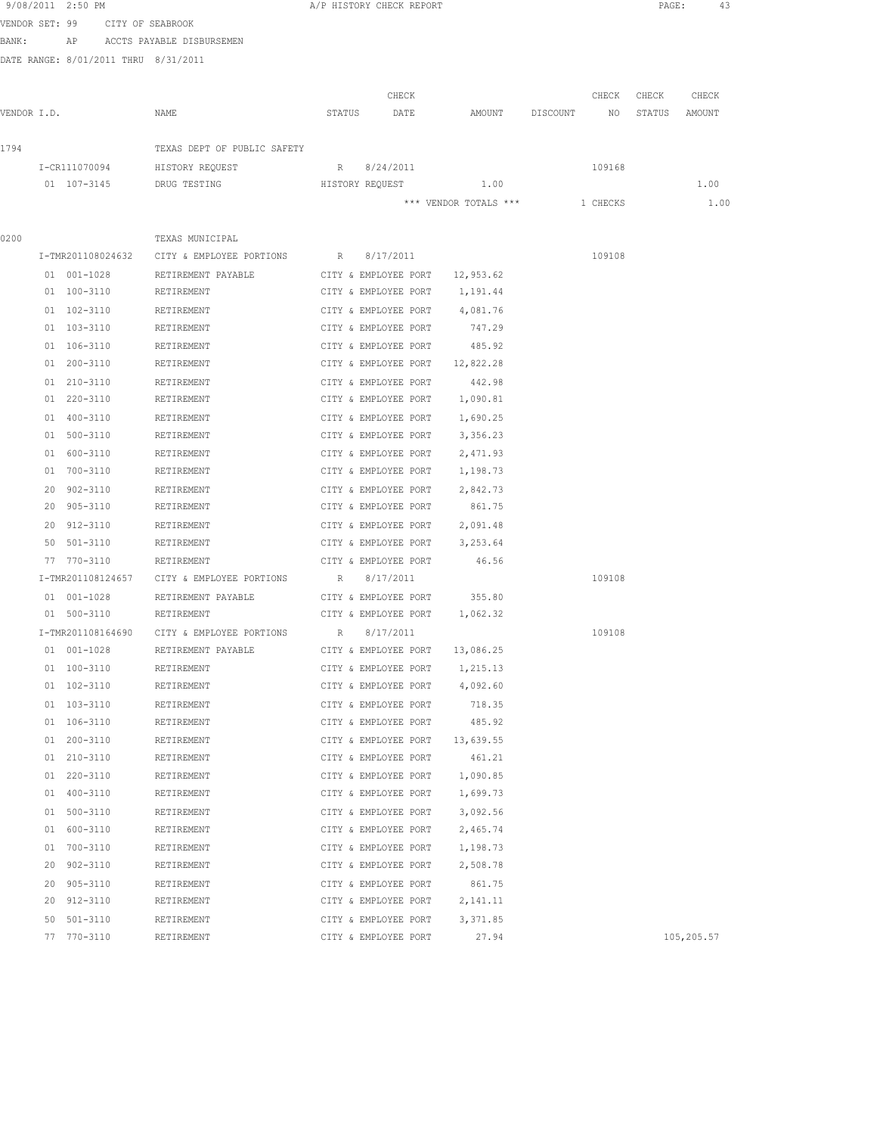| 9/08/2011 2:50 PM |  |                   |                                            |                      | A/P HISTORY CHECK REPORT                     |                       |          |          | PAGE:  | 43         |
|-------------------|--|-------------------|--------------------------------------------|----------------------|----------------------------------------------|-----------------------|----------|----------|--------|------------|
|                   |  |                   | VENDOR SET: 99 CITY OF SEABROOK            |                      |                                              |                       |          |          |        |            |
| BANK:             |  |                   | AP ACCTS PAYABLE DISBURSEMEN               |                      |                                              |                       |          |          |        |            |
|                   |  |                   | DATE RANGE: 8/01/2011 THRU 8/31/2011       |                      |                                              |                       |          |          |        |            |
|                   |  |                   |                                            |                      |                                              |                       |          |          |        |            |
|                   |  |                   |                                            |                      | CHECK                                        |                       |          | CHECK    | CHECK  | CHECK      |
| VENDOR I.D.       |  |                   | NAME                                       | STATUS               | DATE                                         | AMOUNT                | DISCOUNT | NO       | STATUS | AMOUNT     |
| 1794              |  |                   | TEXAS DEPT OF PUBLIC SAFETY                |                      |                                              |                       |          |          |        |            |
|                   |  | I-CR111070094     | HISTORY REQUEST                            |                      | R 8/24/2011                                  |                       |          | 109168   |        |            |
|                   |  | 01 107-3145       | DRUG TESTING                               | HISTORY REQUEST      |                                              | 1.00                  |          |          |        | 1.00       |
|                   |  |                   |                                            |                      |                                              | *** VENDOR TOTALS *** |          | 1 CHECKS |        | 1.00       |
|                   |  |                   |                                            |                      |                                              |                       |          |          |        |            |
| 0200              |  |                   | TEXAS MUNICIPAL                            |                      |                                              |                       |          |          |        |            |
|                   |  | I-TMR201108024632 | CITY & EMPLOYEE PORTIONS R                 |                      | 8/17/2011                                    |                       |          | 109108   |        |            |
|                   |  | 01 001-1028       | RETIREMENT PAYABLE                         | CITY & EMPLOYEE PORT |                                              | 12,953.62             |          |          |        |            |
|                   |  | 01 100-3110       | RETIREMENT                                 |                      | CITY & EMPLOYEE PORT                         | 1,191.44              |          |          |        |            |
|                   |  | 01 102-3110       | RETIREMENT                                 |                      | CITY & EMPLOYEE PORT                         | 4,081.76              |          |          |        |            |
|                   |  | 01 103-3110       | RETIREMENT                                 |                      | CITY & EMPLOYEE PORT                         | 747.29                |          |          |        |            |
|                   |  | 01 106-3110       | RETIREMENT                                 |                      | CITY & EMPLOYEE PORT                         | 485.92                |          |          |        |            |
|                   |  | 01 200-3110       | RETIREMENT                                 |                      | CITY & EMPLOYEE PORT                         | 12,822.28             |          |          |        |            |
|                   |  | 01 210-3110       | RETIREMENT                                 |                      | CITY & EMPLOYEE PORT                         | 442.98                |          |          |        |            |
|                   |  | 01 220-3110       | RETIREMENT                                 |                      | CITY & EMPLOYEE PORT                         | 1,090.81              |          |          |        |            |
|                   |  | 01 400-3110       | RETIREMENT                                 |                      | CITY & EMPLOYEE PORT                         | 1,690.25              |          |          |        |            |
|                   |  | 01 500-3110       | RETIREMENT                                 |                      | CITY & EMPLOYEE PORT                         | 3,356.23              |          |          |        |            |
|                   |  | 01 600-3110       | RETIREMENT                                 |                      | CITY & EMPLOYEE PORT                         | 2,471.93              |          |          |        |            |
|                   |  | 01 700-3110       | RETIREMENT                                 |                      | CITY & EMPLOYEE PORT                         | 1,198.73              |          |          |        |            |
|                   |  | 20 902-3110       | RETIREMENT                                 |                      | CITY & EMPLOYEE PORT                         | 2,842.73              |          |          |        |            |
|                   |  | 20 905-3110       | RETIREMENT                                 |                      | CITY & EMPLOYEE PORT                         | 861.75                |          |          |        |            |
|                   |  | 20 912-3110       | RETIREMENT                                 |                      | CITY & EMPLOYEE PORT                         | 2,091.48              |          |          |        |            |
|                   |  | 50 501-3110       | RETIREMENT                                 |                      | CITY & EMPLOYEE PORT                         | 3,253.64              |          |          |        |            |
|                   |  | 77 770-3110       | RETIREMENT                                 |                      | CITY & EMPLOYEE PORT                         | 46.56                 |          |          |        |            |
|                   |  | I-TMR201108124657 | CITY & EMPLOYEE PORTIONS                   | R                    | 8/17/2011                                    |                       |          | 109108   |        |            |
|                   |  | 01 001-1028       | RETIREMENT PAYABLE                         | CITY & EMPLOYEE PORT |                                              | 355.80                |          |          |        |            |
|                   |  | 01 500-3110       | RETIREMENT                                 |                      | CITY & EMPLOYEE PORT                         | 1,062.32              |          |          |        |            |
|                   |  |                   | I-TMR201108164690 CITY & EMPLOYEE PORTIONS | R 8/17/2011          |                                              |                       |          | 109108   |        |            |
|                   |  | 01 001-1028       | RETIREMENT PAYABLE                         |                      | CITY & EMPLOYEE PORT                         | 13,086.25             |          |          |        |            |
|                   |  | 01 100-3110       | RETIREMENT                                 |                      | CITY & EMPLOYEE PORT                         | 1,215.13              |          |          |        |            |
|                   |  | 01 102-3110       | RETIREMENT                                 |                      | CITY & EMPLOYEE PORT                         | 4,092.60              |          |          |        |            |
|                   |  | 01 103-3110       | RETIREMENT                                 |                      | CITY & EMPLOYEE PORT                         | 718.35                |          |          |        |            |
|                   |  | 01 106-3110       | RETIREMENT                                 |                      | CITY & EMPLOYEE PORT                         | 485.92                |          |          |        |            |
|                   |  | 01 200-3110       | RETIREMENT                                 |                      | CITY & EMPLOYEE PORT                         | 13,639.55             |          |          |        |            |
|                   |  | 01 210-3110       | RETIREMENT                                 |                      | CITY & EMPLOYEE PORT                         | 461.21                |          |          |        |            |
|                   |  | 01 220-3110       | RETIREMENT                                 |                      | CITY & EMPLOYEE PORT                         | 1,090.85              |          |          |        |            |
|                   |  | 01 400-3110       | RETIREMENT                                 |                      | CITY & EMPLOYEE PORT                         | 1,699.73              |          |          |        |            |
|                   |  | 01 500-3110       | RETIREMENT                                 |                      | CITY & EMPLOYEE PORT                         | 3,092.56              |          |          |        |            |
|                   |  | 01 600-3110       | RETIREMENT                                 |                      | CITY & EMPLOYEE PORT                         | 2,465.74              |          |          |        |            |
|                   |  | 01 700-3110       | RETIREMENT                                 |                      | CITY & EMPLOYEE PORT                         | 1,198.73              |          |          |        |            |
|                   |  | 20 902-3110       | RETIREMENT                                 |                      | CITY & EMPLOYEE PORT                         | 2,508.78              |          |          |        |            |
|                   |  | 20 905-3110       | RETIREMENT                                 |                      | CITY & EMPLOYEE PORT                         | 861.75                |          |          |        |            |
|                   |  | 20 912-3110       | RETIREMENT                                 |                      | CITY & EMPLOYEE PORT                         | 2,141.11              |          |          |        |            |
|                   |  | 50 501-3110       |                                            |                      |                                              | 3,371.85              |          |          |        |            |
|                   |  | 77 770-3110       | RETIREMENT<br>RETIREMENT                   |                      | CITY & EMPLOYEE PORT<br>CITY & EMPLOYEE PORT | 27.94                 |          |          |        | 105,205.57 |
|                   |  |                   |                                            |                      |                                              |                       |          |          |        |            |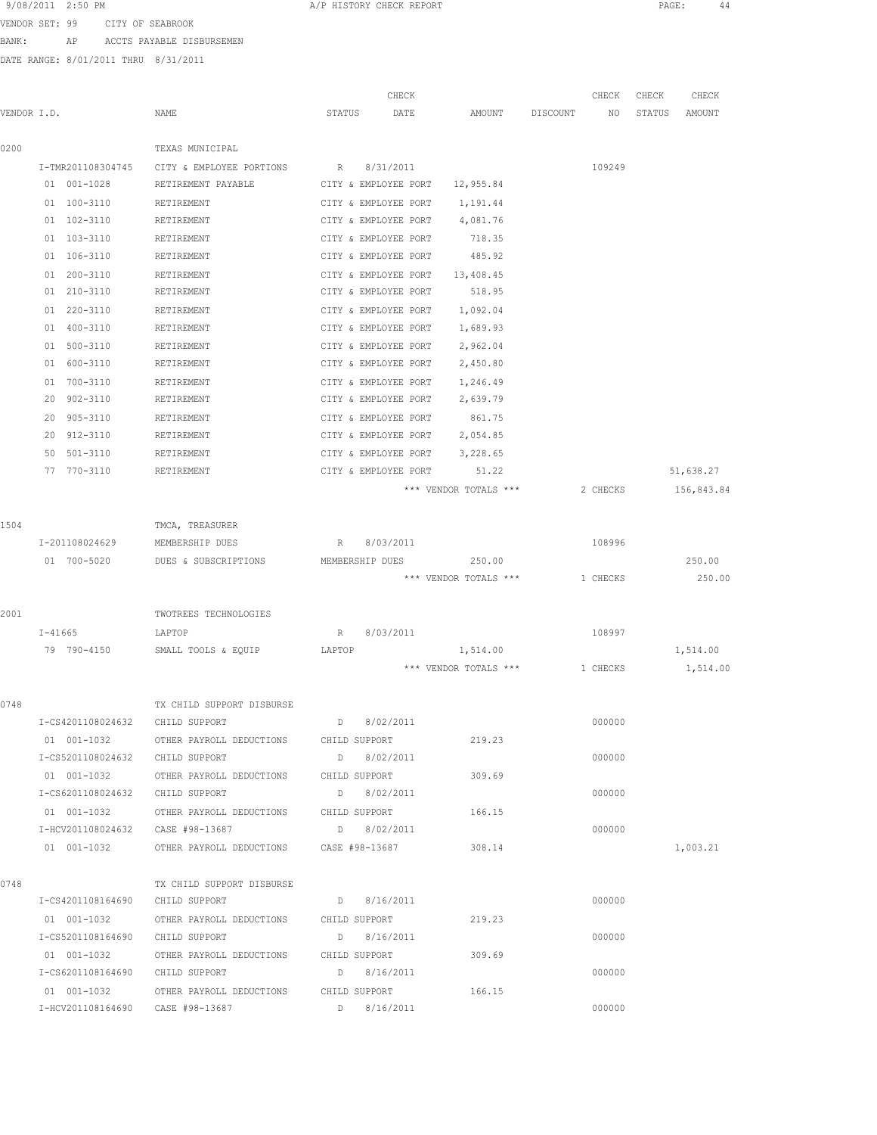9/08/2011 2:50 PM **A/P HISTORY CHECK REPORT PAGE:** 44

VENDOR SET: 99 CITY OF SEABROOK

BANK: AP ACCTS PAYABLE DISBURSEMEN

DATE RANGE: 8/01/2011 THRU 8/31/2011

| VENDOR I.D. |                                 | NAME                                                                                 | CHECK<br>STATUS<br>DATE | AMOUNT DISCOUNT       | CHECK<br>NO | CHECK<br>CHECK<br>AMOUNT<br>STATUS |
|-------------|---------------------------------|--------------------------------------------------------------------------------------|-------------------------|-----------------------|-------------|------------------------------------|
| 0200        |                                 | TEXAS MUNICIPAL                                                                      |                         |                       |             |                                    |
|             |                                 | I-TMR201108304745 CITY & EMPLOYEE PORTIONS R 8/31/2011                               |                         |                       | 109249      |                                    |
|             | 01 001-1028                     | RETIREMENT PAYABLE CITY & EMPLOYEE PORT                                              |                         | 12,955.84             |             |                                    |
|             | 01 100-3110                     | RETIREMENT                                                                           | CITY & EMPLOYEE PORT    | 1,191.44              |             |                                    |
|             | 01 102-3110                     | RETIREMENT                                                                           | CITY & EMPLOYEE PORT    | 4,081.76              |             |                                    |
|             | 01 103-3110                     | RETIREMENT                                                                           | CITY & EMPLOYEE PORT    | 718.35                |             |                                    |
|             | 01 106-3110                     | RETIREMENT                                                                           | CITY & EMPLOYEE PORT    | 485.92                |             |                                    |
|             | 01 200-3110                     | RETIREMENT                                                                           | CITY & EMPLOYEE PORT    | 13,408.45             |             |                                    |
|             | 01 210-3110                     | RETIREMENT                                                                           | CITY & EMPLOYEE PORT    | 518.95                |             |                                    |
|             | 01 220-3110                     | RETIREMENT                                                                           | CITY & EMPLOYEE PORT    | 1,092.04              |             |                                    |
|             | 01 400-3110                     | RETIREMENT                                                                           | CITY & EMPLOYEE PORT    | 1,689.93              |             |                                    |
|             | 01 500-3110                     | RETIREMENT                                                                           | CITY & EMPLOYEE PORT    | 2,962.04              |             |                                    |
|             | 01 600-3110                     | RETIREMENT                                                                           | CITY & EMPLOYEE PORT    | 2,450.80              |             |                                    |
|             | 01 700-3110                     | RETIREMENT                                                                           | CITY & EMPLOYEE PORT    | 1,246.49              |             |                                    |
|             | 20 902-3110                     | RETIREMENT                                                                           | CITY & EMPLOYEE PORT    | 2,639.79              |             |                                    |
|             | 20 905-3110                     | RETIREMENT                                                                           | CITY & EMPLOYEE PORT    | 861.75                |             |                                    |
|             | 20 912-3110                     | RETIREMENT                                                                           | CITY & EMPLOYEE PORT    | 2,054.85              |             |                                    |
|             | 50 501-3110                     | RETIREMENT                                                                           | CITY & EMPLOYEE PORT    | 3,228.65              |             |                                    |
|             | 77 770-3110                     | RETIREMENT                                                                           | CITY & EMPLOYEE PORT    | 51.22                 |             | 51,638.27                          |
|             |                                 |                                                                                      |                         | *** VENDOR TOTALS *** | 2 CHECKS    | 156,843.84                         |
| 1504        |                                 | TMCA, TREASURER                                                                      |                         |                       |             |                                    |
|             | I-201108024629                  | MEMBERSHIP DUES                                                                      | R 8/03/2011             |                       | 108996      |                                    |
|             | 01 700-5020                     | DUES & SUBSCRIPTIONS                                                                 | MEMBERSHIP DUES         | 250.00                |             | 250.00                             |
|             |                                 |                                                                                      |                         | *** VENDOR TOTALS *** | 1 CHECKS    | 250.00                             |
| 2001        |                                 | TWOTREES TECHNOLOGIES                                                                |                         |                       |             |                                    |
|             | I-41665                         | LAPTOP                                                                               | 8/03/2011<br>R          |                       | 108997      |                                    |
|             | 79 790-4150                     | SMALL TOOLS & EQUIP                                                                  | LAPTOP                  | 1,514.00              |             | 1,514.00                           |
|             |                                 |                                                                                      |                         | *** VENDOR TOTALS *** | 1 CHECKS    | 1,514.00                           |
| 0748        |                                 | TX CHILD SUPPORT DISBURSE                                                            |                         |                       |             |                                    |
|             | I-CS4201108024632 CHILD SUPPORT |                                                                                      | 8/02/2011               |                       | 000000      |                                    |
|             | 01 001-1032                     | OTHER PAYROLL DEDUCTIONS CHILD SUPPORT                                               |                         | 219.23                |             |                                    |
|             |                                 | I-CS5201108024632 CHILD SUPPORT                                                      | $D$ 8/02/2011           |                       | 000000      |                                    |
|             |                                 | 01 001-1032 OTHER PAYROLL DEDUCTIONS CHILD SUPPORT 309.69                            |                         |                       |             |                                    |
|             |                                 | ${\tt I-CS6201108024632} \qquad {\tt CHILD SUPPORT} \qquad {\tt D} \qquad 8/02/2011$ |                         |                       | 000000      |                                    |
|             |                                 | 01 001-1032 OTHER PAYROLL DEDUCTIONS CHILD SUPPORT 166.15                            |                         |                       |             |                                    |
|             |                                 |                                                                                      |                         |                       | 000000      |                                    |
|             |                                 | 01 001-1032 OTHER PAYROLL DEDUCTIONS CASE #98-13687 308.14                           |                         |                       |             | 1,003.21                           |
| 0748        |                                 | TX CHILD SUPPORT DISBURSE                                                            |                         |                       |             |                                    |
|             | I-CS4201108164690 CHILD SUPPORT | 01 001-1032 OTHER PAYROLL DEDUCTIONS CHILD SUPPORT                                   | D 8/16/2011             | 219.23                | 000000      |                                    |
|             | I-CS5201108164690 CHILD SUPPORT |                                                                                      | D 8/16/2011             |                       | 000000      |                                    |
|             |                                 |                                                                                      |                         | 309.69                |             |                                    |
|             | I-CS6201108164690 CHILD SUPPORT |                                                                                      | D 8/16/2011             |                       | 000000      |                                    |
|             |                                 |                                                                                      |                         | 166.15                |             |                                    |
|             |                                 |                                                                                      |                         |                       | 000000      |                                    |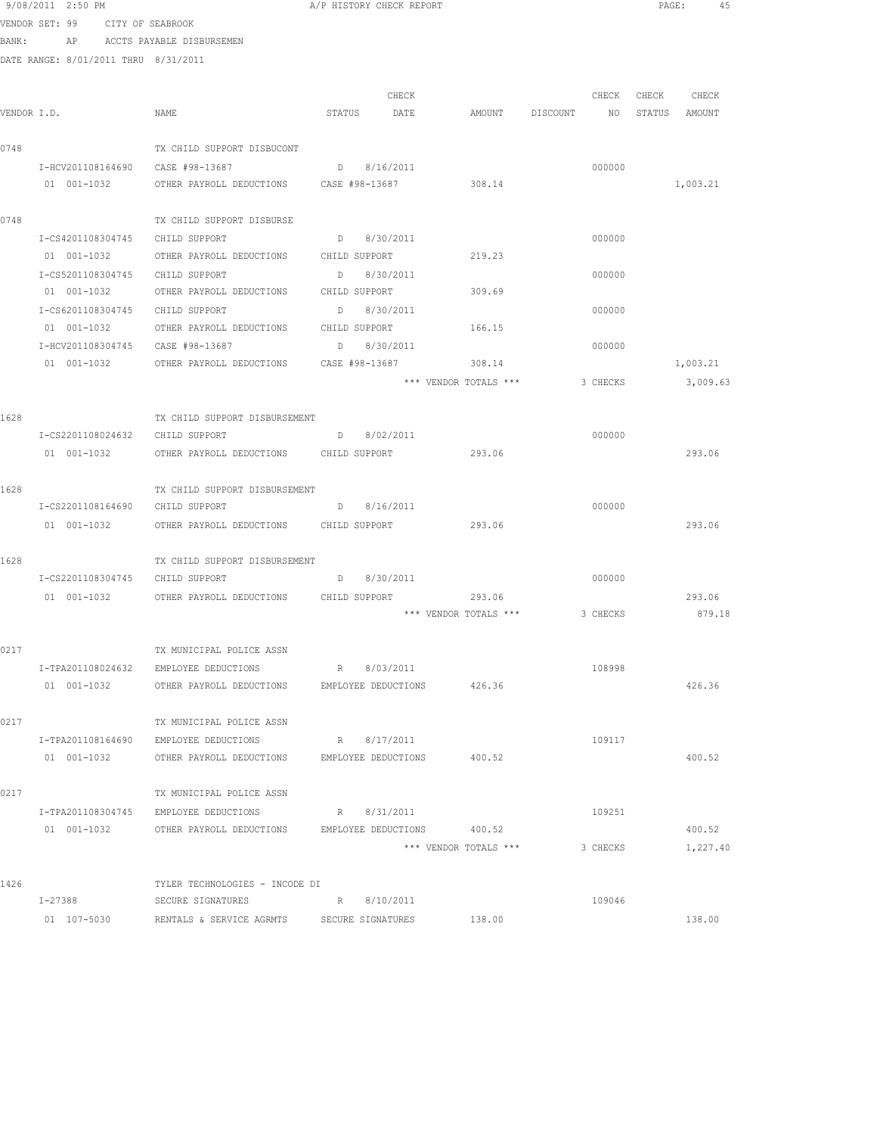|      | 9/08/2011 2:50 PM                    |                                                           | A/P HISTORY CHECK REPORT |                       |                                  | PAGE: 45          |
|------|--------------------------------------|-----------------------------------------------------------|--------------------------|-----------------------|----------------------------------|-------------------|
|      | VENDOR SET: 99 CITY OF SEABROOK      |                                                           |                          |                       |                                  |                   |
|      | BANK: AP ACCTS PAYABLE DISBURSEMEN   |                                                           |                          |                       |                                  |                   |
|      | DATE RANGE: 8/01/2011 THRU 8/31/2011 |                                                           |                          |                       |                                  |                   |
|      |                                      |                                                           |                          |                       |                                  |                   |
|      |                                      |                                                           | CHECK                    |                       |                                  | CHECK CHECK CHECK |
|      | VENDOR I.D.                          | NAME                                                      | STATUS DATE              |                       | AMOUNT DISCOUNT NO STATUS AMOUNT |                   |
| 0748 |                                      | TX CHILD SUPPORT DISBUCONT                                |                          |                       |                                  |                   |
|      |                                      |                                                           | D 8/16/2011              |                       | 000000                           |                   |
|      | 01 001-1032                          | OTHER PAYROLL DEDUCTIONS CASE #98-13687                   |                          | 308.14                |                                  | 1,003.21          |
|      |                                      |                                                           |                          |                       |                                  |                   |
| 0748 |                                      | TX CHILD SUPPORT DISBURSE                                 |                          |                       |                                  |                   |
|      | I-CS4201108304745 CHILD SUPPORT      |                                                           | D 8/30/2011              |                       | 000000                           |                   |
|      |                                      | 01 001-1032 OTHER PAYROLL DEDUCTIONS CHILD SUPPORT        |                          | 219.23                |                                  |                   |
|      | I-CS5201108304745 CHILD SUPPORT      |                                                           | $D \t 8/30/2011$         |                       | 000000                           |                   |
|      |                                      | 01 001-1032 OTHER PAYROLL DEDUCTIONS CHILD SUPPORT 309.69 |                          |                       |                                  |                   |
|      |                                      | I-CS6201108304745 CHILD SUPPORT D 8/30/2011               |                          |                       | 000000                           |                   |
|      |                                      | 01 001-1032 OTHER PAYROLL DEDUCTIONS CHILD SUPPORT        |                          | 166.15                |                                  |                   |
|      |                                      | I-HCV201108304745 CASE #98-13687                          | D 8/30/2011              |                       | 000000                           |                   |
|      | 01 001-1032                          | OTHER PAYROLL DEDUCTIONS CASE #98-13687                   |                          | 308.14                |                                  | 1,003.21          |
|      |                                      |                                                           |                          | *** VENDOR TOTALS *** | 3 CHECKS                         | 3,009.63          |
|      |                                      |                                                           |                          |                       |                                  |                   |
| 1628 |                                      | TX CHILD SUPPORT DISBURSEMENT                             |                          |                       |                                  |                   |
|      | I-CS2201108024632 CHILD SUPPORT      |                                                           | D 8/02/2011              |                       | 000000                           |                   |
|      |                                      | 01 001-1032 OTHER PAYROLL DEDUCTIONS CHILD SUPPORT        |                          | 293.06                |                                  | 293.06            |
|      |                                      |                                                           |                          |                       |                                  |                   |
| 1628 | I-CS2201108164690 CHILD SUPPORT      | TX CHILD SUPPORT DISBURSEMENT                             | D 8/16/2011              |                       | 000000                           |                   |
|      |                                      | 01 001-1032 OTHER PAYROLL DEDUCTIONS CHILD SUPPORT 293.06 |                          |                       |                                  | 293.06            |
|      |                                      |                                                           |                          |                       |                                  |                   |
| 1628 |                                      | TX CHILD SUPPORT DISBURSEMENT                             |                          |                       |                                  |                   |
|      | I-CS2201108304745 CHILD SUPPORT      |                                                           | D 8/30/2011              |                       | 000000                           |                   |
|      |                                      | 01 001-1032 OTHER PAYROLL DEDUCTIONS CHILD SUPPORT        |                          |                       |                                  | 293.06            |
|      |                                      |                                                           |                          |                       |                                  | 879.18            |
|      |                                      |                                                           |                          |                       |                                  |                   |
| 0217 |                                      | TX MUNICIPAL POLICE ASSN                                  |                          |                       |                                  |                   |
|      | I-TPA201108024632                    | EMPLOYEE DEDUCTIONS                                       | R 8/03/2011              |                       | 108998                           |                   |
|      |                                      | 01 001-1032 OTHER PAYROLL DEDUCTIONS EMPLOYEE DEDUCTIONS  |                          | 426.36                |                                  | 426.36            |
|      |                                      |                                                           |                          |                       |                                  |                   |
| 0217 |                                      | TX MUNICIPAL POLICE ASSN                                  |                          |                       |                                  |                   |
|      |                                      | I-TPA201108164690 EMPLOYEE DEDUCTIONS                     | R 8/17/2011              |                       | 109117                           |                   |
|      | 01 001-1032                          | OTHER PAYROLL DEDUCTIONS EMPLOYEE DEDUCTIONS              |                          | 400.52                |                                  | 400.52            |
|      |                                      |                                                           |                          |                       |                                  |                   |
| 0217 |                                      | TX MUNICIPAL POLICE ASSN                                  |                          |                       |                                  |                   |
|      | I-TPA201108304745                    | EMPLOYEE DEDUCTIONS                                       | R 8/31/2011              |                       | 109251                           |                   |
|      | 01 001-1032                          | OTHER PAYROLL DEDUCTIONS                                  | EMPLOYEE DEDUCTIONS      | 400.52                |                                  | 400.52            |
|      |                                      |                                                           |                          | *** VENDOR TOTALS *** | 3 CHECKS                         | 1,227.40          |
| 1426 |                                      | TYLER TECHNOLOGIES - INCODE DI                            |                          |                       |                                  |                   |
|      | I-27388                              | SECURE SIGNATURES                                         | R 8/10/2011              |                       | 109046                           |                   |
|      | 01 107-5030                          | RENTALS & SERVICE AGRMTS SECURE SIGNATURES                |                          | 138.00                |                                  | 138.00            |
|      |                                      |                                                           |                          |                       |                                  |                   |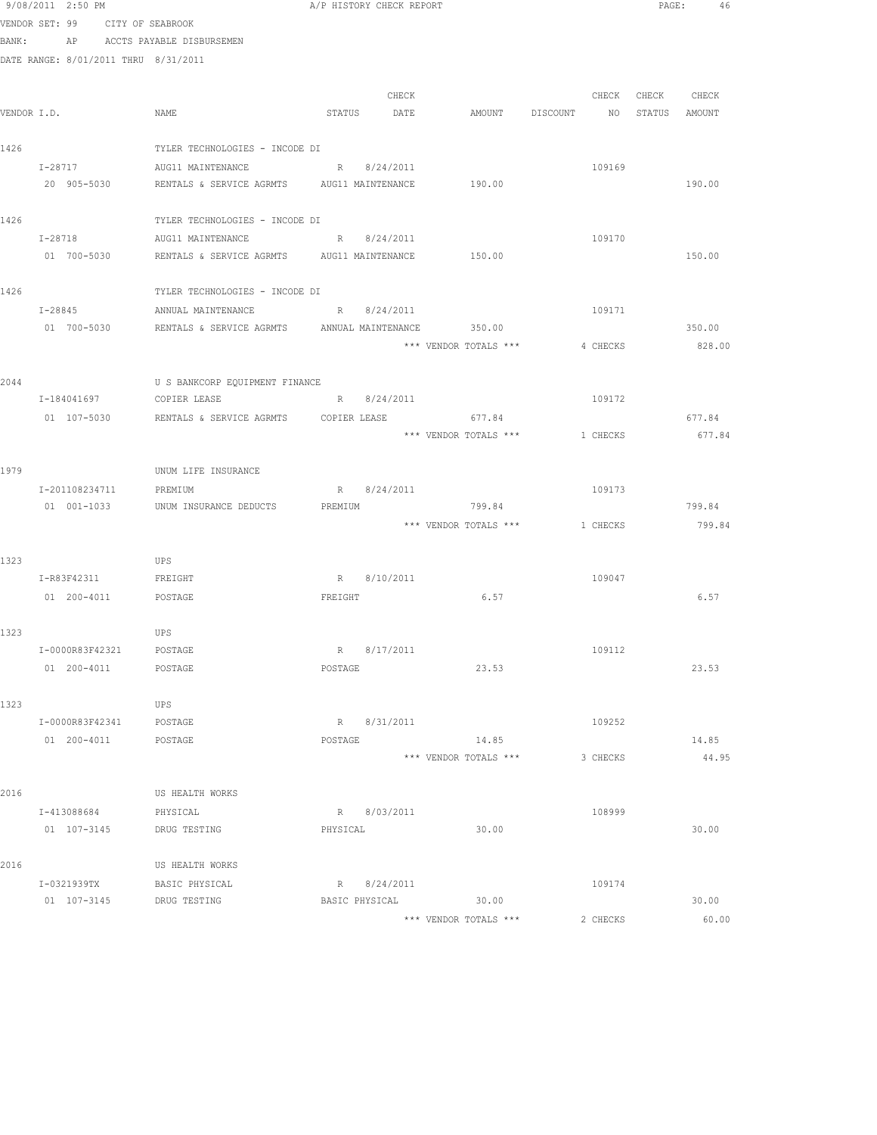|             | 9/08/2011 2:50 PM                    |                                                               |          | A/P HISTORY CHECK REPORT |                                  |          |                   | PAGE: 46 |
|-------------|--------------------------------------|---------------------------------------------------------------|----------|--------------------------|----------------------------------|----------|-------------------|----------|
|             | VENDOR SET: 99 CITY OF SEABROOK      |                                                               |          |                          |                                  |          |                   |          |
|             |                                      | BANK: AP ACCTS PAYABLE DISBURSEMEN                            |          |                          |                                  |          |                   |          |
|             | DATE RANGE: 8/01/2011 THRU 8/31/2011 |                                                               |          |                          |                                  |          |                   |          |
|             |                                      |                                                               |          | CHECK                    |                                  |          | CHECK CHECK CHECK |          |
| VENDOR I.D. |                                      | NAME                                                          |          | STATUS DATE              | AMOUNT DISCOUNT NO STATUS AMOUNT |          |                   |          |
|             |                                      |                                                               |          |                          |                                  |          |                   |          |
| 1426        |                                      | TYLER TECHNOLOGIES - INCODE DI                                |          |                          |                                  |          |                   |          |
|             | I-28717                              | AUG11 MAINTENANCE                                             |          | R 8/24/2011              |                                  | 109169   |                   |          |
|             | 20 905-5030                          | RENTALS & SERVICE AGRMTS AUG11 MAINTENANCE                    |          |                          | 190.00                           |          |                   | 190.00   |
| 1426        |                                      | TYLER TECHNOLOGIES - INCODE DI                                |          |                          |                                  |          |                   |          |
|             | $I - 28718$                          | AUG11 MAINTENANCE R 8/24/2011                                 |          |                          |                                  | 109170   |                   |          |
|             |                                      | 01 700-5030 RENTALS & SERVICE AGRMTS AUG11 MAINTENANCE 150.00 |          |                          |                                  |          |                   | 150.00   |
| 1426        |                                      | TYLER TECHNOLOGIES - INCODE DI                                |          |                          |                                  |          |                   |          |
|             | $I - 28845$                          | ANNUAL MAINTENANCE R 8/24/2011                                |          |                          |                                  | 109171   |                   |          |
|             | 01 700-5030                          | RENTALS & SERVICE AGRMTS ANNUAL MAINTENANCE 350.00            |          |                          |                                  |          |                   | 350.00   |
|             |                                      |                                                               |          |                          | *** VENDOR TOTALS ***            | 4 CHECKS |                   | 828.00   |
|             |                                      |                                                               |          |                          |                                  |          |                   |          |
| 2044        |                                      | U S BANKCORP EQUIPMENT FINANCE                                |          |                          |                                  |          |                   |          |
|             | I-184041697                          | COPIER LEASE                                                  |          | R 8/24/2011              |                                  | 109172   |                   |          |
|             | 01 107-5030                          | RENTALS & SERVICE AGRMTS  COPIER LEASE                        |          |                          | 677.84                           |          |                   | 677.84   |
|             |                                      |                                                               |          |                          | *** VENDOR TOTALS ***            | 1 CHECKS |                   | 677.84   |
| 1979        |                                      | UNUM LIFE INSURANCE                                           |          |                          |                                  |          |                   |          |
|             | I-201108234711 PREMIUM               |                                                               |          | R 8/24/2011              |                                  | 109173   |                   |          |
|             |                                      | 01 001-1033 UNUM INSURANCE DEDUCTS                            | PREMIUM  |                          | 799.84                           |          |                   | 799.84   |
|             |                                      |                                                               |          |                          | *** VENDOR TOTALS *** 1 CHECKS   |          |                   | 799.84   |
| 1323        |                                      | UPS                                                           |          |                          |                                  |          |                   |          |
|             | I-R83F42311                          | FREIGHT                                                       |          | R 8/10/2011              |                                  | 109047   |                   |          |
|             | 01  200-4011  POSTAGE                |                                                               |          | FREIGHT                  | 6.57                             |          |                   | 6.57     |
| 1323        |                                      | UPS                                                           |          |                          |                                  |          |                   |          |
|             | I-0000R83F42321                      | POSTAGE                                                       |          | R 8/17/2011              |                                  | 109112   |                   |          |
|             | 01 200-4011                          | POSTAGE                                                       | POSTAGE  |                          | 23.53                            |          |                   | 23.53    |
|             |                                      |                                                               |          |                          |                                  |          |                   |          |
| 1323        |                                      | UPS                                                           |          |                          |                                  |          |                   |          |
|             | I-0000R83F42341                      | POSTAGE                                                       |          | R 8/31/2011              |                                  | 109252   |                   |          |
|             | 01 200-4011                          | POSTAGE                                                       | POSTAGE  |                          | 14.85                            |          |                   | 14.85    |
|             |                                      |                                                               |          |                          | *** VENDOR TOTALS ***            | 3 CHECKS |                   | 44.95    |
| 2016        |                                      | US HEALTH WORKS                                               |          |                          |                                  |          |                   |          |
|             | I-413088684                          | PHYSICAL                                                      |          | R 8/03/2011              |                                  | 108999   |                   |          |
|             | 01 107-3145                          | DRUG TESTING                                                  | PHYSICAL |                          | 30.00                            |          |                   | 30.00    |
|             |                                      |                                                               |          |                          |                                  |          |                   |          |
| 2016        |                                      | US HEALTH WORKS                                               |          |                          |                                  |          |                   |          |
|             | I-0321939TX                          | BASIC PHYSICAL                                                |          | R 8/24/2011              | BASIC PHYSICAL 30.00             | 109174   |                   | 30.00    |
|             |                                      | 01 107-3145 DRUG TESTING                                      |          |                          | *** VENDOR TOTALS ***            | 2 CHECKS |                   | 60.00    |
|             |                                      |                                                               |          |                          |                                  |          |                   |          |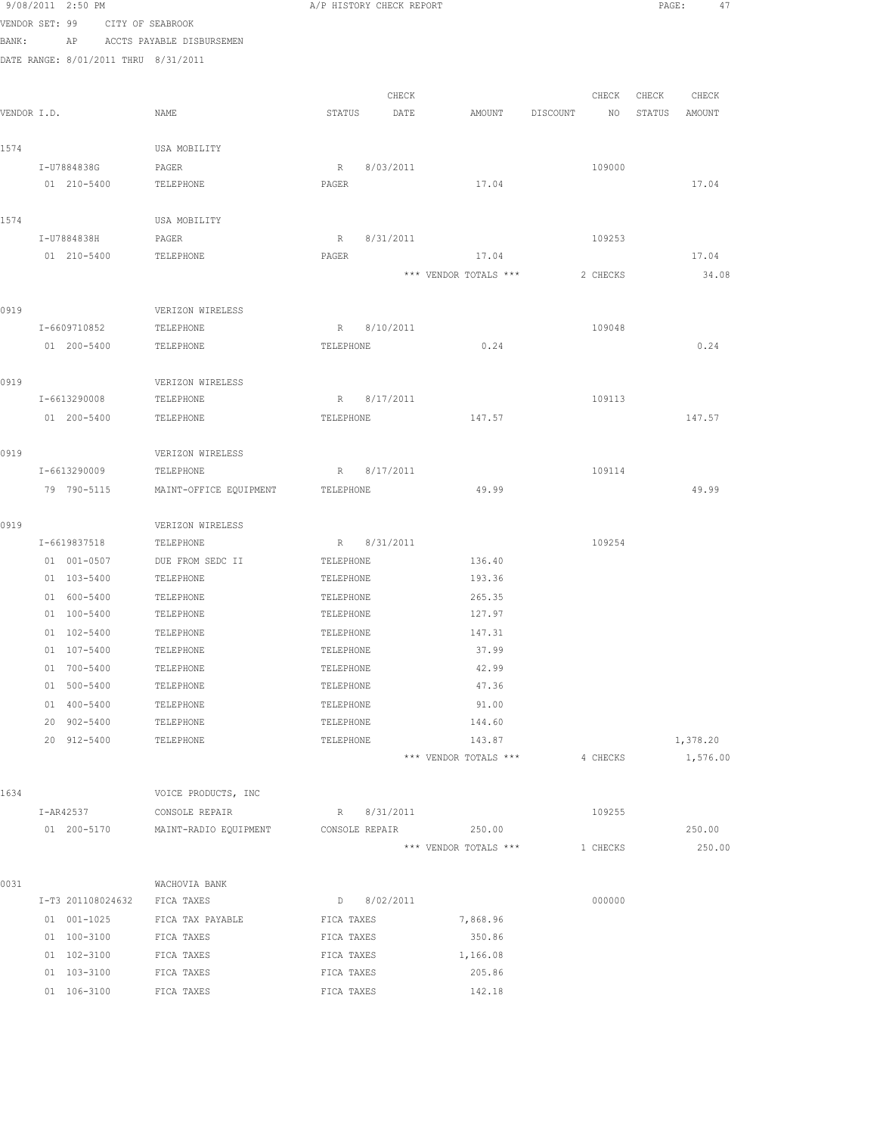|             | 9/08/2011 2:50 PM                    |                              |             | A/P HISTORY CHECK REPORT |                       |          |          | PAGE:       | 47       |  |
|-------------|--------------------------------------|------------------------------|-------------|--------------------------|-----------------------|----------|----------|-------------|----------|--|
|             | VENDOR SET: 99 CITY OF SEABROOK      |                              |             |                          |                       |          |          |             |          |  |
| BANK:       |                                      | AP ACCTS PAYABLE DISBURSEMEN |             |                          |                       |          |          |             |          |  |
|             | DATE RANGE: 8/01/2011 THRU 8/31/2011 |                              |             |                          |                       |          |          |             |          |  |
|             |                                      |                              |             |                          |                       |          |          |             |          |  |
|             |                                      |                              |             | CHECK                    |                       |          |          | CHECK CHECK | CHECK    |  |
| VENDOR I.D. |                                      | NAME                         | STATUS      | DATE                     | AMOUNT                | DISCOUNT | NO       | STATUS      | AMOUNT   |  |
| 1574        |                                      | USA MOBILITY                 |             |                          |                       |          |          |             |          |  |
|             | I-U7884838G                          | PAGER                        | $R_{\perp}$ | 8/03/2011                |                       |          | 109000   |             |          |  |
|             | 01 210-5400                          | TELEPHONE                    | PAGER       |                          | 17.04                 |          |          |             | 17.04    |  |
|             |                                      |                              |             |                          |                       |          |          |             |          |  |
| 1574        | I-U7884838H                          | USA MOBILITY                 |             | R 8/31/2011              |                       |          | 109253   |             |          |  |
|             | 01 210-5400                          | PAGER<br>TELEPHONE           | PAGER       |                          | 17.04                 |          |          |             | 17.04    |  |
|             |                                      |                              |             |                          | *** VENDOR TOTALS *** |          | 2 CHECKS |             | 34.08    |  |
|             |                                      |                              |             |                          |                       |          |          |             |          |  |
| 0919        |                                      | VERIZON WIRELESS             |             |                          |                       |          |          |             |          |  |
|             | I-6609710852                         | TELEPHONE                    |             | R 8/10/2011              |                       |          | 109048   |             |          |  |
|             | 01 200-5400                          | TELEPHONE                    | TELEPHONE   |                          | 0.24                  |          |          |             | 0.24     |  |
|             |                                      |                              |             |                          |                       |          |          |             |          |  |
| 0919        |                                      | VERIZON WIRELESS             |             |                          |                       |          |          |             |          |  |
|             | I-6613290008                         | TELEPHONE                    | $R_{\perp}$ | 8/17/2011                |                       |          | 109113   |             |          |  |
|             | 01 200-5400                          | TELEPHONE                    | TELEPHONE   |                          | 147.57                |          |          |             | 147.57   |  |
| 0919        |                                      | VERIZON WIRELESS             |             |                          |                       |          |          |             |          |  |
|             | I-6613290009                         | TELEPHONE                    | R           | 8/17/2011                |                       |          | 109114   |             |          |  |
|             | 79 790-5115                          | MAINT-OFFICE EQUIPMENT       | TELEPHONE   |                          | 49.99                 |          |          |             | 49.99    |  |
|             |                                      |                              |             |                          |                       |          |          |             |          |  |
| 0919        |                                      | VERIZON WIRELESS             |             |                          |                       |          |          |             |          |  |
|             | I-6619837518                         | TELEPHONE                    |             | R 8/31/2011              |                       |          | 109254   |             |          |  |
|             | 01 001-0507                          | DUE FROM SEDC II             | TELEPHONE   |                          | 136.40                |          |          |             |          |  |
|             | 01 103-5400                          | TELEPHONE                    | TELEPHONE   |                          | 193.36                |          |          |             |          |  |
|             | 01 600-5400                          | TELEPHONE                    | TELEPHONE   |                          | 265.35                |          |          |             |          |  |
|             | 01 100-5400                          | TELEPHONE                    | TELEPHONE   |                          | 127.97                |          |          |             |          |  |
|             | 01 102-5400                          | TELEPHONE                    | TELEPHONE   |                          | 147.31                |          |          |             |          |  |
|             | 01 107-5400                          | TELEPHONE                    | TELEPHONE   |                          | 37.99                 |          |          |             |          |  |
|             | 01 700-5400                          | TELEPHONE                    | TELEPHONE   |                          | 42.99                 |          |          |             |          |  |
|             | 01 500-5400                          | TELEPHONE                    | TELEPHONE   |                          | 47.36                 |          |          |             |          |  |
|             | 01 400-5400                          | TELEPHONE                    | TELEPHONE   |                          | 91.00                 |          |          |             |          |  |
|             | 20 902-5400                          | TELEPHONE                    | TELEPHONE   |                          | 144.60                |          |          |             |          |  |
|             | 20 912-5400                          | TELEPHONE                    | TELEPHONE   |                          | 143.87                |          |          |             | 1,378.20 |  |
|             |                                      |                              |             |                          | *** VENDOR TOTALS *** |          | 4 CHECKS |             | 1,576.00 |  |
| 1634        |                                      | VOICE PRODUCTS, INC          |             |                          |                       |          |          |             |          |  |
|             | I-AR42537                            | CONSOLE REPAIR               |             | R 8/31/2011              |                       |          | 109255   |             |          |  |
|             | 01 200-5170                          | MAINT-RADIO EQUIPMENT        |             | CONSOLE REPAIR           | 250.00                |          |          |             | 250.00   |  |
|             |                                      |                              |             |                          | *** VENDOR TOTALS *** |          | 1 CHECKS |             | 250.00   |  |
|             |                                      |                              |             |                          |                       |          |          |             |          |  |
| 0031        | I-T3 201108024632                    | WACHOVIA BANK<br>FICA TAXES  |             | D 8/02/2011              |                       |          | 000000   |             |          |  |
|             | 01 001-1025                          | FICA TAX PAYABLE             | FICA TAXES  |                          | 7,868.96              |          |          |             |          |  |
|             | 01 100-3100                          | FICA TAXES                   | FICA TAXES  |                          | 350.86                |          |          |             |          |  |
|             | 01 102-3100                          | FICA TAXES                   | FICA TAXES  |                          | 1,166.08              |          |          |             |          |  |
|             | 01 103-3100                          | FICA TAXES                   | FICA TAXES  |                          | 205.86                |          |          |             |          |  |
|             | 01 106-3100                          | FICA TAXES                   | FICA TAXES  |                          | 142.18                |          |          |             |          |  |
|             |                                      |                              |             |                          |                       |          |          |             |          |  |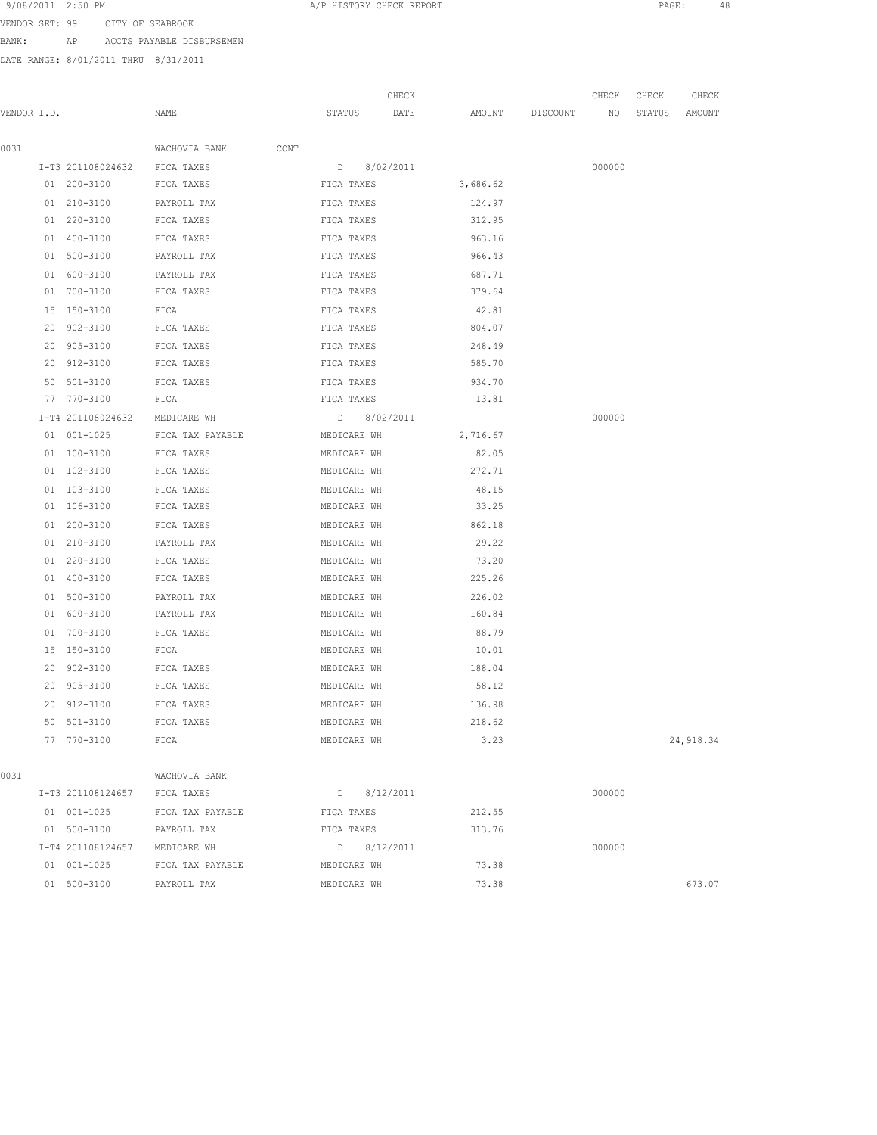9/08/2011 2:50 PM **A**/P HISTORY CHECK REPORT **PAGE:** 48 VENDOR SET: 99 CITY OF SEABROOK

BANK: AP ACCTS PAYABLE DISBURSEMEN

DATE RANGE: 8/01/2011 THRU 8/31/2011

|             |    |                              |                    |               | CHECK |          |                 | CHECK           | CHECK  | CHECK     |
|-------------|----|------------------------------|--------------------|---------------|-------|----------|-----------------|-----------------|--------|-----------|
| VENDOR I.D. |    |                              | NAME               | STATUS        | DATE  |          | AMOUNT DISCOUNT | NO <sub>1</sub> | STATUS | AMOUNT    |
|             |    |                              |                    |               |       |          |                 |                 |        |           |
| 0031        |    |                              | WACHOVIA BANK CONT |               |       |          |                 |                 |        |           |
|             |    | I-T3 201108024632 FICA TAXES |                    | D 8/02/2011   |       |          |                 | 000000          |        |           |
|             |    | 01 200-3100 FICA TAXES       |                    | FICA TAXES    |       | 3,686.62 |                 |                 |        |           |
|             |    | 01 210-3100                  | PAYROLL TAX        | FICA TAXES    |       | 124.97   |                 |                 |        |           |
|             |    | 01 220-3100                  | FICA TAXES         | FICA TAXES    |       | 312.95   |                 |                 |        |           |
|             |    | 01 400-3100                  | FICA TAXES         | FICA TAXES    |       | 963.16   |                 |                 |        |           |
|             |    | 01 500-3100                  | PAYROLL TAX        | FICA TAXES    |       | 966.43   |                 |                 |        |           |
|             |    | 01 600-3100                  | PAYROLL TAX        | FICA TAXES    |       | 687.71   |                 |                 |        |           |
|             |    | 01 700-3100                  | FICA TAXES         | FICA TAXES    |       | 379.64   |                 |                 |        |           |
|             |    | 15 150-3100                  | FICA               | FICA TAXES    |       | 42.81    |                 |                 |        |           |
|             | 20 | 902-3100                     | FICA TAXES         | FICA TAXES    |       | 804.07   |                 |                 |        |           |
|             |    | 20 905-3100                  | FICA TAXES         | FICA TAXES    |       | 248.49   |                 |                 |        |           |
|             |    | 20 912-3100                  | FICA TAXES         | FICA TAXES    |       | 585.70   |                 |                 |        |           |
|             |    | 50 501-3100                  | FICA TAXES         | FICA TAXES    |       | 934.70   |                 |                 |        |           |
|             |    | 77 770-3100                  | FICA               | FICA TAXES    |       | 13.81    |                 |                 |        |           |
|             |    | I-T4 201108024632            | MEDICARE WH        | D 8/02/2011   |       |          |                 | 000000          |        |           |
|             |    | 01 001-1025                  | FICA TAX PAYABLE   | MEDICARE WH   |       | 2,716.67 |                 |                 |        |           |
|             |    | 01 100-3100                  | FICA TAXES         | MEDICARE WH   |       | 82.05    |                 |                 |        |           |
|             |    | 01 102-3100                  | FICA TAXES         | MEDICARE WH   |       | 272.71   |                 |                 |        |           |
|             |    | 01 103-3100                  | FICA TAXES         | MEDICARE WH   |       | 48.15    |                 |                 |        |           |
|             |    | 01 106-3100                  | FICA TAXES         | MEDICARE WH   |       | 33.25    |                 |                 |        |           |
|             |    | 01 200-3100                  | FICA TAXES         | MEDICARE WH   |       | 862.18   |                 |                 |        |           |
|             |    | 01 210-3100                  | PAYROLL TAX        | MEDICARE WH   |       | 29.22    |                 |                 |        |           |
|             |    | 01 220-3100                  | FICA TAXES         | MEDICARE WH   |       | 73.20    |                 |                 |        |           |
|             |    | 01 400-3100                  | FICA TAXES         | MEDICARE WH   |       | 225.26   |                 |                 |        |           |
|             |    | 01 500-3100                  | PAYROLL TAX        | MEDICARE WH   |       | 226.02   |                 |                 |        |           |
|             |    | 01 600-3100                  | PAYROLL TAX        | MEDICARE WH   |       | 160.84   |                 |                 |        |           |
|             |    | 01 700-3100                  | FICA TAXES         | MEDICARE WH   |       | 88.79    |                 |                 |        |           |
|             |    | 15 150-3100                  | FICA               | MEDICARE WH   |       | 10.01    |                 |                 |        |           |
|             |    | 20 902-3100                  | FICA TAXES         | MEDICARE WH   |       | 188.04   |                 |                 |        |           |
|             |    | 20 905-3100                  | FICA TAXES         | MEDICARE WH   |       | 58.12    |                 |                 |        |           |
|             |    | 20 912-3100                  | FICA TAXES         | MEDICARE WH   |       | 136.98   |                 |                 |        |           |
|             |    | 50 501-3100                  | FICA TAXES         | MEDICARE WH   |       | 218.62   |                 |                 |        |           |
|             |    | 77 770-3100                  | FICA               | MEDICARE WH   |       | 3.23     |                 |                 |        | 24,918.34 |
|             |    |                              |                    |               |       |          |                 |                 |        |           |
| 0031        |    |                              | WACHOVIA BANK      |               |       |          |                 |                 |        |           |
|             |    | I-T3 201108124657            | FICA TAXES         | $D$ 8/12/2011 |       |          |                 | 000000          |        |           |
|             |    | 01 001-1025                  | FICA TAX PAYABLE   | FICA TAXES    |       | 212.55   |                 |                 |        |           |
|             |    | 01 500-3100                  | PAYROLL TAX        | FICA TAXES    |       | 313.76   |                 |                 |        |           |
|             |    | I-T4 201108124657            | MEDICARE WH        | D 8/12/2011   |       |          |                 | 000000          |        |           |
|             |    | 01 001-1025                  | FICA TAX PAYABLE   | MEDICARE WH   |       | 73.38    |                 |                 |        |           |
|             |    | 01 500-3100                  | PAYROLL TAX        | MEDICARE WH   |       | 73.38    |                 |                 |        | 673.07    |
|             |    |                              |                    |               |       |          |                 |                 |        |           |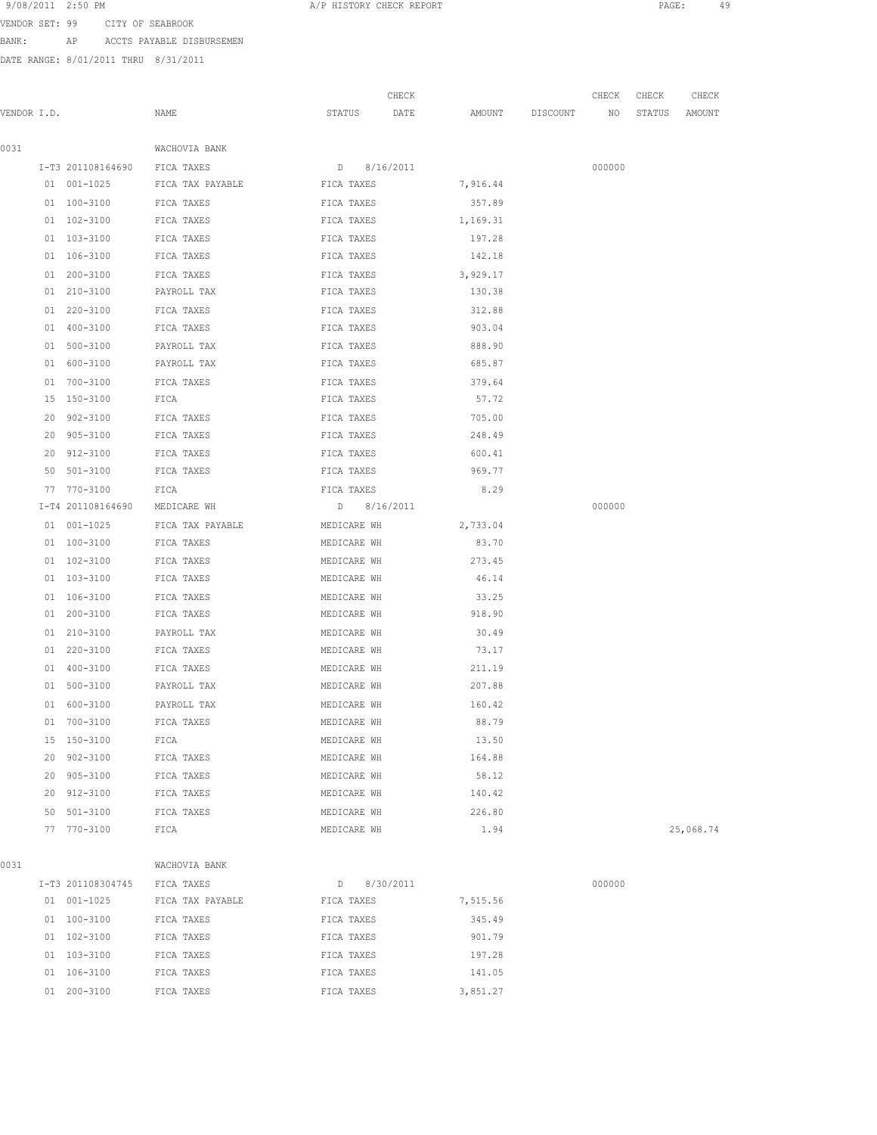9/08/2011 2:50 PM A/P HISTORY CHECK REPORT PAGE: 49 VENDOR SET: 99 CITY OF SEABROOK

BANK: AP ACCTS PAYABLE DISBURSEMEN

DATE RANGE: 8/01/2011 THRU 8/31/2011

|             |                 |                   |                  |             | CHECK |          |          | CHECK  | CHECK  | CHECK     |
|-------------|-----------------|-------------------|------------------|-------------|-------|----------|----------|--------|--------|-----------|
| VENDOR I.D. |                 |                   | NAME             | STATUS      | DATE  | AMOUNT   | DISCOUNT | NO     | STATUS | AMOUNT    |
| 0031        |                 |                   | WACHOVIA BANK    |             |       |          |          |        |        |           |
|             |                 | I-T3 201108164690 | FICA TAXES       | D 8/16/2011 |       |          |          | 000000 |        |           |
|             |                 | 01 001-1025       | FICA TAX PAYABLE | FICA TAXES  |       | 7,916.44 |          |        |        |           |
|             |                 | 01 100-3100       | FICA TAXES       | FICA TAXES  |       | 357.89   |          |        |        |           |
|             |                 | 01 102-3100       | FICA TAXES       | FICA TAXES  |       | 1,169.31 |          |        |        |           |
|             |                 | 01 103-3100       | FICA TAXES       | FICA TAXES  |       | 197.28   |          |        |        |           |
|             |                 | 01 106-3100       | FICA TAXES       | FICA TAXES  |       | 142.18   |          |        |        |           |
|             |                 | 01 200-3100       | FICA TAXES       | FICA TAXES  |       | 3,929.17 |          |        |        |           |
|             |                 | 01 210-3100       | PAYROLL TAX      | FICA TAXES  |       | 130.38   |          |        |        |           |
|             |                 | 01 220-3100       | FICA TAXES       | FICA TAXES  |       | 312.88   |          |        |        |           |
|             |                 | 01 400-3100       | FICA TAXES       | FICA TAXES  |       | 903.04   |          |        |        |           |
|             |                 | 01 500-3100       | PAYROLL TAX      | FICA TAXES  |       | 888.90   |          |        |        |           |
|             |                 | 01 600-3100       | PAYROLL TAX      | FICA TAXES  |       | 685.87   |          |        |        |           |
|             |                 | 01 700-3100       | FICA TAXES       | FICA TAXES  |       | 379.64   |          |        |        |           |
|             | 15 <sub>2</sub> | 150-3100          | FICA             | FICA TAXES  |       | 57.72    |          |        |        |           |
|             | 20              | 902-3100          | FICA TAXES       | FICA TAXES  |       | 705.00   |          |        |        |           |
|             |                 | 20 905-3100       | FICA TAXES       | FICA TAXES  |       | 248.49   |          |        |        |           |
|             | 20              | 912-3100          | FICA TAXES       | FICA TAXES  |       | 600.41   |          |        |        |           |
|             | 50              | 501-3100          | FICA TAXES       | FICA TAXES  |       | 969.77   |          |        |        |           |
|             |                 | 77 770-3100       | FICA             | FICA TAXES  |       | 8.29     |          |        |        |           |
|             |                 | I-T4 201108164690 | MEDICARE WH      | D 8/16/2011 |       |          |          | 000000 |        |           |
|             |                 | 01 001-1025       | FICA TAX PAYABLE | MEDICARE WH |       | 2,733.04 |          |        |        |           |
|             |                 | 01 100-3100       | FICA TAXES       | MEDICARE WH |       | 83.70    |          |        |        |           |
|             |                 | 01 102-3100       | FICA TAXES       | MEDICARE WH |       | 273.45   |          |        |        |           |
|             |                 | 01 103-3100       | FICA TAXES       | MEDICARE WH |       | 46.14    |          |        |        |           |
|             |                 | 01 106-3100       | FICA TAXES       | MEDICARE WH |       | 33.25    |          |        |        |           |
|             |                 | 01 200-3100       | FICA TAXES       | MEDICARE WH |       | 918.90   |          |        |        |           |
|             |                 | 01 210-3100       | PAYROLL TAX      | MEDICARE WH |       | 30.49    |          |        |        |           |
|             |                 | 01 220-3100       | FICA TAXES       | MEDICARE WH |       | 73.17    |          |        |        |           |
|             |                 | 01 400-3100       | FICA TAXES       | MEDICARE WH |       | 211.19   |          |        |        |           |
|             |                 | 01 500-3100       | PAYROLL TAX      | MEDICARE WH |       | 207.88   |          |        |        |           |
|             |                 | 01 600-3100       | PAYROLL TAX      | MEDICARE WH |       | 160.42   |          |        |        |           |
|             |                 | 01 700-3100       | FICA TAXES       | MEDICARE WH |       | 88.79    |          |        |        |           |
|             |                 | 15 150-3100       | FICA             | MEDICARE WH |       | 13.50    |          |        |        |           |
|             |                 | 20 902-3100       | FICA TAXES       | MEDICARE WH |       | 164.88   |          |        |        |           |
|             |                 | 20 905-3100       | FICA TAXES       | MEDICARE WH |       | 58.12    |          |        |        |           |
|             |                 | 20 912-3100       | FICA TAXES       | MEDICARE WH |       | 140.42   |          |        |        |           |
|             |                 | 50 501-3100       | FICA TAXES       | MEDICARE WH |       | 226.80   |          |        |        |           |
|             |                 | 77 770-3100       | FICA             | MEDICARE WH |       | 1.94     |          |        |        | 25,068.74 |
| 0031        |                 |                   | WACHOVIA BANK    |             |       |          |          |        |        |           |
|             |                 | I-T3 201108304745 | FICA TAXES       | D 8/30/2011 |       |          |          | 000000 |        |           |
|             |                 | 01 001-1025       | FICA TAX PAYABLE | FICA TAXES  |       | 7,515.56 |          |        |        |           |
|             |                 | 01 100-3100       | FICA TAXES       | FICA TAXES  |       | 345.49   |          |        |        |           |
|             |                 | 01 102-3100       | FICA TAXES       | FICA TAXES  |       | 901.79   |          |        |        |           |
|             |                 | 01 103-3100       | FICA TAXES       | FICA TAXES  |       | 197.28   |          |        |        |           |
|             |                 | 01 106-3100       | FICA TAXES       | FICA TAXES  |       | 141.05   |          |        |        |           |

01 200-3100 FICA TAXES FICA TAXES FICA TAXES 3,851.27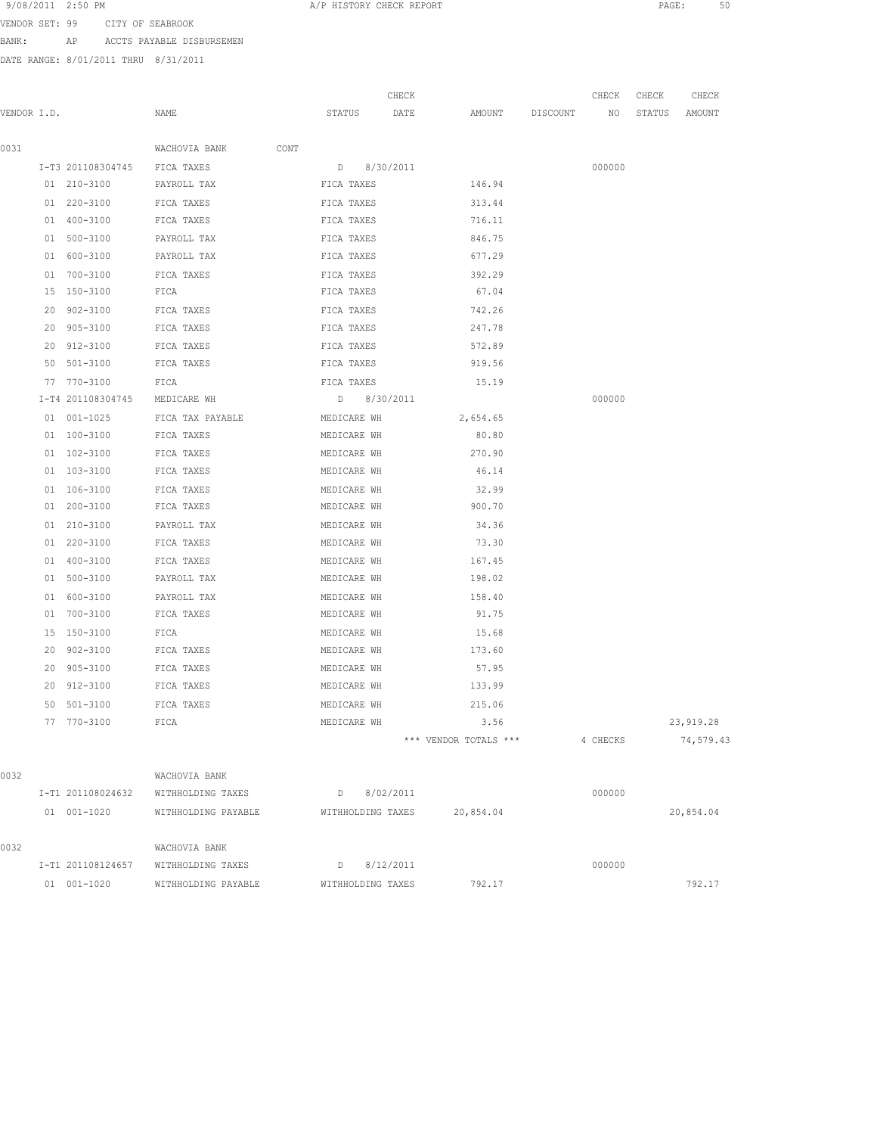9/08/2011 2:50 PM **A/P HISTORY CHECK REPORT PAGE:** 50 VENDOR SET: 99 CITY OF SEABROOK

BANK: AP ACCTS PAYABLE DISBURSEMEN

DATE RANGE: 8/01/2011 THRU 8/31/2011

|             |                               |                                     |                   | CHECK |                       | CHECK    | CHECK  | CHECK     |
|-------------|-------------------------------|-------------------------------------|-------------------|-------|-----------------------|----------|--------|-----------|
| VENDOR I.D. |                               | NAME                                | STATUS            | DATE  | AMOUNT DISCOUNT NO    |          | STATUS | AMOUNT    |
|             |                               |                                     |                   |       |                       |          |        |           |
| 0031        |                               | WACHOVIA BANK<br>CONT               |                   |       |                       |          |        |           |
|             | I-T3 201108304745 FICA TAXES  |                                     | D 8/30/2011       |       |                       | 000000   |        |           |
|             | 01 210-3100                   | PAYROLL TAX                         | FICA TAXES        |       | 146.94                |          |        |           |
|             | 01 220-3100                   | FICA TAXES                          | FICA TAXES        |       | 313.44                |          |        |           |
|             | 01 400-3100                   | FICA TAXES                          | FICA TAXES        |       | 716.11                |          |        |           |
|             | 01 500-3100                   | PAYROLL TAX                         | FICA TAXES        |       | 846.75                |          |        |           |
|             | 01 600-3100                   | PAYROLL TAX                         | FICA TAXES        |       | 677.29                |          |        |           |
|             | 01 700-3100                   | FICA TAXES                          | FICA TAXES        |       | 392.29                |          |        |           |
|             | 15 150-3100                   | FICA                                | FICA TAXES        |       | 67.04                 |          |        |           |
|             | 20 902-3100                   | FICA TAXES                          | FICA TAXES        |       | 742.26                |          |        |           |
|             | 20 905-3100                   | FICA TAXES                          | FICA TAXES        |       | 247.78                |          |        |           |
|             | 20 912-3100                   | FICA TAXES                          | FICA TAXES        |       | 572.89                |          |        |           |
|             | 50 501-3100                   | FICA TAXES                          | FICA TAXES        |       | 919.56                |          |        |           |
|             | 77 770-3100                   | FICA                                | FICA TAXES        |       | 15.19                 |          |        |           |
|             | I-T4 201108304745 MEDICARE WH |                                     | D 8/30/2011       |       |                       | 000000   |        |           |
|             | 01 001-1025                   | FICA TAX PAYABLE MEDICARE WH        |                   |       | 2,654.65              |          |        |           |
|             | 01 100-3100                   | FICA TAXES                          | MEDICARE WH       |       | 80.80                 |          |        |           |
|             | 01 102-3100                   | FICA TAXES                          | MEDICARE WH       |       | 270.90                |          |        |           |
|             | 01 103-3100                   | FICA TAXES                          | MEDICARE WH       |       | 46.14                 |          |        |           |
|             | 01 106-3100                   | FICA TAXES                          | MEDICARE WH       |       | 32.99                 |          |        |           |
|             | 01 200-3100                   | FICA TAXES                          | MEDICARE WH       |       | 900.70                |          |        |           |
|             | 01 210-3100                   | PAYROLL TAX                         | MEDICARE WH       |       | 34.36                 |          |        |           |
|             | 01 220-3100                   | FICA TAXES                          | MEDICARE WH       |       | 73.30                 |          |        |           |
|             | 01 400-3100                   | FICA TAXES                          | MEDICARE WH       |       | 167.45                |          |        |           |
|             | 01 500-3100                   | PAYROLL TAX                         | MEDICARE WH       |       | 198.02                |          |        |           |
|             | 01 600-3100                   | PAYROLL TAX                         | MEDICARE WH       |       | 158.40                |          |        |           |
|             | 01 700-3100                   | FICA TAXES                          | MEDICARE WH       |       | 91.75                 |          |        |           |
|             | 15 150-3100                   | FICA                                | MEDICARE WH       |       | 15.68                 |          |        |           |
|             | 20 902-3100                   | FICA TAXES                          | MEDICARE WH       |       | 173.60                |          |        |           |
|             | 20 905-3100                   | FICA TAXES                          | MEDICARE WH       |       | 57.95                 |          |        |           |
|             | 20 912-3100                   | FICA TAXES                          | MEDICARE WH       |       | 133.99                |          |        |           |
|             | 50 501-3100                   | FICA TAXES                          | MEDICARE WH       |       | 215.06                |          |        |           |
|             | 77 770-3100                   | FICA                                | MEDICARE WH       |       | 3.56                  |          |        | 23,919.28 |
|             |                               |                                     |                   |       | *** VENDOR TOTALS *** | 4 CHECKS |        | 74,579.43 |
|             |                               |                                     |                   |       |                       |          |        |           |
| 0032        |                               | WACHOVIA BANK                       |                   |       |                       |          |        |           |
|             |                               | I-T1 201108024632 WITHHOLDING TAXES | D 8/02/2011       |       |                       | 000000   |        |           |
|             | 01 001-1020                   | WITHHOLDING PAYABLE                 | WITHHOLDING TAXES |       | 20,854.04             |          |        | 20,854.04 |
| 0032        |                               | WACHOVIA BANK                       |                   |       |                       |          |        |           |
|             |                               | I-T1 201108124657 WITHHOLDING TAXES | $D$ 8/12/2011     |       |                       | 000000   |        |           |
|             | 01 001-1020                   | WITHHOLDING PAYABLE                 | WITHHOLDING TAXES |       | 792.17                |          |        | 792.17    |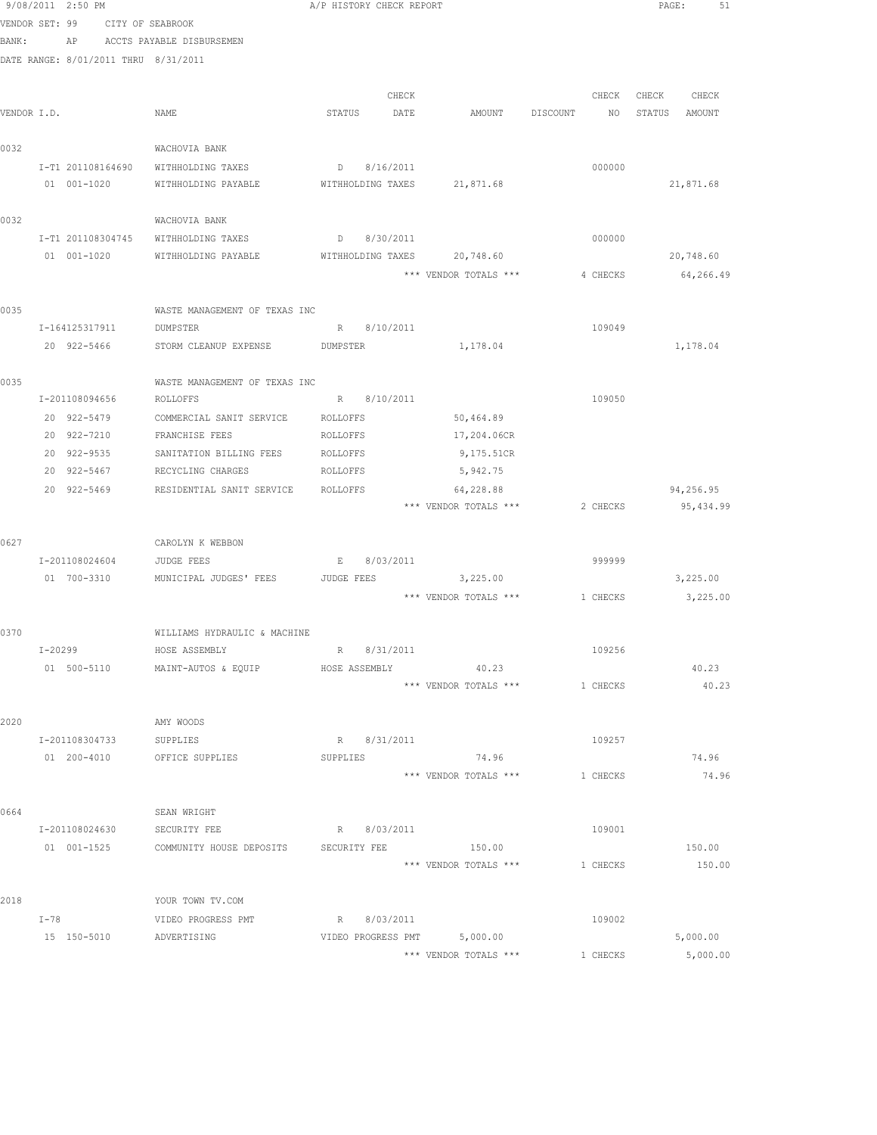|                |         | 9/08/2011 2:50 PM |                   |                                      | A/P HISTORY CHECK REPORT |                   |       |                                |          | PAGE:         |           | 51 |
|----------------|---------|-------------------|-------------------|--------------------------------------|--------------------------|-------------------|-------|--------------------------------|----------|---------------|-----------|----|
| VENDOR SET: 99 |         |                   |                   | CITY OF SEABROOK                     |                          |                   |       |                                |          |               |           |    |
| BANK:          |         |                   |                   | AP ACCTS PAYABLE DISBURSEMEN         |                          |                   |       |                                |          |               |           |    |
|                |         |                   |                   | DATE RANGE: 8/01/2011 THRU 8/31/2011 |                          |                   |       |                                |          |               |           |    |
|                |         |                   |                   |                                      |                          |                   |       |                                |          |               |           |    |
|                |         |                   |                   |                                      |                          |                   | CHECK |                                | CHECK    | CHECK CHECK   |           |    |
| VENDOR I.D.    |         |                   |                   | NAME                                 | STATUS                   | DATE              |       | AMOUNT DISCOUNT                | NO       | STATUS AMOUNT |           |    |
| 0032           |         |                   |                   | WACHOVIA BANK                        |                          |                   |       |                                |          |               |           |    |
|                |         |                   | I-T1 201108164690 | WITHHOLDING TAXES                    |                          | D 8/16/2011       |       |                                | 000000   |               |           |    |
|                |         | 01 001-1020       |                   | WITHHOLDING PAYABLE                  |                          |                   |       | WITHHOLDING TAXES 21,871.68    |          |               | 21,871.68 |    |
| 0032           |         |                   |                   | WACHOVIA BANK                        |                          |                   |       |                                |          |               |           |    |
|                |         | I-T1 201108304745 |                   | WITHHOLDING TAXES                    |                          | D 8/30/2011       |       |                                | 000000   |               |           |    |
|                |         | 01 001-1020       |                   | WITHHOLDING PAYABLE                  |                          | WITHHOLDING TAXES |       | 20,748.60                      |          |               | 20,748.60 |    |
|                |         |                   |                   |                                      |                          |                   |       | *** VENDOR TOTALS ***          | 4 CHECKS |               | 64,266.49 |    |
| 0035           |         |                   |                   | WASTE MANAGEMENT OF TEXAS INC        |                          |                   |       |                                |          |               |           |    |
|                |         | I-164125317911    |                   | DUMPSTER                             |                          | R 8/10/2011       |       |                                | 109049   |               |           |    |
|                |         |                   | 20 922-5466       | STORM CLEANUP EXPENSE DUMPSTER       |                          |                   |       | 1,178.04                       |          |               | 1,178.04  |    |
| 0035           |         |                   |                   | WASTE MANAGEMENT OF TEXAS INC        |                          |                   |       |                                |          |               |           |    |
|                |         |                   |                   | I-201108094656 ROLLOFFS              |                          | R 8/10/2011       |       |                                | 109050   |               |           |    |
|                |         | 20 922-5479       |                   | COMMERCIAL SANIT SERVICE             | ROLLOFFS                 |                   |       | 50,464.89                      |          |               |           |    |
|                |         | 20 922-7210       |                   | FRANCHISE FEES                       | ROLLOFFS                 |                   |       | 17,204.06CR                    |          |               |           |    |
|                |         | 20 922-9535       |                   | SANITATION BILLING FEES              | ROLLOFFS                 |                   |       | 9,175.51CR                     |          |               |           |    |
|                |         | 20 922-5467       |                   | RECYCLING CHARGES                    | ROLLOFFS                 |                   |       | 5,942.75                       |          |               |           |    |
|                |         | 20 922-5469       |                   | RESIDENTIAL SANIT SERVICE            | ROLLOFFS                 |                   |       | 64,228.88                      |          |               | 94,256.95 |    |
|                |         |                   |                   |                                      |                          |                   |       | *** VENDOR TOTALS ***          | 2 CHECKS |               | 95,434.99 |    |
| 0627           |         |                   |                   | CAROLYN K WEBBON                     |                          |                   |       |                                |          |               |           |    |
|                |         | I-201108024604    |                   | JUDGE FEES                           |                          | E 8/03/2011       |       |                                | 999999   |               |           |    |
|                |         | 01 700-3310       |                   | MUNICIPAL JUDGES' FEES               | JUDGE FEES               |                   |       | 3,225.00                       |          |               | 3,225.00  |    |
|                |         |                   |                   |                                      |                          |                   |       | *** VENDOR TOTALS *** 1 CHECKS |          |               | 3,225.00  |    |
| 0370           |         |                   |                   | WILLIAMS HYDRAULIC & MACHINE         |                          |                   |       |                                |          |               |           |    |
|                | I-20299 |                   |                   | HOSE ASSEMBLY                        | R                        | 8/31/2011         |       |                                | 109256   |               |           |    |
|                |         | 01 500-5110       |                   | MAINT-AUTOS & EQUIP                  |                          | HOSE ASSEMBLY     |       | 40.23                          |          |               | 40.23     |    |
|                |         |                   |                   |                                      |                          |                   |       | *** VENDOR TOTALS ***          | 1 CHECKS |               | 40.23     |    |
| 2020           |         |                   |                   | AMY WOODS                            |                          |                   |       |                                |          |               |           |    |
|                |         | I-201108304733    |                   | SUPPLIES                             |                          | R 8/31/2011       |       |                                | 109257   |               |           |    |
|                |         | 01 200-4010       |                   | OFFICE SUPPLIES                      | SUPPLIES                 |                   |       | 74.96                          |          |               | 74.96     |    |
|                |         |                   |                   |                                      |                          |                   |       | *** VENDOR TOTALS ***          | 1 CHECKS |               | 74.96     |    |
| 0664           |         |                   |                   | SEAN WRIGHT                          |                          |                   |       |                                |          |               |           |    |
|                |         | I-201108024630    |                   | SECURITY FEE                         |                          | R 8/03/2011       |       |                                | 109001   |               |           |    |
|                |         | 01 001-1525       |                   | COMMUNITY HOUSE DEPOSITS             | SECURITY FEE             |                   |       | 150.00                         |          |               | 150.00    |    |
|                |         |                   |                   |                                      |                          |                   |       | *** VENDOR TOTALS ***          | 1 CHECKS |               | 150.00    |    |
| 2018           |         |                   |                   | YOUR TOWN TV.COM                     |                          |                   |       |                                |          |               |           |    |
|                | $I-78$  |                   |                   | VIDEO PROGRESS PMT                   |                          | R 8/03/2011       |       |                                | 109002   |               |           |    |
|                |         | 15 150-5010       |                   | ADVERTISING                          |                          |                   |       | VIDEO PROGRESS PMT 5,000.00    |          |               | 5,000.00  |    |
|                |         |                   |                   |                                      |                          |                   |       | *** VENDOR TOTALS ***          | 1 CHECKS |               | 5,000.00  |    |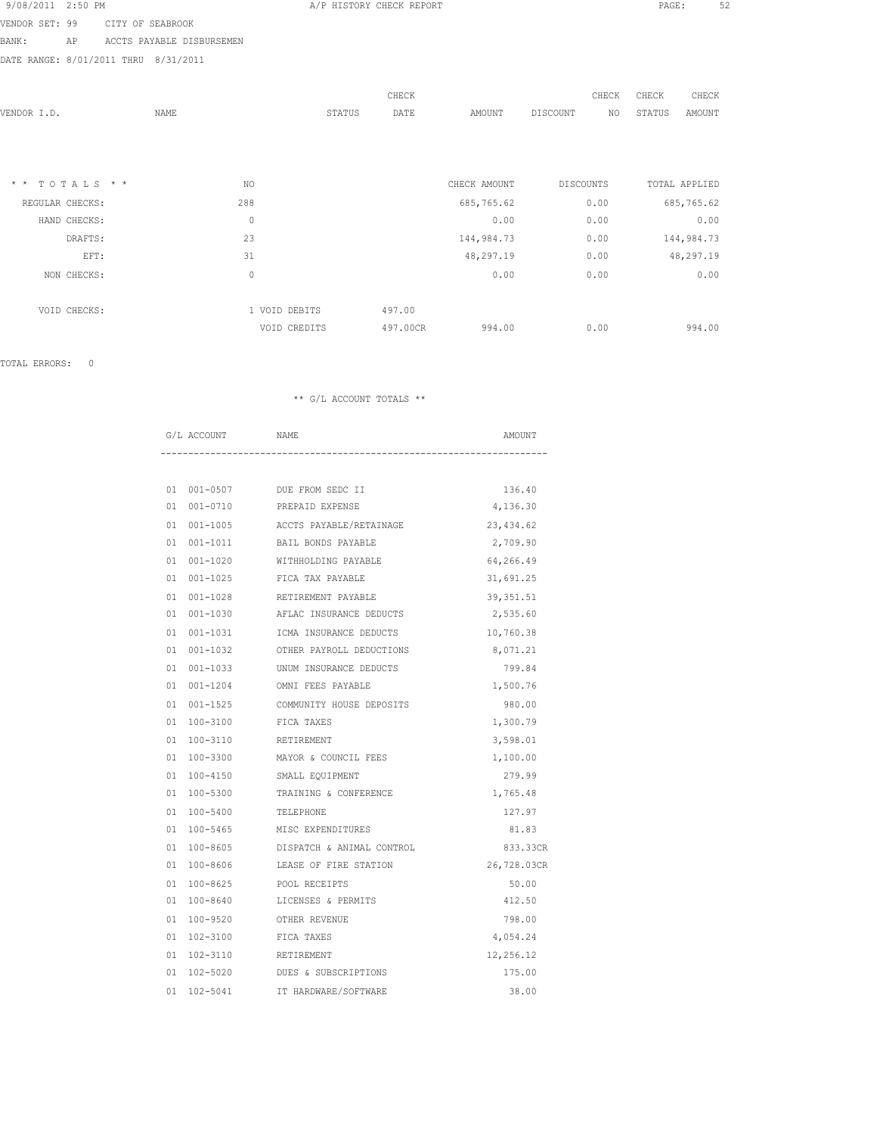| 9/08/2011 | 2:50 PM |  |
|-----------|---------|--|
|-----------|---------|--|

VENDOR SET: 99 CITY OF SEABROOK

BANK: AP ACCTS PAYABLE DISBURSEMEN

DATE RANGE: 8/01/2011 THRU 8/31/2011

|            |     |        | CHECK                         |              |          |    | CHECK                                                                     | CHECK         |
|------------|-----|--------|-------------------------------|--------------|----------|----|---------------------------------------------------------------------------|---------------|
| NAME       |     | STATUS | DATE                          | AMOUNT       | DISCOUNT | NO | STATUS                                                                    | AMOUNT        |
|            |     |        |                               |              |          |    |                                                                           |               |
|            |     |        |                               |              |          |    |                                                                           |               |
|            |     |        |                               |              |          |    |                                                                           |               |
| TOTALS * * | NO. |        |                               | CHECK AMOUNT |          |    |                                                                           | TOTAL APPLIED |
|            | 288 |        |                               | 685,765.62   |          |    |                                                                           | 685,765.62    |
|            | 0   |        |                               | 0.00         |          |    |                                                                           | 0.00          |
|            | 23  |        |                               | 144,984.73   |          |    |                                                                           | 144,984.73    |
|            | 31  |        |                               | 48,297.19    |          |    |                                                                           | 48,297.19     |
|            | 0   |        |                               | 0.00         |          |    |                                                                           | 0.00          |
|            |     |        |                               |              |          |    |                                                                           |               |
|            |     |        | 497.00                        |              |          |    |                                                                           |               |
|            |     |        | 497.00CR                      | 994.00       |          |    |                                                                           | 994.00        |
|            |     |        | 1 VOID DEBITS<br>VOID CREDITS |              |          |    | CHECK<br><b>DISCOUNTS</b><br>0.00<br>0.00<br>0.00<br>0.00<br>0.00<br>0.00 |               |

TOTAL ERRORS: 0

|  | G/L ACCOUNT | NAME                                           | AMOUNT      |
|--|-------------|------------------------------------------------|-------------|
|  |             |                                                |             |
|  |             | 01 001-0507 DUE FROM SEDC II                   | 136.40      |
|  |             | 01 001-0710 PREPAID EXPENSE                    | 4,136.30    |
|  |             | 01  001-1005    ACCTS PAYABLE/RETAINAGE        | 23,434.62   |
|  |             | 01 001-1011 BAIL BONDS PAYABLE                 | 2,709.90    |
|  |             | 01 001-1020 WITHHOLDING PAYABLE                | 64,266.49   |
|  |             | 01 001-1025 FICA TAX PAYABLE                   | 31,691.25   |
|  |             | 01 001-1028 RETIREMENT PAYABLE                 | 39, 351.51  |
|  |             | 01 001-1030 AFLAC INSURANCE DEDUCTS            | 2,535.60    |
|  |             | 01 001-1031 ICMA INSURANCE DEDUCTS             | 10,760.38   |
|  |             | 01 001-1032 OTHER PAYROLL DEDUCTIONS 8,071.21  |             |
|  |             | 01 001-1033 UNUM INSURANCE DEDUCTS             | 799.84      |
|  |             | 01 001-1204 OMNI FEES PAYABLE                  | 1,500.76    |
|  |             | 01 001-1525 COMMUNITY HOUSE DEPOSITS           | 980.00      |
|  |             | 01 100-3100 FICA TAXES                         | 1,300.79    |
|  |             | 01  100-3110  RETIREMENT                       | 3,598.01    |
|  |             | 01 100-3300 MAYOR & COUNCIL FEES               | 1,100.00    |
|  | 01 100-4150 | SMALL EQUIPMENT                                | 279.99      |
|  |             | 01 100-5300 TRAINING & CONFERENCE              | 1,765.48    |
|  |             | 01 100-5400 TELEPHONE                          | 127.97      |
|  |             | 01 100-5465 MISC EXPENDITURES                  | 81.83       |
|  |             | 01 100-8605 DISPATCH & ANIMAL CONTROL 633.33CR |             |
|  |             | 01 100-8606 LEASE OF FIRE STATION              | 26,728.03CR |
|  | 01 100-8625 | POOL RECEIPTS                                  | 50.00       |
|  |             | 01 100-8640 LICENSES & PERMITS                 | 412.50      |
|  | 01 100-9520 | OTHER REVENUE                                  | 798.00      |
|  |             | 01  102-3100    FICA TAXES                     | 4,054.24    |
|  |             | 01  102-3110  RETIREMENT                       | 12,256.12   |
|  |             | 01 102-5020 DUES & SUBSCRIPTIONS               | 175.00      |
|  | 01 102-5041 | IT HARDWARE/SOFTWARE                           | 38.00       |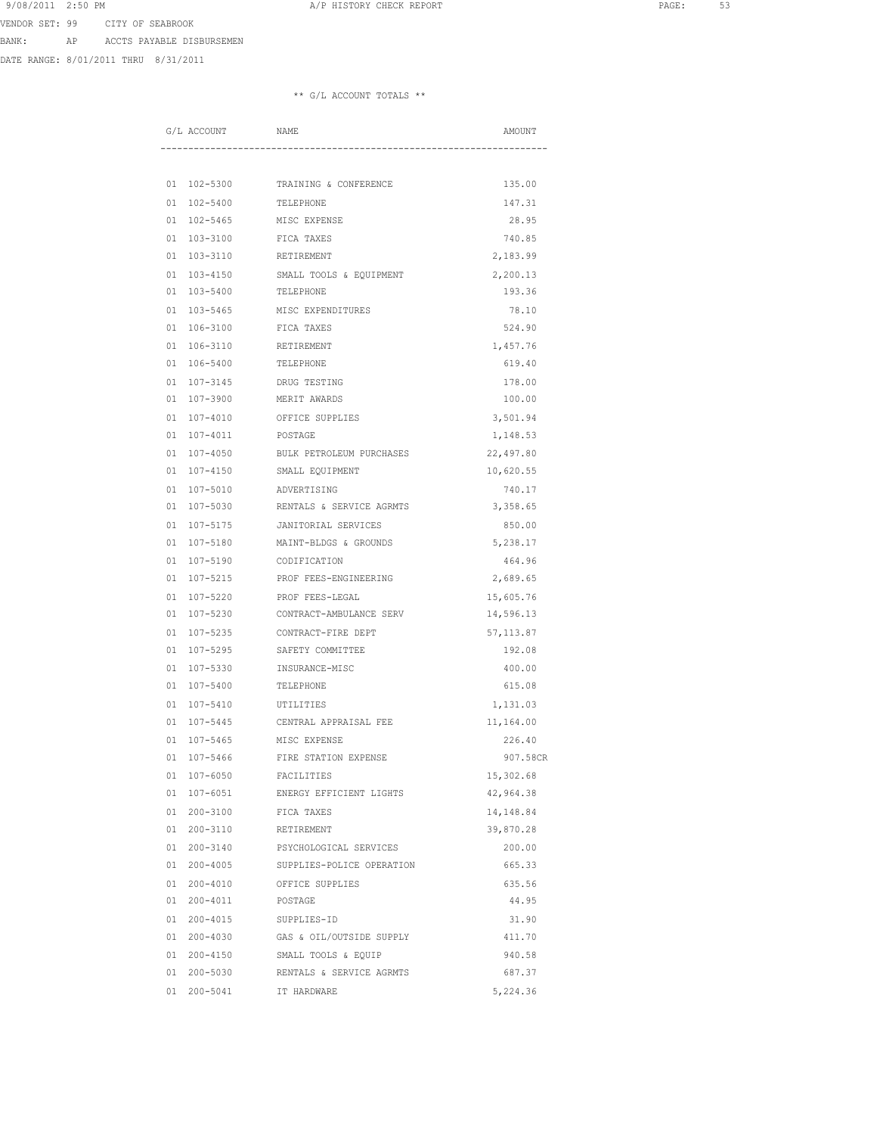BANK: AP ACCTS PAYABLE DISBURSEMEN

DATE RANGE: 8/01/2011 THRU 8/31/2011

|  | G/L ACCOUNT | NAME                                 | AMOUNT     |
|--|-------------|--------------------------------------|------------|
|  |             |                                      |            |
|  |             | 01 102-5300 TRAINING & CONFERENCE    | 135.00     |
|  | 01 102-5400 | TELEPHONE                            | 147.31     |
|  | 01 102-5465 | MISC EXPENSE                         | 28.95      |
|  | 01 103-3100 | FICA TAXES                           | 740.85     |
|  | 01 103-3110 | RETIREMENT                           | 2,183.99   |
|  |             | 01 103-4150 SMALL TOOLS & EQUIPMENT  | 2,200.13   |
|  |             | 01 103-5400 TELEPHONE                | 193.36     |
|  |             | 01 103-5465 MISC EXPENDITURES        | 78.10      |
|  |             | 01 106-3100 FICA TAXES               | 524.90     |
|  | 01 106-3110 | RETIREMENT                           | 1,457.76   |
|  | 01 106-5400 | TELEPHONE                            | 619.40     |
|  | 01 107-3145 | DRUG TESTING                         | 178.00     |
|  | 01 107-3900 | MERIT AWARDS                         | 100.00     |
|  | 01 107-4010 | OFFICE SUPPLIES                      | 3,501.94   |
|  | 01 107-4011 | POSTAGE                              | 1,148.53   |
|  | 01 107-4050 | BULK PETROLEUM PURCHASES             | 22,497.80  |
|  | 01 107-4150 | SMALL EQUIPMENT                      | 10,620.55  |
|  |             | 01 107-5010 ADVERTISING              | 740.17     |
|  |             | 01 107-5030 RENTALS & SERVICE AGRMTS | 3,358.65   |
|  |             | 01 107-5175 JANITORIAL SERVICES      | 850.00     |
|  |             | 01 107-5180 MAINT-BLDGS & GROUNDS    | 5,238.17   |
|  | 01 107-5190 | CODIFICATION                         | 464.96     |
|  | 01 107-5215 | PROF FEES-ENGINEERING                | 2,689.65   |
|  | 01 107-5220 | PROF FEES-LEGAL                      | 15,605.76  |
|  | 01 107-5230 | CONTRACT-AMBULANCE SERV              | 14,596.13  |
|  | 01 107-5235 | CONTRACT-FIRE DEPT                   | 57, 113.87 |
|  | 01 107-5295 | SAFETY COMMITTEE                     | 192.08     |
|  | 01 107-5330 | INSURANCE-MISC                       | 400.00     |
|  | 01 107-5400 | TELEPHONE                            | 615.08     |
|  |             | 01 107-5410 UTILITIES                | 1,131.03   |
|  |             | 01 107-5445 CENTRAL APPRAISAL FEE    | 11,164.00  |
|  |             | 01 107-5465 MISC EXPENSE             | 226.40     |
|  |             | 01 107-5466 FIRE STATION EXPENSE     | 907.58CR   |
|  | 01 107-6050 | FACILITIES                           | 15,302.68  |
|  | 01 107-6051 | ENERGY EFFICIENT LIGHTS              | 42,964.38  |
|  | 01 200-3100 | FICA TAXES                           | 14,148.84  |
|  | 01 200-3110 | RETIREMENT                           | 39,870.28  |
|  | 01 200-3140 | PSYCHOLOGICAL SERVICES               | 200.00     |
|  | 01 200-4005 | SUPPLIES-POLICE OPERATION            | 665.33     |
|  | 01 200-4010 | OFFICE SUPPLIES                      | 635.56     |
|  | 01 200-4011 | POSTAGE                              | 44.95      |
|  |             | 01  200-4015  SUPPLIES-ID            | 31.90      |
|  |             | 01 200-4030 GAS & OIL/OUTSIDE SUPPLY | 411.70     |
|  |             | 01 200-4150 SMALL TOOLS & EQUIP      | 940.58     |
|  |             | 01 200-5030 RENTALS & SERVICE AGRMTS | 687.37     |
|  | 01 200-5041 | IT HARDWARE                          | 5,224.36   |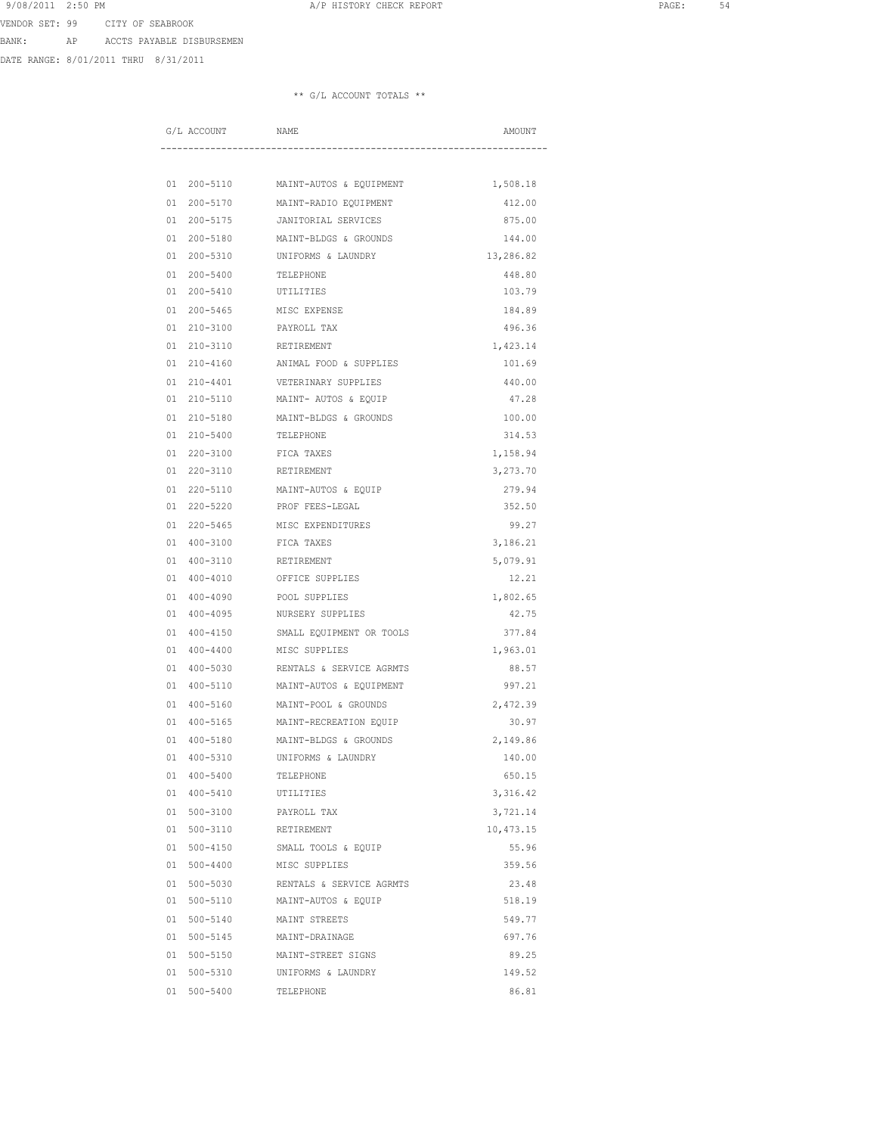BANK: AP ACCTS PAYABLE DISBURSEMEN

DATE RANGE: 8/01/2011 THRU 8/31/2011

|    | G/L ACCOUNT | NAME                               | AMOUNT    |
|----|-------------|------------------------------------|-----------|
|    |             |                                    |           |
|    | 01 200-5110 | MAINT-AUTOS & EQUIPMENT            | 1,508.18  |
|    | 01 200-5170 | MAINT-RADIO EQUIPMENT              | 412.00    |
|    | 01 200-5175 | JANITORIAL SERVICES                | 875.00    |
|    | 01 200-5180 | MAINT-BLDGS & GROUNDS              | 144.00    |
|    | 01 200-5310 | UNIFORMS & LAUNDRY                 | 13,286.82 |
|    | 01 200-5400 | TELEPHONE                          | 448.80    |
|    | 01 200-5410 | UTILITIES                          | 103.79    |
|    | 01 200-5465 | MISC EXPENSE                       | 184.89    |
|    | 01 210-3100 | PAYROLL TAX                        | 496.36    |
|    | 01 210-3110 | RETIREMENT                         | 1,423.14  |
|    | 01 210-4160 | ANIMAL FOOD & SUPPLIES             | 101.69    |
|    | 01 210-4401 | VETERINARY SUPPLIES                | 440.00    |
|    | 01 210-5110 | MAINT- AUTOS & EQUIP               | 47.28     |
|    | 01 210-5180 | MAINT-BLDGS & GROUNDS              | 100.00    |
|    | 01 210-5400 | TELEPHONE                          | 314.53    |
|    | 01 220-3100 | FICA TAXES                         | 1,158.94  |
|    | 01 220-3110 | RETIREMENT                         | 3,273.70  |
|    | 01 220-5110 | MAINT-AUTOS & EOUIP                | 279.94    |
|    |             | 01 220-5220 PROF FEES-LEGAL        | 352.50    |
|    | 01 220-5465 | MISC EXPENDITURES                  | 99.27     |
|    | 01 400-3100 | FICA TAXES                         | 3,186.21  |
|    | 01 400-3110 | RETIREMENT                         | 5,079.91  |
|    | 01 400-4010 | OFFICE SUPPLIES                    | 12.21     |
|    | 01 400-4090 | POOL SUPPLIES                      | 1,802.65  |
|    | 01 400-4095 | NURSERY SUPPLIES                   | 42.75     |
|    | 01 400-4150 | SMALL EQUIPMENT OR TOOLS           | 377.84    |
|    | 01 400-4400 | MISC SUPPLIES                      | 1,963.01  |
|    | 01 400-5030 | RENTALS & SERVICE AGRMTS           | 88.57     |
|    | 01 400-5110 | MAINT-AUTOS & EQUIPMENT            | 997.21    |
|    | 01 400-5160 | MAINT-POOL & GROUNDS               | 2,472.39  |
|    |             | 01 400-5165 MAINT-RECREATION EQUIP | 30.97     |
| 01 | 400-5180    | MAINT-BLDGS & GROUNDS              | 2,149.86  |
|    | 01 400-5310 | UNIFORMS & LAUNDRY                 | 140.00    |
|    | 01 400-5400 | TELEPHONE                          | 650.15    |
|    | 01 400-5410 | UTILITIES                          | 3,316.42  |
|    | 01 500-3100 | PAYROLL TAX                        | 3,721.14  |
|    | 01 500-3110 | RETIREMENT                         | 10,473.15 |
|    | 01 500-4150 | SMALL TOOLS & EQUIP                | 55.96     |
|    | 01 500-4400 | MISC SUPPLIES                      | 359.56    |
|    | 01 500-5030 | RENTALS & SERVICE AGRMTS           | 23.48     |
|    | 01 500-5110 | MAINT-AUTOS & EQUIP                | 518.19    |
|    | 01 500-5140 | MAINT STREETS                      | 549.77    |
|    |             | 01 500-5145 MAINT-DRAINAGE         | 697.76    |
|    | 01 500-5150 | MAINT-STREET SIGNS                 | 89.25     |
|    | 01 500-5310 | UNIFORMS & LAUNDRY                 | 149.52    |
|    | 01 500-5400 | TELEPHONE                          | 86.81     |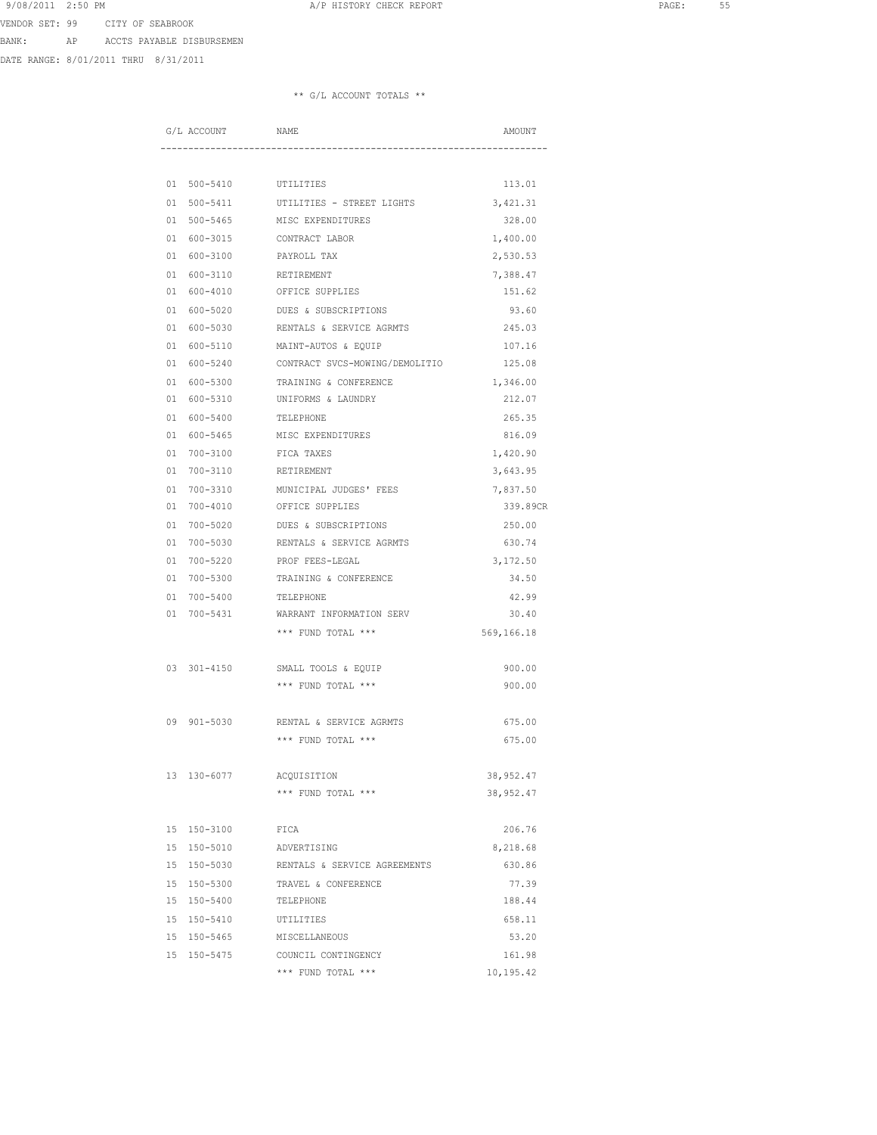BANK: AP ACCTS PAYABLE DISBURSEMEN

DATE RANGE: 8/01/2011 THRU 8/31/2011

| G/L ACCOUNT           | NAME                               | AMOUNT     |
|-----------------------|------------------------------------|------------|
|                       |                                    |            |
| 01 500-5410 UTILITIES |                                    | 113.01     |
| 01 500-5411           | UTILITIES - STREET LIGHTS          | 3,421.31   |
| 01 500-5465           | MISC EXPENDITURES                  | 328.00     |
| 01 600-3015           | CONTRACT LABOR                     | 1,400.00   |
| 01 600-3100           | PAYROLL TAX                        | 2,530.53   |
|                       | 01 600-3110 RETIREMENT             | 7,388.47   |
|                       | 01 600-4010 OFFICE SUPPLIES        | 151.62     |
|                       | 01 600-5020 DUES & SUBSCRIPTIONS   | 93.60      |
| 01 600-5030           | RENTALS & SERVICE AGRMTS           | 245.03     |
| 01 600-5110           | MAINT-AUTOS & EQUIP                | 107.16     |
| 01 600-5240           | CONTRACT SVCS-MOWING/DEMOLITIO     | 125.08     |
| 01 600-5300           | TRAINING & CONFERENCE              | 1,346.00   |
| 01 600-5310           | UNIFORMS & LAUNDRY                 | 212.07     |
| 01 600-5400           | TELEPHONE                          | 265.35     |
| 01 600-5465           | MISC EXPENDITURES                  | 816.09     |
| 01 700-3100           | FICA TAXES                         | 1,420.90   |
|                       | 01 700-3110 RETIREMENT             | 3,643.95   |
|                       | 01 700-3310 MUNICIPAL JUDGES' FEES | 7,837.50   |
|                       | 01 700-4010 OFFICE SUPPLIES        | 339.89CR   |
|                       | 01 700-5020 DUES & SUBSCRIPTIONS   | 250.00     |
| 01 700-5030           | RENTALS & SERVICE AGRMTS           | 630.74     |
| 01 700-5220           | PROF FEES-LEGAL                    | 3,172.50   |
| 01 700-5300           | TRAINING & CONFERENCE              | 34.50      |
| 01 700-5400           | TELEPHONE                          | 42.99      |
| 01 700-5431           | WARRANT INFORMATION SERV           | 30.40      |
|                       | *** FUND TOTAL ***                 | 569,166.18 |
|                       |                                    |            |
| 03 301-4150           | SMALL TOOLS & EQUIP                | 900.00     |
|                       | *** FUND TOTAL ***                 | 900.00     |
| 09 901-5030           | RENTAL & SERVICE AGRMTS            | 675.00     |
|                       | *** FUND TOTAL ***                 | 675.00     |
|                       |                                    |            |
| 13 130-6077           | ACQUISITION                        | 38,952.47  |
|                       | *** FUND TOTAL ***                 | 38,952.47  |
| 15 150-3100           | FICA                               | 206.76     |
| 15 150-5010           | ADVERTISING                        | 8,218.68   |
| 15 150-5030           | RENTALS & SERVICE AGREEMENTS       | 630.86     |
| 15 150-5300           | TRAVEL & CONFERENCE                | 77.39      |
| 15 150-5400           | TELEPHONE                          | 188.44     |
| 15 150-5410           | UTILITIES                          | 658.11     |
|                       | 15 150-5465 MISCELLANEOUS          | 53.20      |
| 15 150-5475           | COUNCIL CONTINGENCY                | 161.98     |
|                       | *** FUND TOTAL ***                 | 10,195.42  |
|                       |                                    |            |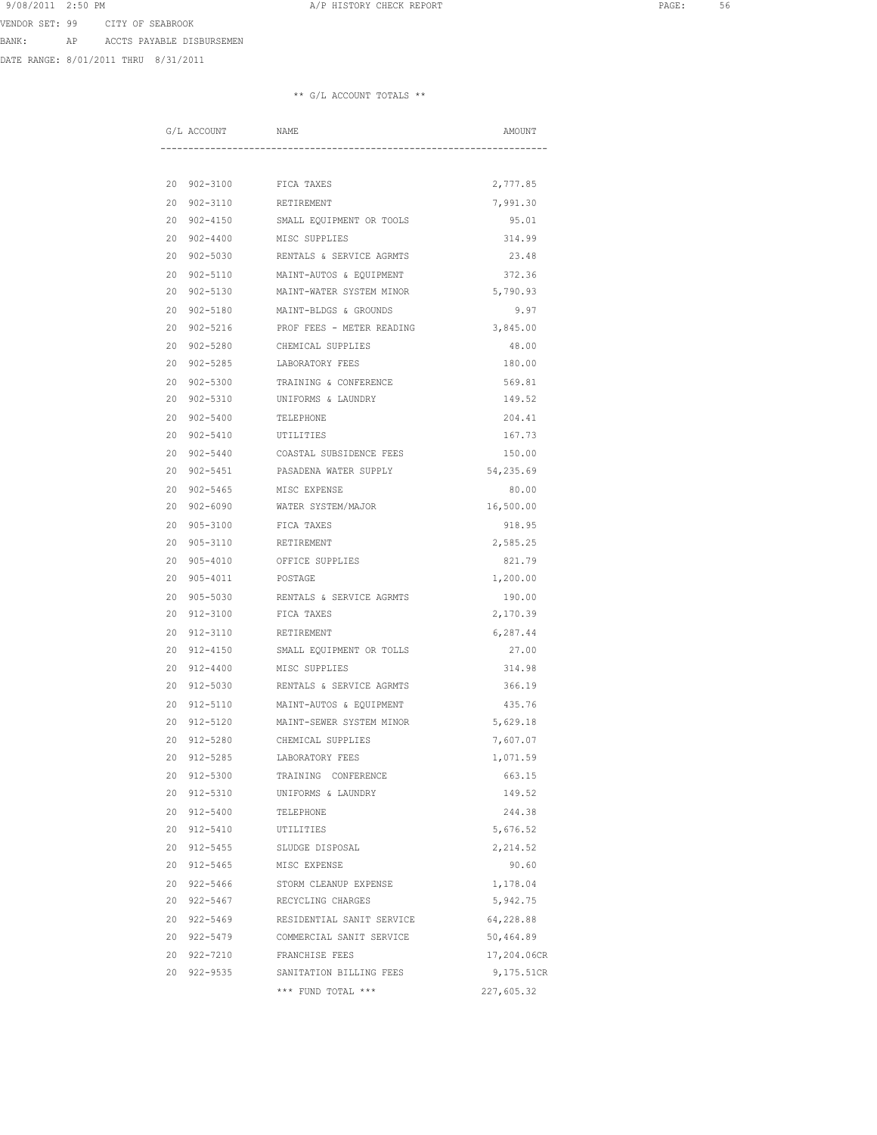BANK: AP ACCTS PAYABLE DISBURSEMEN

DATE RANGE: 8/01/2011 THRU 8/31/2011

| G/L ACCOUNT |             | NAME                                  | AMOUNT      |
|-------------|-------------|---------------------------------------|-------------|
|             |             |                                       |             |
|             | 20 902-3100 | FICA TAXES                            | 2,777.85    |
|             | 20 902-3110 | RETIREMENT                            | 7,991.30    |
|             | 20 902-4150 | SMALL EQUIPMENT OR TOOLS              | 95.01       |
|             | 20 902-4400 | MISC SUPPLIES                         | 314.99      |
|             | 20 902-5030 | RENTALS & SERVICE AGRMTS              | 23.48       |
|             |             | 20 902-5110 MAINT-AUTOS & EQUIPMENT   | 372.36      |
|             |             | 20 902-5130 MAINT-WATER SYSTEM MINOR  | 5,790.93    |
|             | 20 902-5180 | MAINT-BLDGS & GROUNDS                 | 9.97        |
|             | 20 902-5216 | PROF FEES - METER READING             | 3,845.00    |
|             | 20 902-5280 | CHEMICAL SUPPLIES                     | 48.00       |
|             | 20 902-5285 | LABORATORY FEES                       | 180.00      |
|             | 20 902-5300 | TRAINING & CONFERENCE                 | 569.81      |
|             | 20 902-5310 | UNIFORMS & LAUNDRY                    | 149.52      |
|             | 20 902-5400 | TELEPHONE                             | 204.41      |
|             | 20 902-5410 | UTILITIES                             | 167.73      |
|             | 20 902-5440 | COASTAL SUBSIDENCE FEES               | 150.00      |
|             | 20 902-5451 | PASADENA WATER SUPPLY                 | 54,235.69   |
|             | 20 902-5465 | MISC EXPENSE                          | 80.00       |
|             |             | 20 902-6090 WATER SYSTEM/MAJOR        | 16,500.00   |
|             | 20 905-3100 | FICA TAXES                            | 918.95      |
|             | 20 905-3110 | RETIREMENT                            | 2,585.25    |
|             | 20 905-4010 | OFFICE SUPPLIES                       | 821.79      |
|             | 20 905-4011 | POSTAGE                               | 1,200.00    |
|             | 20 905-5030 | RENTALS & SERVICE AGRMTS              | 190.00      |
|             | 20 912-3100 | FICA TAXES                            | 2,170.39    |
|             | 20 912-3110 | RETIREMENT                            | 6,287.44    |
|             | 20 912-4150 | SMALL EQUIPMENT OR TOLLS              | 27.00       |
|             | 20 912-4400 | MISC SUPPLIES                         | 314.98      |
|             | 20 912-5030 | RENTALS & SERVICE AGRMTS              | 366.19      |
|             |             | 20 912-5110 MAINT-AUTOS & EOUIPMENT   | 435.76      |
|             |             | 20 912-5120 MAINT-SEWER SYSTEM MINOR  | 5,629.18    |
|             | 20 912-5280 | CHEMICAL SUPPLIES                     | 7,607.07    |
|             |             | 20 912-5285 LABORATORY FEES           | 1,071.59    |
|             | 20 912-5300 | TRAINING CONFERENCE                   | 663.15      |
|             | 20 912-5310 | UNIFORMS & LAUNDRY                    | 149.52      |
|             | 20 912-5400 | TELEPHONE                             | 244.38      |
|             | 20 912-5410 | UTILITIES                             | 5,676.52    |
|             | 20 912-5455 | SLUDGE DISPOSAL                       | 2,214.52    |
|             | 20 912-5465 | MISC EXPENSE                          | 90.60       |
|             | 20 922-5466 | STORM CLEANUP EXPENSE                 | 1,178.04    |
|             |             | 20 922-5467 RECYCLING CHARGES         | 5,942.75    |
|             |             | 20 922-5469 RESIDENTIAL SANIT SERVICE | 64,228.88   |
|             |             | 20 922-5479 COMMERCIAL SANIT SERVICE  | 50,464.89   |
|             |             | 20 922-7210 FRANCHISE FEES            | 17,204.06CR |
|             | 20 922-9535 | SANITATION BILLING FEES               | 9,175.51CR  |
|             |             | *** FUND TOTAL ***                    | 227,605.32  |
|             |             |                                       |             |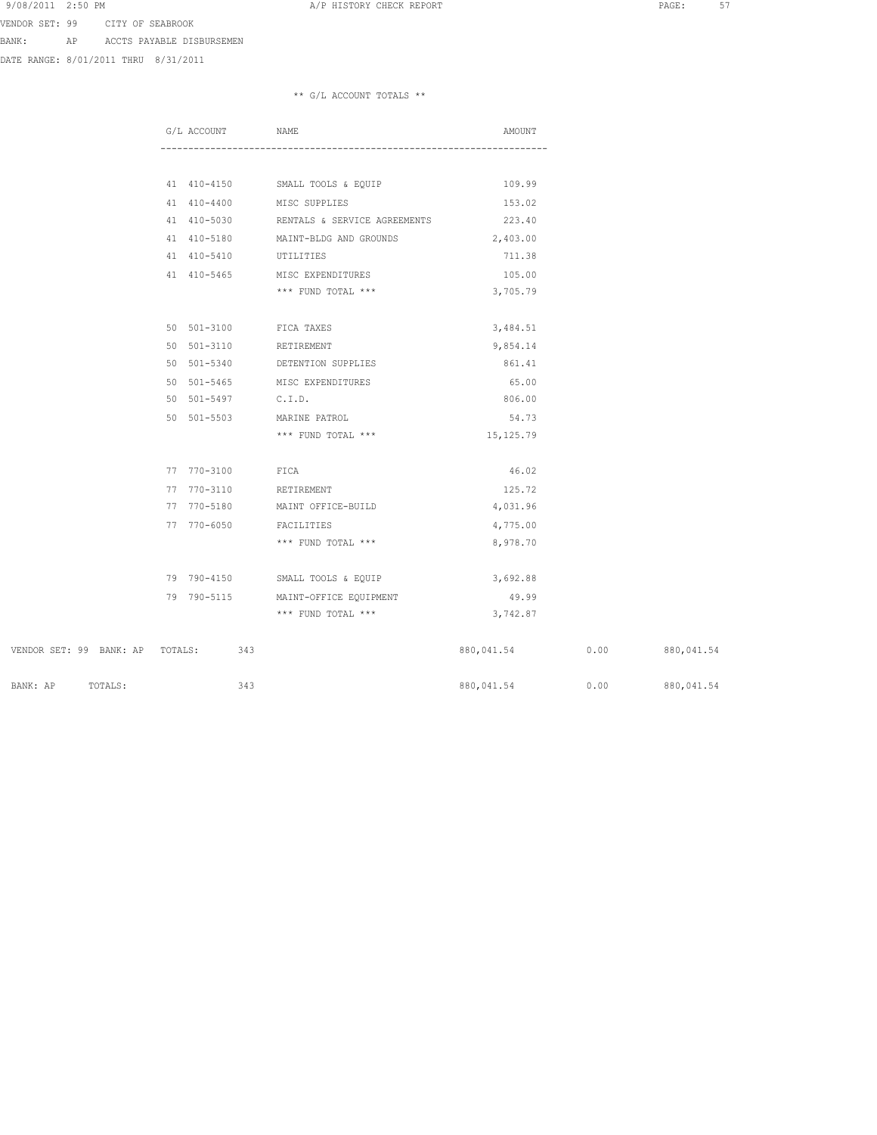BANK: AP ACCTS PAYABLE DISBURSEMEN

DATE RANGE: 8/01/2011 THRU 8/31/2011

|                                 | G/L ACCOUNT | NAME                                            | AMOUNT     |      |                   |
|---------------------------------|-------------|-------------------------------------------------|------------|------|-------------------|
|                                 |             |                                                 |            |      |                   |
|                                 |             | 41 410-4150 SMALL TOOLS & EQUIP                 | 109.99     |      |                   |
|                                 |             | 41 410-4400 MISC SUPPLIES                       | 153.02     |      |                   |
|                                 |             | 41 410-5030 RENTALS & SERVICE AGREEMENTS 223.40 |            |      |                   |
|                                 | 41 410-5180 | MAINT-BLDG AND GROUNDS                          | 2,403.00   |      |                   |
|                                 | 41 410-5410 | UTILITIES                                       | 711.38     |      |                   |
|                                 | 41 410-5465 | MISC EXPENDITURES                               | 105.00     |      |                   |
|                                 |             | *** FUND TOTAL ***                              | 3,705.79   |      |                   |
|                                 | 50 501-3100 | FICA TAXES                                      | 3,484.51   |      |                   |
|                                 | 50 501-3110 | RETIREMENT                                      | 9,854.14   |      |                   |
|                                 |             | 50 501-5340 DETENTION SUPPLIES                  | 861.41     |      |                   |
|                                 |             | 50 501-5465 MISC EXPENDITURES                   | 65.00      |      |                   |
|                                 |             | 50 501-5497 C.I.D.                              | 806.00     |      |                   |
|                                 | 50 501-5503 | MARINE PATROL                                   | 54.73      |      |                   |
|                                 |             | *** FUND TOTAL ***                              | 15,125.79  |      |                   |
|                                 |             |                                                 |            |      |                   |
|                                 | 77 770-3100 | FICA                                            | 46.02      |      |                   |
|                                 | 77 770-3110 | RETIREMENT                                      | 125.72     |      |                   |
|                                 | 77 770-5180 | MAINT OFFICE-BUILD                              | 4,031.96   |      |                   |
|                                 | 77 770-6050 | FACILITIES                                      | 4,775.00   |      |                   |
|                                 |             | *** FUND TOTAL ***                              | 8,978.70   |      |                   |
|                                 |             | 79 790-4150 SMALL TOOLS & EQUIP                 | 3,692.88   |      |                   |
|                                 |             | 79 790-5115 MAINT-OFFICE EQUIPMENT              | 49.99      |      |                   |
|                                 |             | *** FUND TOTAL ***                              | 3,742.87   |      |                   |
|                                 |             |                                                 |            |      |                   |
| VENDOR SET: 99 BANK: AP TOTALS: |             | 343                                             | 880,041.54 |      | $0.00$ 880,041.54 |
| TOTALS:<br>BANK: AP             |             | 343                                             | 880,041.54 | 0.00 | 880,041.54        |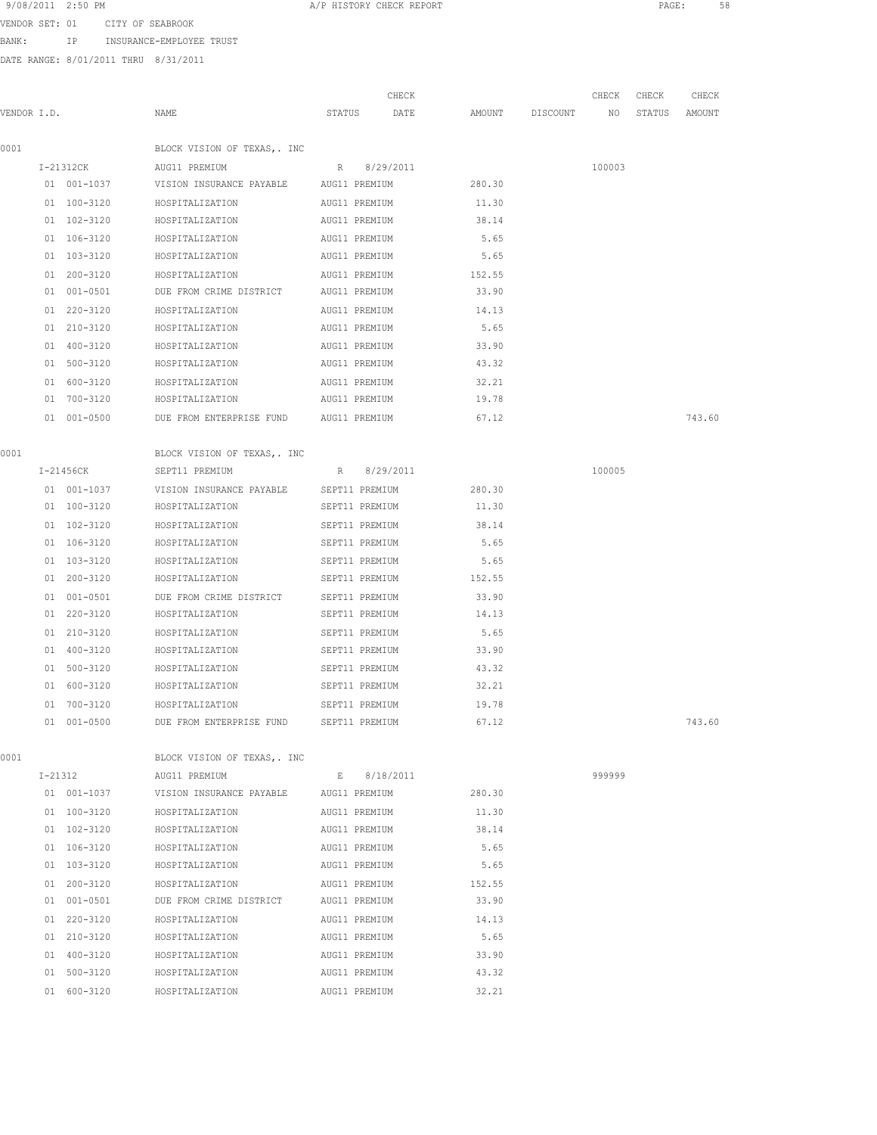| 9/08/2011 | $2:50$ PM |
|-----------|-----------|
|-----------|-----------|

VENDOR SET: 01 CITY OF SEABROOK

BANK: IP INSURANCE-EMPLOYEE TRUST

DATE RANGE: 8/01/2011 THRU 8/31/2011

| VENDOR I.D. |                            | NAME                                                                |                                | CHECK<br>STATUS DATE | AMOUNT DISCOUNT NO STATUS | CHECK  | CHECK | CHECK<br>AMOUNT |
|-------------|----------------------------|---------------------------------------------------------------------|--------------------------------|----------------------|---------------------------|--------|-------|-----------------|
| 0001        |                            | BLOCK VISION OF TEXAS, . INC                                        |                                |                      |                           |        |       |                 |
|             |                            |                                                                     |                                | R 8/29/2011          |                           |        |       |                 |
|             | I-21312CK                  | AUG11 PREMIUM<br>01 001-1037 VISION INSURANCE PAYABLE AUG11 PREMIUM |                                |                      | 280.30                    | 100003 |       |                 |
|             | 01 100-3120                |                                                                     |                                |                      | 11.30                     |        |       |                 |
|             | 01 102-3120                | HOSPITALIZATION<br>HOSPITALIZATION                                  | AUG11 PREMIUM<br>AUG11 PREMIUM |                      | 38.14                     |        |       |                 |
|             |                            |                                                                     |                                |                      |                           |        |       |                 |
|             | 01 106-3120<br>01 103-3120 | HOSPITALIZATION<br>HOSPITALIZATION                                  | AUG11 PREMIUM<br>AUG11 PREMIUM |                      | 5.65<br>5.65              |        |       |                 |
|             |                            |                                                                     |                                |                      |                           |        |       |                 |
|             | 01 200-3120<br>01 001-0501 | HOSPITALIZATION<br>DUE FROM CRIME DISTRICT AUG11 PREMIUM            | AUG11 PREMIUM                  |                      | 152.55<br>33.90           |        |       |                 |
|             |                            |                                                                     |                                |                      |                           |        |       |                 |
|             | 01 220-3120<br>01 210-3120 | HOSPITALIZATION<br>AUG11 PREMIUM                                    |                                |                      | 14.13<br>5.65             |        |       |                 |
|             |                            | HOSPITALIZATION AUG11 PREMIUM                                       |                                |                      |                           |        |       |                 |
|             | 01 400-3120<br>01 500-3120 | HOSPITALIZATION AUG11 PREMIUM<br>HOSPITALIZATION AUG11 PREMIUM      |                                |                      | 33.90<br>43.32            |        |       |                 |
|             |                            |                                                                     |                                |                      |                           |        |       |                 |
|             | 01 600-3120                | HOSPITALIZATION<br>01 700-3120 HOSPITALIZATION                      | AUG11 PREMIUM                  |                      | 32.21<br>19.78            |        |       |                 |
|             |                            |                                                                     | AUG11 PREMIUM                  |                      |                           |        |       |                 |
|             | 01 001-0500                | DUE FROM ENTERPRISE FUND AUG11 PREMIUM                              |                                |                      | 67.12                     |        |       | 743.60          |
| 0001        |                            | BLOCK VISION OF TEXAS, . INC                                        |                                |                      |                           |        |       |                 |
|             | I-21456CK                  | SEPT11 PREMIUM                                                      |                                | R 8/29/2011          |                           | 100005 |       |                 |
|             | 01 001-1037                | VISION INSURANCE PAYABLE SEPT11 PREMIUM                             |                                |                      | 280.30                    |        |       |                 |
|             | 01 100-3120                | HOSPITALIZATION SEPT11 PREMIUM                                      |                                |                      | 11.30                     |        |       |                 |
|             | 01 102-3120                | HOSPITALIZATION SEPT11 PREMIUM                                      |                                |                      | 38.14                     |        |       |                 |
|             | 01 106-3120                | HOSPITALIZATION SEPT11 PREMIUM 5.65                                 |                                |                      |                           |        |       |                 |
|             | 01 103-3120                | HOSPITALIZATION SEPT11 PREMIUM 5.65                                 |                                |                      |                           |        |       |                 |
|             |                            |                                                                     |                                |                      |                           |        |       |                 |
|             | 01 001-0501                | DUE FROM CRIME DISTRICT SEPT11 PREMIUM                              |                                |                      | 33.90                     |        |       |                 |
|             | 01 220-3120                | HOSPITALIZATION                                                     | SEPT11 PREMIUM                 |                      | 14.13                     |        |       |                 |
|             | 01 210-3120                | HOSPITALIZATION                                                     | SEPT11 PREMIUM                 |                      | 5.65                      |        |       |                 |
|             | 01 400-3120                | HOSPITALIZATION                                                     | SEPT11 PREMIUM                 |                      | 33.90                     |        |       |                 |
|             | 01 500-3120                | HOSPITALIZATION                                                     | SEPT11 PREMIUM                 |                      | 43.32                     |        |       |                 |
|             | 01 600-3120                | HOSPITALIZATION                                                     | SEPT11 PREMIUM                 |                      | 32.21                     |        |       |                 |
|             | 01 700-3120                | HOSPITALIZATION                                                     | SEPT11 PREMIUM                 |                      | 19.78                     |        |       |                 |
|             | 01 001-0500                | DUE FROM ENTERPRISE FUND                                            | SEPT11 PREMIUM                 |                      | 67.12                     |        |       | 743.60          |
| 0001        |                            | BLOCK VISION OF TEXAS, . INC                                        |                                |                      |                           |        |       |                 |
|             | I-21312                    | AUG11 PREMIUM                                                       |                                | E 8/18/2011          |                           | 999999 |       |                 |
|             | 01 001-1037                | VISION INSURANCE PAYABLE AUG11 PREMIUM                              |                                |                      | 280.30                    |        |       |                 |
|             | 01 100-3120                | HOSPITALIZATION                                                     | AUG11 PREMIUM                  |                      | 11.30                     |        |       |                 |
|             | 01 102-3120                | HOSPITALIZATION                                                     | AUG11 PREMIUM                  |                      | 38.14                     |        |       |                 |
|             | 01 106-3120                | HOSPITALIZATION                                                     | AUG11 PREMIUM                  |                      | 5.65                      |        |       |                 |
|             | 01 103-3120                | HOSPITALIZATION                                                     | AUG11 PREMIUM                  |                      | 5.65                      |        |       |                 |
|             |                            |                                                                     |                                |                      |                           |        |       |                 |

 01 200-3120 HOSPITALIZATION AUG11 PREMIUM 152.55 01 001-0501 DUE FROM CRIME DISTRICT AUG11 PREMIUM 33.90 01 220-3120 HOSPITALIZATION AUG11 PREMIUM 14.13

01 400-3120 HOSPITALIZATION AUG11 PREMIUM<br>01 500-3120 HOSPITALIZATION AUG11 PREMIUM

01 210-3120 HOSPITALIZATION AUG11 PREMIUM 5.65<br>01 400-3120 HOSPITALIZATION AUG11 PREMIUM 33.90

01 500-3120 HOSPITALIZATION AUG11 PREMIUM 43.32 01 600-3120 HOSPITALIZATION AUG11 PREMIUM 32.21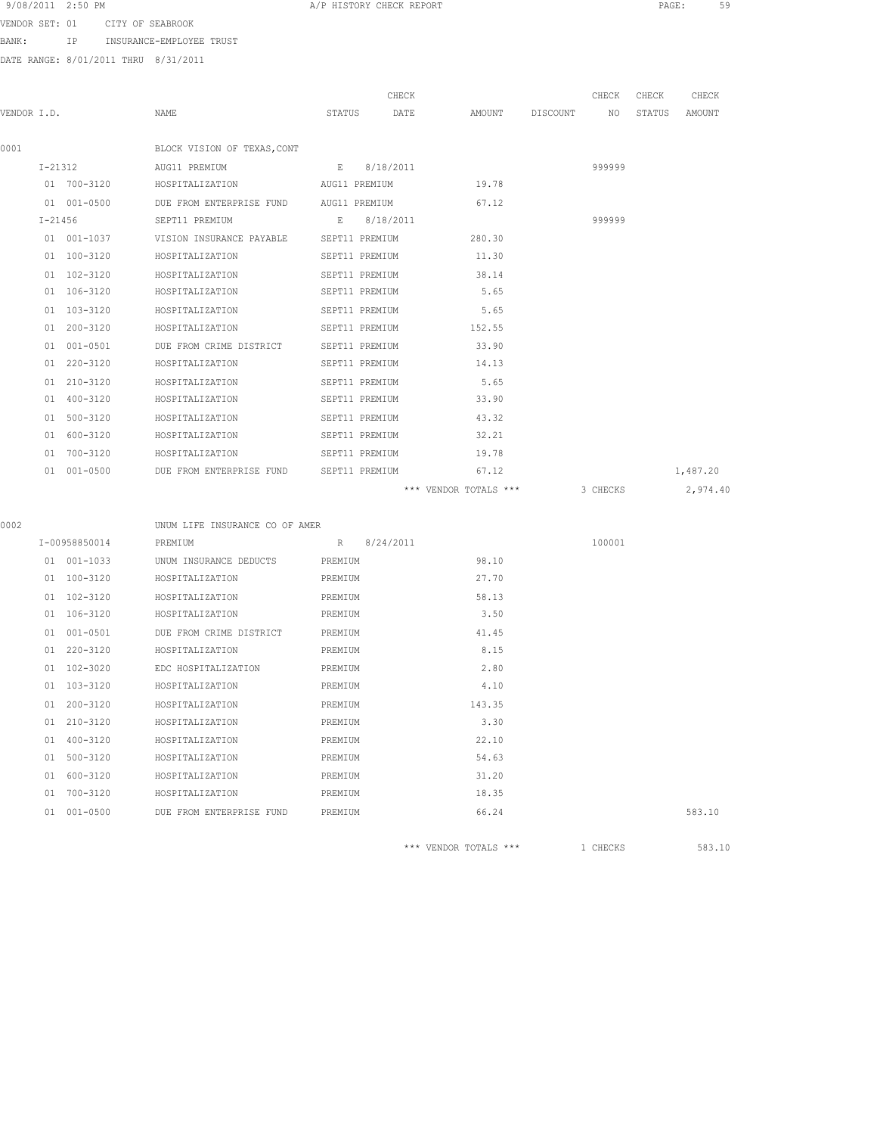| 9/08/2011<br>$2:50$ PM |
|------------------------|
|------------------------|

VENDOR SET: 01 CITY OF SEABROOK

BANK: IP INSURANCE-EMPLOYEE TRUST

DATE RANGE: 8/01/2011 THRU 8/31/2011

|             |                 |                                                     | CHECK          |                                         | CHECK  | CHECK  | CHECK    |
|-------------|-----------------|-----------------------------------------------------|----------------|-----------------------------------------|--------|--------|----------|
| VENDOR I.D. |                 | NAME                                                | STATUS DATE    | AMOUNT DISCOUNT NO                      |        | STATUS | AMOUNT   |
| 0001        |                 | BLOCK VISION OF TEXAS, CONT                         |                |                                         |        |        |          |
|             | $I - 21312$     | AUG11 PREMIUM                                       | E 8/18/2011    |                                         | 999999 |        |          |
|             |                 | 01 700-3120 HOSPITALIZATION AUG11 PREMIUM           |                | 19.78                                   |        |        |          |
|             | 01 001-0500     | DUE FROM ENTERPRISE FUND AUG11 PREMIUM              |                | 67.12                                   |        |        |          |
|             | $I - 21456$     | SEPT11 PREMIUM E 8/18/2011                          |                |                                         | 999999 |        |          |
|             |                 | 01 001-1037 VISION INSURANCE PAYABLE SEPT11 PREMIUM |                | 280.30                                  |        |        |          |
|             | 01 100-3120     | HOSPITALIZATION                                     | SEPT11 PREMIUM | 11.30                                   |        |        |          |
|             | $01 102 - 3120$ | HOSPITALIZATION                                     | SEPT11 PREMIUM | 38.14                                   |        |        |          |
|             | 01 106-3120     | HOSPITALIZATION                                     | SEPT11 PREMIUM | 5.65                                    |        |        |          |
|             | 01 103-3120     | HOSPITALIZATION                                     | SEPT11 PREMIUM | 5.65                                    |        |        |          |
|             | 01 200-3120     | HOSPITALIZATION                                     | SEPT11 PREMIUM | 152.55                                  |        |        |          |
|             | 01 001-0501     | DUE FROM CRIME DISTRICT                             | SEPT11 PREMIUM | 33.90                                   |        |        |          |
|             | 01 220-3120     | HOSPITALIZATION                                     | SEPT11 PREMIUM | 14.13                                   |        |        |          |
|             | 01 210-3120     | HOSPITALIZATION                                     | SEPT11 PREMIUM | 5.65                                    |        |        |          |
|             | 01 400-3120     | HOSPITALIZATION                                     | SEPT11 PREMIUM | 33.90                                   |        |        |          |
|             | 01 500-3120     | HOSPITALIZATION                                     | SEPT11 PREMIUM | 43.32                                   |        |        |          |
|             | 01 600-3120     | HOSPITALIZATION                                     | SEPT11 PREMIUM | 32.21                                   |        |        |          |
|             | 01 700-3120     | HOSPITALIZATION                                     | SEPT11 PREMIUM | 19.78                                   |        |        |          |
|             | 01 001-0500     | DUE FROM ENTERPRISE FUND SEPT11 PREMIUM             |                | 67.12                                   |        |        | 1,487.20 |
|             |                 |                                                     |                | *** VENDOR TOTALS *** 3 CHECKS 2,974.40 |        |        |          |
| 0002        |                 | UNUM LIFE INSURANCE CO OF AMER                      |                |                                         |        |        |          |
|             | I-00958850014   | PREMIUM                                             | R 8/24/2011    |                                         | 100001 |        |          |
|             |                 |                                                     |                |                                         |        |        |          |

|  | 01 001-1033 | UNUM INSURANCE DEDUCTS           | PREMIUM | 98.10  |        |
|--|-------------|----------------------------------|---------|--------|--------|
|  | 01 100-3120 | HOSPITALIZATION                  | PREMIUM | 27.70  |        |
|  | 01 102-3120 | HOSPITALIZATION                  | PREMIUM | 58.13  |        |
|  | 01 106-3120 | HOSPITALIZATION                  | PREMIUM | 3.50   |        |
|  | 01 001-0501 | DUE FROM CRIME DISTRICT PREMIUM  |         | 41.45  |        |
|  | 01 220-3120 | HOSPITALIZATION                  | PREMIUM | 8.15   |        |
|  | 01 102-3020 | EDC HOSPITALIZATION              | PREMIUM | 2.80   |        |
|  | 01 103-3120 | HOSPITALIZATION                  | PREMIUM | 4.10   |        |
|  | 01 200-3120 | HOSPITALIZATION                  | PREMIUM | 143.35 |        |
|  | 01 210-3120 | HOSPITALIZATION                  | PREMIUM | 3.30   |        |
|  | 01 400-3120 | HOSPITALIZATION                  | PREMIUM | 22.10  |        |
|  | 01 500-3120 | HOSPITALIZATION                  | PREMIUM | 54.63  |        |
|  | 01 600-3120 | HOSPITALIZATION                  | PREMIUM | 31.20  |        |
|  | 01 700-3120 | HOSPITALIZATION                  | PREMIUM | 18.35  |        |
|  | 01 001-0500 | DUE FROM ENTERPRISE FUND PREMIUM |         | 66.24  | 583.10 |
|  |             |                                  |         |        |        |

\*\*\* VENDOR TOTALS \*\*\* 1 CHECKS 583.10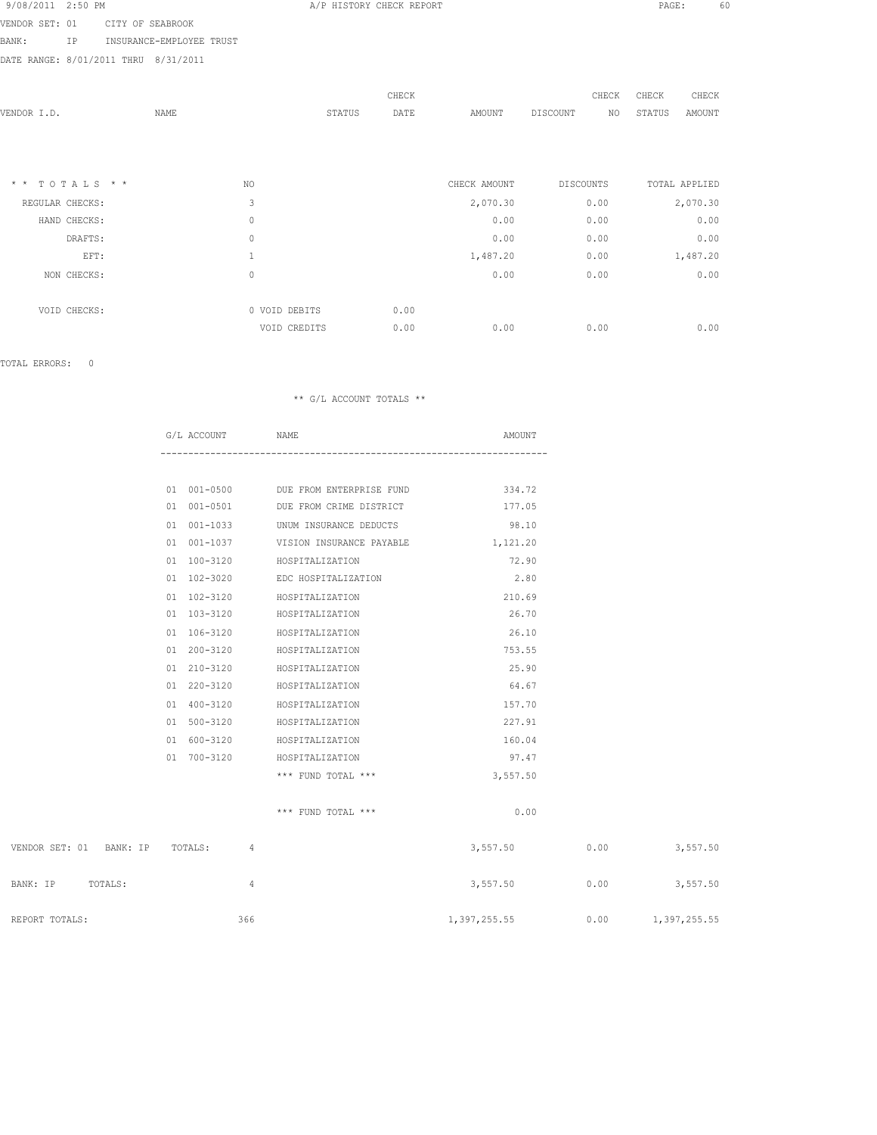| 9/08/2011 2:50 PM |  |  |
|-------------------|--|--|
|                   |  |  |

VENDOR SET: 01 CITY OF SEABROOK BANK: IP INSURANCE-EMPLOYEE TRUST

DATE RANGE: 8/01/2011 THRU 8/31/2011

| VENDOR I.D.                     | <b>NAME</b> |               | STATUS | CHECK<br>DATE | AMOUNT       | CHECK<br>NO<br>DISCOUNT | CHECK<br>STATUS | CHECK<br>AMOUNT |
|---------------------------------|-------------|---------------|--------|---------------|--------------|-------------------------|-----------------|-----------------|
|                                 |             |               |        |               |              |                         |                 |                 |
| $TOTALS$ * *<br>$\star$ $\star$ |             | NO.           |        |               | CHECK AMOUNT | <b>DISCOUNTS</b>        |                 | TOTAL APPLIED   |
| REGULAR CHECKS:                 |             | 3             |        |               | 2,070.30     | 0.00                    |                 | 2,070.30        |
| HAND CHECKS:                    |             | 0             |        |               | 0.00         | 0.00                    |                 | 0.00            |
| DRAFTS:                         |             | 0             |        |               | 0.00         | 0.00                    |                 | 0.00            |
| EFT:                            |             | 1             |        |               | 1,487.20     | 0.00                    |                 | 1,487.20        |
| NON CHECKS:                     |             | $\mathbf{0}$  |        |               | 0.00         | 0.00                    |                 | 0.00            |
|                                 |             | 0 VOID DEBITS |        | 0.00          |              |                         |                 |                 |
| VOID CHECKS:                    |             | VOID CREDITS  |        | 0.00          | 0.00         | 0.00                    |                 | 0.00            |

TOTAL ERRORS: 0

|                         | G/L ACCOUNT NAME |                                               | AMOUNT          |          |
|-------------------------|------------------|-----------------------------------------------|-----------------|----------|
|                         |                  |                                               |                 |          |
|                         |                  | 01 001-0500 DUE FROM ENTERPRISE FUND 334.72   |                 |          |
|                         |                  |                                               |                 |          |
|                         |                  | 01 001-0501 DUE FROM CRIME DISTRICT           | 177.05          |          |
|                         |                  | 01 001-1033 UNUM INSURANCE DEDUCTS            | 98.10           |          |
|                         |                  | 01 001-1037 VISION INSURANCE PAYABLE 1,121.20 |                 |          |
|                         |                  | 01 100-3120 HOSPITALIZATION                   | 72.90           |          |
|                         |                  | 01 102-3020 EDC HOSPITALIZATION               | 2.80            |          |
|                         |                  | 01 102-3120 HOSPITALIZATION                   | 210.69          |          |
|                         |                  | 01 103-3120 HOSPITALIZATION                   | 26.70           |          |
|                         |                  | 01 106-3120 HOSPITALIZATION                   | 26.10           |          |
|                         |                  | 01 200-3120 HOSPITALIZATION                   | 753.55          |          |
|                         |                  | 01 210-3120 HOSPITALIZATION                   | 25.90           |          |
|                         |                  | 01 220-3120 HOSPITALIZATION                   | 64.67           |          |
|                         |                  | 01 400-3120 HOSPITALIZATION                   | 157.70          |          |
|                         |                  | 01 500-3120 HOSPITALIZATION                   | 227.91          |          |
|                         |                  | 01 600-3120 HOSPITALIZATION                   | 160.04          |          |
|                         | 01 700-3120      | HOSPITALIZATION                               | 97.47           |          |
|                         |                  | $***$ FUND TOTAL $***$                        | 3,557.50        |          |
|                         |                  |                                               |                 |          |
|                         |                  | $***$ FUND TOTAL $***$                        | 0.00            |          |
|                         |                  |                                               |                 |          |
| VENDOR SET: 01 BANK: IP | TOTALS: 4        |                                               | $3,557.50$ 0.00 | 3,557.50 |
|                         |                  |                                               |                 |          |

| TOTALS:<br>BANK: IP |     | 3,557.50     | 0.00 | 3,557.50     |
|---------------------|-----|--------------|------|--------------|
| REPORT TOTALS:      | 366 | 1,397,255.55 | 0.00 | 1,397,255.55 |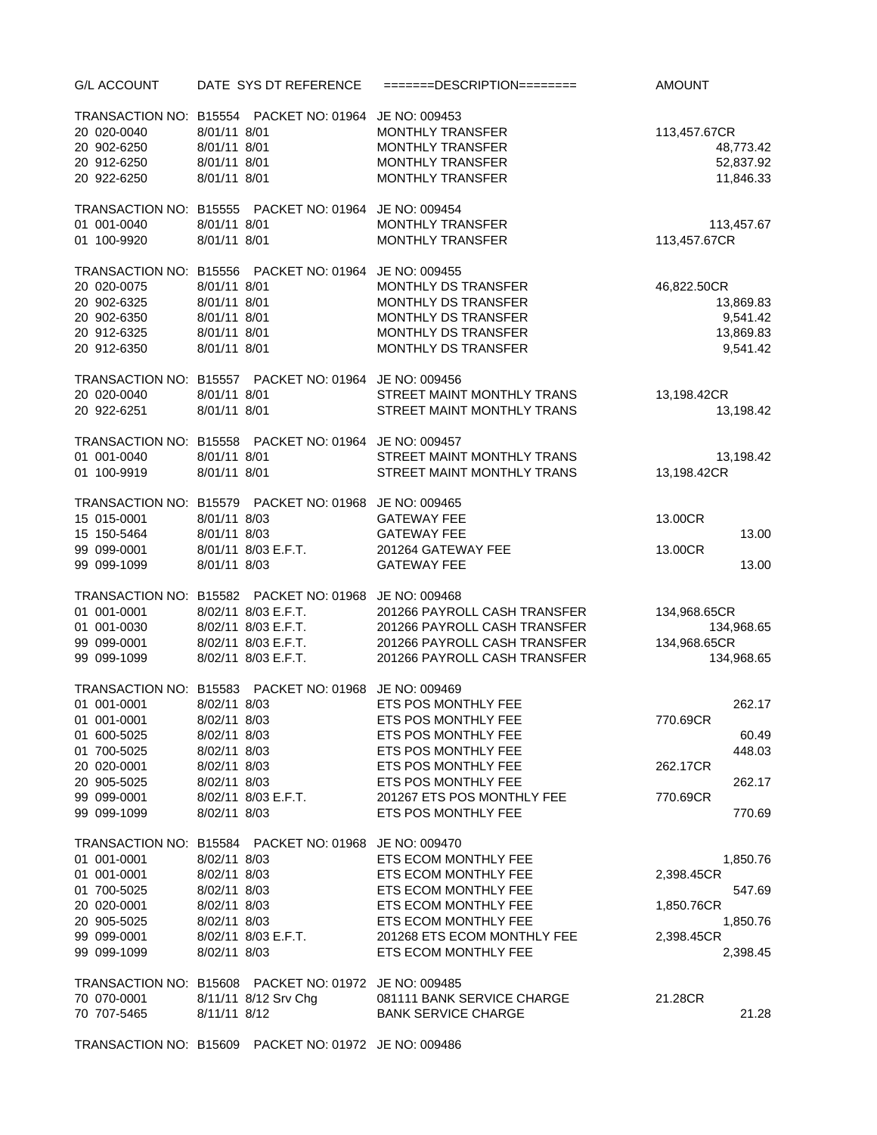| <b>G/L ACCOUNT</b> | DATE SYS DT REFERENCE                                 | $=$ ======DESCRIPTION======== | <b>AMOUNT</b> |
|--------------------|-------------------------------------------------------|-------------------------------|---------------|
|                    | TRANSACTION NO: B15554 PACKET NO: 01964 JE NO: 009453 |                               |               |
| 20 020-0040        | 8/01/11 8/01                                          | MONTHLY TRANSFER              | 113,457.67CR  |
| 20 902-6250        | 8/01/11 8/01                                          | <b>MONTHLY TRANSFER</b>       | 48,773.42     |
| 20 912-6250        | 8/01/11 8/01                                          | <b>MONTHLY TRANSFER</b>       | 52,837.92     |
| 20 922-6250        | 8/01/11 8/01                                          | <b>MONTHLY TRANSFER</b>       | 11,846.33     |
|                    | TRANSACTION NO: B15555 PACKET NO: 01964 JE NO: 009454 |                               |               |
| 01 001-0040        | 8/01/11 8/01                                          | <b>MONTHLY TRANSFER</b>       | 113,457.67    |
| 01 100-9920        | 8/01/11 8/01                                          | <b>MONTHLY TRANSFER</b>       | 113,457.67CR  |
|                    | TRANSACTION NO: B15556 PACKET NO: 01964 JE NO: 009455 |                               |               |
| 20 020-0075        | 8/01/11 8/01                                          | MONTHLY DS TRANSFER           | 46,822.50CR   |
| 20 902-6325        | 8/01/11 8/01                                          | MONTHLY DS TRANSFER           | 13,869.83     |
| 20 902-6350        | 8/01/11 8/01                                          | MONTHLY DS TRANSFER           | 9,541.42      |
| 20 912-6325        | 8/01/11 8/01                                          | MONTHLY DS TRANSFER           | 13,869.83     |
| 20 912-6350        | 8/01/11 8/01                                          | MONTHLY DS TRANSFER           | 9,541.42      |
|                    | TRANSACTION NO: B15557 PACKET NO: 01964 JE NO: 009456 |                               |               |
| 20 020-0040        | 8/01/11 8/01                                          | STREET MAINT MONTHLY TRANS    | 13,198.42CR   |
| 20 922-6251        | 8/01/11 8/01                                          | STREET MAINT MONTHLY TRANS    | 13,198.42     |
|                    | TRANSACTION NO: B15558 PACKET NO: 01964 JE NO: 009457 |                               |               |
| 01 001-0040        | 8/01/11 8/01                                          | STREET MAINT MONTHLY TRANS    | 13,198.42     |
| 01 100-9919        | 8/01/11 8/01                                          | STREET MAINT MONTHLY TRANS    | 13,198.42CR   |
|                    | TRANSACTION NO: B15579 PACKET NO: 01968 JE NO: 009465 |                               |               |
| 15 015-0001        | 8/01/11 8/03                                          | <b>GATEWAY FEE</b>            | 13.00CR       |
| 15 150-5464        | 8/01/11 8/03                                          | <b>GATEWAY FEE</b>            | 13.00         |
| 99 099-0001        | 8/01/11 8/03 E.F.T.                                   | 201264 GATEWAY FEE            | 13.00CR       |
| 99 099-1099        | 8/01/11 8/03                                          | <b>GATEWAY FEE</b>            | 13.00         |
|                    | TRANSACTION NO: B15582 PACKET NO: 01968 JE NO: 009468 |                               |               |
| 01 001-0001        | 8/02/11 8/03 E.F.T.                                   | 201266 PAYROLL CASH TRANSFER  | 134,968.65CR  |
| 01 001-0030        | 8/02/11 8/03 E.F.T.                                   | 201266 PAYROLL CASH TRANSFER  | 134,968.65    |
| 99 099-0001        | 8/02/11 8/03 E.F.T.                                   | 201266 PAYROLL CASH TRANSFER  | 134,968.65CR  |
| 99 099-1099        | 8/02/11 8/03 E.F.T.                                   | 201266 PAYROLL CASH TRANSFER  | 134,968.65    |
|                    | TRANSACTION NO: B15583 PACKET NO: 01968 JE NO: 009469 |                               |               |
| 01 001-0001        | 8/02/11 8/03                                          | ETS POS MONTHLY FEE           | 262.17        |
| 01 001-0001        | 8/02/11 8/03                                          | ETS POS MONTHLY FEE           | 770.69CR      |
| 01 600-5025        | 8/02/11 8/03                                          | ETS POS MONTHLY FEE           | 60.49         |
| 01 700-5025        | 8/02/11 8/03                                          | ETS POS MONTHLY FEE           | 448.03        |
| 20 020-0001        | 8/02/11 8/03                                          | ETS POS MONTHLY FEE           | 262.17CR      |
| 20 905-5025        | 8/02/11 8/03                                          | ETS POS MONTHLY FEE           | 262.17        |
| 99 099-0001        | 8/02/11 8/03 E.F.T.                                   | 201267 ETS POS MONTHLY FEE    | 770.69CR      |
| 99 099-1099        | 8/02/11 8/03                                          | ETS POS MONTHLY FEE           | 770.69        |
|                    | TRANSACTION NO: B15584 PACKET NO: 01968 JE NO: 009470 |                               |               |
| 01 001-0001        | 8/02/11 8/03                                          | ETS ECOM MONTHLY FEE          | 1,850.76      |
| 01 001-0001        | 8/02/11 8/03                                          | ETS ECOM MONTHLY FEE          | 2,398.45CR    |
| 01 700-5025        | 8/02/11 8/03                                          | ETS ECOM MONTHLY FEE          | 547.69        |
| 20 020-0001        | 8/02/11 8/03                                          | ETS ECOM MONTHLY FEE          | 1,850.76CR    |
| 20 905-5025        | 8/02/11 8/03                                          | ETS ECOM MONTHLY FEE          | 1,850.76      |
| 99 099-0001        | 8/02/11 8/03 E.F.T.                                   | 201268 ETS ECOM MONTHLY FEE   | 2,398.45CR    |
| 99 099-1099        | 8/02/11 8/03                                          | ETS ECOM MONTHLY FEE          | 2,398.45      |
|                    | TRANSACTION NO: B15608 PACKET NO: 01972 JE NO: 009485 |                               |               |
| 70 070-0001        | 8/11/11 8/12 Srv Chg                                  | 081111 BANK SERVICE CHARGE    | 21.28CR       |
| 70 707-5465        | 8/11/11 8/12                                          | <b>BANK SERVICE CHARGE</b>    | 21.28         |
|                    |                                                       |                               |               |
|                    | TRANSACTION NO: B15609 PACKET NO: 01972 JE NO: 009486 |                               |               |